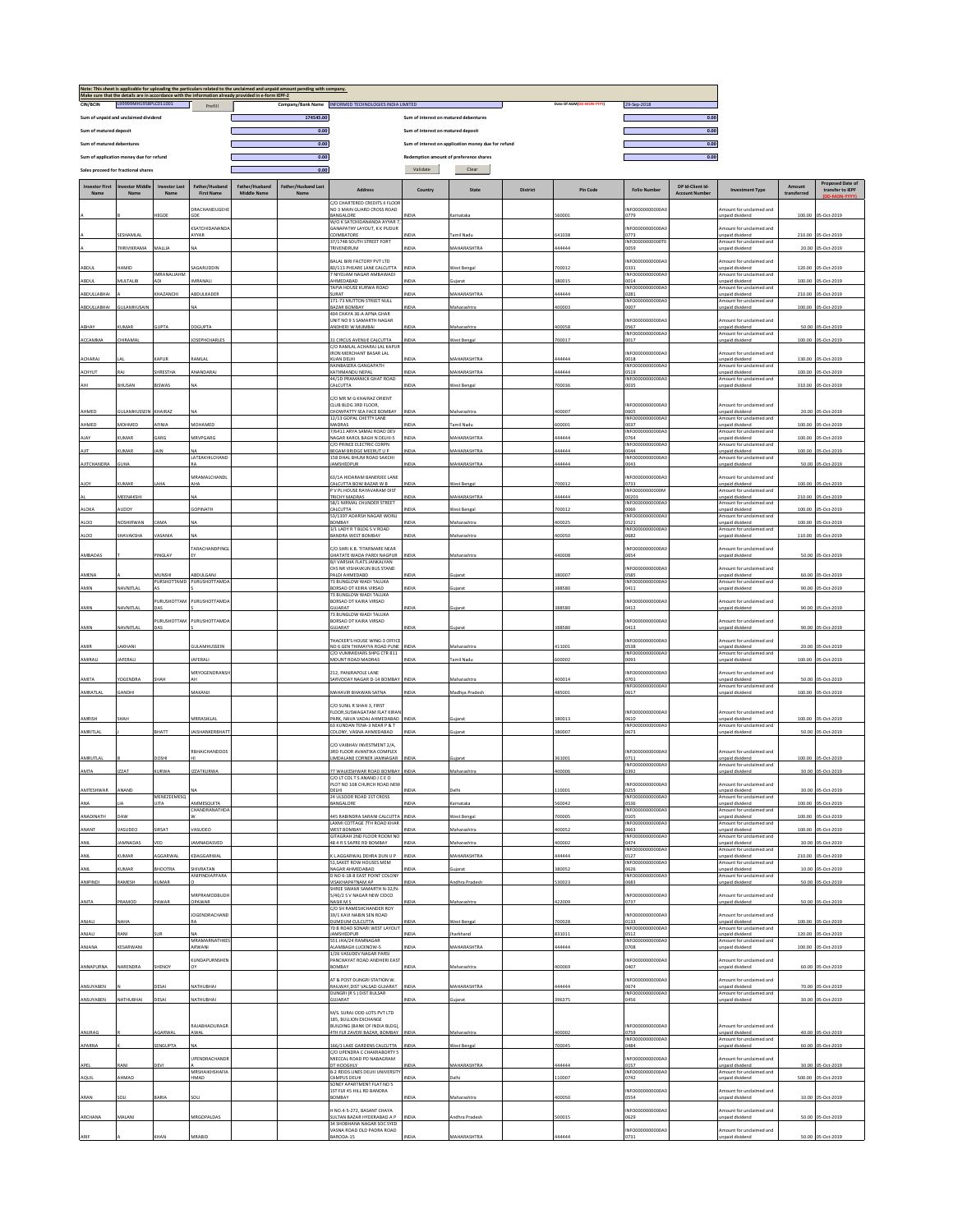|                                      |                                         |                              |                                   | Note: This sheet is applicable for uploading the particulars related to the unclaimed and unpaid amount.<br>Make sure that the details are in accordance with the information already provided in e-form IEPF-2. | ending with company.               |                                                                                             |                                       |                                                     |          |                          |                                              |                                          |                                                                        |                 |                                             |
|--------------------------------------|-----------------------------------------|------------------------------|-----------------------------------|------------------------------------------------------------------------------------------------------------------------------------------------------------------------------------------------------------------|------------------------------------|---------------------------------------------------------------------------------------------|---------------------------------------|-----------------------------------------------------|----------|--------------------------|----------------------------------------------|------------------------------------------|------------------------------------------------------------------------|-----------------|---------------------------------------------|
| CIN/BCIN                             | L99999MH1958PLC011001                   |                              | Prefill                           |                                                                                                                                                                                                                  |                                    | Company/Bank Name INFORMED TECHNOLOGIES INDIA LIMITED                                       |                                       |                                                     |          | Date Of AGM(DD-MON-YYYY) | 29-Sep-2018                                  |                                          |                                                                        |                 |                                             |
| Sum of unpaid and unclaimed dividend |                                         |                              |                                   |                                                                                                                                                                                                                  | 174545.00                          |                                                                                             | Sum of interest on matured debentures |                                                     |          |                          |                                              | 0.00                                     |                                                                        |                 |                                             |
| Sum of matured deposit               |                                         |                              |                                   |                                                                                                                                                                                                                  | 0.00                               |                                                                                             | Sum of interest on matured deposit    |                                                     |          |                          |                                              | 0.00                                     |                                                                        |                 |                                             |
| Sum of matured debentures            |                                         |                              |                                   |                                                                                                                                                                                                                  | 0.00                               |                                                                                             |                                       | Sum of interest on application money due for refund |          |                          |                                              | 0.00                                     |                                                                        |                 |                                             |
|                                      | Sum of application money due for refund |                              |                                   |                                                                                                                                                                                                                  | 0.00                               |                                                                                             |                                       | Redemption amount of preference shares              |          |                          |                                              | 0.00                                     |                                                                        |                 |                                             |
|                                      | Sales proceed for fractional shares     |                              |                                   |                                                                                                                                                                                                                  | 0.00                               |                                                                                             | Validate                              | Clear                                               |          |                          |                                              |                                          |                                                                        |                 |                                             |
| <b>Investor First</b><br>Name        | Name                                    | <b>Investor Last</b><br>Name | ather/Husbar<br><b>First Name</b> | Father/Husband<br>Middle Name                                                                                                                                                                                    | <b>Father/Husband Last</b><br>Name | Address                                                                                     | Country                               | State                                               | District | <b>Pin Code</b>          | <b>Folio Number</b>                          | DP Id-Client Id<br><b>Account Number</b> | <b>Investment Type</b>                                                 | transferred     | <b>Proposed Date of</b><br>transfer to IEPF |
|                                      |                                         |                              | RACHANDUGEHI                      |                                                                                                                                                                                                                  |                                    | C/O CHARTERED CREDITS II FLOOI<br>NO 3 MAIN GUARD CROSS ROAD                                |                                       |                                                     |          |                          | NFO0000000000A                               |                                          | mount for unclaimed and                                                |                 |                                             |
|                                      |                                         | <b>IEGDE</b>                 | 3OF<br><b>KSATCHIDANAND</b>       |                                                                                                                                                                                                                  |                                    | <b>JANGALORE</b><br>N/O K SATCHIDANANDA AYYAR 7<br>SANAPATHY LAYOUT, K K PUDUR              | NDIA                                  | Karnataka                                           |          | 60001                    | 0779<br>NFO0000000000A0                      |                                          | npaid dividend<br>mount for unclaimed and                              | 100.00          | 05-Oct-2019                                 |
|                                      | ESHAMLA<br><b>HRIVIKRAMA</b>            | MALLIA                       | AYYAR                             |                                                                                                                                                                                                                  |                                    | COIMBATORE<br>37/1748 SOUTH STREET FORT<br>RIVENDRUM                                        | VDIA<br>NDIA                          | Tamil Nadu<br>MAHARASHTRA                           |          | 41038<br>44444           | 0773<br>INFO0000000000T0<br>0059             |                                          | unpaid dividend<br>mount for unclaimed and<br>npaid dividend           |                 | 210.00 05-Oct-2019<br>20.00 05-Oct-2019     |
|                                      |                                         |                              |                                   |                                                                                                                                                                                                                  |                                    | ALAL BIRI FACTORY PVT LTD                                                                   |                                       |                                                     |          |                          | NFO0000000000A0                              |                                          | mount for unclaimed and                                                |                 |                                             |
| ABDUL<br>ABDUL                       | HAMID<br>MULTALIB                       | IMRANALIAHM<br><b>ADI</b>    | AGARUDDIN<br>MRANALI              |                                                                                                                                                                                                                  |                                    | 0/113 PHEARE LANE CALCUTTA<br>NIYOJAM NAGAR AMBAWADI<br>HMEDABAD                            | NDIA<br>NDIA                          | West Bengal<br>uiarat                               |          | '00012<br>80015          | 331<br>INFO0000000000A0<br>0014              |                                          | unpaid dividend<br>mount for unclaimed and<br>npaid dividend           | 100.00          | 120.00 05-Oct-2019<br>05-Oct-2019           |
| ABDULLABHAI                          |                                         | HAZANCHI                     | BDULKADER                         |                                                                                                                                                                                                                  |                                    | TAPIA HOUSE KURWA ROAD<br>SURAT                                                             | VDIA                                  | MAHARASHTRA                                         |          | 44444                    | INFO0000000000A0<br>0281                     |                                          | Amount for unclaimed and<br>inpaid dividend                            | 210.00          | 05-Oct-201                                  |
| ABDULLABHAI                          | <b>SULAMHUSAIN</b>                      |                              |                                   |                                                                                                                                                                                                                  |                                    | 171-73 MUTTON STREET NULL<br><b>AZAR ROMRAY</b>                                             | NDIA                                  | Maharashtra                                         |          | 100003                   | INFO0000000000A0<br>0007                     |                                          | mount for unclaimed and<br>npaid dividend                              | 100.00          | 05-Oct-2019                                 |
|                                      |                                         |                              |                                   |                                                                                                                                                                                                                  |                                    | 404 CHAYA 36-A APNA GHAR<br>UNIT NO 9 S SAMARTH NAGAR                                       |                                       |                                                     |          |                          | INFO0000000000A                              |                                          | mount for unclaimed and                                                |                 |                                             |
| ABHAY<br>ACCAMMA                     | <b>CUMAR</b><br><b>HIRAMAL</b>          | <b>SUPTA</b>                 | DGUPT/<br>OSEPHCHARLES            |                                                                                                                                                                                                                  |                                    | ANDHERI W MUMBAI<br>31 CIRCUS AVENUE CALCUTTA                                               | NDIA<br>NDIA                          | Maharashtra<br>West Bengal                          |          | 00058<br>00017           | 0567<br>INFO0000000000A0<br>0017             |                                          | inpaid dividend<br>mount for unclaimed and<br>npaid dividend           | 50.00<br>100.00 | 05-Oct-2019<br>05-Oct-2019                  |
|                                      |                                         |                              |                                   |                                                                                                                                                                                                                  |                                    | C/O RAMLAL ACHARAJ LAL KAPU<br>RON MERCHANT BASAR LAL                                       |                                       |                                                     |          |                          | INFO0000000000A0                             |                                          | mount for unclaimed and                                                |                 |                                             |
| ACHARAJ                              |                                         | APUR                         | AMLAI                             |                                                                                                                                                                                                                  |                                    | KUAN DELHI<br>RAINBASERA GANGAPATH                                                          | VDIA                                  | MAHARASHTRA                                         |          | 44444                    | 0018<br>INFO0000000000A0                     |                                          | unpaid dividend<br>mount for undaimed and                              |                 | 130.00 05-Oct-2019                          |
| ACHYUT                               | RAI                                     | HRESTHA                      | ANANDARAJ                         |                                                                                                                                                                                                                  |                                    | KATHMANDU NEPAL<br>44/1D PRAMANICK GHAT ROAD                                                | <b>NDIA</b>                           | MAHARASHTRA                                         |          | 44444                    | 0519<br>INFO0000000000A                      |                                          | npaid dividend<br>mount for unclaimed and                              | 100.00          | 05-Oct-2019                                 |
| AHI                                  | <b>HUSAN</b>                            | <b>ISWAS</b>                 |                                   |                                                                                                                                                                                                                  |                                    | <b>ALCUTTA</b>                                                                              | VDIA                                  | West Bengal                                         |          | 00036                    | 035                                          |                                          | npaid dividend                                                         | 310.00          | 05-Oct-2019                                 |
| AHMED                                | <b>GULAMHUSSEIN</b>                     | KHAIRAZ                      |                                   |                                                                                                                                                                                                                  |                                    | C/O MR M G KHAIRAZ ORIENT<br>CLUB BLDG 3RD FLOOR,<br><b>HOWPATTY SEA FACE BOMBAY</b>        | NDIA                                  | Maharashtra                                         |          | 100007                   | INFO0000000000A0<br>0605                     |                                          | mount for unclaimed and<br>npaid dividend                              |                 | 20.00 05-0ct-2019                           |
| AHMED                                | <b>AOHMED</b>                           | <b>FINIA</b>                 | <b>MOHAMED</b>                    |                                                                                                                                                                                                                  |                                    | 12/13 GOPAL CHETTY LANE<br>MADRAS                                                           | VDIA                                  | Tamil Nadu                                          |          | 00001                    | INFO0000000000A0<br>0037                     |                                          | Amount for unclaimed and<br>unpaid dividend                            | 100.00          | 05-Oct-2019                                 |
| AJAY                                 | <b>HAAR</b>                             | <b>GARG</b>                  | MRVPGARG                          |                                                                                                                                                                                                                  |                                    | /6411 ARYA SAMAJ ROAD DEV<br><b>NAGAR KAROL BAGH N DELHI-5</b>                              | <b>NDIA</b>                           | MAHARASHTRA                                         |          | 44444                    | INFO0000000000A<br>0764                      |                                          | Imount for unclaimed and<br>npaid dividend                             | 100.00          | 05-Oct-2019                                 |
| AIIT                                 | UMAR                                    | <b>AIN</b>                   |                                   |                                                                                                                                                                                                                  |                                    | C/O PRINCE ELECTRIC CORPN<br>BEGAM BRIDGE MEERUT U P                                        | NDIA                                  | MAHARASHTRA                                         |          | 144444                   | INFO0000000000A<br>0044                      |                                          | mount for unclaimed and                                                |                 | 100.00 05-Oct-2019                          |
|                                      |                                         |                              | LATEAKHILCHAND                    |                                                                                                                                                                                                                  |                                    | <b>158 DHAL BHUM ROAD SAKCHI</b>                                                            |                                       | <b>MAHARASHTRA</b>                                  |          |                          | INFO0000000000A0                             |                                          | inpaid dividend<br>Amount for unclaimed and                            |                 |                                             |
| <b>AJITCHANDRA</b>                   | <b>GUHA</b>                             |                              | MRAMALCHANDL                      |                                                                                                                                                                                                                  |                                    | MSHEDPUR<br><b>63/14 HIDARAM RANERIEE LANE</b>                                              | VDIA                                  |                                                     |          | 44444                    | 0043<br>INFOODDOODDOOAD                      |                                          | inpaid dividend<br>Amount for unclaimed and                            |                 | 50.00 05-Oct-2019                           |
| <b>AIOY</b>                          | <b>UMAR</b>                             | <b>AHA</b>                   | ۱H۵                               |                                                                                                                                                                                                                  |                                    | CALCUTTA BOW BAZAR W B<br>V PL HOUSE RAYAVARAM DIST                                         | NDIA                                  | West Bengal                                         |          | 700012                   | 0733<br>INFO0000000000M                      |                                          | inpaid dividend<br>Amount for unclaimed and                            |                 | 100.00 05-Oct-2019                          |
|                                      | MEENAKSHI                               |                              |                                   |                                                                                                                                                                                                                  |                                    | <b>RICHY MADRAS</b><br>58/1 NIRMAL CHUNDER STREET                                           | VDIA                                  | MAHARASHTRA                                         |          | 44444                    | 10203<br>INFO000000000004                    |                                          | npaid dividend<br>mount for unclaimed and                              |                 | 210.00 05-Oct-2019                          |
| ALOKA                                | JDDY                                    |                              | OPINATH                           |                                                                                                                                                                                                                  |                                    | ALCUTTA<br>53/1397 ADARSH NAGAR WORLI                                                       | VDIA                                  | Vest Bengal                                         |          | 00012                    | 066<br>INFO0000000000A0                      |                                          | npaid dividend<br>Amount for unclaimed and                             | 100.00          | 05-Oct-2019                                 |
| ALO <sub>O</sub>                     | <b>VOSHIRWAN</b>                        | AMA                          |                                   |                                                                                                                                                                                                                  |                                    | YABNOE<br>3/1 LADY R T BLDG S V ROAD                                                        | VDIA                                  | Maharashtra                                         |          | 00025                    | 0521<br>INFO0000000000A0                     |                                          | Inpaid dividend<br>mount for unclaimed and                             | 100.00          | 05-Oct-2019                                 |
| ALO <sub>0</sub>                     | HAVAKSHA                                | <b>ASANIA</b>                | <b>TARACHANDPING</b>              |                                                                                                                                                                                                                  |                                    | <b>ANDRA WEST BOMBAY</b><br>C/O.SHRI K.B. TITARMARE NEAR                                    | <b>NDIA</b>                           | Maharashtra                                         |          | 100050                   | 0682<br>INFO0000000000A0                     |                                          | npaid dividend<br>mount for unclaimed and                              | 110.00          | 05-Oct-2019                                 |
| AMBADAS                              |                                         | INGLAY                       |                                   |                                                                                                                                                                                                                  |                                    | SHATATE WADA PARDI NAGPUR<br>1/1 VARSHA FLATS JANKALYAN<br>CHS NR VISHAVKUN BUS STAND       | <b>VDM</b>                            | Maharashtra                                         |          | 40008                    | 0654<br>INFO0000000000A                      |                                          | inpaid dividend<br>mount for unclaimed and                             |                 | 50.00 05-Oct-2019                           |
| AMENA                                |                                         | <b>IUNSHI</b><br>PURSHOTTAMD | BDULGANI<br>PURUSHOTTAMDA         |                                                                                                                                                                                                                  |                                    | ALDI AHMEDABD<br>73 BUNGLOW WADI TALUKA                                                     | VDIA                                  |                                                     |          | 80007                    | 3585<br>INFO0000000000A0                     |                                          | npaid dividend<br>Amount for unclaimed and                             |                 | 60.00 05-Oct-2019                           |
| AMIN                                 | NAVNITLAL                               | URUSHOTTAN                   | PURUSHOTTAMD                      |                                                                                                                                                                                                                  |                                    | <b>ORSAD DT KEIRA VIRSAD</b><br>3 BUNGLOW WADI TALUKA<br>BORSAD DT KAIRA VIRSAD             | NDIA                                  | uiarat                                              |          | 88580                    | 0411<br>INFO0000000000A                      |                                          | inpaid dividend<br>nount for unclaimed and                             | 90.00           | 05-Oct-2019                                 |
| AMIN                                 | NAVNITLA                                |                              |                                   |                                                                                                                                                                                                                  |                                    | <b>HIARAT</b><br><b>73 BUNGLOW WADI TALUKA</b>                                              | NDIA                                  |                                                     |          | 88580                    | 0412                                         |                                          | npaid dividend                                                         | 90.00           | 05-Oct-2019                                 |
| AMIN                                 | NAVNITLAL                               | PURUSHOTTAM<br>DAS           | PURUSHOTTAMDA                     |                                                                                                                                                                                                                  |                                    | BORSAD DT KAIRA VIRSAD<br><b>GUJARAT</b>                                                    | NDIA                                  | iujarat                                             |          | 88580                    | INFO0000000000A0<br>0413                     |                                          | mount for unclaimed and<br>inpaid dividend                             |                 | 90.00 05-Oct-2019                           |
| AMIR                                 | LAKHANI                                 |                              | <b>JULAMHUSSEIN</b>               |                                                                                                                                                                                                                  |                                    | <b>THACKER'S HOUSE WING-3 OFFICE</b><br>NO 6 GEN THIMAYYA ROAD PUNE                         | INDIA                                 | Maharashtra                                         |          | 11001                    | INFO0000000000A0<br>0538                     |                                          | mount for unclaimed and<br>inpaid dividend                             |                 | 20.00 05-Oct-2019                           |
| AMIRALI                              | AFERALI                                 |                              | AFERALI                           |                                                                                                                                                                                                                  |                                    | C/O VUMMIDIARS SHPG CTR 811<br><b>IOUNT ROAD MADRAS</b>                                     | VDIA                                  | amil Nadu                                           |          | 00002                    | INFO0000000000A0<br>1093                     |                                          | Amount for unclaimed and<br>npaid dividend                             |                 | 100.00 05-Oct-2019                          |
|                                      |                                         |                              | MRYOGENDRANS                      |                                                                                                                                                                                                                  |                                    | 212 PANIRAPOLE LANE                                                                         |                                       |                                                     |          |                          | INFOODDOODDOOAD                              |                                          | mount for unclaimed and                                                |                 |                                             |
| AMITA<br>AMRATLAL                    | <b>OGENDRA</b><br>SANDHI                | нан                          | VAKANJI                           |                                                                                                                                                                                                                  |                                    | ARVODAY NAGAR D-14 BOMBAY<br>MAHAVIR BHAWAN SATNA                                           | <b>INDIA</b><br>NDIA                  | Maharashtra<br>Madhya Pradesh                       |          | 100014<br>85001          | 701<br>INFO0000000000A0<br>1617              |                                          | inpaid dividend<br>Amount for unclaimed and<br>npaid dividend          |                 | 50.00 05-Oct-2019<br>100.00 05-Oct-2019     |
|                                      |                                         |                              |                                   |                                                                                                                                                                                                                  |                                    | YO SUNIL R SHAH 3 FIRST                                                                     |                                       |                                                     |          |                          |                                              |                                          |                                                                        |                 |                                             |
| AMRISH                               | SHAH                                    |                              | MRRASIKLA                         |                                                                                                                                                                                                                  |                                    | LOOR.SUSWAGATAM FLAT KIRAN<br>ARK, NAVA VADAJ AHMEDABAD INDIA<br>3 KUNDAN TENA-3 NEAR P & T |                                       | Sujarat                                             |          | 380013                   | INFO0000000000A0<br>0610<br>INFO0000000000A0 |                                          | Amount for unclaimed and<br>unpaid dividend<br>Imount for undaimed and |                 | 100.00 05-Oct-2019                          |
| AMRITLAL                             |                                         | RHATT                        | AISHANKERBHAT                     |                                                                                                                                                                                                                  |                                    | OLONY, VASNA AHMEDABAD                                                                      | NDIA                                  | iniarat                                             |          | 80007                    | 0673                                         |                                          | npaid dividend                                                         |                 | 50.00 05-Oct-2019                           |
|                                      |                                         |                              | RBHAICHANDDOS                     |                                                                                                                                                                                                                  |                                    | C/O VAIBHAV INVESTMENT 2/A.<br><b>BRD FLOOR AVANTIKA COMPLEX</b>                            |                                       |                                                     |          |                          | INFO0000000000A0                             |                                          | Amount for unclaimed and                                               |                 |                                             |
| AMRUTLAL                             | <b>ZZAT</b>                             | OSH<br><b>JRWA</b>           |                                   |                                                                                                                                                                                                                  |                                    | MDALANE CORNER JAMNAGAR                                                                     | VDIA                                  | ujarat                                              |          | 61001<br>00006           | 1711<br>INFO0000000000A0                     |                                          | inpaid dividend<br>mount for unclaimed and                             |                 | 100.00 05-Oct-2019                          |
| AMTA                                 |                                         |                              | <b>ZZATKURWA</b>                  |                                                                                                                                                                                                                  |                                    | 7 WALKESHWAR ROAD BOMBAY<br>C/OLT COLT SANAND JCEO<br>PLOT NO 108 CHURCH ROAD NEW           | NDIA                                  | Maharashtra                                         |          |                          | 0392<br>INFO0000000000A0                     |                                          | inpaid dividend<br>Amount for unclaimed and                            | 30.00           | 05-Oct-2019                                 |
| AMTESHWAR                            | ANAND                                   | MENEZEEMESQ                  |                                   |                                                                                                                                                                                                                  |                                    | ELH<br>24 ULSOOR ROAD 1ST CROSS                                                             | NDIA                                  | Delhi                                               |          | 10001                    | INFO0000000000A0                             |                                          | ınpaid divident<br>mount for undaimed and                              |                 | 30.00 05-Oct-2019                           |
| ANA                                  |                                         | <b>UITA</b>                  | MMESQUITA<br><b>HANDRANATHDA</b>  |                                                                                                                                                                                                                  |                                    | BANGALORE                                                                                   | NDIA                                  | amataka                                             |          | 60042                    | 0536<br>INFO0000000000A0                     |                                          | inpaid dividend<br>Amount for unclaimed and                            | 100.00          | 05-Oct-2019                                 |
| ANADINATH                            | DAW                                     |                              |                                   |                                                                                                                                                                                                                  |                                    | 445 RABINDRA SARANI CALCUTTA<br>AXMI COTTAGE 7TH ROAD KHAR                                  | INDIA                                 | West Bengal                                         |          | 00005                    | 0105<br>INFO0000000000A                      |                                          | Inpaid dividend<br>mount for unclaimed and                             |                 | 100.00 05-Oct-2019                          |
| ANANT                                | ASUDEO                                  | <b>JRSAT</b>                 | <b>ASUDEC</b>                     |                                                                                                                                                                                                                  |                                    | <b>NEST BOMBAY</b><br>SITAGRAH 2ND FLOOR ROOM NO                                            | NDIA                                  | Maharashtra                                         |          | 00052                    | 0663<br>INFO0000000000A0                     |                                          | inpaid dividend<br>mount for unclaimed and                             | 100.00          | 05-Oct-2019                                 |
| ANIL                                 | AMNADAS                                 |                              | AMNADASVED                        |                                                                                                                                                                                                                  |                                    | <b>84 R S SAPRE RD BOMBAY</b>                                                               | <b>VIDIA</b>                          | Maharashtra                                         |          | 100002                   | 0474<br>INFO0000000000A0                     |                                          | npaid dividend<br>Amount for unclaimed and                             |                 | 30.00 05-Oct-2019                           |
| ANIL                                 | UMAR                                    | GGARWA                       | DAGGARWAL                         |                                                                                                                                                                                                                  |                                    | AGGARWAL DEHRA DUN U P<br>1, SAKET ROW HOUSES MEM                                           | NDIA                                  | MAHARASHTRA                                         |          | 44444                    | 127<br>INFO0000000000A0                      |                                          | npaid dividend<br>mount for unclaimed and                              |                 | 210.00 05-Oct-2019                          |
| ANIL                                 | UMAR                                    | <b>IOOTRA</b>                | HIVRATAN<br><b>ΝΙΡΙΝΟΙΔΡΡΑΒΑ</b>  |                                                                                                                                                                                                                  |                                    | NAGAR AHMEDABAD<br>NO 6-18-8 EAST POINT COLONY                                              | NDIA                                  | ujarat                                              |          | 80052                    | 0626<br>INFO0000000000A0                     |                                          | npaid dividend<br>Amount for unclaimed and                             | 10.00           | 05-Oct-2019                                 |
| ANIPINDI                             | RAMESH                                  | UMAR                         | <b>MRPRAMODBUDI</b>               |                                                                                                                                                                                                                  |                                    | VISAKHAPATNAM AP<br>HREE SWAMI SAMARTH N-32/N                                               | NDIA                                  | Andhra Pradesh                                      |          | 30023                    | 0683<br>INFO0000000000A0                     |                                          | Inpaid dividend<br>mount for unclaimed and                             |                 | 50.00 05-Oct-2019                           |
| ANITA                                | PRAMOD                                  | <b>AWAR</b>                  | DPAWAR                            |                                                                                                                                                                                                                  |                                    | 40/2 S V NAGAR NEW CIDCO<br><b>JASIK MS</b><br>C/O SH RAMESHCHANDER ROY                     | VDIA                                  | Maharashtra                                         |          | 22009                    | 0737                                         |                                          | npaid dividend                                                         |                 | 50.00 05-Oct-2019                           |
| ANJALI                               | NAHA                                    |                              | <b>IOGENDRACHAND</b>              |                                                                                                                                                                                                                  |                                    | 39/1 KAVI NABIN SEN ROAD<br><b>UMDUM CULCUTTA</b><br>0 B ROAD SONARI WEST LAYOUT            | NDIA                                  | West Bengal                                         |          | 00028                    | INFO0000000000A<br>0133<br>INFO0000000000A0  |                                          | mount for unclaimed and<br>inpaid dividend<br>mount for unclaimed and  |                 | 100.00 05-Oct-2019                          |
| ANJALI                               | RANI                                    |                              | MRAMARNATHKES                     |                                                                                                                                                                                                                  |                                    | AMSHEDPUR<br>551 JHA/24 RAMNAGAR                                                            | NDIA                                  | harkhand                                            |          | 31011                    | 0512<br>INFO0000000000A0                     |                                          | npaid dividend<br>Amount for unclaimed and                             | 120.00          | 05-Oct-2019                                 |
| ANJANA                               | KESARWANI                               |                              | ARWANI                            |                                                                                                                                                                                                                  |                                    | <b>NAMBAGH LUCKNOW-S</b><br>/26 VASUDEV NAGAR PARS                                          | NDIA                                  | MAHARASHTRA                                         |          | 44444                    | 0708                                         |                                          | Inpaid dividend                                                        |                 | 100.00 05-Oct-2019                          |
| ANNAPURNA                            | NARENDRA                                | HENOY                        | <b>CUNDAPURNSHEM</b>              |                                                                                                                                                                                                                  |                                    | ANCHAYAT ROAD ANDHERI EAST<br>YABANGE                                                       | NDIA                                  | Maharashtra                                         |          | 00069                    | NFO0000000000A0<br>0407                      |                                          | mount for unclaimed and<br>inpaid dividend                             |                 | 60.00 05-Oct-2019                           |
| ANSUYABEN                            |                                         | ESAI                         | NATHUBHA                          |                                                                                                                                                                                                                  |                                    | <b>IT &amp; POST DUNGRI STATION W.</b><br>AILWAY, DIST VALSAD GUJARAT                       | NDIA                                  | MAHARASHTRA                                         |          | 44444                    | NFO0000000000A<br>1674                       |                                          | mount for unclaimed and<br>inpaid dividend                             |                 | 70.00 05-Oct-2019                           |
| ANSUYABEN                            | NATHUBHAI                               | <b>DESAI</b>                 | VATHUBHA                          |                                                                                                                                                                                                                  |                                    | <b>DUNGRI (R S ) DIST BULSAR</b><br><b>SUJARAT</b>                                          | NDIA                                  |                                                     |          | 6375                     | INFO0000000000A0<br>0456                     |                                          | mount for unclaimed and<br>npaid dividend                              | 30.00           | 05-Oct-2019                                 |
|                                      |                                         |                              |                                   |                                                                                                                                                                                                                  |                                    | M/S. SURAJ ODD-LOTS PVT LTD<br>185, BULLION EXCHANGE                                        |                                       |                                                     |          |                          |                                              |                                          |                                                                        |                 |                                             |
| ANURAG                               |                                         | GARWA                        | AJABHADURAGE<br>WAL               |                                                                                                                                                                                                                  |                                    | <b>IUILDING (BANK OF INDIA BLDG),</b><br>ITH FLR ZAVERI BAZAR, BOMBAY                       | NDIA                                  | Maharashtra                                         |          | 00002                    | INFO0000000000A0<br>)759                     |                                          | mount for unclaimed and<br>inpaid dividend                             |                 | 40.00 05-Oct-2019                           |
| APARNA                               |                                         | SENGUPTA                     |                                   |                                                                                                                                                                                                                  |                                    | 66/1 LAKE GARDENS CALCUTTA                                                                  | NDIA                                  | West Bengal                                         |          | 00045                    | INFO0000000000A0<br>0484                     |                                          | Amount for unclaimed and<br>Inpaid dividend                            |                 | 60.00 05-Oct-2019                           |
|                                      |                                         |                              | PENDRACHAND                       |                                                                                                                                                                                                                  |                                    | C/O UPENDRA C CHAKRABORTY 5<br><b>MECCAL ROAD PO NABAGRAM</b>                               |                                       |                                                     |          |                          | NFO0000000000A0                              |                                          | mount for undaimed and                                                 |                 |                                             |
| APEL                                 | <b>IMAS</b><br>AHMAD                    |                              | MRSHAIKHSHAFIA<br><b>GAMH</b>     |                                                                                                                                                                                                                  |                                    | <b>DT HOOGHLY</b><br>B-2 REIDS LINES DELHI UNIVERSITY<br>CAMPUS DELHI                       | VDIA<br>NDIA                          | MAHARASHTRA<br>Delhi                                |          | 44444<br>10007           | <b>157</b><br>INFO0000000000A0<br>0742       |                                          | inpaid dividend<br>Amount for unclaimed and<br>Inpaid dividend         |                 | 30.00 05-Oct-2019<br>500.00 05-Oct-2019     |
| AQUIL                                |                                         |                              |                                   |                                                                                                                                                                                                                  |                                    | <b>SONEY APARTMENT FLAT NO 5</b><br>ST FLR 45 HILL RD BANDRA                                |                                       |                                                     |          |                          | NFO0000000000A0                              |                                          | mount for unclaimed and                                                |                 |                                             |
| ARAN                                 | iоu                                     | <b>ARIA</b>                  | SOLI                              |                                                                                                                                                                                                                  |                                    | <b>BOMBAY</b><br>NO.4-5-272, BASANT CHAYA                                                   | NDIA                                  | Maharashtra                                         |          | 00050                    | 0554<br>NFO0000000000A                       |                                          | inpaid dividend<br>mount for unclaimed and                             |                 | 10.00 05-Oct-2019                           |
| ARCHANA                              | MALANI                                  |                              | <b>MRGOPALDA</b>                  |                                                                                                                                                                                                                  |                                    | ULTAN BAZAR HYDERABAD A P<br>4 SHOBHANA NAGAR SOC SYED                                      | <b>VDIA</b>                           | ndhra Pradesh                                       |          | 00015                    | 629                                          |                                          | npaid dividend                                                         |                 | 50.00 05-Oct-2019                           |
| ARIF                                 |                                         | HAN                          | MRABID                            |                                                                                                                                                                                                                  |                                    | ASNA ROAD OLD PADRA ROAD<br>ARODA-15                                                        | NDIA                                  | MAHARASHTRA                                         |          | 44444                    | NFO0000000000A0<br>731                       |                                          | mount for unclaimed and<br>npaid dividend                              |                 | 50.00 05-Oct-2019                           |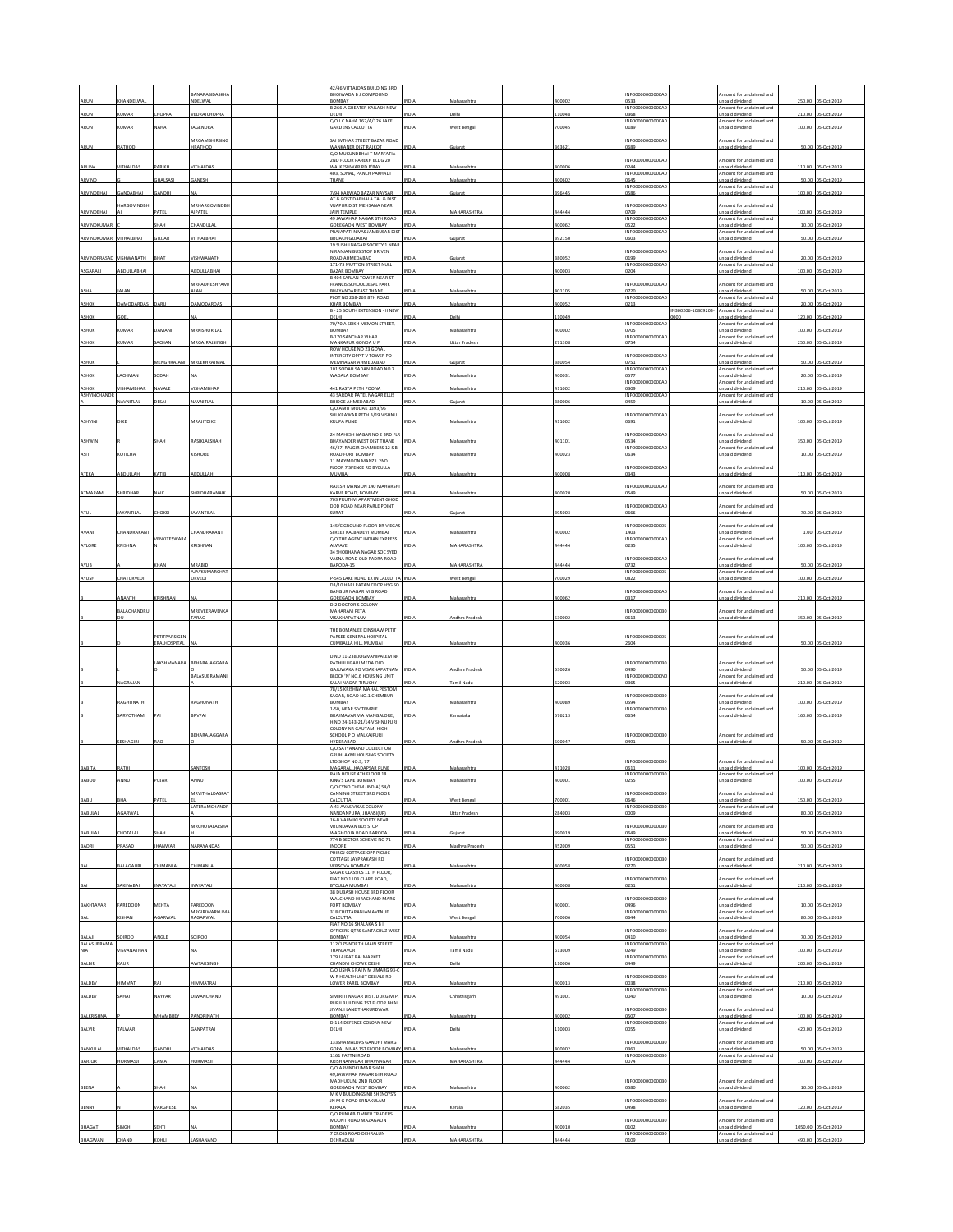| 42/46 VITTALDAS BUILDING 3RD<br><b>JANARASIDASKHA</b><br>BHOIWADA B J COMPOUND<br>NFO0000000000A<br><b>HANDELWAI</b><br>IDELWAL<br>BOMBAY<br>0533<br>ARUM<br>Maharashtra<br>00002<br><b>B-266-A GREATER KAILASH NEW</b><br>NFO0000000000A<br>ARUN<br><b>KLIMAR</b><br>HOPRA<br>VEDRAJCHOPRA<br>DELHI<br><b>VIDIA</b><br><b>Jelbi</b><br>110048<br>368<br>C/O J C NAHA 162/A/126 LAKE<br>INFO0000000000A<br><b>UMAR</b><br>AGENDRA<br>700045<br>ARUN<br>NAHA<br><b>ARDENS CALCUTTA</b><br>NDM<br><b>Nest Benga</b><br>189<br><b>MRGAMBHIRSING</b><br>SAI SVTHAR STREET BAZAR ROAD<br>NFO0000000000A<br>ARUN<br>RATHOD<br>HRATHOD<br>WANKANER DIST RAJKOT<br>INDIA<br>363621<br>6820<br>uiara<br>C/O MUKUNDBHAI T MARFATIA<br>2ND FLOOR PAREKH BLDG 20<br>NFO0000000000A<br><b>/ITHALDAS</b><br>ARIKH<br><b>/ITHALDAS</b><br>WALKESHWAR RD B'BAY<br>400006<br>0244<br>ARUNA<br><b>NDI</b><br>Maharashtra<br>403, SONAL, PANCH PAKHADI<br>NFO0000000000A<br>ARVIND<br>HALSASI<br>GANESH<br>THANF<br>INDIA<br>Maharashtra<br>400602<br>0645<br>INFO0000000000A<br>ARVINDBHAI<br><b>ANDABHAI</b><br>7/94 KARWAD BAZAR NAVSARI<br>396445<br>ANDHI<br>INDIA<br>uiarat<br>)586<br>AT & POST DABHALA TAL & DIST<br><b>IARGOVINDBH</b><br><b>MRHARGOVINDBI</b><br>VIJAPUR DIST MEHSANA NEAR<br>NFO0000000000A<br>JAIN TEMPLE<br>ARVINDBHAI<br>ATE<br>IPATEL<br>MAHARASHTR<br>444444<br>0709<br>49 JAWAHAR NAGAR 6TH ROAD<br>INFO0000000000A<br>HANDULA<br>400062<br>ARVINDKUMAI<br>HAH<br>GOREGAON WEST BOMBAY<br>VDM<br>Maharashtra<br>)522<br>PRAJAPATI NIVAS JAMBUSAR DIS'<br>INFO0000000000A<br>VITHALBHAI<br><b>/ITHALBHAI</b><br>392150<br>ARVINDKUMAR<br><b>GULIAR</b><br>BROACH GUJARAT<br>NDIA<br>1603<br>ujarat<br>19 SUSHILNAGAR SOCIETY 1 NEAP<br>NIRANJAN BUS STOP DRIVEN<br>NFO0000000000A<br>ARVINDPRASAD<br>VISHWANATH<br><b>VISHWANATH</b><br>BHAT<br>ROAD AHMEDABAD<br>NDM<br>uiarat<br>380052<br>199<br>171-73 MUTTON STREET NULL<br>INFO0000000000A<br>BDULLABHAI<br>BDULLABHAI<br>ASGARALI<br>BAZAR BOMBAY<br>NDLA<br>taharashtra<br>100003<br>0204<br>B 404 SARJAN TOWER NEAR ST<br><b><i>ARRADHESHYAM</i></b><br>FRANCIS SCHOOL JESAL PARK<br>NFO0000000000A<br>ASHA<br>ALAN<br><b>LAN</b><br><b>BHAYANDAR EAST THANE</b><br>NDIA<br>Maharashtra<br>401105<br>0720<br>INFO0000000000A0<br>PLOT NO 268-269 STH ROAD<br>DAMODARDAS<br>DARU<br>AMODARDAS<br>NDIA<br>100052<br><b>ASHOR</b><br><b>CHAR BOMBAY</b><br>faharashtra<br>0213<br>B - 25 SOUTH EXTENSION - II NEW<br>IN300206-10809203-<br>OEL<br>VDIA<br>elhi<br>10049<br><b>SHOR</b><br>DELHI<br>1000<br>70/70 A SEIKH MEMON STREET,<br>INFO0000000000A0<br>MRKISHORILAL<br>KUMAR<br><b>JAMANI</b><br>INDIA<br>Maharashtra<br>400002<br>ASHOK<br>BOMBAY<br>0705<br><b>B-170 SANCHAR VIHAR</b><br>NFO0000000000<br>0754<br><b>UMAF</b><br>ACHAN<br><b>IRGAJRAJSING</b><br>MANKAPUR GONDA U P<br><b>INDIA</b><br>Ittar Prades<br>271308<br><b>ASHOR</b><br>ROW HOUSE NO 23 GOYAL<br>INTERCITY OPP TV TOWER PO<br>NFO0000000000A<br>MEMNAGAR AHMEDABAD<br>MENGHRAJANI<br>MRLEKHRAJMAI<br>380054<br>0751<br>INDIA<br>ASHOK<br>uiarat<br>101 SODAH SADAN ROAD NO 7<br><b>NFO000</b><br>NDIA<br>0577<br><b>ASHOR</b><br><b>ACHMAN</b><br><b>ODA</b><br>WADALA BOMBAY<br>100031<br>faharashtra<br>INFO0000000000A<br><b>ISHAMBHAR</b><br>VAVALE<br>441 RASTA PETH POONA<br>43 SARDAR PATEL NAGAR ELLIS<br>NDIA<br>411002<br>ASHOK<br>/ISHAMBHAF<br>Maharashtra<br>1309<br>ASHVINCHAND<br>INFO0000000000<br><b>AVNITLAL</b><br>ESAI<br><b>AVNITLAI</b><br>RIDGE AHMEDABAD<br>NDLA<br>380006<br>1459<br>ujarat<br>C/O AMIT MODAK 1393/95<br>SHUKRAWAR PETH B/19 VISHNL<br>NFO0000000000A<br>MRAJITDIKE<br>411002<br>ASHVINI<br>DIKE<br><b>KRUPA PUNE</b><br>INDIA<br>Maharashtra<br>0691<br>24 MAHESH NAGAR NO 2 3RD FLR<br>NFO0000000000A<br>BHAYANDER WEST DIST THANE<br>RASIKLALSHAH<br>INDIA<br>101101<br>0534<br><b>ASHWIN</b><br>НАН<br>Maharashtra<br>46/47, RAJGIR CHAMBERS 12 S B<br>INFO0000000000A<br>ASIT<br>КОТІСНА<br>KISHORE<br><b>INDIA</b><br>400023<br>ROAD FORT ROMBAY<br>Maharashtra<br>0634<br>11 MAYMOON MANZIL 2ND<br>FLOOR 7 SPENCE RD BYCULLA<br>NFO0000000000A<br>ATEKA<br>ABDULLAH<br>KATIB<br>ABDULLAH<br>MUMBAI<br><b>INDIA</b><br>400008<br>343<br>Maharashtra<br>RAIFSH MANSION 140 MAHARSHI<br>NEODDDDDDDDDA<br>KARVE ROAD, BOMBAY<br>ATMARAM<br>SHRIDHAR<br>HRIDHARANAIR<br>INDIA<br>400020<br>0549<br>NAIK<br>Maharashtra<br>703 PRUTHVI APARTMENT GHOD<br>DOD ROAD NEAR PARLE POINT<br>NFO0000000000<br>AYANTILAL<br>AYANTILAL<br>395003<br>ATUL<br>HOKSI<br>SURAT<br><b>IDL</b><br>0666<br>145/C GROUND FLOOR DR VIEGA<br>NFO0000000000<br>HANDRAKANT<br>STREET KALBADEVI MUMBAI<br>AVANI<br><b>HANDRAKANT</b><br>Maharashtra<br>100002<br>1403<br><b>VDM</b><br><b>/ENKITESWARA</b><br>C/O THE AGENT INDIAN EXPRESS<br>NFO0000000000A<br>AYLORE<br><b>CRISHNA</b><br>CRISHNAN<br>VDIA<br><b>MAHARASHTRA</b><br>44444<br>0235<br>ALWAYE<br>34 SHOBHANA NAGAR SOC SYED<br>VASNA ROAD OLD PADRA ROAD<br>NFO0000000000A<br>MRABID<br>BARODA-15<br>MAHARASHTRA<br>44444<br>0732<br>AYUB<br>HAN<br>VDL<br>AJAYKUMARCHA'<br>NFO00000000000<br>AYUSH<br>HATURVEDI<br>-545 LAKE ROAD EXTN CALCUTTA INDIA<br>est Bengal<br>00029<br>0822<br><b>JRVEDI</b><br>D3/10 HARI RATAN COOP HSG SO<br>BANGUR NAGAR M G ROAD<br>NFO0000000000A<br><b>NANTH</b><br>RISHNAN<br><b>GOREGAON BOMBAY</b><br>100062<br>INDIA<br>Maharashtra<br>0317<br>D-2 DOCTOR'S COLON<br>BALACHANDRU<br>MRBVEERAVENKA<br>MAHARANI PETA<br>NFO0000000000E<br><b>INDIA</b><br>530002<br>TARAO<br>VISAKHAPATNAM<br>ndhra Pradesh<br>0613<br>nн<br>THE BOMANJEE DINSHAW PETIT<br>PETITPARSIGEN<br>PARSEE GENERAL HOSPITAL<br>NFO00000000000<br>ERALHOSPITAL<br>CUMBALLA HILL MUMBAI<br>Maharashtra<br>100036<br>2604<br>VDL<br>D NO 11-238 JOGIVANIPALEM NR<br>PATHULUGARI MEDA OLD<br>AKSHMANARA<br>BEHARAJAGGARA<br>INFO0000000000B<br>GAJUWAKA PO VISAKHAPATNAM<br>ndhra Prade:<br>30026<br>0490<br>NDL<br><b>JALASUBRAMANI</b><br>BLOCK 'N' NO.6 HOUSING UNIT<br>INFO0000000000N<br>NAGRAJAN<br>NDIA<br>620003<br>SALAI NAGAR TIRUCHY<br>amil Nadu<br>365<br>78/15 KRISHNA MAHAL PESTOM<br>SAGAR, ROAD NO.1 CHEMBUR<br><b>INFO0000</b><br>0000B<br>AGHUNATH<br>AGHUNATH<br>BOMBAY<br>100089<br>0594<br>NDIA<br>Maharashtra<br>1-50. NEAR S V TEMPLE<br>INFO0000000000B<br>SARVOTHAM<br>576213<br>BRVPAI<br>INDIA<br>BRAJMAVAR VIA MANGALORE<br>mataka<br>0654<br>H NO 24-143-21/14 VISHNUPURI<br>COLONY NR GAUTAMI HIGH<br>BEHARAJAGGARA<br>SCHOOL P O MALKAJPURI<br>NFO0000000000B<br>SESHAGIRI<br>HYDERABAD<br>INDIA<br>ndhra Prades<br>500047<br>0491<br>RAO<br>C/O SATYANAND COLLECTION<br><b>GRUHLAXMI HOUSING SOCIETY</b><br>LTD SHOP NO.3, 77<br>INFO0000000000B<br>BABITA<br>RATHI<br>MAGARALI, HADAPSAR PUNE<br>411028<br><b>ANTOSI</b><br>NDIA<br>Maharashtra<br>0611<br>RAJA HOUSE 4TH FLOOR 18<br>INFO0000000000B0<br>NG'S LANE ROMRAY<br>ንፍፍ<br>C/O CYNO CHEM (INDIA) 54/1<br>CANNING STREET 3RD FLOOR<br><b>MRVITHALDASPAT</b><br>NFO0000000000E<br>CALCUTTA<br>Vest Benga<br>700001<br>0646<br>BABU<br><b>HAI</b><br><b>Ι ΔΤΕRΔΜΟΗΔΝΟΒ</b><br>A 43 AVAS VIKAS COLONY<br>INFO0000000000B<br>AGARWAL<br>INDIA<br><b>BABULAL</b><br>284003<br>NANDANPURA, JHANSI(UP)<br>Uttar Pradesh<br>1009<br>16-B VALMIKI SOCIETY NEAR<br>MRCHOTALALSHA<br><b>VRUNDAVAN BUS STOP</b><br>NFO0000<br>0000B<br>BABULAL<br>CHOTALAI<br>WAGHODIA ROAD BARODA<br><b>INDIA</b><br>390019<br>0649<br>HAH<br>iujarat<br>774 B SECTOR SCHEME NO 71<br>INFO0000000000B<br>PRASAD<br>NARAYANDAS<br>INDIA<br>452009<br>BADRI<br><b>HANWAR</b><br>Madhya Pradesh<br>INDORE<br>0551<br>PHIROJ COTTAGE OPP PICNIC<br>COTTAGE JAYPRAKASH RD<br>INFO0000000000B<br>VERSOVA BOMBAY<br><b>ALAGAUR</b><br>HIMANLAL<br>CHIMANLA<br><b>INDIA</b><br>100058<br>0270<br>BAI<br>Maharashtra<br>SAGAR CLASSICS 11TH FLOOR.<br>NFO0000000000B<br>FLAT NO 1103 CLARE ROAD<br>BAI<br>AKINABAI<br>NAYATALI<br>NAYATALI<br>BYCLILLA MUMRAL<br>NDIA<br>Maharashtra<br>400008<br>0251<br>38 DUBASH HOUSE 3RD FLOOR<br>WALCHAND HIRACHAND MARG<br>NFO0000000000B<br>BAKHTAVAR<br>FAREDOON<br>MEHTA<br>AREDOON<br>FORT BOMBAY<br>INDIA<br>Maharashtra<br>400001<br>0496<br>MRGIRIWARKUMA<br>318 CHITTARANIAN AVENUE<br>INFO0000000000B<br><b>INDIA</b><br>BAL<br><b>ISHAN</b><br>GARWAL<br>RAGARWAL<br>CALCUTTA<br><b>Nest Bengal</b><br>700006<br>0644<br>FLAT NO 16 SHALAKA S B I<br>OFFICERS QTRS SANTACRUZ WES<br>NF00000000000B<br>BALAJI<br>SOIROO<br><b>INGLE</b><br>SOIROO<br>BOMBAY<br>NDIA<br>Maharashtra<br>400054<br>0410<br>BALASUBRAMA<br>112/175 NORTH MAIN STREET<br>INFO0000000000B<br><b>ISVANATHAN</b><br><b>INDIA</b><br>613009<br><b>NIA</b><br><b>THANJAVUR</b><br>amil Nadu<br>0249<br>179 LAJPAT RAI MARKET<br>INFO0000000000B0<br>INDIA<br>elhi<br>10006<br>BALBIR<br>KAUR<br>WTARSINGH<br>CHANDNI CHOWK DELHI<br>0449<br>C/O USHA S RAI N M J MARG 93-C<br>W R HEALTH UNIT DELIALE RD<br>NFO0000000000B<br>BALDEV<br>HIMMAT<br>IIMMATRAI<br>LOWER PAREL BOMBAY<br><b>INDIA</b><br>Maharashtra<br>400013<br>038<br>INFO0000000000B<br><b>AHAI</b><br>SIMIRITI NAGAR DIST. DURG M.P.<br>491001<br>BALDEV<br><b>JAYYAR</b><br><b>IWANCHANE</b><br><b>INDIA</b><br>040<br>hattisgarl<br>RUPJI BUILDING 1ST FLOOR BHAI<br>JIVANJI LANE THAKURDWAR<br>NFO0000000000B<br>MHAMBREY<br>BALKRISHNA<br>PANDRINATH<br>BOMBAY<br><b>INDIA</b><br>Maharashtra<br>400002<br>0507<br>D-114 DEFENCE COLONY NEW<br>INFO0000000000B<br>VDIA<br>10003<br>BALVIR<br>TALWAR<br>ANPATRA<br>DELHI<br>elh<br>1055<br>133SHAMALDAS GANDHI MARG<br>NFO0000000000B<br>BANKULAL<br>VITHALDAS<br>ANDHI<br><b>/ITHALDAS</b><br>GOPAL NIVAS 1ST FLOOR BOMBAY INDIA<br>Maharashtra<br>400002<br>0361<br>INFO0000000000B<br>1161 PATTNI ROAD<br><b>AMA</b><br>KRISHNANAGAR BHAVNAGAR<br><b>VIDIZ</b><br><b>MAHARASHTRA</b><br>444444<br>BARJOR<br><b>IORMASJI</b><br><b>ORMASJI</b><br>1074<br>C/O.ARVINDKUMAR SHAH<br>49, JAWAHAR NAGAR 6TH ROAD<br>MADHUKUNJ 2ND FLOOR<br>INFO0000000000B<br><b>BEENA</b><br><b>GOREGAON WEST BOMBAY</b><br>100062<br>HAH<br>Maharashtra<br><b>VDM</b><br>0580<br>M K V BULIDINGS NR SHENOYS'S<br>JN M G ROAD ERNAKULAM<br>NFO0000000000B<br>BENNY<br>ARGHESE<br>KERALA<br>582035<br>498<br>C/O PUNJAB TIMBER TRADERS<br>MOUNT ROAD MAZAGAON<br>NFO0000000000B<br>BHAGAT<br>ίЕΗΤΙ<br>BOMBAY<br>NDLA<br>400010<br>0102<br>faharashtra<br>7 CROSS ROAD DEHRALUN<br>NFO0000000000B<br>BHAGWAN<br>EHRADUN<br>14444<br><b>HARASHTRA</b><br>109 |  |  |  |  |  |  |                                             |         |                    |
|--------------------------------------------------------------------------------------------------------------------------------------------------------------------------------------------------------------------------------------------------------------------------------------------------------------------------------------------------------------------------------------------------------------------------------------------------------------------------------------------------------------------------------------------------------------------------------------------------------------------------------------------------------------------------------------------------------------------------------------------------------------------------------------------------------------------------------------------------------------------------------------------------------------------------------------------------------------------------------------------------------------------------------------------------------------------------------------------------------------------------------------------------------------------------------------------------------------------------------------------------------------------------------------------------------------------------------------------------------------------------------------------------------------------------------------------------------------------------------------------------------------------------------------------------------------------------------------------------------------------------------------------------------------------------------------------------------------------------------------------------------------------------------------------------------------------------------------------------------------------------------------------------------------------------------------------------------------------------------------------------------------------------------------------------------------------------------------------------------------------------------------------------------------------------------------------------------------------------------------------------------------------------------------------------------------------------------------------------------------------------------------------------------------------------------------------------------------------------------------------------------------------------------------------------------------------------------------------------------------------------------------------------------------------------------------------------------------------------------------------------------------------------------------------------------------------------------------------------------------------------------------------------------------------------------------------------------------------------------------------------------------------------------------------------------------------------------------------------------------------------------------------------------------------------------------------------------------------------------------------------------------------------------------------------------------------------------------------------------------------------------------------------------------------------------------------------------------------------------------------------------------------------------------------------------------------------------------------------------------------------------------------------------------------------------------------------------------------------------------------------------------------------------------------------------------------------------------------------------------------------------------------------------------------------------------------------------------------------------------------------------------------------------------------------------------------------------------------------------------------------------------------------------------------------------------------------------------------------------------------------------------------------------------------------------------------------------------------------------------------------------------------------------------------------------------------------------------------------------------------------------------------------------------------------------------------------------------------------------------------------------------------------------------------------------------------------------------------------------------------------------------------------------------------------------------------------------------------------------------------------------------------------------------------------------------------------------------------------------------------------------------------------------------------------------------------------------------------------------------------------------------------------------------------------------------------------------------------------------------------------------------------------------------------------------------------------------------------------------------------------------------------------------------------------------------------------------------------------------------------------------------------------------------------------------------------------------------------------------------------------------------------------------------------------------------------------------------------------------------------------------------------------------------------------------------------------------------------------------------------------------------------------------------------------------------------------------------------------------------------------------------------------------------------------------------------------------------------------------------------------------------------------------------------------------------------------------------------------------------------------------------------------------------------------------------------------------------------------------------------------------------------------------------------------------------------------------------------------------------------------------------------------------------------------------------------------------------------------------------------------------------------------------------------------------------------------------------------------------------------------------------------------------------------------------------------------------------------------------------------------------------------------------------------------------------------------------------------------------------------------------------------------------------------------------------------------------------------------------------------------------------------------------------------------------------------------------------------------------------------------------------------------------------------------------------------------------------------------------------------------------------------------------------------------------------------------------------------------------------------------------------------------------------------------------------------------------------------------------------------------------------------------------------------------------------------------------------------------------------------------------------------------------------------------------------------------------------------------------------------------------------------------------------------------------------------------------------------------------------------------------------------------------------------------------------------------------------------------------------------------------------------------------------------------------------------------------------------------------------------------------------------------------------------------------------------------------------------------------------------------------------------------------------------------------------------------------------------------------------------------------------------------------------------------------------------------------------------------------------------------------------------------------------------------------------------------------------------------------------------------------------------------------------------------------------------------------------------------------------------------------------------------------------------------------------------------------------------------------------------------------------------------------------------------------------------------------------------------------------------------------------------------------------------------------------------------------------------------------------------------------------------------------------------------------------------------------------------------------------------------------------------------------------------------------------------------------------------------------------------------------------------------------------------------------------------------------------------------------------------------------------------------------------------------------------------------------------------------------------------------------------------------------------------------------------------------------------------------------------------------------------------------------------------------------------------------------------------------------------------------------------------------------------------------------------------------------------------------------------------------------------------------------------------------------------------------------------------------------------------------------------------------------------------------------------------------------------------------------------------------------------------------------------------------------------------------------------------------------------------|--|--|--|--|--|--|---------------------------------------------|---------|--------------------|
|                                                                                                                                                                                                                                                                                                                                                                                                                                                                                                                                                                                                                                                                                                                                                                                                                                                                                                                                                                                                                                                                                                                                                                                                                                                                                                                                                                                                                                                                                                                                                                                                                                                                                                                                                                                                                                                                                                                                                                                                                                                                                                                                                                                                                                                                                                                                                                                                                                                                                                                                                                                                                                                                                                                                                                                                                                                                                                                                                                                                                                                                                                                                                                                                                                                                                                                                                                                                                                                                                                                                                                                                                                                                                                                                                                                                                                                                                                                                                                                                                                                                                                                                                                                                                                                                                                                                                                                                                                                                                                                                                                                                                                                                                                                                                                                                                                                                                                                                                                                                                                                                                                                                                                                                                                                                                                                                                                                                                                                                                                                                                                                                                                                                                                                                                                                                                                                                                                                                                                                                                                                                                                                                                                                                                                                                                                                                                                                                                                                                                                                                                                                                                                                                                                                                                                                                                                                                                                                                                                                                                                                                                                                                                                                                                                                                                                                                                                                                                                                                                                                                                                                                                                                                                                                                                                                                                                                                                                                                                                                                                                                                                                                                                                                                                                                                                                                                                                                                                                                                                                                                                                                                                                                                                                                                                                                                                                                                                                                                                                                                                                                                                                                                                                                                                                                                                                                                                                                                                                                                                                                                                                                                                                                                                                                                                                                                                                                                                                                                                                                                                                                                                                                                                                                                                                                                                                                                                                                                                                                                                            |  |  |  |  |  |  | mount for unclaimed and                     |         |                    |
|                                                                                                                                                                                                                                                                                                                                                                                                                                                                                                                                                                                                                                                                                                                                                                                                                                                                                                                                                                                                                                                                                                                                                                                                                                                                                                                                                                                                                                                                                                                                                                                                                                                                                                                                                                                                                                                                                                                                                                                                                                                                                                                                                                                                                                                                                                                                                                                                                                                                                                                                                                                                                                                                                                                                                                                                                                                                                                                                                                                                                                                                                                                                                                                                                                                                                                                                                                                                                                                                                                                                                                                                                                                                                                                                                                                                                                                                                                                                                                                                                                                                                                                                                                                                                                                                                                                                                                                                                                                                                                                                                                                                                                                                                                                                                                                                                                                                                                                                                                                                                                                                                                                                                                                                                                                                                                                                                                                                                                                                                                                                                                                                                                                                                                                                                                                                                                                                                                                                                                                                                                                                                                                                                                                                                                                                                                                                                                                                                                                                                                                                                                                                                                                                                                                                                                                                                                                                                                                                                                                                                                                                                                                                                                                                                                                                                                                                                                                                                                                                                                                                                                                                                                                                                                                                                                                                                                                                                                                                                                                                                                                                                                                                                                                                                                                                                                                                                                                                                                                                                                                                                                                                                                                                                                                                                                                                                                                                                                                                                                                                                                                                                                                                                                                                                                                                                                                                                                                                                                                                                                                                                                                                                                                                                                                                                                                                                                                                                                                                                                                                                                                                                                                                                                                                                                                                                                                                                                                                                                                                                            |  |  |  |  |  |  | npaid dividend                              | 250.00  | 05-Oct-201         |
|                                                                                                                                                                                                                                                                                                                                                                                                                                                                                                                                                                                                                                                                                                                                                                                                                                                                                                                                                                                                                                                                                                                                                                                                                                                                                                                                                                                                                                                                                                                                                                                                                                                                                                                                                                                                                                                                                                                                                                                                                                                                                                                                                                                                                                                                                                                                                                                                                                                                                                                                                                                                                                                                                                                                                                                                                                                                                                                                                                                                                                                                                                                                                                                                                                                                                                                                                                                                                                                                                                                                                                                                                                                                                                                                                                                                                                                                                                                                                                                                                                                                                                                                                                                                                                                                                                                                                                                                                                                                                                                                                                                                                                                                                                                                                                                                                                                                                                                                                                                                                                                                                                                                                                                                                                                                                                                                                                                                                                                                                                                                                                                                                                                                                                                                                                                                                                                                                                                                                                                                                                                                                                                                                                                                                                                                                                                                                                                                                                                                                                                                                                                                                                                                                                                                                                                                                                                                                                                                                                                                                                                                                                                                                                                                                                                                                                                                                                                                                                                                                                                                                                                                                                                                                                                                                                                                                                                                                                                                                                                                                                                                                                                                                                                                                                                                                                                                                                                                                                                                                                                                                                                                                                                                                                                                                                                                                                                                                                                                                                                                                                                                                                                                                                                                                                                                                                                                                                                                                                                                                                                                                                                                                                                                                                                                                                                                                                                                                                                                                                                                                                                                                                                                                                                                                                                                                                                                                                                                                                                                                            |  |  |  |  |  |  | mount for unclaimed and<br>npaid dividend   | 210.00  | 05-Oct-2019        |
|                                                                                                                                                                                                                                                                                                                                                                                                                                                                                                                                                                                                                                                                                                                                                                                                                                                                                                                                                                                                                                                                                                                                                                                                                                                                                                                                                                                                                                                                                                                                                                                                                                                                                                                                                                                                                                                                                                                                                                                                                                                                                                                                                                                                                                                                                                                                                                                                                                                                                                                                                                                                                                                                                                                                                                                                                                                                                                                                                                                                                                                                                                                                                                                                                                                                                                                                                                                                                                                                                                                                                                                                                                                                                                                                                                                                                                                                                                                                                                                                                                                                                                                                                                                                                                                                                                                                                                                                                                                                                                                                                                                                                                                                                                                                                                                                                                                                                                                                                                                                                                                                                                                                                                                                                                                                                                                                                                                                                                                                                                                                                                                                                                                                                                                                                                                                                                                                                                                                                                                                                                                                                                                                                                                                                                                                                                                                                                                                                                                                                                                                                                                                                                                                                                                                                                                                                                                                                                                                                                                                                                                                                                                                                                                                                                                                                                                                                                                                                                                                                                                                                                                                                                                                                                                                                                                                                                                                                                                                                                                                                                                                                                                                                                                                                                                                                                                                                                                                                                                                                                                                                                                                                                                                                                                                                                                                                                                                                                                                                                                                                                                                                                                                                                                                                                                                                                                                                                                                                                                                                                                                                                                                                                                                                                                                                                                                                                                                                                                                                                                                                                                                                                                                                                                                                                                                                                                                                                                                                                                                                            |  |  |  |  |  |  | mount for unclaimed and                     |         |                    |
|                                                                                                                                                                                                                                                                                                                                                                                                                                                                                                                                                                                                                                                                                                                                                                                                                                                                                                                                                                                                                                                                                                                                                                                                                                                                                                                                                                                                                                                                                                                                                                                                                                                                                                                                                                                                                                                                                                                                                                                                                                                                                                                                                                                                                                                                                                                                                                                                                                                                                                                                                                                                                                                                                                                                                                                                                                                                                                                                                                                                                                                                                                                                                                                                                                                                                                                                                                                                                                                                                                                                                                                                                                                                                                                                                                                                                                                                                                                                                                                                                                                                                                                                                                                                                                                                                                                                                                                                                                                                                                                                                                                                                                                                                                                                                                                                                                                                                                                                                                                                                                                                                                                                                                                                                                                                                                                                                                                                                                                                                                                                                                                                                                                                                                                                                                                                                                                                                                                                                                                                                                                                                                                                                                                                                                                                                                                                                                                                                                                                                                                                                                                                                                                                                                                                                                                                                                                                                                                                                                                                                                                                                                                                                                                                                                                                                                                                                                                                                                                                                                                                                                                                                                                                                                                                                                                                                                                                                                                                                                                                                                                                                                                                                                                                                                                                                                                                                                                                                                                                                                                                                                                                                                                                                                                                                                                                                                                                                                                                                                                                                                                                                                                                                                                                                                                                                                                                                                                                                                                                                                                                                                                                                                                                                                                                                                                                                                                                                                                                                                                                                                                                                                                                                                                                                                                                                                                                                                                                                                                                                            |  |  |  |  |  |  | npaid dividend                              | 100.00  | 05-Oct-2019        |
|                                                                                                                                                                                                                                                                                                                                                                                                                                                                                                                                                                                                                                                                                                                                                                                                                                                                                                                                                                                                                                                                                                                                                                                                                                                                                                                                                                                                                                                                                                                                                                                                                                                                                                                                                                                                                                                                                                                                                                                                                                                                                                                                                                                                                                                                                                                                                                                                                                                                                                                                                                                                                                                                                                                                                                                                                                                                                                                                                                                                                                                                                                                                                                                                                                                                                                                                                                                                                                                                                                                                                                                                                                                                                                                                                                                                                                                                                                                                                                                                                                                                                                                                                                                                                                                                                                                                                                                                                                                                                                                                                                                                                                                                                                                                                                                                                                                                                                                                                                                                                                                                                                                                                                                                                                                                                                                                                                                                                                                                                                                                                                                                                                                                                                                                                                                                                                                                                                                                                                                                                                                                                                                                                                                                                                                                                                                                                                                                                                                                                                                                                                                                                                                                                                                                                                                                                                                                                                                                                                                                                                                                                                                                                                                                                                                                                                                                                                                                                                                                                                                                                                                                                                                                                                                                                                                                                                                                                                                                                                                                                                                                                                                                                                                                                                                                                                                                                                                                                                                                                                                                                                                                                                                                                                                                                                                                                                                                                                                                                                                                                                                                                                                                                                                                                                                                                                                                                                                                                                                                                                                                                                                                                                                                                                                                                                                                                                                                                                                                                                                                                                                                                                                                                                                                                                                                                                                                                                                                                                                                                            |  |  |  |  |  |  | mount for unclaimed and                     |         |                    |
|                                                                                                                                                                                                                                                                                                                                                                                                                                                                                                                                                                                                                                                                                                                                                                                                                                                                                                                                                                                                                                                                                                                                                                                                                                                                                                                                                                                                                                                                                                                                                                                                                                                                                                                                                                                                                                                                                                                                                                                                                                                                                                                                                                                                                                                                                                                                                                                                                                                                                                                                                                                                                                                                                                                                                                                                                                                                                                                                                                                                                                                                                                                                                                                                                                                                                                                                                                                                                                                                                                                                                                                                                                                                                                                                                                                                                                                                                                                                                                                                                                                                                                                                                                                                                                                                                                                                                                                                                                                                                                                                                                                                                                                                                                                                                                                                                                                                                                                                                                                                                                                                                                                                                                                                                                                                                                                                                                                                                                                                                                                                                                                                                                                                                                                                                                                                                                                                                                                                                                                                                                                                                                                                                                                                                                                                                                                                                                                                                                                                                                                                                                                                                                                                                                                                                                                                                                                                                                                                                                                                                                                                                                                                                                                                                                                                                                                                                                                                                                                                                                                                                                                                                                                                                                                                                                                                                                                                                                                                                                                                                                                                                                                                                                                                                                                                                                                                                                                                                                                                                                                                                                                                                                                                                                                                                                                                                                                                                                                                                                                                                                                                                                                                                                                                                                                                                                                                                                                                                                                                                                                                                                                                                                                                                                                                                                                                                                                                                                                                                                                                                                                                                                                                                                                                                                                                                                                                                                                                                                                                                            |  |  |  |  |  |  | npaid dividend                              |         | 50.00 05-Oct-2019  |
|                                                                                                                                                                                                                                                                                                                                                                                                                                                                                                                                                                                                                                                                                                                                                                                                                                                                                                                                                                                                                                                                                                                                                                                                                                                                                                                                                                                                                                                                                                                                                                                                                                                                                                                                                                                                                                                                                                                                                                                                                                                                                                                                                                                                                                                                                                                                                                                                                                                                                                                                                                                                                                                                                                                                                                                                                                                                                                                                                                                                                                                                                                                                                                                                                                                                                                                                                                                                                                                                                                                                                                                                                                                                                                                                                                                                                                                                                                                                                                                                                                                                                                                                                                                                                                                                                                                                                                                                                                                                                                                                                                                                                                                                                                                                                                                                                                                                                                                                                                                                                                                                                                                                                                                                                                                                                                                                                                                                                                                                                                                                                                                                                                                                                                                                                                                                                                                                                                                                                                                                                                                                                                                                                                                                                                                                                                                                                                                                                                                                                                                                                                                                                                                                                                                                                                                                                                                                                                                                                                                                                                                                                                                                                                                                                                                                                                                                                                                                                                                                                                                                                                                                                                                                                                                                                                                                                                                                                                                                                                                                                                                                                                                                                                                                                                                                                                                                                                                                                                                                                                                                                                                                                                                                                                                                                                                                                                                                                                                                                                                                                                                                                                                                                                                                                                                                                                                                                                                                                                                                                                                                                                                                                                                                                                                                                                                                                                                                                                                                                                                                                                                                                                                                                                                                                                                                                                                                                                                                                                                                                            |  |  |  |  |  |  | mount for unclaimed and                     |         |                    |
|                                                                                                                                                                                                                                                                                                                                                                                                                                                                                                                                                                                                                                                                                                                                                                                                                                                                                                                                                                                                                                                                                                                                                                                                                                                                                                                                                                                                                                                                                                                                                                                                                                                                                                                                                                                                                                                                                                                                                                                                                                                                                                                                                                                                                                                                                                                                                                                                                                                                                                                                                                                                                                                                                                                                                                                                                                                                                                                                                                                                                                                                                                                                                                                                                                                                                                                                                                                                                                                                                                                                                                                                                                                                                                                                                                                                                                                                                                                                                                                                                                                                                                                                                                                                                                                                                                                                                                                                                                                                                                                                                                                                                                                                                                                                                                                                                                                                                                                                                                                                                                                                                                                                                                                                                                                                                                                                                                                                                                                                                                                                                                                                                                                                                                                                                                                                                                                                                                                                                                                                                                                                                                                                                                                                                                                                                                                                                                                                                                                                                                                                                                                                                                                                                                                                                                                                                                                                                                                                                                                                                                                                                                                                                                                                                                                                                                                                                                                                                                                                                                                                                                                                                                                                                                                                                                                                                                                                                                                                                                                                                                                                                                                                                                                                                                                                                                                                                                                                                                                                                                                                                                                                                                                                                                                                                                                                                                                                                                                                                                                                                                                                                                                                                                                                                                                                                                                                                                                                                                                                                                                                                                                                                                                                                                                                                                                                                                                                                                                                                                                                                                                                                                                                                                                                                                                                                                                                                                                                                                                                                            |  |  |  |  |  |  | inpaid dividend                             | 110.00  | 05-Oct-2019        |
|                                                                                                                                                                                                                                                                                                                                                                                                                                                                                                                                                                                                                                                                                                                                                                                                                                                                                                                                                                                                                                                                                                                                                                                                                                                                                                                                                                                                                                                                                                                                                                                                                                                                                                                                                                                                                                                                                                                                                                                                                                                                                                                                                                                                                                                                                                                                                                                                                                                                                                                                                                                                                                                                                                                                                                                                                                                                                                                                                                                                                                                                                                                                                                                                                                                                                                                                                                                                                                                                                                                                                                                                                                                                                                                                                                                                                                                                                                                                                                                                                                                                                                                                                                                                                                                                                                                                                                                                                                                                                                                                                                                                                                                                                                                                                                                                                                                                                                                                                                                                                                                                                                                                                                                                                                                                                                                                                                                                                                                                                                                                                                                                                                                                                                                                                                                                                                                                                                                                                                                                                                                                                                                                                                                                                                                                                                                                                                                                                                                                                                                                                                                                                                                                                                                                                                                                                                                                                                                                                                                                                                                                                                                                                                                                                                                                                                                                                                                                                                                                                                                                                                                                                                                                                                                                                                                                                                                                                                                                                                                                                                                                                                                                                                                                                                                                                                                                                                                                                                                                                                                                                                                                                                                                                                                                                                                                                                                                                                                                                                                                                                                                                                                                                                                                                                                                                                                                                                                                                                                                                                                                                                                                                                                                                                                                                                                                                                                                                                                                                                                                                                                                                                                                                                                                                                                                                                                                                                                                                                                                                            |  |  |  |  |  |  | mount for unclaimed and<br>npaid dividend   | 50.00   | 05-Oct-2019        |
|                                                                                                                                                                                                                                                                                                                                                                                                                                                                                                                                                                                                                                                                                                                                                                                                                                                                                                                                                                                                                                                                                                                                                                                                                                                                                                                                                                                                                                                                                                                                                                                                                                                                                                                                                                                                                                                                                                                                                                                                                                                                                                                                                                                                                                                                                                                                                                                                                                                                                                                                                                                                                                                                                                                                                                                                                                                                                                                                                                                                                                                                                                                                                                                                                                                                                                                                                                                                                                                                                                                                                                                                                                                                                                                                                                                                                                                                                                                                                                                                                                                                                                                                                                                                                                                                                                                                                                                                                                                                                                                                                                                                                                                                                                                                                                                                                                                                                                                                                                                                                                                                                                                                                                                                                                                                                                                                                                                                                                                                                                                                                                                                                                                                                                                                                                                                                                                                                                                                                                                                                                                                                                                                                                                                                                                                                                                                                                                                                                                                                                                                                                                                                                                                                                                                                                                                                                                                                                                                                                                                                                                                                                                                                                                                                                                                                                                                                                                                                                                                                                                                                                                                                                                                                                                                                                                                                                                                                                                                                                                                                                                                                                                                                                                                                                                                                                                                                                                                                                                                                                                                                                                                                                                                                                                                                                                                                                                                                                                                                                                                                                                                                                                                                                                                                                                                                                                                                                                                                                                                                                                                                                                                                                                                                                                                                                                                                                                                                                                                                                                                                                                                                                                                                                                                                                                                                                                                                                                                                                                                                            |  |  |  |  |  |  | mount for unclaimed and                     |         |                    |
|                                                                                                                                                                                                                                                                                                                                                                                                                                                                                                                                                                                                                                                                                                                                                                                                                                                                                                                                                                                                                                                                                                                                                                                                                                                                                                                                                                                                                                                                                                                                                                                                                                                                                                                                                                                                                                                                                                                                                                                                                                                                                                                                                                                                                                                                                                                                                                                                                                                                                                                                                                                                                                                                                                                                                                                                                                                                                                                                                                                                                                                                                                                                                                                                                                                                                                                                                                                                                                                                                                                                                                                                                                                                                                                                                                                                                                                                                                                                                                                                                                                                                                                                                                                                                                                                                                                                                                                                                                                                                                                                                                                                                                                                                                                                                                                                                                                                                                                                                                                                                                                                                                                                                                                                                                                                                                                                                                                                                                                                                                                                                                                                                                                                                                                                                                                                                                                                                                                                                                                                                                                                                                                                                                                                                                                                                                                                                                                                                                                                                                                                                                                                                                                                                                                                                                                                                                                                                                                                                                                                                                                                                                                                                                                                                                                                                                                                                                                                                                                                                                                                                                                                                                                                                                                                                                                                                                                                                                                                                                                                                                                                                                                                                                                                                                                                                                                                                                                                                                                                                                                                                                                                                                                                                                                                                                                                                                                                                                                                                                                                                                                                                                                                                                                                                                                                                                                                                                                                                                                                                                                                                                                                                                                                                                                                                                                                                                                                                                                                                                                                                                                                                                                                                                                                                                                                                                                                                                                                                                                                                            |  |  |  |  |  |  | npaid dividend                              | 100.00  | 05-Oct-2019        |
|                                                                                                                                                                                                                                                                                                                                                                                                                                                                                                                                                                                                                                                                                                                                                                                                                                                                                                                                                                                                                                                                                                                                                                                                                                                                                                                                                                                                                                                                                                                                                                                                                                                                                                                                                                                                                                                                                                                                                                                                                                                                                                                                                                                                                                                                                                                                                                                                                                                                                                                                                                                                                                                                                                                                                                                                                                                                                                                                                                                                                                                                                                                                                                                                                                                                                                                                                                                                                                                                                                                                                                                                                                                                                                                                                                                                                                                                                                                                                                                                                                                                                                                                                                                                                                                                                                                                                                                                                                                                                                                                                                                                                                                                                                                                                                                                                                                                                                                                                                                                                                                                                                                                                                                                                                                                                                                                                                                                                                                                                                                                                                                                                                                                                                                                                                                                                                                                                                                                                                                                                                                                                                                                                                                                                                                                                                                                                                                                                                                                                                                                                                                                                                                                                                                                                                                                                                                                                                                                                                                                                                                                                                                                                                                                                                                                                                                                                                                                                                                                                                                                                                                                                                                                                                                                                                                                                                                                                                                                                                                                                                                                                                                                                                                                                                                                                                                                                                                                                                                                                                                                                                                                                                                                                                                                                                                                                                                                                                                                                                                                                                                                                                                                                                                                                                                                                                                                                                                                                                                                                                                                                                                                                                                                                                                                                                                                                                                                                                                                                                                                                                                                                                                                                                                                                                                                                                                                                                                                                                                                                            |  |  |  |  |  |  | mount for undaimed and                      |         |                    |
|                                                                                                                                                                                                                                                                                                                                                                                                                                                                                                                                                                                                                                                                                                                                                                                                                                                                                                                                                                                                                                                                                                                                                                                                                                                                                                                                                                                                                                                                                                                                                                                                                                                                                                                                                                                                                                                                                                                                                                                                                                                                                                                                                                                                                                                                                                                                                                                                                                                                                                                                                                                                                                                                                                                                                                                                                                                                                                                                                                                                                                                                                                                                                                                                                                                                                                                                                                                                                                                                                                                                                                                                                                                                                                                                                                                                                                                                                                                                                                                                                                                                                                                                                                                                                                                                                                                                                                                                                                                                                                                                                                                                                                                                                                                                                                                                                                                                                                                                                                                                                                                                                                                                                                                                                                                                                                                                                                                                                                                                                                                                                                                                                                                                                                                                                                                                                                                                                                                                                                                                                                                                                                                                                                                                                                                                                                                                                                                                                                                                                                                                                                                                                                                                                                                                                                                                                                                                                                                                                                                                                                                                                                                                                                                                                                                                                                                                                                                                                                                                                                                                                                                                                                                                                                                                                                                                                                                                                                                                                                                                                                                                                                                                                                                                                                                                                                                                                                                                                                                                                                                                                                                                                                                                                                                                                                                                                                                                                                                                                                                                                                                                                                                                                                                                                                                                                                                                                                                                                                                                                                                                                                                                                                                                                                                                                                                                                                                                                                                                                                                                                                                                                                                                                                                                                                                                                                                                                                                                                                                                                            |  |  |  |  |  |  | unpaid dividend                             | 100.00  | 05-Oct-201         |
|                                                                                                                                                                                                                                                                                                                                                                                                                                                                                                                                                                                                                                                                                                                                                                                                                                                                                                                                                                                                                                                                                                                                                                                                                                                                                                                                                                                                                                                                                                                                                                                                                                                                                                                                                                                                                                                                                                                                                                                                                                                                                                                                                                                                                                                                                                                                                                                                                                                                                                                                                                                                                                                                                                                                                                                                                                                                                                                                                                                                                                                                                                                                                                                                                                                                                                                                                                                                                                                                                                                                                                                                                                                                                                                                                                                                                                                                                                                                                                                                                                                                                                                                                                                                                                                                                                                                                                                                                                                                                                                                                                                                                                                                                                                                                                                                                                                                                                                                                                                                                                                                                                                                                                                                                                                                                                                                                                                                                                                                                                                                                                                                                                                                                                                                                                                                                                                                                                                                                                                                                                                                                                                                                                                                                                                                                                                                                                                                                                                                                                                                                                                                                                                                                                                                                                                                                                                                                                                                                                                                                                                                                                                                                                                                                                                                                                                                                                                                                                                                                                                                                                                                                                                                                                                                                                                                                                                                                                                                                                                                                                                                                                                                                                                                                                                                                                                                                                                                                                                                                                                                                                                                                                                                                                                                                                                                                                                                                                                                                                                                                                                                                                                                                                                                                                                                                                                                                                                                                                                                                                                                                                                                                                                                                                                                                                                                                                                                                                                                                                                                                                                                                                                                                                                                                                                                                                                                                                                                                                                                                            |  |  |  |  |  |  | mount for undaimed and<br>npaid dividend    |         | 10.00 05-Oct-2019  |
|                                                                                                                                                                                                                                                                                                                                                                                                                                                                                                                                                                                                                                                                                                                                                                                                                                                                                                                                                                                                                                                                                                                                                                                                                                                                                                                                                                                                                                                                                                                                                                                                                                                                                                                                                                                                                                                                                                                                                                                                                                                                                                                                                                                                                                                                                                                                                                                                                                                                                                                                                                                                                                                                                                                                                                                                                                                                                                                                                                                                                                                                                                                                                                                                                                                                                                                                                                                                                                                                                                                                                                                                                                                                                                                                                                                                                                                                                                                                                                                                                                                                                                                                                                                                                                                                                                                                                                                                                                                                                                                                                                                                                                                                                                                                                                                                                                                                                                                                                                                                                                                                                                                                                                                                                                                                                                                                                                                                                                                                                                                                                                                                                                                                                                                                                                                                                                                                                                                                                                                                                                                                                                                                                                                                                                                                                                                                                                                                                                                                                                                                                                                                                                                                                                                                                                                                                                                                                                                                                                                                                                                                                                                                                                                                                                                                                                                                                                                                                                                                                                                                                                                                                                                                                                                                                                                                                                                                                                                                                                                                                                                                                                                                                                                                                                                                                                                                                                                                                                                                                                                                                                                                                                                                                                                                                                                                                                                                                                                                                                                                                                                                                                                                                                                                                                                                                                                                                                                                                                                                                                                                                                                                                                                                                                                                                                                                                                                                                                                                                                                                                                                                                                                                                                                                                                                                                                                                                                                                                                                                                            |  |  |  |  |  |  | Amount for unclaimed and                    |         |                    |
|                                                                                                                                                                                                                                                                                                                                                                                                                                                                                                                                                                                                                                                                                                                                                                                                                                                                                                                                                                                                                                                                                                                                                                                                                                                                                                                                                                                                                                                                                                                                                                                                                                                                                                                                                                                                                                                                                                                                                                                                                                                                                                                                                                                                                                                                                                                                                                                                                                                                                                                                                                                                                                                                                                                                                                                                                                                                                                                                                                                                                                                                                                                                                                                                                                                                                                                                                                                                                                                                                                                                                                                                                                                                                                                                                                                                                                                                                                                                                                                                                                                                                                                                                                                                                                                                                                                                                                                                                                                                                                                                                                                                                                                                                                                                                                                                                                                                                                                                                                                                                                                                                                                                                                                                                                                                                                                                                                                                                                                                                                                                                                                                                                                                                                                                                                                                                                                                                                                                                                                                                                                                                                                                                                                                                                                                                                                                                                                                                                                                                                                                                                                                                                                                                                                                                                                                                                                                                                                                                                                                                                                                                                                                                                                                                                                                                                                                                                                                                                                                                                                                                                                                                                                                                                                                                                                                                                                                                                                                                                                                                                                                                                                                                                                                                                                                                                                                                                                                                                                                                                                                                                                                                                                                                                                                                                                                                                                                                                                                                                                                                                                                                                                                                                                                                                                                                                                                                                                                                                                                                                                                                                                                                                                                                                                                                                                                                                                                                                                                                                                                                                                                                                                                                                                                                                                                                                                                                                                                                                                                                            |  |  |  |  |  |  | npaid dividend                              |         | 50.00 05-Oct-2019  |
|                                                                                                                                                                                                                                                                                                                                                                                                                                                                                                                                                                                                                                                                                                                                                                                                                                                                                                                                                                                                                                                                                                                                                                                                                                                                                                                                                                                                                                                                                                                                                                                                                                                                                                                                                                                                                                                                                                                                                                                                                                                                                                                                                                                                                                                                                                                                                                                                                                                                                                                                                                                                                                                                                                                                                                                                                                                                                                                                                                                                                                                                                                                                                                                                                                                                                                                                                                                                                                                                                                                                                                                                                                                                                                                                                                                                                                                                                                                                                                                                                                                                                                                                                                                                                                                                                                                                                                                                                                                                                                                                                                                                                                                                                                                                                                                                                                                                                                                                                                                                                                                                                                                                                                                                                                                                                                                                                                                                                                                                                                                                                                                                                                                                                                                                                                                                                                                                                                                                                                                                                                                                                                                                                                                                                                                                                                                                                                                                                                                                                                                                                                                                                                                                                                                                                                                                                                                                                                                                                                                                                                                                                                                                                                                                                                                                                                                                                                                                                                                                                                                                                                                                                                                                                                                                                                                                                                                                                                                                                                                                                                                                                                                                                                                                                                                                                                                                                                                                                                                                                                                                                                                                                                                                                                                                                                                                                                                                                                                                                                                                                                                                                                                                                                                                                                                                                                                                                                                                                                                                                                                                                                                                                                                                                                                                                                                                                                                                                                                                                                                                                                                                                                                                                                                                                                                                                                                                                                                                                                                                                            |  |  |  |  |  |  | mount for unclaimed and                     |         |                    |
|                                                                                                                                                                                                                                                                                                                                                                                                                                                                                                                                                                                                                                                                                                                                                                                                                                                                                                                                                                                                                                                                                                                                                                                                                                                                                                                                                                                                                                                                                                                                                                                                                                                                                                                                                                                                                                                                                                                                                                                                                                                                                                                                                                                                                                                                                                                                                                                                                                                                                                                                                                                                                                                                                                                                                                                                                                                                                                                                                                                                                                                                                                                                                                                                                                                                                                                                                                                                                                                                                                                                                                                                                                                                                                                                                                                                                                                                                                                                                                                                                                                                                                                                                                                                                                                                                                                                                                                                                                                                                                                                                                                                                                                                                                                                                                                                                                                                                                                                                                                                                                                                                                                                                                                                                                                                                                                                                                                                                                                                                                                                                                                                                                                                                                                                                                                                                                                                                                                                                                                                                                                                                                                                                                                                                                                                                                                                                                                                                                                                                                                                                                                                                                                                                                                                                                                                                                                                                                                                                                                                                                                                                                                                                                                                                                                                                                                                                                                                                                                                                                                                                                                                                                                                                                                                                                                                                                                                                                                                                                                                                                                                                                                                                                                                                                                                                                                                                                                                                                                                                                                                                                                                                                                                                                                                                                                                                                                                                                                                                                                                                                                                                                                                                                                                                                                                                                                                                                                                                                                                                                                                                                                                                                                                                                                                                                                                                                                                                                                                                                                                                                                                                                                                                                                                                                                                                                                                                                                                                                                                                            |  |  |  |  |  |  | unpaid dividend<br>Amount for unclaimed and |         | 20.00 05-Oct-2019  |
|                                                                                                                                                                                                                                                                                                                                                                                                                                                                                                                                                                                                                                                                                                                                                                                                                                                                                                                                                                                                                                                                                                                                                                                                                                                                                                                                                                                                                                                                                                                                                                                                                                                                                                                                                                                                                                                                                                                                                                                                                                                                                                                                                                                                                                                                                                                                                                                                                                                                                                                                                                                                                                                                                                                                                                                                                                                                                                                                                                                                                                                                                                                                                                                                                                                                                                                                                                                                                                                                                                                                                                                                                                                                                                                                                                                                                                                                                                                                                                                                                                                                                                                                                                                                                                                                                                                                                                                                                                                                                                                                                                                                                                                                                                                                                                                                                                                                                                                                                                                                                                                                                                                                                                                                                                                                                                                                                                                                                                                                                                                                                                                                                                                                                                                                                                                                                                                                                                                                                                                                                                                                                                                                                                                                                                                                                                                                                                                                                                                                                                                                                                                                                                                                                                                                                                                                                                                                                                                                                                                                                                                                                                                                                                                                                                                                                                                                                                                                                                                                                                                                                                                                                                                                                                                                                                                                                                                                                                                                                                                                                                                                                                                                                                                                                                                                                                                                                                                                                                                                                                                                                                                                                                                                                                                                                                                                                                                                                                                                                                                                                                                                                                                                                                                                                                                                                                                                                                                                                                                                                                                                                                                                                                                                                                                                                                                                                                                                                                                                                                                                                                                                                                                                                                                                                                                                                                                                                                                                                                                                                            |  |  |  |  |  |  | npaid dividend                              |         | 100.00 05-Oct-2019 |
|                                                                                                                                                                                                                                                                                                                                                                                                                                                                                                                                                                                                                                                                                                                                                                                                                                                                                                                                                                                                                                                                                                                                                                                                                                                                                                                                                                                                                                                                                                                                                                                                                                                                                                                                                                                                                                                                                                                                                                                                                                                                                                                                                                                                                                                                                                                                                                                                                                                                                                                                                                                                                                                                                                                                                                                                                                                                                                                                                                                                                                                                                                                                                                                                                                                                                                                                                                                                                                                                                                                                                                                                                                                                                                                                                                                                                                                                                                                                                                                                                                                                                                                                                                                                                                                                                                                                                                                                                                                                                                                                                                                                                                                                                                                                                                                                                                                                                                                                                                                                                                                                                                                                                                                                                                                                                                                                                                                                                                                                                                                                                                                                                                                                                                                                                                                                                                                                                                                                                                                                                                                                                                                                                                                                                                                                                                                                                                                                                                                                                                                                                                                                                                                                                                                                                                                                                                                                                                                                                                                                                                                                                                                                                                                                                                                                                                                                                                                                                                                                                                                                                                                                                                                                                                                                                                                                                                                                                                                                                                                                                                                                                                                                                                                                                                                                                                                                                                                                                                                                                                                                                                                                                                                                                                                                                                                                                                                                                                                                                                                                                                                                                                                                                                                                                                                                                                                                                                                                                                                                                                                                                                                                                                                                                                                                                                                                                                                                                                                                                                                                                                                                                                                                                                                                                                                                                                                                                                                                                                                                                            |  |  |  |  |  |  |                                             |         |                    |
|                                                                                                                                                                                                                                                                                                                                                                                                                                                                                                                                                                                                                                                                                                                                                                                                                                                                                                                                                                                                                                                                                                                                                                                                                                                                                                                                                                                                                                                                                                                                                                                                                                                                                                                                                                                                                                                                                                                                                                                                                                                                                                                                                                                                                                                                                                                                                                                                                                                                                                                                                                                                                                                                                                                                                                                                                                                                                                                                                                                                                                                                                                                                                                                                                                                                                                                                                                                                                                                                                                                                                                                                                                                                                                                                                                                                                                                                                                                                                                                                                                                                                                                                                                                                                                                                                                                                                                                                                                                                                                                                                                                                                                                                                                                                                                                                                                                                                                                                                                                                                                                                                                                                                                                                                                                                                                                                                                                                                                                                                                                                                                                                                                                                                                                                                                                                                                                                                                                                                                                                                                                                                                                                                                                                                                                                                                                                                                                                                                                                                                                                                                                                                                                                                                                                                                                                                                                                                                                                                                                                                                                                                                                                                                                                                                                                                                                                                                                                                                                                                                                                                                                                                                                                                                                                                                                                                                                                                                                                                                                                                                                                                                                                                                                                                                                                                                                                                                                                                                                                                                                                                                                                                                                                                                                                                                                                                                                                                                                                                                                                                                                                                                                                                                                                                                                                                                                                                                                                                                                                                                                                                                                                                                                                                                                                                                                                                                                                                                                                                                                                                                                                                                                                                                                                                                                                                                                                                                                                                                                                                            |  |  |  |  |  |  | mount for unclaimed and                     |         | 50.00 05-Oct-2019  |
|                                                                                                                                                                                                                                                                                                                                                                                                                                                                                                                                                                                                                                                                                                                                                                                                                                                                                                                                                                                                                                                                                                                                                                                                                                                                                                                                                                                                                                                                                                                                                                                                                                                                                                                                                                                                                                                                                                                                                                                                                                                                                                                                                                                                                                                                                                                                                                                                                                                                                                                                                                                                                                                                                                                                                                                                                                                                                                                                                                                                                                                                                                                                                                                                                                                                                                                                                                                                                                                                                                                                                                                                                                                                                                                                                                                                                                                                                                                                                                                                                                                                                                                                                                                                                                                                                                                                                                                                                                                                                                                                                                                                                                                                                                                                                                                                                                                                                                                                                                                                                                                                                                                                                                                                                                                                                                                                                                                                                                                                                                                                                                                                                                                                                                                                                                                                                                                                                                                                                                                                                                                                                                                                                                                                                                                                                                                                                                                                                                                                                                                                                                                                                                                                                                                                                                                                                                                                                                                                                                                                                                                                                                                                                                                                                                                                                                                                                                                                                                                                                                                                                                                                                                                                                                                                                                                                                                                                                                                                                                                                                                                                                                                                                                                                                                                                                                                                                                                                                                                                                                                                                                                                                                                                                                                                                                                                                                                                                                                                                                                                                                                                                                                                                                                                                                                                                                                                                                                                                                                                                                                                                                                                                                                                                                                                                                                                                                                                                                                                                                                                                                                                                                                                                                                                                                                                                                                                                                                                                                                                                            |  |  |  |  |  |  | npaid dividend<br>Amount for unclaimed and  |         |                    |
|                                                                                                                                                                                                                                                                                                                                                                                                                                                                                                                                                                                                                                                                                                                                                                                                                                                                                                                                                                                                                                                                                                                                                                                                                                                                                                                                                                                                                                                                                                                                                                                                                                                                                                                                                                                                                                                                                                                                                                                                                                                                                                                                                                                                                                                                                                                                                                                                                                                                                                                                                                                                                                                                                                                                                                                                                                                                                                                                                                                                                                                                                                                                                                                                                                                                                                                                                                                                                                                                                                                                                                                                                                                                                                                                                                                                                                                                                                                                                                                                                                                                                                                                                                                                                                                                                                                                                                                                                                                                                                                                                                                                                                                                                                                                                                                                                                                                                                                                                                                                                                                                                                                                                                                                                                                                                                                                                                                                                                                                                                                                                                                                                                                                                                                                                                                                                                                                                                                                                                                                                                                                                                                                                                                                                                                                                                                                                                                                                                                                                                                                                                                                                                                                                                                                                                                                                                                                                                                                                                                                                                                                                                                                                                                                                                                                                                                                                                                                                                                                                                                                                                                                                                                                                                                                                                                                                                                                                                                                                                                                                                                                                                                                                                                                                                                                                                                                                                                                                                                                                                                                                                                                                                                                                                                                                                                                                                                                                                                                                                                                                                                                                                                                                                                                                                                                                                                                                                                                                                                                                                                                                                                                                                                                                                                                                                                                                                                                                                                                                                                                                                                                                                                                                                                                                                                                                                                                                                                                                                                                                            |  |  |  |  |  |  | npaid dividend                              |         | 20.00 05-Oct-2019  |
|                                                                                                                                                                                                                                                                                                                                                                                                                                                                                                                                                                                                                                                                                                                                                                                                                                                                                                                                                                                                                                                                                                                                                                                                                                                                                                                                                                                                                                                                                                                                                                                                                                                                                                                                                                                                                                                                                                                                                                                                                                                                                                                                                                                                                                                                                                                                                                                                                                                                                                                                                                                                                                                                                                                                                                                                                                                                                                                                                                                                                                                                                                                                                                                                                                                                                                                                                                                                                                                                                                                                                                                                                                                                                                                                                                                                                                                                                                                                                                                                                                                                                                                                                                                                                                                                                                                                                                                                                                                                                                                                                                                                                                                                                                                                                                                                                                                                                                                                                                                                                                                                                                                                                                                                                                                                                                                                                                                                                                                                                                                                                                                                                                                                                                                                                                                                                                                                                                                                                                                                                                                                                                                                                                                                                                                                                                                                                                                                                                                                                                                                                                                                                                                                                                                                                                                                                                                                                                                                                                                                                                                                                                                                                                                                                                                                                                                                                                                                                                                                                                                                                                                                                                                                                                                                                                                                                                                                                                                                                                                                                                                                                                                                                                                                                                                                                                                                                                                                                                                                                                                                                                                                                                                                                                                                                                                                                                                                                                                                                                                                                                                                                                                                                                                                                                                                                                                                                                                                                                                                                                                                                                                                                                                                                                                                                                                                                                                                                                                                                                                                                                                                                                                                                                                                                                                                                                                                                                                                                                                                                            |  |  |  |  |  |  | mount for unclaimed and<br>npaid dividend   | 120.00  | 05-Oct-2019        |
|                                                                                                                                                                                                                                                                                                                                                                                                                                                                                                                                                                                                                                                                                                                                                                                                                                                                                                                                                                                                                                                                                                                                                                                                                                                                                                                                                                                                                                                                                                                                                                                                                                                                                                                                                                                                                                                                                                                                                                                                                                                                                                                                                                                                                                                                                                                                                                                                                                                                                                                                                                                                                                                                                                                                                                                                                                                                                                                                                                                                                                                                                                                                                                                                                                                                                                                                                                                                                                                                                                                                                                                                                                                                                                                                                                                                                                                                                                                                                                                                                                                                                                                                                                                                                                                                                                                                                                                                                                                                                                                                                                                                                                                                                                                                                                                                                                                                                                                                                                                                                                                                                                                                                                                                                                                                                                                                                                                                                                                                                                                                                                                                                                                                                                                                                                                                                                                                                                                                                                                                                                                                                                                                                                                                                                                                                                                                                                                                                                                                                                                                                                                                                                                                                                                                                                                                                                                                                                                                                                                                                                                                                                                                                                                                                                                                                                                                                                                                                                                                                                                                                                                                                                                                                                                                                                                                                                                                                                                                                                                                                                                                                                                                                                                                                                                                                                                                                                                                                                                                                                                                                                                                                                                                                                                                                                                                                                                                                                                                                                                                                                                                                                                                                                                                                                                                                                                                                                                                                                                                                                                                                                                                                                                                                                                                                                                                                                                                                                                                                                                                                                                                                                                                                                                                                                                                                                                                                                                                                                                                                            |  |  |  |  |  |  | mount for unclaimed and                     |         |                    |
|                                                                                                                                                                                                                                                                                                                                                                                                                                                                                                                                                                                                                                                                                                                                                                                                                                                                                                                                                                                                                                                                                                                                                                                                                                                                                                                                                                                                                                                                                                                                                                                                                                                                                                                                                                                                                                                                                                                                                                                                                                                                                                                                                                                                                                                                                                                                                                                                                                                                                                                                                                                                                                                                                                                                                                                                                                                                                                                                                                                                                                                                                                                                                                                                                                                                                                                                                                                                                                                                                                                                                                                                                                                                                                                                                                                                                                                                                                                                                                                                                                                                                                                                                                                                                                                                                                                                                                                                                                                                                                                                                                                                                                                                                                                                                                                                                                                                                                                                                                                                                                                                                                                                                                                                                                                                                                                                                                                                                                                                                                                                                                                                                                                                                                                                                                                                                                                                                                                                                                                                                                                                                                                                                                                                                                                                                                                                                                                                                                                                                                                                                                                                                                                                                                                                                                                                                                                                                                                                                                                                                                                                                                                                                                                                                                                                                                                                                                                                                                                                                                                                                                                                                                                                                                                                                                                                                                                                                                                                                                                                                                                                                                                                                                                                                                                                                                                                                                                                                                                                                                                                                                                                                                                                                                                                                                                                                                                                                                                                                                                                                                                                                                                                                                                                                                                                                                                                                                                                                                                                                                                                                                                                                                                                                                                                                                                                                                                                                                                                                                                                                                                                                                                                                                                                                                                                                                                                                                                                                                                                                            |  |  |  |  |  |  | inpaid dividend<br>mount for unclaimed and  |         | 100.00 05-Oct-2019 |
|                                                                                                                                                                                                                                                                                                                                                                                                                                                                                                                                                                                                                                                                                                                                                                                                                                                                                                                                                                                                                                                                                                                                                                                                                                                                                                                                                                                                                                                                                                                                                                                                                                                                                                                                                                                                                                                                                                                                                                                                                                                                                                                                                                                                                                                                                                                                                                                                                                                                                                                                                                                                                                                                                                                                                                                                                                                                                                                                                                                                                                                                                                                                                                                                                                                                                                                                                                                                                                                                                                                                                                                                                                                                                                                                                                                                                                                                                                                                                                                                                                                                                                                                                                                                                                                                                                                                                                                                                                                                                                                                                                                                                                                                                                                                                                                                                                                                                                                                                                                                                                                                                                                                                                                                                                                                                                                                                                                                                                                                                                                                                                                                                                                                                                                                                                                                                                                                                                                                                                                                                                                                                                                                                                                                                                                                                                                                                                                                                                                                                                                                                                                                                                                                                                                                                                                                                                                                                                                                                                                                                                                                                                                                                                                                                                                                                                                                                                                                                                                                                                                                                                                                                                                                                                                                                                                                                                                                                                                                                                                                                                                                                                                                                                                                                                                                                                                                                                                                                                                                                                                                                                                                                                                                                                                                                                                                                                                                                                                                                                                                                                                                                                                                                                                                                                                                                                                                                                                                                                                                                                                                                                                                                                                                                                                                                                                                                                                                                                                                                                                                                                                                                                                                                                                                                                                                                                                                                                                                                                                                                            |  |  |  |  |  |  | npaid dividend                              | 250.00  | 05-Oct-201         |
|                                                                                                                                                                                                                                                                                                                                                                                                                                                                                                                                                                                                                                                                                                                                                                                                                                                                                                                                                                                                                                                                                                                                                                                                                                                                                                                                                                                                                                                                                                                                                                                                                                                                                                                                                                                                                                                                                                                                                                                                                                                                                                                                                                                                                                                                                                                                                                                                                                                                                                                                                                                                                                                                                                                                                                                                                                                                                                                                                                                                                                                                                                                                                                                                                                                                                                                                                                                                                                                                                                                                                                                                                                                                                                                                                                                                                                                                                                                                                                                                                                                                                                                                                                                                                                                                                                                                                                                                                                                                                                                                                                                                                                                                                                                                                                                                                                                                                                                                                                                                                                                                                                                                                                                                                                                                                                                                                                                                                                                                                                                                                                                                                                                                                                                                                                                                                                                                                                                                                                                                                                                                                                                                                                                                                                                                                                                                                                                                                                                                                                                                                                                                                                                                                                                                                                                                                                                                                                                                                                                                                                                                                                                                                                                                                                                                                                                                                                                                                                                                                                                                                                                                                                                                                                                                                                                                                                                                                                                                                                                                                                                                                                                                                                                                                                                                                                                                                                                                                                                                                                                                                                                                                                                                                                                                                                                                                                                                                                                                                                                                                                                                                                                                                                                                                                                                                                                                                                                                                                                                                                                                                                                                                                                                                                                                                                                                                                                                                                                                                                                                                                                                                                                                                                                                                                                                                                                                                                                                                                                                                            |  |  |  |  |  |  | mount for unclaimed and                     |         |                    |
|                                                                                                                                                                                                                                                                                                                                                                                                                                                                                                                                                                                                                                                                                                                                                                                                                                                                                                                                                                                                                                                                                                                                                                                                                                                                                                                                                                                                                                                                                                                                                                                                                                                                                                                                                                                                                                                                                                                                                                                                                                                                                                                                                                                                                                                                                                                                                                                                                                                                                                                                                                                                                                                                                                                                                                                                                                                                                                                                                                                                                                                                                                                                                                                                                                                                                                                                                                                                                                                                                                                                                                                                                                                                                                                                                                                                                                                                                                                                                                                                                                                                                                                                                                                                                                                                                                                                                                                                                                                                                                                                                                                                                                                                                                                                                                                                                                                                                                                                                                                                                                                                                                                                                                                                                                                                                                                                                                                                                                                                                                                                                                                                                                                                                                                                                                                                                                                                                                                                                                                                                                                                                                                                                                                                                                                                                                                                                                                                                                                                                                                                                                                                                                                                                                                                                                                                                                                                                                                                                                                                                                                                                                                                                                                                                                                                                                                                                                                                                                                                                                                                                                                                                                                                                                                                                                                                                                                                                                                                                                                                                                                                                                                                                                                                                                                                                                                                                                                                                                                                                                                                                                                                                                                                                                                                                                                                                                                                                                                                                                                                                                                                                                                                                                                                                                                                                                                                                                                                                                                                                                                                                                                                                                                                                                                                                                                                                                                                                                                                                                                                                                                                                                                                                                                                                                                                                                                                                                                                                                                                                            |  |  |  |  |  |  | npaid dividend                              |         | 50.00 05-Oct-2019  |
|                                                                                                                                                                                                                                                                                                                                                                                                                                                                                                                                                                                                                                                                                                                                                                                                                                                                                                                                                                                                                                                                                                                                                                                                                                                                                                                                                                                                                                                                                                                                                                                                                                                                                                                                                                                                                                                                                                                                                                                                                                                                                                                                                                                                                                                                                                                                                                                                                                                                                                                                                                                                                                                                                                                                                                                                                                                                                                                                                                                                                                                                                                                                                                                                                                                                                                                                                                                                                                                                                                                                                                                                                                                                                                                                                                                                                                                                                                                                                                                                                                                                                                                                                                                                                                                                                                                                                                                                                                                                                                                                                                                                                                                                                                                                                                                                                                                                                                                                                                                                                                                                                                                                                                                                                                                                                                                                                                                                                                                                                                                                                                                                                                                                                                                                                                                                                                                                                                                                                                                                                                                                                                                                                                                                                                                                                                                                                                                                                                                                                                                                                                                                                                                                                                                                                                                                                                                                                                                                                                                                                                                                                                                                                                                                                                                                                                                                                                                                                                                                                                                                                                                                                                                                                                                                                                                                                                                                                                                                                                                                                                                                                                                                                                                                                                                                                                                                                                                                                                                                                                                                                                                                                                                                                                                                                                                                                                                                                                                                                                                                                                                                                                                                                                                                                                                                                                                                                                                                                                                                                                                                                                                                                                                                                                                                                                                                                                                                                                                                                                                                                                                                                                                                                                                                                                                                                                                                                                                                                                                                                            |  |  |  |  |  |  | mount for unclaimed and                     |         |                    |
|                                                                                                                                                                                                                                                                                                                                                                                                                                                                                                                                                                                                                                                                                                                                                                                                                                                                                                                                                                                                                                                                                                                                                                                                                                                                                                                                                                                                                                                                                                                                                                                                                                                                                                                                                                                                                                                                                                                                                                                                                                                                                                                                                                                                                                                                                                                                                                                                                                                                                                                                                                                                                                                                                                                                                                                                                                                                                                                                                                                                                                                                                                                                                                                                                                                                                                                                                                                                                                                                                                                                                                                                                                                                                                                                                                                                                                                                                                                                                                                                                                                                                                                                                                                                                                                                                                                                                                                                                                                                                                                                                                                                                                                                                                                                                                                                                                                                                                                                                                                                                                                                                                                                                                                                                                                                                                                                                                                                                                                                                                                                                                                                                                                                                                                                                                                                                                                                                                                                                                                                                                                                                                                                                                                                                                                                                                                                                                                                                                                                                                                                                                                                                                                                                                                                                                                                                                                                                                                                                                                                                                                                                                                                                                                                                                                                                                                                                                                                                                                                                                                                                                                                                                                                                                                                                                                                                                                                                                                                                                                                                                                                                                                                                                                                                                                                                                                                                                                                                                                                                                                                                                                                                                                                                                                                                                                                                                                                                                                                                                                                                                                                                                                                                                                                                                                                                                                                                                                                                                                                                                                                                                                                                                                                                                                                                                                                                                                                                                                                                                                                                                                                                                                                                                                                                                                                                                                                                                                                                                                                                            |  |  |  |  |  |  | npaid dividend<br>mount for undaimed and    | 20.01   | 5-Oct-2019         |
|                                                                                                                                                                                                                                                                                                                                                                                                                                                                                                                                                                                                                                                                                                                                                                                                                                                                                                                                                                                                                                                                                                                                                                                                                                                                                                                                                                                                                                                                                                                                                                                                                                                                                                                                                                                                                                                                                                                                                                                                                                                                                                                                                                                                                                                                                                                                                                                                                                                                                                                                                                                                                                                                                                                                                                                                                                                                                                                                                                                                                                                                                                                                                                                                                                                                                                                                                                                                                                                                                                                                                                                                                                                                                                                                                                                                                                                                                                                                                                                                                                                                                                                                                                                                                                                                                                                                                                                                                                                                                                                                                                                                                                                                                                                                                                                                                                                                                                                                                                                                                                                                                                                                                                                                                                                                                                                                                                                                                                                                                                                                                                                                                                                                                                                                                                                                                                                                                                                                                                                                                                                                                                                                                                                                                                                                                                                                                                                                                                                                                                                                                                                                                                                                                                                                                                                                                                                                                                                                                                                                                                                                                                                                                                                                                                                                                                                                                                                                                                                                                                                                                                                                                                                                                                                                                                                                                                                                                                                                                                                                                                                                                                                                                                                                                                                                                                                                                                                                                                                                                                                                                                                                                                                                                                                                                                                                                                                                                                                                                                                                                                                                                                                                                                                                                                                                                                                                                                                                                                                                                                                                                                                                                                                                                                                                                                                                                                                                                                                                                                                                                                                                                                                                                                                                                                                                                                                                                                                                                                                                                            |  |  |  |  |  |  | npaid dividend                              | 210.00  | 05-Oct-2019        |
|                                                                                                                                                                                                                                                                                                                                                                                                                                                                                                                                                                                                                                                                                                                                                                                                                                                                                                                                                                                                                                                                                                                                                                                                                                                                                                                                                                                                                                                                                                                                                                                                                                                                                                                                                                                                                                                                                                                                                                                                                                                                                                                                                                                                                                                                                                                                                                                                                                                                                                                                                                                                                                                                                                                                                                                                                                                                                                                                                                                                                                                                                                                                                                                                                                                                                                                                                                                                                                                                                                                                                                                                                                                                                                                                                                                                                                                                                                                                                                                                                                                                                                                                                                                                                                                                                                                                                                                                                                                                                                                                                                                                                                                                                                                                                                                                                                                                                                                                                                                                                                                                                                                                                                                                                                                                                                                                                                                                                                                                                                                                                                                                                                                                                                                                                                                                                                                                                                                                                                                                                                                                                                                                                                                                                                                                                                                                                                                                                                                                                                                                                                                                                                                                                                                                                                                                                                                                                                                                                                                                                                                                                                                                                                                                                                                                                                                                                                                                                                                                                                                                                                                                                                                                                                                                                                                                                                                                                                                                                                                                                                                                                                                                                                                                                                                                                                                                                                                                                                                                                                                                                                                                                                                                                                                                                                                                                                                                                                                                                                                                                                                                                                                                                                                                                                                                                                                                                                                                                                                                                                                                                                                                                                                                                                                                                                                                                                                                                                                                                                                                                                                                                                                                                                                                                                                                                                                                                                                                                                                                                            |  |  |  |  |  |  | mount for unclaimed and<br>npaid divident   |         | 10.00 05-Oct-2019  |
|                                                                                                                                                                                                                                                                                                                                                                                                                                                                                                                                                                                                                                                                                                                                                                                                                                                                                                                                                                                                                                                                                                                                                                                                                                                                                                                                                                                                                                                                                                                                                                                                                                                                                                                                                                                                                                                                                                                                                                                                                                                                                                                                                                                                                                                                                                                                                                                                                                                                                                                                                                                                                                                                                                                                                                                                                                                                                                                                                                                                                                                                                                                                                                                                                                                                                                                                                                                                                                                                                                                                                                                                                                                                                                                                                                                                                                                                                                                                                                                                                                                                                                                                                                                                                                                                                                                                                                                                                                                                                                                                                                                                                                                                                                                                                                                                                                                                                                                                                                                                                                                                                                                                                                                                                                                                                                                                                                                                                                                                                                                                                                                                                                                                                                                                                                                                                                                                                                                                                                                                                                                                                                                                                                                                                                                                                                                                                                                                                                                                                                                                                                                                                                                                                                                                                                                                                                                                                                                                                                                                                                                                                                                                                                                                                                                                                                                                                                                                                                                                                                                                                                                                                                                                                                                                                                                                                                                                                                                                                                                                                                                                                                                                                                                                                                                                                                                                                                                                                                                                                                                                                                                                                                                                                                                                                                                                                                                                                                                                                                                                                                                                                                                                                                                                                                                                                                                                                                                                                                                                                                                                                                                                                                                                                                                                                                                                                                                                                                                                                                                                                                                                                                                                                                                                                                                                                                                                                                                                                                                                                            |  |  |  |  |  |  |                                             |         |                    |
|                                                                                                                                                                                                                                                                                                                                                                                                                                                                                                                                                                                                                                                                                                                                                                                                                                                                                                                                                                                                                                                                                                                                                                                                                                                                                                                                                                                                                                                                                                                                                                                                                                                                                                                                                                                                                                                                                                                                                                                                                                                                                                                                                                                                                                                                                                                                                                                                                                                                                                                                                                                                                                                                                                                                                                                                                                                                                                                                                                                                                                                                                                                                                                                                                                                                                                                                                                                                                                                                                                                                                                                                                                                                                                                                                                                                                                                                                                                                                                                                                                                                                                                                                                                                                                                                                                                                                                                                                                                                                                                                                                                                                                                                                                                                                                                                                                                                                                                                                                                                                                                                                                                                                                                                                                                                                                                                                                                                                                                                                                                                                                                                                                                                                                                                                                                                                                                                                                                                                                                                                                                                                                                                                                                                                                                                                                                                                                                                                                                                                                                                                                                                                                                                                                                                                                                                                                                                                                                                                                                                                                                                                                                                                                                                                                                                                                                                                                                                                                                                                                                                                                                                                                                                                                                                                                                                                                                                                                                                                                                                                                                                                                                                                                                                                                                                                                                                                                                                                                                                                                                                                                                                                                                                                                                                                                                                                                                                                                                                                                                                                                                                                                                                                                                                                                                                                                                                                                                                                                                                                                                                                                                                                                                                                                                                                                                                                                                                                                                                                                                                                                                                                                                                                                                                                                                                                                                                                                                                                                                                                            |  |  |  |  |  |  | mount for unclaimed and                     |         |                    |
|                                                                                                                                                                                                                                                                                                                                                                                                                                                                                                                                                                                                                                                                                                                                                                                                                                                                                                                                                                                                                                                                                                                                                                                                                                                                                                                                                                                                                                                                                                                                                                                                                                                                                                                                                                                                                                                                                                                                                                                                                                                                                                                                                                                                                                                                                                                                                                                                                                                                                                                                                                                                                                                                                                                                                                                                                                                                                                                                                                                                                                                                                                                                                                                                                                                                                                                                                                                                                                                                                                                                                                                                                                                                                                                                                                                                                                                                                                                                                                                                                                                                                                                                                                                                                                                                                                                                                                                                                                                                                                                                                                                                                                                                                                                                                                                                                                                                                                                                                                                                                                                                                                                                                                                                                                                                                                                                                                                                                                                                                                                                                                                                                                                                                                                                                                                                                                                                                                                                                                                                                                                                                                                                                                                                                                                                                                                                                                                                                                                                                                                                                                                                                                                                                                                                                                                                                                                                                                                                                                                                                                                                                                                                                                                                                                                                                                                                                                                                                                                                                                                                                                                                                                                                                                                                                                                                                                                                                                                                                                                                                                                                                                                                                                                                                                                                                                                                                                                                                                                                                                                                                                                                                                                                                                                                                                                                                                                                                                                                                                                                                                                                                                                                                                                                                                                                                                                                                                                                                                                                                                                                                                                                                                                                                                                                                                                                                                                                                                                                                                                                                                                                                                                                                                                                                                                                                                                                                                                                                                                                                            |  |  |  |  |  |  | npaid dividend                              |         | 100.00 05-Oct-2019 |
|                                                                                                                                                                                                                                                                                                                                                                                                                                                                                                                                                                                                                                                                                                                                                                                                                                                                                                                                                                                                                                                                                                                                                                                                                                                                                                                                                                                                                                                                                                                                                                                                                                                                                                                                                                                                                                                                                                                                                                                                                                                                                                                                                                                                                                                                                                                                                                                                                                                                                                                                                                                                                                                                                                                                                                                                                                                                                                                                                                                                                                                                                                                                                                                                                                                                                                                                                                                                                                                                                                                                                                                                                                                                                                                                                                                                                                                                                                                                                                                                                                                                                                                                                                                                                                                                                                                                                                                                                                                                                                                                                                                                                                                                                                                                                                                                                                                                                                                                                                                                                                                                                                                                                                                                                                                                                                                                                                                                                                                                                                                                                                                                                                                                                                                                                                                                                                                                                                                                                                                                                                                                                                                                                                                                                                                                                                                                                                                                                                                                                                                                                                                                                                                                                                                                                                                                                                                                                                                                                                                                                                                                                                                                                                                                                                                                                                                                                                                                                                                                                                                                                                                                                                                                                                                                                                                                                                                                                                                                                                                                                                                                                                                                                                                                                                                                                                                                                                                                                                                                                                                                                                                                                                                                                                                                                                                                                                                                                                                                                                                                                                                                                                                                                                                                                                                                                                                                                                                                                                                                                                                                                                                                                                                                                                                                                                                                                                                                                                                                                                                                                                                                                                                                                                                                                                                                                                                                                                                                                                                                                            |  |  |  |  |  |  | mount for unclaimed and                     |         |                    |
|                                                                                                                                                                                                                                                                                                                                                                                                                                                                                                                                                                                                                                                                                                                                                                                                                                                                                                                                                                                                                                                                                                                                                                                                                                                                                                                                                                                                                                                                                                                                                                                                                                                                                                                                                                                                                                                                                                                                                                                                                                                                                                                                                                                                                                                                                                                                                                                                                                                                                                                                                                                                                                                                                                                                                                                                                                                                                                                                                                                                                                                                                                                                                                                                                                                                                                                                                                                                                                                                                                                                                                                                                                                                                                                                                                                                                                                                                                                                                                                                                                                                                                                                                                                                                                                                                                                                                                                                                                                                                                                                                                                                                                                                                                                                                                                                                                                                                                                                                                                                                                                                                                                                                                                                                                                                                                                                                                                                                                                                                                                                                                                                                                                                                                                                                                                                                                                                                                                                                                                                                                                                                                                                                                                                                                                                                                                                                                                                                                                                                                                                                                                                                                                                                                                                                                                                                                                                                                                                                                                                                                                                                                                                                                                                                                                                                                                                                                                                                                                                                                                                                                                                                                                                                                                                                                                                                                                                                                                                                                                                                                                                                                                                                                                                                                                                                                                                                                                                                                                                                                                                                                                                                                                                                                                                                                                                                                                                                                                                                                                                                                                                                                                                                                                                                                                                                                                                                                                                                                                                                                                                                                                                                                                                                                                                                                                                                                                                                                                                                                                                                                                                                                                                                                                                                                                                                                                                                                                                                                                                                            |  |  |  |  |  |  | inpaid dividend<br>mount for undaimed and   | 350.00  | 05-Oct-201         |
|                                                                                                                                                                                                                                                                                                                                                                                                                                                                                                                                                                                                                                                                                                                                                                                                                                                                                                                                                                                                                                                                                                                                                                                                                                                                                                                                                                                                                                                                                                                                                                                                                                                                                                                                                                                                                                                                                                                                                                                                                                                                                                                                                                                                                                                                                                                                                                                                                                                                                                                                                                                                                                                                                                                                                                                                                                                                                                                                                                                                                                                                                                                                                                                                                                                                                                                                                                                                                                                                                                                                                                                                                                                                                                                                                                                                                                                                                                                                                                                                                                                                                                                                                                                                                                                                                                                                                                                                                                                                                                                                                                                                                                                                                                                                                                                                                                                                                                                                                                                                                                                                                                                                                                                                                                                                                                                                                                                                                                                                                                                                                                                                                                                                                                                                                                                                                                                                                                                                                                                                                                                                                                                                                                                                                                                                                                                                                                                                                                                                                                                                                                                                                                                                                                                                                                                                                                                                                                                                                                                                                                                                                                                                                                                                                                                                                                                                                                                                                                                                                                                                                                                                                                                                                                                                                                                                                                                                                                                                                                                                                                                                                                                                                                                                                                                                                                                                                                                                                                                                                                                                                                                                                                                                                                                                                                                                                                                                                                                                                                                                                                                                                                                                                                                                                                                                                                                                                                                                                                                                                                                                                                                                                                                                                                                                                                                                                                                                                                                                                                                                                                                                                                                                                                                                                                                                                                                                                                                                                                                                                            |  |  |  |  |  |  | npaid dividend                              |         | 10.00 05-Oct-2019  |
|                                                                                                                                                                                                                                                                                                                                                                                                                                                                                                                                                                                                                                                                                                                                                                                                                                                                                                                                                                                                                                                                                                                                                                                                                                                                                                                                                                                                                                                                                                                                                                                                                                                                                                                                                                                                                                                                                                                                                                                                                                                                                                                                                                                                                                                                                                                                                                                                                                                                                                                                                                                                                                                                                                                                                                                                                                                                                                                                                                                                                                                                                                                                                                                                                                                                                                                                                                                                                                                                                                                                                                                                                                                                                                                                                                                                                                                                                                                                                                                                                                                                                                                                                                                                                                                                                                                                                                                                                                                                                                                                                                                                                                                                                                                                                                                                                                                                                                                                                                                                                                                                                                                                                                                                                                                                                                                                                                                                                                                                                                                                                                                                                                                                                                                                                                                                                                                                                                                                                                                                                                                                                                                                                                                                                                                                                                                                                                                                                                                                                                                                                                                                                                                                                                                                                                                                                                                                                                                                                                                                                                                                                                                                                                                                                                                                                                                                                                                                                                                                                                                                                                                                                                                                                                                                                                                                                                                                                                                                                                                                                                                                                                                                                                                                                                                                                                                                                                                                                                                                                                                                                                                                                                                                                                                                                                                                                                                                                                                                                                                                                                                                                                                                                                                                                                                                                                                                                                                                                                                                                                                                                                                                                                                                                                                                                                                                                                                                                                                                                                                                                                                                                                                                                                                                                                                                                                                                                                                                                                                                                            |  |  |  |  |  |  |                                             |         |                    |
|                                                                                                                                                                                                                                                                                                                                                                                                                                                                                                                                                                                                                                                                                                                                                                                                                                                                                                                                                                                                                                                                                                                                                                                                                                                                                                                                                                                                                                                                                                                                                                                                                                                                                                                                                                                                                                                                                                                                                                                                                                                                                                                                                                                                                                                                                                                                                                                                                                                                                                                                                                                                                                                                                                                                                                                                                                                                                                                                                                                                                                                                                                                                                                                                                                                                                                                                                                                                                                                                                                                                                                                                                                                                                                                                                                                                                                                                                                                                                                                                                                                                                                                                                                                                                                                                                                                                                                                                                                                                                                                                                                                                                                                                                                                                                                                                                                                                                                                                                                                                                                                                                                                                                                                                                                                                                                                                                                                                                                                                                                                                                                                                                                                                                                                                                                                                                                                                                                                                                                                                                                                                                                                                                                                                                                                                                                                                                                                                                                                                                                                                                                                                                                                                                                                                                                                                                                                                                                                                                                                                                                                                                                                                                                                                                                                                                                                                                                                                                                                                                                                                                                                                                                                                                                                                                                                                                                                                                                                                                                                                                                                                                                                                                                                                                                                                                                                                                                                                                                                                                                                                                                                                                                                                                                                                                                                                                                                                                                                                                                                                                                                                                                                                                                                                                                                                                                                                                                                                                                                                                                                                                                                                                                                                                                                                                                                                                                                                                                                                                                                                                                                                                                                                                                                                                                                                                                                                                                                                                                                                                            |  |  |  |  |  |  | mount for unclaimed and<br>inpaid divident  |         | 110.00 05-Oct-2019 |
|                                                                                                                                                                                                                                                                                                                                                                                                                                                                                                                                                                                                                                                                                                                                                                                                                                                                                                                                                                                                                                                                                                                                                                                                                                                                                                                                                                                                                                                                                                                                                                                                                                                                                                                                                                                                                                                                                                                                                                                                                                                                                                                                                                                                                                                                                                                                                                                                                                                                                                                                                                                                                                                                                                                                                                                                                                                                                                                                                                                                                                                                                                                                                                                                                                                                                                                                                                                                                                                                                                                                                                                                                                                                                                                                                                                                                                                                                                                                                                                                                                                                                                                                                                                                                                                                                                                                                                                                                                                                                                                                                                                                                                                                                                                                                                                                                                                                                                                                                                                                                                                                                                                                                                                                                                                                                                                                                                                                                                                                                                                                                                                                                                                                                                                                                                                                                                                                                                                                                                                                                                                                                                                                                                                                                                                                                                                                                                                                                                                                                                                                                                                                                                                                                                                                                                                                                                                                                                                                                                                                                                                                                                                                                                                                                                                                                                                                                                                                                                                                                                                                                                                                                                                                                                                                                                                                                                                                                                                                                                                                                                                                                                                                                                                                                                                                                                                                                                                                                                                                                                                                                                                                                                                                                                                                                                                                                                                                                                                                                                                                                                                                                                                                                                                                                                                                                                                                                                                                                                                                                                                                                                                                                                                                                                                                                                                                                                                                                                                                                                                                                                                                                                                                                                                                                                                                                                                                                                                                                                                                                            |  |  |  |  |  |  |                                             |         |                    |
|                                                                                                                                                                                                                                                                                                                                                                                                                                                                                                                                                                                                                                                                                                                                                                                                                                                                                                                                                                                                                                                                                                                                                                                                                                                                                                                                                                                                                                                                                                                                                                                                                                                                                                                                                                                                                                                                                                                                                                                                                                                                                                                                                                                                                                                                                                                                                                                                                                                                                                                                                                                                                                                                                                                                                                                                                                                                                                                                                                                                                                                                                                                                                                                                                                                                                                                                                                                                                                                                                                                                                                                                                                                                                                                                                                                                                                                                                                                                                                                                                                                                                                                                                                                                                                                                                                                                                                                                                                                                                                                                                                                                                                                                                                                                                                                                                                                                                                                                                                                                                                                                                                                                                                                                                                                                                                                                                                                                                                                                                                                                                                                                                                                                                                                                                                                                                                                                                                                                                                                                                                                                                                                                                                                                                                                                                                                                                                                                                                                                                                                                                                                                                                                                                                                                                                                                                                                                                                                                                                                                                                                                                                                                                                                                                                                                                                                                                                                                                                                                                                                                                                                                                                                                                                                                                                                                                                                                                                                                                                                                                                                                                                                                                                                                                                                                                                                                                                                                                                                                                                                                                                                                                                                                                                                                                                                                                                                                                                                                                                                                                                                                                                                                                                                                                                                                                                                                                                                                                                                                                                                                                                                                                                                                                                                                                                                                                                                                                                                                                                                                                                                                                                                                                                                                                                                                                                                                                                                                                                                                                            |  |  |  |  |  |  | mount for unclaimed and<br>inpaid dividend  |         | 50.00 05-Oct-2019  |
|                                                                                                                                                                                                                                                                                                                                                                                                                                                                                                                                                                                                                                                                                                                                                                                                                                                                                                                                                                                                                                                                                                                                                                                                                                                                                                                                                                                                                                                                                                                                                                                                                                                                                                                                                                                                                                                                                                                                                                                                                                                                                                                                                                                                                                                                                                                                                                                                                                                                                                                                                                                                                                                                                                                                                                                                                                                                                                                                                                                                                                                                                                                                                                                                                                                                                                                                                                                                                                                                                                                                                                                                                                                                                                                                                                                                                                                                                                                                                                                                                                                                                                                                                                                                                                                                                                                                                                                                                                                                                                                                                                                                                                                                                                                                                                                                                                                                                                                                                                                                                                                                                                                                                                                                                                                                                                                                                                                                                                                                                                                                                                                                                                                                                                                                                                                                                                                                                                                                                                                                                                                                                                                                                                                                                                                                                                                                                                                                                                                                                                                                                                                                                                                                                                                                                                                                                                                                                                                                                                                                                                                                                                                                                                                                                                                                                                                                                                                                                                                                                                                                                                                                                                                                                                                                                                                                                                                                                                                                                                                                                                                                                                                                                                                                                                                                                                                                                                                                                                                                                                                                                                                                                                                                                                                                                                                                                                                                                                                                                                                                                                                                                                                                                                                                                                                                                                                                                                                                                                                                                                                                                                                                                                                                                                                                                                                                                                                                                                                                                                                                                                                                                                                                                                                                                                                                                                                                                                                                                                                                                            |  |  |  |  |  |  |                                             |         |                    |
|                                                                                                                                                                                                                                                                                                                                                                                                                                                                                                                                                                                                                                                                                                                                                                                                                                                                                                                                                                                                                                                                                                                                                                                                                                                                                                                                                                                                                                                                                                                                                                                                                                                                                                                                                                                                                                                                                                                                                                                                                                                                                                                                                                                                                                                                                                                                                                                                                                                                                                                                                                                                                                                                                                                                                                                                                                                                                                                                                                                                                                                                                                                                                                                                                                                                                                                                                                                                                                                                                                                                                                                                                                                                                                                                                                                                                                                                                                                                                                                                                                                                                                                                                                                                                                                                                                                                                                                                                                                                                                                                                                                                                                                                                                                                                                                                                                                                                                                                                                                                                                                                                                                                                                                                                                                                                                                                                                                                                                                                                                                                                                                                                                                                                                                                                                                                                                                                                                                                                                                                                                                                                                                                                                                                                                                                                                                                                                                                                                                                                                                                                                                                                                                                                                                                                                                                                                                                                                                                                                                                                                                                                                                                                                                                                                                                                                                                                                                                                                                                                                                                                                                                                                                                                                                                                                                                                                                                                                                                                                                                                                                                                                                                                                                                                                                                                                                                                                                                                                                                                                                                                                                                                                                                                                                                                                                                                                                                                                                                                                                                                                                                                                                                                                                                                                                                                                                                                                                                                                                                                                                                                                                                                                                                                                                                                                                                                                                                                                                                                                                                                                                                                                                                                                                                                                                                                                                                                                                                                                                                                            |  |  |  |  |  |  | mount for unclaimed and<br>npaid dividend   | 70.00   | 05-Oct-201         |
|                                                                                                                                                                                                                                                                                                                                                                                                                                                                                                                                                                                                                                                                                                                                                                                                                                                                                                                                                                                                                                                                                                                                                                                                                                                                                                                                                                                                                                                                                                                                                                                                                                                                                                                                                                                                                                                                                                                                                                                                                                                                                                                                                                                                                                                                                                                                                                                                                                                                                                                                                                                                                                                                                                                                                                                                                                                                                                                                                                                                                                                                                                                                                                                                                                                                                                                                                                                                                                                                                                                                                                                                                                                                                                                                                                                                                                                                                                                                                                                                                                                                                                                                                                                                                                                                                                                                                                                                                                                                                                                                                                                                                                                                                                                                                                                                                                                                                                                                                                                                                                                                                                                                                                                                                                                                                                                                                                                                                                                                                                                                                                                                                                                                                                                                                                                                                                                                                                                                                                                                                                                                                                                                                                                                                                                                                                                                                                                                                                                                                                                                                                                                                                                                                                                                                                                                                                                                                                                                                                                                                                                                                                                                                                                                                                                                                                                                                                                                                                                                                                                                                                                                                                                                                                                                                                                                                                                                                                                                                                                                                                                                                                                                                                                                                                                                                                                                                                                                                                                                                                                                                                                                                                                                                                                                                                                                                                                                                                                                                                                                                                                                                                                                                                                                                                                                                                                                                                                                                                                                                                                                                                                                                                                                                                                                                                                                                                                                                                                                                                                                                                                                                                                                                                                                                                                                                                                                                                                                                                                                                            |  |  |  |  |  |  |                                             |         |                    |
|                                                                                                                                                                                                                                                                                                                                                                                                                                                                                                                                                                                                                                                                                                                                                                                                                                                                                                                                                                                                                                                                                                                                                                                                                                                                                                                                                                                                                                                                                                                                                                                                                                                                                                                                                                                                                                                                                                                                                                                                                                                                                                                                                                                                                                                                                                                                                                                                                                                                                                                                                                                                                                                                                                                                                                                                                                                                                                                                                                                                                                                                                                                                                                                                                                                                                                                                                                                                                                                                                                                                                                                                                                                                                                                                                                                                                                                                                                                                                                                                                                                                                                                                                                                                                                                                                                                                                                                                                                                                                                                                                                                                                                                                                                                                                                                                                                                                                                                                                                                                                                                                                                                                                                                                                                                                                                                                                                                                                                                                                                                                                                                                                                                                                                                                                                                                                                                                                                                                                                                                                                                                                                                                                                                                                                                                                                                                                                                                                                                                                                                                                                                                                                                                                                                                                                                                                                                                                                                                                                                                                                                                                                                                                                                                                                                                                                                                                                                                                                                                                                                                                                                                                                                                                                                                                                                                                                                                                                                                                                                                                                                                                                                                                                                                                                                                                                                                                                                                                                                                                                                                                                                                                                                                                                                                                                                                                                                                                                                                                                                                                                                                                                                                                                                                                                                                                                                                                                                                                                                                                                                                                                                                                                                                                                                                                                                                                                                                                                                                                                                                                                                                                                                                                                                                                                                                                                                                                                                                                                                                                            |  |  |  |  |  |  | mount for unclaimed and                     |         | 05-Oct-2019        |
|                                                                                                                                                                                                                                                                                                                                                                                                                                                                                                                                                                                                                                                                                                                                                                                                                                                                                                                                                                                                                                                                                                                                                                                                                                                                                                                                                                                                                                                                                                                                                                                                                                                                                                                                                                                                                                                                                                                                                                                                                                                                                                                                                                                                                                                                                                                                                                                                                                                                                                                                                                                                                                                                                                                                                                                                                                                                                                                                                                                                                                                                                                                                                                                                                                                                                                                                                                                                                                                                                                                                                                                                                                                                                                                                                                                                                                                                                                                                                                                                                                                                                                                                                                                                                                                                                                                                                                                                                                                                                                                                                                                                                                                                                                                                                                                                                                                                                                                                                                                                                                                                                                                                                                                                                                                                                                                                                                                                                                                                                                                                                                                                                                                                                                                                                                                                                                                                                                                                                                                                                                                                                                                                                                                                                                                                                                                                                                                                                                                                                                                                                                                                                                                                                                                                                                                                                                                                                                                                                                                                                                                                                                                                                                                                                                                                                                                                                                                                                                                                                                                                                                                                                                                                                                                                                                                                                                                                                                                                                                                                                                                                                                                                                                                                                                                                                                                                                                                                                                                                                                                                                                                                                                                                                                                                                                                                                                                                                                                                                                                                                                                                                                                                                                                                                                                                                                                                                                                                                                                                                                                                                                                                                                                                                                                                                                                                                                                                                                                                                                                                                                                                                                                                                                                                                                                                                                                                                                                                                                                                                            |  |  |  |  |  |  | npaid dividend<br>mount for unclaimed and   | 1.00    |                    |
|                                                                                                                                                                                                                                                                                                                                                                                                                                                                                                                                                                                                                                                                                                                                                                                                                                                                                                                                                                                                                                                                                                                                                                                                                                                                                                                                                                                                                                                                                                                                                                                                                                                                                                                                                                                                                                                                                                                                                                                                                                                                                                                                                                                                                                                                                                                                                                                                                                                                                                                                                                                                                                                                                                                                                                                                                                                                                                                                                                                                                                                                                                                                                                                                                                                                                                                                                                                                                                                                                                                                                                                                                                                                                                                                                                                                                                                                                                                                                                                                                                                                                                                                                                                                                                                                                                                                                                                                                                                                                                                                                                                                                                                                                                                                                                                                                                                                                                                                                                                                                                                                                                                                                                                                                                                                                                                                                                                                                                                                                                                                                                                                                                                                                                                                                                                                                                                                                                                                                                                                                                                                                                                                                                                                                                                                                                                                                                                                                                                                                                                                                                                                                                                                                                                                                                                                                                                                                                                                                                                                                                                                                                                                                                                                                                                                                                                                                                                                                                                                                                                                                                                                                                                                                                                                                                                                                                                                                                                                                                                                                                                                                                                                                                                                                                                                                                                                                                                                                                                                                                                                                                                                                                                                                                                                                                                                                                                                                                                                                                                                                                                                                                                                                                                                                                                                                                                                                                                                                                                                                                                                                                                                                                                                                                                                                                                                                                                                                                                                                                                                                                                                                                                                                                                                                                                                                                                                                                                                                                                                                            |  |  |  |  |  |  | npaid dividend                              | 100.00  | 05-Oct-2019        |
|                                                                                                                                                                                                                                                                                                                                                                                                                                                                                                                                                                                                                                                                                                                                                                                                                                                                                                                                                                                                                                                                                                                                                                                                                                                                                                                                                                                                                                                                                                                                                                                                                                                                                                                                                                                                                                                                                                                                                                                                                                                                                                                                                                                                                                                                                                                                                                                                                                                                                                                                                                                                                                                                                                                                                                                                                                                                                                                                                                                                                                                                                                                                                                                                                                                                                                                                                                                                                                                                                                                                                                                                                                                                                                                                                                                                                                                                                                                                                                                                                                                                                                                                                                                                                                                                                                                                                                                                                                                                                                                                                                                                                                                                                                                                                                                                                                                                                                                                                                                                                                                                                                                                                                                                                                                                                                                                                                                                                                                                                                                                                                                                                                                                                                                                                                                                                                                                                                                                                                                                                                                                                                                                                                                                                                                                                                                                                                                                                                                                                                                                                                                                                                                                                                                                                                                                                                                                                                                                                                                                                                                                                                                                                                                                                                                                                                                                                                                                                                                                                                                                                                                                                                                                                                                                                                                                                                                                                                                                                                                                                                                                                                                                                                                                                                                                                                                                                                                                                                                                                                                                                                                                                                                                                                                                                                                                                                                                                                                                                                                                                                                                                                                                                                                                                                                                                                                                                                                                                                                                                                                                                                                                                                                                                                                                                                                                                                                                                                                                                                                                                                                                                                                                                                                                                                                                                                                                                                                                                                                                                            |  |  |  |  |  |  | mount for unclaimed and                     |         |                    |
|                                                                                                                                                                                                                                                                                                                                                                                                                                                                                                                                                                                                                                                                                                                                                                                                                                                                                                                                                                                                                                                                                                                                                                                                                                                                                                                                                                                                                                                                                                                                                                                                                                                                                                                                                                                                                                                                                                                                                                                                                                                                                                                                                                                                                                                                                                                                                                                                                                                                                                                                                                                                                                                                                                                                                                                                                                                                                                                                                                                                                                                                                                                                                                                                                                                                                                                                                                                                                                                                                                                                                                                                                                                                                                                                                                                                                                                                                                                                                                                                                                                                                                                                                                                                                                                                                                                                                                                                                                                                                                                                                                                                                                                                                                                                                                                                                                                                                                                                                                                                                                                                                                                                                                                                                                                                                                                                                                                                                                                                                                                                                                                                                                                                                                                                                                                                                                                                                                                                                                                                                                                                                                                                                                                                                                                                                                                                                                                                                                                                                                                                                                                                                                                                                                                                                                                                                                                                                                                                                                                                                                                                                                                                                                                                                                                                                                                                                                                                                                                                                                                                                                                                                                                                                                                                                                                                                                                                                                                                                                                                                                                                                                                                                                                                                                                                                                                                                                                                                                                                                                                                                                                                                                                                                                                                                                                                                                                                                                                                                                                                                                                                                                                                                                                                                                                                                                                                                                                                                                                                                                                                                                                                                                                                                                                                                                                                                                                                                                                                                                                                                                                                                                                                                                                                                                                                                                                                                                                                                                                                                            |  |  |  |  |  |  | npaid dividend                              |         | 50.00 05-Oct-2019  |
|                                                                                                                                                                                                                                                                                                                                                                                                                                                                                                                                                                                                                                                                                                                                                                                                                                                                                                                                                                                                                                                                                                                                                                                                                                                                                                                                                                                                                                                                                                                                                                                                                                                                                                                                                                                                                                                                                                                                                                                                                                                                                                                                                                                                                                                                                                                                                                                                                                                                                                                                                                                                                                                                                                                                                                                                                                                                                                                                                                                                                                                                                                                                                                                                                                                                                                                                                                                                                                                                                                                                                                                                                                                                                                                                                                                                                                                                                                                                                                                                                                                                                                                                                                                                                                                                                                                                                                                                                                                                                                                                                                                                                                                                                                                                                                                                                                                                                                                                                                                                                                                                                                                                                                                                                                                                                                                                                                                                                                                                                                                                                                                                                                                                                                                                                                                                                                                                                                                                                                                                                                                                                                                                                                                                                                                                                                                                                                                                                                                                                                                                                                                                                                                                                                                                                                                                                                                                                                                                                                                                                                                                                                                                                                                                                                                                                                                                                                                                                                                                                                                                                                                                                                                                                                                                                                                                                                                                                                                                                                                                                                                                                                                                                                                                                                                                                                                                                                                                                                                                                                                                                                                                                                                                                                                                                                                                                                                                                                                                                                                                                                                                                                                                                                                                                                                                                                                                                                                                                                                                                                                                                                                                                                                                                                                                                                                                                                                                                                                                                                                                                                                                                                                                                                                                                                                                                                                                                                                                                                                                                            |  |  |  |  |  |  | mount for undaimed and<br>npaid dividend    | 100.00  | 05-Oct-2019        |
|                                                                                                                                                                                                                                                                                                                                                                                                                                                                                                                                                                                                                                                                                                                                                                                                                                                                                                                                                                                                                                                                                                                                                                                                                                                                                                                                                                                                                                                                                                                                                                                                                                                                                                                                                                                                                                                                                                                                                                                                                                                                                                                                                                                                                                                                                                                                                                                                                                                                                                                                                                                                                                                                                                                                                                                                                                                                                                                                                                                                                                                                                                                                                                                                                                                                                                                                                                                                                                                                                                                                                                                                                                                                                                                                                                                                                                                                                                                                                                                                                                                                                                                                                                                                                                                                                                                                                                                                                                                                                                                                                                                                                                                                                                                                                                                                                                                                                                                                                                                                                                                                                                                                                                                                                                                                                                                                                                                                                                                                                                                                                                                                                                                                                                                                                                                                                                                                                                                                                                                                                                                                                                                                                                                                                                                                                                                                                                                                                                                                                                                                                                                                                                                                                                                                                                                                                                                                                                                                                                                                                                                                                                                                                                                                                                                                                                                                                                                                                                                                                                                                                                                                                                                                                                                                                                                                                                                                                                                                                                                                                                                                                                                                                                                                                                                                                                                                                                                                                                                                                                                                                                                                                                                                                                                                                                                                                                                                                                                                                                                                                                                                                                                                                                                                                                                                                                                                                                                                                                                                                                                                                                                                                                                                                                                                                                                                                                                                                                                                                                                                                                                                                                                                                                                                                                                                                                                                                                                                                                                                                            |  |  |  |  |  |  |                                             |         |                    |
|                                                                                                                                                                                                                                                                                                                                                                                                                                                                                                                                                                                                                                                                                                                                                                                                                                                                                                                                                                                                                                                                                                                                                                                                                                                                                                                                                                                                                                                                                                                                                                                                                                                                                                                                                                                                                                                                                                                                                                                                                                                                                                                                                                                                                                                                                                                                                                                                                                                                                                                                                                                                                                                                                                                                                                                                                                                                                                                                                                                                                                                                                                                                                                                                                                                                                                                                                                                                                                                                                                                                                                                                                                                                                                                                                                                                                                                                                                                                                                                                                                                                                                                                                                                                                                                                                                                                                                                                                                                                                                                                                                                                                                                                                                                                                                                                                                                                                                                                                                                                                                                                                                                                                                                                                                                                                                                                                                                                                                                                                                                                                                                                                                                                                                                                                                                                                                                                                                                                                                                                                                                                                                                                                                                                                                                                                                                                                                                                                                                                                                                                                                                                                                                                                                                                                                                                                                                                                                                                                                                                                                                                                                                                                                                                                                                                                                                                                                                                                                                                                                                                                                                                                                                                                                                                                                                                                                                                                                                                                                                                                                                                                                                                                                                                                                                                                                                                                                                                                                                                                                                                                                                                                                                                                                                                                                                                                                                                                                                                                                                                                                                                                                                                                                                                                                                                                                                                                                                                                                                                                                                                                                                                                                                                                                                                                                                                                                                                                                                                                                                                                                                                                                                                                                                                                                                                                                                                                                                                                                                                                            |  |  |  |  |  |  | mount for unclaimed and<br>npaid dividend   |         | 210.00 05-Oct-2019 |
|                                                                                                                                                                                                                                                                                                                                                                                                                                                                                                                                                                                                                                                                                                                                                                                                                                                                                                                                                                                                                                                                                                                                                                                                                                                                                                                                                                                                                                                                                                                                                                                                                                                                                                                                                                                                                                                                                                                                                                                                                                                                                                                                                                                                                                                                                                                                                                                                                                                                                                                                                                                                                                                                                                                                                                                                                                                                                                                                                                                                                                                                                                                                                                                                                                                                                                                                                                                                                                                                                                                                                                                                                                                                                                                                                                                                                                                                                                                                                                                                                                                                                                                                                                                                                                                                                                                                                                                                                                                                                                                                                                                                                                                                                                                                                                                                                                                                                                                                                                                                                                                                                                                                                                                                                                                                                                                                                                                                                                                                                                                                                                                                                                                                                                                                                                                                                                                                                                                                                                                                                                                                                                                                                                                                                                                                                                                                                                                                                                                                                                                                                                                                                                                                                                                                                                                                                                                                                                                                                                                                                                                                                                                                                                                                                                                                                                                                                                                                                                                                                                                                                                                                                                                                                                                                                                                                                                                                                                                                                                                                                                                                                                                                                                                                                                                                                                                                                                                                                                                                                                                                                                                                                                                                                                                                                                                                                                                                                                                                                                                                                                                                                                                                                                                                                                                                                                                                                                                                                                                                                                                                                                                                                                                                                                                                                                                                                                                                                                                                                                                                                                                                                                                                                                                                                                                                                                                                                                                                                                                                                            |  |  |  |  |  |  |                                             |         |                    |
|                                                                                                                                                                                                                                                                                                                                                                                                                                                                                                                                                                                                                                                                                                                                                                                                                                                                                                                                                                                                                                                                                                                                                                                                                                                                                                                                                                                                                                                                                                                                                                                                                                                                                                                                                                                                                                                                                                                                                                                                                                                                                                                                                                                                                                                                                                                                                                                                                                                                                                                                                                                                                                                                                                                                                                                                                                                                                                                                                                                                                                                                                                                                                                                                                                                                                                                                                                                                                                                                                                                                                                                                                                                                                                                                                                                                                                                                                                                                                                                                                                                                                                                                                                                                                                                                                                                                                                                                                                                                                                                                                                                                                                                                                                                                                                                                                                                                                                                                                                                                                                                                                                                                                                                                                                                                                                                                                                                                                                                                                                                                                                                                                                                                                                                                                                                                                                                                                                                                                                                                                                                                                                                                                                                                                                                                                                                                                                                                                                                                                                                                                                                                                                                                                                                                                                                                                                                                                                                                                                                                                                                                                                                                                                                                                                                                                                                                                                                                                                                                                                                                                                                                                                                                                                                                                                                                                                                                                                                                                                                                                                                                                                                                                                                                                                                                                                                                                                                                                                                                                                                                                                                                                                                                                                                                                                                                                                                                                                                                                                                                                                                                                                                                                                                                                                                                                                                                                                                                                                                                                                                                                                                                                                                                                                                                                                                                                                                                                                                                                                                                                                                                                                                                                                                                                                                                                                                                                                                                                                                                                            |  |  |  |  |  |  | mount for unclaimed and<br>inpaid dividend  |         | 350.00 05-Oct-2019 |
|                                                                                                                                                                                                                                                                                                                                                                                                                                                                                                                                                                                                                                                                                                                                                                                                                                                                                                                                                                                                                                                                                                                                                                                                                                                                                                                                                                                                                                                                                                                                                                                                                                                                                                                                                                                                                                                                                                                                                                                                                                                                                                                                                                                                                                                                                                                                                                                                                                                                                                                                                                                                                                                                                                                                                                                                                                                                                                                                                                                                                                                                                                                                                                                                                                                                                                                                                                                                                                                                                                                                                                                                                                                                                                                                                                                                                                                                                                                                                                                                                                                                                                                                                                                                                                                                                                                                                                                                                                                                                                                                                                                                                                                                                                                                                                                                                                                                                                                                                                                                                                                                                                                                                                                                                                                                                                                                                                                                                                                                                                                                                                                                                                                                                                                                                                                                                                                                                                                                                                                                                                                                                                                                                                                                                                                                                                                                                                                                                                                                                                                                                                                                                                                                                                                                                                                                                                                                                                                                                                                                                                                                                                                                                                                                                                                                                                                                                                                                                                                                                                                                                                                                                                                                                                                                                                                                                                                                                                                                                                                                                                                                                                                                                                                                                                                                                                                                                                                                                                                                                                                                                                                                                                                                                                                                                                                                                                                                                                                                                                                                                                                                                                                                                                                                                                                                                                                                                                                                                                                                                                                                                                                                                                                                                                                                                                                                                                                                                                                                                                                                                                                                                                                                                                                                                                                                                                                                                                                                                                                                                            |  |  |  |  |  |  |                                             |         |                    |
|                                                                                                                                                                                                                                                                                                                                                                                                                                                                                                                                                                                                                                                                                                                                                                                                                                                                                                                                                                                                                                                                                                                                                                                                                                                                                                                                                                                                                                                                                                                                                                                                                                                                                                                                                                                                                                                                                                                                                                                                                                                                                                                                                                                                                                                                                                                                                                                                                                                                                                                                                                                                                                                                                                                                                                                                                                                                                                                                                                                                                                                                                                                                                                                                                                                                                                                                                                                                                                                                                                                                                                                                                                                                                                                                                                                                                                                                                                                                                                                                                                                                                                                                                                                                                                                                                                                                                                                                                                                                                                                                                                                                                                                                                                                                                                                                                                                                                                                                                                                                                                                                                                                                                                                                                                                                                                                                                                                                                                                                                                                                                                                                                                                                                                                                                                                                                                                                                                                                                                                                                                                                                                                                                                                                                                                                                                                                                                                                                                                                                                                                                                                                                                                                                                                                                                                                                                                                                                                                                                                                                                                                                                                                                                                                                                                                                                                                                                                                                                                                                                                                                                                                                                                                                                                                                                                                                                                                                                                                                                                                                                                                                                                                                                                                                                                                                                                                                                                                                                                                                                                                                                                                                                                                                                                                                                                                                                                                                                                                                                                                                                                                                                                                                                                                                                                                                                                                                                                                                                                                                                                                                                                                                                                                                                                                                                                                                                                                                                                                                                                                                                                                                                                                                                                                                                                                                                                                                                                                                                                                                            |  |  |  |  |  |  |                                             |         |                    |
|                                                                                                                                                                                                                                                                                                                                                                                                                                                                                                                                                                                                                                                                                                                                                                                                                                                                                                                                                                                                                                                                                                                                                                                                                                                                                                                                                                                                                                                                                                                                                                                                                                                                                                                                                                                                                                                                                                                                                                                                                                                                                                                                                                                                                                                                                                                                                                                                                                                                                                                                                                                                                                                                                                                                                                                                                                                                                                                                                                                                                                                                                                                                                                                                                                                                                                                                                                                                                                                                                                                                                                                                                                                                                                                                                                                                                                                                                                                                                                                                                                                                                                                                                                                                                                                                                                                                                                                                                                                                                                                                                                                                                                                                                                                                                                                                                                                                                                                                                                                                                                                                                                                                                                                                                                                                                                                                                                                                                                                                                                                                                                                                                                                                                                                                                                                                                                                                                                                                                                                                                                                                                                                                                                                                                                                                                                                                                                                                                                                                                                                                                                                                                                                                                                                                                                                                                                                                                                                                                                                                                                                                                                                                                                                                                                                                                                                                                                                                                                                                                                                                                                                                                                                                                                                                                                                                                                                                                                                                                                                                                                                                                                                                                                                                                                                                                                                                                                                                                                                                                                                                                                                                                                                                                                                                                                                                                                                                                                                                                                                                                                                                                                                                                                                                                                                                                                                                                                                                                                                                                                                                                                                                                                                                                                                                                                                                                                                                                                                                                                                                                                                                                                                                                                                                                                                                                                                                                                                                                                                                                            |  |  |  |  |  |  | mount for unclaimed and<br>npaid dividend   | 50.00   | 05-Oct-201         |
|                                                                                                                                                                                                                                                                                                                                                                                                                                                                                                                                                                                                                                                                                                                                                                                                                                                                                                                                                                                                                                                                                                                                                                                                                                                                                                                                                                                                                                                                                                                                                                                                                                                                                                                                                                                                                                                                                                                                                                                                                                                                                                                                                                                                                                                                                                                                                                                                                                                                                                                                                                                                                                                                                                                                                                                                                                                                                                                                                                                                                                                                                                                                                                                                                                                                                                                                                                                                                                                                                                                                                                                                                                                                                                                                                                                                                                                                                                                                                                                                                                                                                                                                                                                                                                                                                                                                                                                                                                                                                                                                                                                                                                                                                                                                                                                                                                                                                                                                                                                                                                                                                                                                                                                                                                                                                                                                                                                                                                                                                                                                                                                                                                                                                                                                                                                                                                                                                                                                                                                                                                                                                                                                                                                                                                                                                                                                                                                                                                                                                                                                                                                                                                                                                                                                                                                                                                                                                                                                                                                                                                                                                                                                                                                                                                                                                                                                                                                                                                                                                                                                                                                                                                                                                                                                                                                                                                                                                                                                                                                                                                                                                                                                                                                                                                                                                                                                                                                                                                                                                                                                                                                                                                                                                                                                                                                                                                                                                                                                                                                                                                                                                                                                                                                                                                                                                                                                                                                                                                                                                                                                                                                                                                                                                                                                                                                                                                                                                                                                                                                                                                                                                                                                                                                                                                                                                                                                                                                                                                                                                            |  |  |  |  |  |  |                                             |         |                    |
|                                                                                                                                                                                                                                                                                                                                                                                                                                                                                                                                                                                                                                                                                                                                                                                                                                                                                                                                                                                                                                                                                                                                                                                                                                                                                                                                                                                                                                                                                                                                                                                                                                                                                                                                                                                                                                                                                                                                                                                                                                                                                                                                                                                                                                                                                                                                                                                                                                                                                                                                                                                                                                                                                                                                                                                                                                                                                                                                                                                                                                                                                                                                                                                                                                                                                                                                                                                                                                                                                                                                                                                                                                                                                                                                                                                                                                                                                                                                                                                                                                                                                                                                                                                                                                                                                                                                                                                                                                                                                                                                                                                                                                                                                                                                                                                                                                                                                                                                                                                                                                                                                                                                                                                                                                                                                                                                                                                                                                                                                                                                                                                                                                                                                                                                                                                                                                                                                                                                                                                                                                                                                                                                                                                                                                                                                                                                                                                                                                                                                                                                                                                                                                                                                                                                                                                                                                                                                                                                                                                                                                                                                                                                                                                                                                                                                                                                                                                                                                                                                                                                                                                                                                                                                                                                                                                                                                                                                                                                                                                                                                                                                                                                                                                                                                                                                                                                                                                                                                                                                                                                                                                                                                                                                                                                                                                                                                                                                                                                                                                                                                                                                                                                                                                                                                                                                                                                                                                                                                                                                                                                                                                                                                                                                                                                                                                                                                                                                                                                                                                                                                                                                                                                                                                                                                                                                                                                                                                                                                                                                            |  |  |  |  |  |  | mount for unclaimed and                     |         |                    |
|                                                                                                                                                                                                                                                                                                                                                                                                                                                                                                                                                                                                                                                                                                                                                                                                                                                                                                                                                                                                                                                                                                                                                                                                                                                                                                                                                                                                                                                                                                                                                                                                                                                                                                                                                                                                                                                                                                                                                                                                                                                                                                                                                                                                                                                                                                                                                                                                                                                                                                                                                                                                                                                                                                                                                                                                                                                                                                                                                                                                                                                                                                                                                                                                                                                                                                                                                                                                                                                                                                                                                                                                                                                                                                                                                                                                                                                                                                                                                                                                                                                                                                                                                                                                                                                                                                                                                                                                                                                                                                                                                                                                                                                                                                                                                                                                                                                                                                                                                                                                                                                                                                                                                                                                                                                                                                                                                                                                                                                                                                                                                                                                                                                                                                                                                                                                                                                                                                                                                                                                                                                                                                                                                                                                                                                                                                                                                                                                                                                                                                                                                                                                                                                                                                                                                                                                                                                                                                                                                                                                                                                                                                                                                                                                                                                                                                                                                                                                                                                                                                                                                                                                                                                                                                                                                                                                                                                                                                                                                                                                                                                                                                                                                                                                                                                                                                                                                                                                                                                                                                                                                                                                                                                                                                                                                                                                                                                                                                                                                                                                                                                                                                                                                                                                                                                                                                                                                                                                                                                                                                                                                                                                                                                                                                                                                                                                                                                                                                                                                                                                                                                                                                                                                                                                                                                                                                                                                                                                                                                                                            |  |  |  |  |  |  | inpaid dividend                             | 50.00   | 05-Oct-201         |
|                                                                                                                                                                                                                                                                                                                                                                                                                                                                                                                                                                                                                                                                                                                                                                                                                                                                                                                                                                                                                                                                                                                                                                                                                                                                                                                                                                                                                                                                                                                                                                                                                                                                                                                                                                                                                                                                                                                                                                                                                                                                                                                                                                                                                                                                                                                                                                                                                                                                                                                                                                                                                                                                                                                                                                                                                                                                                                                                                                                                                                                                                                                                                                                                                                                                                                                                                                                                                                                                                                                                                                                                                                                                                                                                                                                                                                                                                                                                                                                                                                                                                                                                                                                                                                                                                                                                                                                                                                                                                                                                                                                                                                                                                                                                                                                                                                                                                                                                                                                                                                                                                                                                                                                                                                                                                                                                                                                                                                                                                                                                                                                                                                                                                                                                                                                                                                                                                                                                                                                                                                                                                                                                                                                                                                                                                                                                                                                                                                                                                                                                                                                                                                                                                                                                                                                                                                                                                                                                                                                                                                                                                                                                                                                                                                                                                                                                                                                                                                                                                                                                                                                                                                                                                                                                                                                                                                                                                                                                                                                                                                                                                                                                                                                                                                                                                                                                                                                                                                                                                                                                                                                                                                                                                                                                                                                                                                                                                                                                                                                                                                                                                                                                                                                                                                                                                                                                                                                                                                                                                                                                                                                                                                                                                                                                                                                                                                                                                                                                                                                                                                                                                                                                                                                                                                                                                                                                                                                                                                                                                            |  |  |  |  |  |  | mount for unclaimed and<br>npaid dividend   | 210.00  | 05-Oct-2019        |
|                                                                                                                                                                                                                                                                                                                                                                                                                                                                                                                                                                                                                                                                                                                                                                                                                                                                                                                                                                                                                                                                                                                                                                                                                                                                                                                                                                                                                                                                                                                                                                                                                                                                                                                                                                                                                                                                                                                                                                                                                                                                                                                                                                                                                                                                                                                                                                                                                                                                                                                                                                                                                                                                                                                                                                                                                                                                                                                                                                                                                                                                                                                                                                                                                                                                                                                                                                                                                                                                                                                                                                                                                                                                                                                                                                                                                                                                                                                                                                                                                                                                                                                                                                                                                                                                                                                                                                                                                                                                                                                                                                                                                                                                                                                                                                                                                                                                                                                                                                                                                                                                                                                                                                                                                                                                                                                                                                                                                                                                                                                                                                                                                                                                                                                                                                                                                                                                                                                                                                                                                                                                                                                                                                                                                                                                                                                                                                                                                                                                                                                                                                                                                                                                                                                                                                                                                                                                                                                                                                                                                                                                                                                                                                                                                                                                                                                                                                                                                                                                                                                                                                                                                                                                                                                                                                                                                                                                                                                                                                                                                                                                                                                                                                                                                                                                                                                                                                                                                                                                                                                                                                                                                                                                                                                                                                                                                                                                                                                                                                                                                                                                                                                                                                                                                                                                                                                                                                                                                                                                                                                                                                                                                                                                                                                                                                                                                                                                                                                                                                                                                                                                                                                                                                                                                                                                                                                                                                                                                                                                                            |  |  |  |  |  |  |                                             |         |                    |
|                                                                                                                                                                                                                                                                                                                                                                                                                                                                                                                                                                                                                                                                                                                                                                                                                                                                                                                                                                                                                                                                                                                                                                                                                                                                                                                                                                                                                                                                                                                                                                                                                                                                                                                                                                                                                                                                                                                                                                                                                                                                                                                                                                                                                                                                                                                                                                                                                                                                                                                                                                                                                                                                                                                                                                                                                                                                                                                                                                                                                                                                                                                                                                                                                                                                                                                                                                                                                                                                                                                                                                                                                                                                                                                                                                                                                                                                                                                                                                                                                                                                                                                                                                                                                                                                                                                                                                                                                                                                                                                                                                                                                                                                                                                                                                                                                                                                                                                                                                                                                                                                                                                                                                                                                                                                                                                                                                                                                                                                                                                                                                                                                                                                                                                                                                                                                                                                                                                                                                                                                                                                                                                                                                                                                                                                                                                                                                                                                                                                                                                                                                                                                                                                                                                                                                                                                                                                                                                                                                                                                                                                                                                                                                                                                                                                                                                                                                                                                                                                                                                                                                                                                                                                                                                                                                                                                                                                                                                                                                                                                                                                                                                                                                                                                                                                                                                                                                                                                                                                                                                                                                                                                                                                                                                                                                                                                                                                                                                                                                                                                                                                                                                                                                                                                                                                                                                                                                                                                                                                                                                                                                                                                                                                                                                                                                                                                                                                                                                                                                                                                                                                                                                                                                                                                                                                                                                                                                                                                                                                                            |  |  |  |  |  |  | mount for unclaimed and                     |         |                    |
|                                                                                                                                                                                                                                                                                                                                                                                                                                                                                                                                                                                                                                                                                                                                                                                                                                                                                                                                                                                                                                                                                                                                                                                                                                                                                                                                                                                                                                                                                                                                                                                                                                                                                                                                                                                                                                                                                                                                                                                                                                                                                                                                                                                                                                                                                                                                                                                                                                                                                                                                                                                                                                                                                                                                                                                                                                                                                                                                                                                                                                                                                                                                                                                                                                                                                                                                                                                                                                                                                                                                                                                                                                                                                                                                                                                                                                                                                                                                                                                                                                                                                                                                                                                                                                                                                                                                                                                                                                                                                                                                                                                                                                                                                                                                                                                                                                                                                                                                                                                                                                                                                                                                                                                                                                                                                                                                                                                                                                                                                                                                                                                                                                                                                                                                                                                                                                                                                                                                                                                                                                                                                                                                                                                                                                                                                                                                                                                                                                                                                                                                                                                                                                                                                                                                                                                                                                                                                                                                                                                                                                                                                                                                                                                                                                                                                                                                                                                                                                                                                                                                                                                                                                                                                                                                                                                                                                                                                                                                                                                                                                                                                                                                                                                                                                                                                                                                                                                                                                                                                                                                                                                                                                                                                                                                                                                                                                                                                                                                                                                                                                                                                                                                                                                                                                                                                                                                                                                                                                                                                                                                                                                                                                                                                                                                                                                                                                                                                                                                                                                                                                                                                                                                                                                                                                                                                                                                                                                                                                                                                            |  |  |  |  |  |  | inpaid dividend<br>mount for undaimed and   | 100.00  | S-Oct-2019         |
|                                                                                                                                                                                                                                                                                                                                                                                                                                                                                                                                                                                                                                                                                                                                                                                                                                                                                                                                                                                                                                                                                                                                                                                                                                                                                                                                                                                                                                                                                                                                                                                                                                                                                                                                                                                                                                                                                                                                                                                                                                                                                                                                                                                                                                                                                                                                                                                                                                                                                                                                                                                                                                                                                                                                                                                                                                                                                                                                                                                                                                                                                                                                                                                                                                                                                                                                                                                                                                                                                                                                                                                                                                                                                                                                                                                                                                                                                                                                                                                                                                                                                                                                                                                                                                                                                                                                                                                                                                                                                                                                                                                                                                                                                                                                                                                                                                                                                                                                                                                                                                                                                                                                                                                                                                                                                                                                                                                                                                                                                                                                                                                                                                                                                                                                                                                                                                                                                                                                                                                                                                                                                                                                                                                                                                                                                                                                                                                                                                                                                                                                                                                                                                                                                                                                                                                                                                                                                                                                                                                                                                                                                                                                                                                                                                                                                                                                                                                                                                                                                                                                                                                                                                                                                                                                                                                                                                                                                                                                                                                                                                                                                                                                                                                                                                                                                                                                                                                                                                                                                                                                                                                                                                                                                                                                                                                                                                                                                                                                                                                                                                                                                                                                                                                                                                                                                                                                                                                                                                                                                                                                                                                                                                                                                                                                                                                                                                                                                                                                                                                                                                                                                                                                                                                                                                                                                                                                                                                                                                                                                            |  |  |  |  |  |  | npaid dividend                              | 160.00  | 05-Oct-2019        |
|                                                                                                                                                                                                                                                                                                                                                                                                                                                                                                                                                                                                                                                                                                                                                                                                                                                                                                                                                                                                                                                                                                                                                                                                                                                                                                                                                                                                                                                                                                                                                                                                                                                                                                                                                                                                                                                                                                                                                                                                                                                                                                                                                                                                                                                                                                                                                                                                                                                                                                                                                                                                                                                                                                                                                                                                                                                                                                                                                                                                                                                                                                                                                                                                                                                                                                                                                                                                                                                                                                                                                                                                                                                                                                                                                                                                                                                                                                                                                                                                                                                                                                                                                                                                                                                                                                                                                                                                                                                                                                                                                                                                                                                                                                                                                                                                                                                                                                                                                                                                                                                                                                                                                                                                                                                                                                                                                                                                                                                                                                                                                                                                                                                                                                                                                                                                                                                                                                                                                                                                                                                                                                                                                                                                                                                                                                                                                                                                                                                                                                                                                                                                                                                                                                                                                                                                                                                                                                                                                                                                                                                                                                                                                                                                                                                                                                                                                                                                                                                                                                                                                                                                                                                                                                                                                                                                                                                                                                                                                                                                                                                                                                                                                                                                                                                                                                                                                                                                                                                                                                                                                                                                                                                                                                                                                                                                                                                                                                                                                                                                                                                                                                                                                                                                                                                                                                                                                                                                                                                                                                                                                                                                                                                                                                                                                                                                                                                                                                                                                                                                                                                                                                                                                                                                                                                                                                                                                                                                                                                                                            |  |  |  |  |  |  |                                             |         |                    |
|                                                                                                                                                                                                                                                                                                                                                                                                                                                                                                                                                                                                                                                                                                                                                                                                                                                                                                                                                                                                                                                                                                                                                                                                                                                                                                                                                                                                                                                                                                                                                                                                                                                                                                                                                                                                                                                                                                                                                                                                                                                                                                                                                                                                                                                                                                                                                                                                                                                                                                                                                                                                                                                                                                                                                                                                                                                                                                                                                                                                                                                                                                                                                                                                                                                                                                                                                                                                                                                                                                                                                                                                                                                                                                                                                                                                                                                                                                                                                                                                                                                                                                                                                                                                                                                                                                                                                                                                                                                                                                                                                                                                                                                                                                                                                                                                                                                                                                                                                                                                                                                                                                                                                                                                                                                                                                                                                                                                                                                                                                                                                                                                                                                                                                                                                                                                                                                                                                                                                                                                                                                                                                                                                                                                                                                                                                                                                                                                                                                                                                                                                                                                                                                                                                                                                                                                                                                                                                                                                                                                                                                                                                                                                                                                                                                                                                                                                                                                                                                                                                                                                                                                                                                                                                                                                                                                                                                                                                                                                                                                                                                                                                                                                                                                                                                                                                                                                                                                                                                                                                                                                                                                                                                                                                                                                                                                                                                                                                                                                                                                                                                                                                                                                                                                                                                                                                                                                                                                                                                                                                                                                                                                                                                                                                                                                                                                                                                                                                                                                                                                                                                                                                                                                                                                                                                                                                                                                                                                                                                                                            |  |  |  |  |  |  | mount for unclaimed and                     |         |                    |
|                                                                                                                                                                                                                                                                                                                                                                                                                                                                                                                                                                                                                                                                                                                                                                                                                                                                                                                                                                                                                                                                                                                                                                                                                                                                                                                                                                                                                                                                                                                                                                                                                                                                                                                                                                                                                                                                                                                                                                                                                                                                                                                                                                                                                                                                                                                                                                                                                                                                                                                                                                                                                                                                                                                                                                                                                                                                                                                                                                                                                                                                                                                                                                                                                                                                                                                                                                                                                                                                                                                                                                                                                                                                                                                                                                                                                                                                                                                                                                                                                                                                                                                                                                                                                                                                                                                                                                                                                                                                                                                                                                                                                                                                                                                                                                                                                                                                                                                                                                                                                                                                                                                                                                                                                                                                                                                                                                                                                                                                                                                                                                                                                                                                                                                                                                                                                                                                                                                                                                                                                                                                                                                                                                                                                                                                                                                                                                                                                                                                                                                                                                                                                                                                                                                                                                                                                                                                                                                                                                                                                                                                                                                                                                                                                                                                                                                                                                                                                                                                                                                                                                                                                                                                                                                                                                                                                                                                                                                                                                                                                                                                                                                                                                                                                                                                                                                                                                                                                                                                                                                                                                                                                                                                                                                                                                                                                                                                                                                                                                                                                                                                                                                                                                                                                                                                                                                                                                                                                                                                                                                                                                                                                                                                                                                                                                                                                                                                                                                                                                                                                                                                                                                                                                                                                                                                                                                                                                                                                                                                                            |  |  |  |  |  |  | npaid dividend                              |         | 50.00 05-Oct-2019  |
|                                                                                                                                                                                                                                                                                                                                                                                                                                                                                                                                                                                                                                                                                                                                                                                                                                                                                                                                                                                                                                                                                                                                                                                                                                                                                                                                                                                                                                                                                                                                                                                                                                                                                                                                                                                                                                                                                                                                                                                                                                                                                                                                                                                                                                                                                                                                                                                                                                                                                                                                                                                                                                                                                                                                                                                                                                                                                                                                                                                                                                                                                                                                                                                                                                                                                                                                                                                                                                                                                                                                                                                                                                                                                                                                                                                                                                                                                                                                                                                                                                                                                                                                                                                                                                                                                                                                                                                                                                                                                                                                                                                                                                                                                                                                                                                                                                                                                                                                                                                                                                                                                                                                                                                                                                                                                                                                                                                                                                                                                                                                                                                                                                                                                                                                                                                                                                                                                                                                                                                                                                                                                                                                                                                                                                                                                                                                                                                                                                                                                                                                                                                                                                                                                                                                                                                                                                                                                                                                                                                                                                                                                                                                                                                                                                                                                                                                                                                                                                                                                                                                                                                                                                                                                                                                                                                                                                                                                                                                                                                                                                                                                                                                                                                                                                                                                                                                                                                                                                                                                                                                                                                                                                                                                                                                                                                                                                                                                                                                                                                                                                                                                                                                                                                                                                                                                                                                                                                                                                                                                                                                                                                                                                                                                                                                                                                                                                                                                                                                                                                                                                                                                                                                                                                                                                                                                                                                                                                                                                                                                            |  |  |  |  |  |  |                                             |         |                    |
|                                                                                                                                                                                                                                                                                                                                                                                                                                                                                                                                                                                                                                                                                                                                                                                                                                                                                                                                                                                                                                                                                                                                                                                                                                                                                                                                                                                                                                                                                                                                                                                                                                                                                                                                                                                                                                                                                                                                                                                                                                                                                                                                                                                                                                                                                                                                                                                                                                                                                                                                                                                                                                                                                                                                                                                                                                                                                                                                                                                                                                                                                                                                                                                                                                                                                                                                                                                                                                                                                                                                                                                                                                                                                                                                                                                                                                                                                                                                                                                                                                                                                                                                                                                                                                                                                                                                                                                                                                                                                                                                                                                                                                                                                                                                                                                                                                                                                                                                                                                                                                                                                                                                                                                                                                                                                                                                                                                                                                                                                                                                                                                                                                                                                                                                                                                                                                                                                                                                                                                                                                                                                                                                                                                                                                                                                                                                                                                                                                                                                                                                                                                                                                                                                                                                                                                                                                                                                                                                                                                                                                                                                                                                                                                                                                                                                                                                                                                                                                                                                                                                                                                                                                                                                                                                                                                                                                                                                                                                                                                                                                                                                                                                                                                                                                                                                                                                                                                                                                                                                                                                                                                                                                                                                                                                                                                                                                                                                                                                                                                                                                                                                                                                                                                                                                                                                                                                                                                                                                                                                                                                                                                                                                                                                                                                                                                                                                                                                                                                                                                                                                                                                                                                                                                                                                                                                                                                                                                                                                                                                            |  |  |  |  |  |  | Amount for unclaimed and                    |         |                    |
|                                                                                                                                                                                                                                                                                                                                                                                                                                                                                                                                                                                                                                                                                                                                                                                                                                                                                                                                                                                                                                                                                                                                                                                                                                                                                                                                                                                                                                                                                                                                                                                                                                                                                                                                                                                                                                                                                                                                                                                                                                                                                                                                                                                                                                                                                                                                                                                                                                                                                                                                                                                                                                                                                                                                                                                                                                                                                                                                                                                                                                                                                                                                                                                                                                                                                                                                                                                                                                                                                                                                                                                                                                                                                                                                                                                                                                                                                                                                                                                                                                                                                                                                                                                                                                                                                                                                                                                                                                                                                                                                                                                                                                                                                                                                                                                                                                                                                                                                                                                                                                                                                                                                                                                                                                                                                                                                                                                                                                                                                                                                                                                                                                                                                                                                                                                                                                                                                                                                                                                                                                                                                                                                                                                                                                                                                                                                                                                                                                                                                                                                                                                                                                                                                                                                                                                                                                                                                                                                                                                                                                                                                                                                                                                                                                                                                                                                                                                                                                                                                                                                                                                                                                                                                                                                                                                                                                                                                                                                                                                                                                                                                                                                                                                                                                                                                                                                                                                                                                                                                                                                                                                                                                                                                                                                                                                                                                                                                                                                                                                                                                                                                                                                                                                                                                                                                                                                                                                                                                                                                                                                                                                                                                                                                                                                                                                                                                                                                                                                                                                                                                                                                                                                                                                                                                                                                                                                                                                                                                                                                            |  |  |  |  |  |  | inpaid dividend<br>Amount for unclaimed and | 100.00  | 05-Oct-201         |
|                                                                                                                                                                                                                                                                                                                                                                                                                                                                                                                                                                                                                                                                                                                                                                                                                                                                                                                                                                                                                                                                                                                                                                                                                                                                                                                                                                                                                                                                                                                                                                                                                                                                                                                                                                                                                                                                                                                                                                                                                                                                                                                                                                                                                                                                                                                                                                                                                                                                                                                                                                                                                                                                                                                                                                                                                                                                                                                                                                                                                                                                                                                                                                                                                                                                                                                                                                                                                                                                                                                                                                                                                                                                                                                                                                                                                                                                                                                                                                                                                                                                                                                                                                                                                                                                                                                                                                                                                                                                                                                                                                                                                                                                                                                                                                                                                                                                                                                                                                                                                                                                                                                                                                                                                                                                                                                                                                                                                                                                                                                                                                                                                                                                                                                                                                                                                                                                                                                                                                                                                                                                                                                                                                                                                                                                                                                                                                                                                                                                                                                                                                                                                                                                                                                                                                                                                                                                                                                                                                                                                                                                                                                                                                                                                                                                                                                                                                                                                                                                                                                                                                                                                                                                                                                                                                                                                                                                                                                                                                                                                                                                                                                                                                                                                                                                                                                                                                                                                                                                                                                                                                                                                                                                                                                                                                                                                                                                                                                                                                                                                                                                                                                                                                                                                                                                                                                                                                                                                                                                                                                                                                                                                                                                                                                                                                                                                                                                                                                                                                                                                                                                                                                                                                                                                                                                                                                                                                                                                                                                                            |  |  |  |  |  |  | naid dividend                               | 100.00  |                    |
|                                                                                                                                                                                                                                                                                                                                                                                                                                                                                                                                                                                                                                                                                                                                                                                                                                                                                                                                                                                                                                                                                                                                                                                                                                                                                                                                                                                                                                                                                                                                                                                                                                                                                                                                                                                                                                                                                                                                                                                                                                                                                                                                                                                                                                                                                                                                                                                                                                                                                                                                                                                                                                                                                                                                                                                                                                                                                                                                                                                                                                                                                                                                                                                                                                                                                                                                                                                                                                                                                                                                                                                                                                                                                                                                                                                                                                                                                                                                                                                                                                                                                                                                                                                                                                                                                                                                                                                                                                                                                                                                                                                                                                                                                                                                                                                                                                                                                                                                                                                                                                                                                                                                                                                                                                                                                                                                                                                                                                                                                                                                                                                                                                                                                                                                                                                                                                                                                                                                                                                                                                                                                                                                                                                                                                                                                                                                                                                                                                                                                                                                                                                                                                                                                                                                                                                                                                                                                                                                                                                                                                                                                                                                                                                                                                                                                                                                                                                                                                                                                                                                                                                                                                                                                                                                                                                                                                                                                                                                                                                                                                                                                                                                                                                                                                                                                                                                                                                                                                                                                                                                                                                                                                                                                                                                                                                                                                                                                                                                                                                                                                                                                                                                                                                                                                                                                                                                                                                                                                                                                                                                                                                                                                                                                                                                                                                                                                                                                                                                                                                                                                                                                                                                                                                                                                                                                                                                                                                                                                                                                            |  |  |  |  |  |  |                                             |         |                    |
|                                                                                                                                                                                                                                                                                                                                                                                                                                                                                                                                                                                                                                                                                                                                                                                                                                                                                                                                                                                                                                                                                                                                                                                                                                                                                                                                                                                                                                                                                                                                                                                                                                                                                                                                                                                                                                                                                                                                                                                                                                                                                                                                                                                                                                                                                                                                                                                                                                                                                                                                                                                                                                                                                                                                                                                                                                                                                                                                                                                                                                                                                                                                                                                                                                                                                                                                                                                                                                                                                                                                                                                                                                                                                                                                                                                                                                                                                                                                                                                                                                                                                                                                                                                                                                                                                                                                                                                                                                                                                                                                                                                                                                                                                                                                                                                                                                                                                                                                                                                                                                                                                                                                                                                                                                                                                                                                                                                                                                                                                                                                                                                                                                                                                                                                                                                                                                                                                                                                                                                                                                                                                                                                                                                                                                                                                                                                                                                                                                                                                                                                                                                                                                                                                                                                                                                                                                                                                                                                                                                                                                                                                                                                                                                                                                                                                                                                                                                                                                                                                                                                                                                                                                                                                                                                                                                                                                                                                                                                                                                                                                                                                                                                                                                                                                                                                                                                                                                                                                                                                                                                                                                                                                                                                                                                                                                                                                                                                                                                                                                                                                                                                                                                                                                                                                                                                                                                                                                                                                                                                                                                                                                                                                                                                                                                                                                                                                                                                                                                                                                                                                                                                                                                                                                                                                                                                                                                                                                                                                                                                            |  |  |  |  |  |  | mount for unclaimed and<br>inpaid dividend  | 150.00  | 05-Oct-201         |
|                                                                                                                                                                                                                                                                                                                                                                                                                                                                                                                                                                                                                                                                                                                                                                                                                                                                                                                                                                                                                                                                                                                                                                                                                                                                                                                                                                                                                                                                                                                                                                                                                                                                                                                                                                                                                                                                                                                                                                                                                                                                                                                                                                                                                                                                                                                                                                                                                                                                                                                                                                                                                                                                                                                                                                                                                                                                                                                                                                                                                                                                                                                                                                                                                                                                                                                                                                                                                                                                                                                                                                                                                                                                                                                                                                                                                                                                                                                                                                                                                                                                                                                                                                                                                                                                                                                                                                                                                                                                                                                                                                                                                                                                                                                                                                                                                                                                                                                                                                                                                                                                                                                                                                                                                                                                                                                                                                                                                                                                                                                                                                                                                                                                                                                                                                                                                                                                                                                                                                                                                                                                                                                                                                                                                                                                                                                                                                                                                                                                                                                                                                                                                                                                                                                                                                                                                                                                                                                                                                                                                                                                                                                                                                                                                                                                                                                                                                                                                                                                                                                                                                                                                                                                                                                                                                                                                                                                                                                                                                                                                                                                                                                                                                                                                                                                                                                                                                                                                                                                                                                                                                                                                                                                                                                                                                                                                                                                                                                                                                                                                                                                                                                                                                                                                                                                                                                                                                                                                                                                                                                                                                                                                                                                                                                                                                                                                                                                                                                                                                                                                                                                                                                                                                                                                                                                                                                                                                                                                                                                                            |  |  |  |  |  |  | mount for unclaimed and                     |         |                    |
|                                                                                                                                                                                                                                                                                                                                                                                                                                                                                                                                                                                                                                                                                                                                                                                                                                                                                                                                                                                                                                                                                                                                                                                                                                                                                                                                                                                                                                                                                                                                                                                                                                                                                                                                                                                                                                                                                                                                                                                                                                                                                                                                                                                                                                                                                                                                                                                                                                                                                                                                                                                                                                                                                                                                                                                                                                                                                                                                                                                                                                                                                                                                                                                                                                                                                                                                                                                                                                                                                                                                                                                                                                                                                                                                                                                                                                                                                                                                                                                                                                                                                                                                                                                                                                                                                                                                                                                                                                                                                                                                                                                                                                                                                                                                                                                                                                                                                                                                                                                                                                                                                                                                                                                                                                                                                                                                                                                                                                                                                                                                                                                                                                                                                                                                                                                                                                                                                                                                                                                                                                                                                                                                                                                                                                                                                                                                                                                                                                                                                                                                                                                                                                                                                                                                                                                                                                                                                                                                                                                                                                                                                                                                                                                                                                                                                                                                                                                                                                                                                                                                                                                                                                                                                                                                                                                                                                                                                                                                                                                                                                                                                                                                                                                                                                                                                                                                                                                                                                                                                                                                                                                                                                                                                                                                                                                                                                                                                                                                                                                                                                                                                                                                                                                                                                                                                                                                                                                                                                                                                                                                                                                                                                                                                                                                                                                                                                                                                                                                                                                                                                                                                                                                                                                                                                                                                                                                                                                                                                                                                            |  |  |  |  |  |  | npaid dividend                              |         | 80.00 05-Oct-2019  |
|                                                                                                                                                                                                                                                                                                                                                                                                                                                                                                                                                                                                                                                                                                                                                                                                                                                                                                                                                                                                                                                                                                                                                                                                                                                                                                                                                                                                                                                                                                                                                                                                                                                                                                                                                                                                                                                                                                                                                                                                                                                                                                                                                                                                                                                                                                                                                                                                                                                                                                                                                                                                                                                                                                                                                                                                                                                                                                                                                                                                                                                                                                                                                                                                                                                                                                                                                                                                                                                                                                                                                                                                                                                                                                                                                                                                                                                                                                                                                                                                                                                                                                                                                                                                                                                                                                                                                                                                                                                                                                                                                                                                                                                                                                                                                                                                                                                                                                                                                                                                                                                                                                                                                                                                                                                                                                                                                                                                                                                                                                                                                                                                                                                                                                                                                                                                                                                                                                                                                                                                                                                                                                                                                                                                                                                                                                                                                                                                                                                                                                                                                                                                                                                                                                                                                                                                                                                                                                                                                                                                                                                                                                                                                                                                                                                                                                                                                                                                                                                                                                                                                                                                                                                                                                                                                                                                                                                                                                                                                                                                                                                                                                                                                                                                                                                                                                                                                                                                                                                                                                                                                                                                                                                                                                                                                                                                                                                                                                                                                                                                                                                                                                                                                                                                                                                                                                                                                                                                                                                                                                                                                                                                                                                                                                                                                                                                                                                                                                                                                                                                                                                                                                                                                                                                                                                                                                                                                                                                                                                                                            |  |  |  |  |  |  | mount for unclaimed and                     |         |                    |
|                                                                                                                                                                                                                                                                                                                                                                                                                                                                                                                                                                                                                                                                                                                                                                                                                                                                                                                                                                                                                                                                                                                                                                                                                                                                                                                                                                                                                                                                                                                                                                                                                                                                                                                                                                                                                                                                                                                                                                                                                                                                                                                                                                                                                                                                                                                                                                                                                                                                                                                                                                                                                                                                                                                                                                                                                                                                                                                                                                                                                                                                                                                                                                                                                                                                                                                                                                                                                                                                                                                                                                                                                                                                                                                                                                                                                                                                                                                                                                                                                                                                                                                                                                                                                                                                                                                                                                                                                                                                                                                                                                                                                                                                                                                                                                                                                                                                                                                                                                                                                                                                                                                                                                                                                                                                                                                                                                                                                                                                                                                                                                                                                                                                                                                                                                                                                                                                                                                                                                                                                                                                                                                                                                                                                                                                                                                                                                                                                                                                                                                                                                                                                                                                                                                                                                                                                                                                                                                                                                                                                                                                                                                                                                                                                                                                                                                                                                                                                                                                                                                                                                                                                                                                                                                                                                                                                                                                                                                                                                                                                                                                                                                                                                                                                                                                                                                                                                                                                                                                                                                                                                                                                                                                                                                                                                                                                                                                                                                                                                                                                                                                                                                                                                                                                                                                                                                                                                                                                                                                                                                                                                                                                                                                                                                                                                                                                                                                                                                                                                                                                                                                                                                                                                                                                                                                                                                                                                                                                                                                                            |  |  |  |  |  |  | inpaid dividend                             | 50.00   | 05-Oct-2019        |
|                                                                                                                                                                                                                                                                                                                                                                                                                                                                                                                                                                                                                                                                                                                                                                                                                                                                                                                                                                                                                                                                                                                                                                                                                                                                                                                                                                                                                                                                                                                                                                                                                                                                                                                                                                                                                                                                                                                                                                                                                                                                                                                                                                                                                                                                                                                                                                                                                                                                                                                                                                                                                                                                                                                                                                                                                                                                                                                                                                                                                                                                                                                                                                                                                                                                                                                                                                                                                                                                                                                                                                                                                                                                                                                                                                                                                                                                                                                                                                                                                                                                                                                                                                                                                                                                                                                                                                                                                                                                                                                                                                                                                                                                                                                                                                                                                                                                                                                                                                                                                                                                                                                                                                                                                                                                                                                                                                                                                                                                                                                                                                                                                                                                                                                                                                                                                                                                                                                                                                                                                                                                                                                                                                                                                                                                                                                                                                                                                                                                                                                                                                                                                                                                                                                                                                                                                                                                                                                                                                                                                                                                                                                                                                                                                                                                                                                                                                                                                                                                                                                                                                                                                                                                                                                                                                                                                                                                                                                                                                                                                                                                                                                                                                                                                                                                                                                                                                                                                                                                                                                                                                                                                                                                                                                                                                                                                                                                                                                                                                                                                                                                                                                                                                                                                                                                                                                                                                                                                                                                                                                                                                                                                                                                                                                                                                                                                                                                                                                                                                                                                                                                                                                                                                                                                                                                                                                                                                                                                                                                                            |  |  |  |  |  |  | mount for undaimed and<br>npaid dividend    |         | 50.00 05-Oct-2019  |
|                                                                                                                                                                                                                                                                                                                                                                                                                                                                                                                                                                                                                                                                                                                                                                                                                                                                                                                                                                                                                                                                                                                                                                                                                                                                                                                                                                                                                                                                                                                                                                                                                                                                                                                                                                                                                                                                                                                                                                                                                                                                                                                                                                                                                                                                                                                                                                                                                                                                                                                                                                                                                                                                                                                                                                                                                                                                                                                                                                                                                                                                                                                                                                                                                                                                                                                                                                                                                                                                                                                                                                                                                                                                                                                                                                                                                                                                                                                                                                                                                                                                                                                                                                                                                                                                                                                                                                                                                                                                                                                                                                                                                                                                                                                                                                                                                                                                                                                                                                                                                                                                                                                                                                                                                                                                                                                                                                                                                                                                                                                                                                                                                                                                                                                                                                                                                                                                                                                                                                                                                                                                                                                                                                                                                                                                                                                                                                                                                                                                                                                                                                                                                                                                                                                                                                                                                                                                                                                                                                                                                                                                                                                                                                                                                                                                                                                                                                                                                                                                                                                                                                                                                                                                                                                                                                                                                                                                                                                                                                                                                                                                                                                                                                                                                                                                                                                                                                                                                                                                                                                                                                                                                                                                                                                                                                                                                                                                                                                                                                                                                                                                                                                                                                                                                                                                                                                                                                                                                                                                                                                                                                                                                                                                                                                                                                                                                                                                                                                                                                                                                                                                                                                                                                                                                                                                                                                                                                                                                                                                                            |  |  |  |  |  |  |                                             |         |                    |
|                                                                                                                                                                                                                                                                                                                                                                                                                                                                                                                                                                                                                                                                                                                                                                                                                                                                                                                                                                                                                                                                                                                                                                                                                                                                                                                                                                                                                                                                                                                                                                                                                                                                                                                                                                                                                                                                                                                                                                                                                                                                                                                                                                                                                                                                                                                                                                                                                                                                                                                                                                                                                                                                                                                                                                                                                                                                                                                                                                                                                                                                                                                                                                                                                                                                                                                                                                                                                                                                                                                                                                                                                                                                                                                                                                                                                                                                                                                                                                                                                                                                                                                                                                                                                                                                                                                                                                                                                                                                                                                                                                                                                                                                                                                                                                                                                                                                                                                                                                                                                                                                                                                                                                                                                                                                                                                                                                                                                                                                                                                                                                                                                                                                                                                                                                                                                                                                                                                                                                                                                                                                                                                                                                                                                                                                                                                                                                                                                                                                                                                                                                                                                                                                                                                                                                                                                                                                                                                                                                                                                                                                                                                                                                                                                                                                                                                                                                                                                                                                                                                                                                                                                                                                                                                                                                                                                                                                                                                                                                                                                                                                                                                                                                                                                                                                                                                                                                                                                                                                                                                                                                                                                                                                                                                                                                                                                                                                                                                                                                                                                                                                                                                                                                                                                                                                                                                                                                                                                                                                                                                                                                                                                                                                                                                                                                                                                                                                                                                                                                                                                                                                                                                                                                                                                                                                                                                                                                                                                                                                                            |  |  |  |  |  |  | mount for unclaimed and<br>inpaid divident  |         | 210.00 05-Oct-2019 |
|                                                                                                                                                                                                                                                                                                                                                                                                                                                                                                                                                                                                                                                                                                                                                                                                                                                                                                                                                                                                                                                                                                                                                                                                                                                                                                                                                                                                                                                                                                                                                                                                                                                                                                                                                                                                                                                                                                                                                                                                                                                                                                                                                                                                                                                                                                                                                                                                                                                                                                                                                                                                                                                                                                                                                                                                                                                                                                                                                                                                                                                                                                                                                                                                                                                                                                                                                                                                                                                                                                                                                                                                                                                                                                                                                                                                                                                                                                                                                                                                                                                                                                                                                                                                                                                                                                                                                                                                                                                                                                                                                                                                                                                                                                                                                                                                                                                                                                                                                                                                                                                                                                                                                                                                                                                                                                                                                                                                                                                                                                                                                                                                                                                                                                                                                                                                                                                                                                                                                                                                                                                                                                                                                                                                                                                                                                                                                                                                                                                                                                                                                                                                                                                                                                                                                                                                                                                                                                                                                                                                                                                                                                                                                                                                                                                                                                                                                                                                                                                                                                                                                                                                                                                                                                                                                                                                                                                                                                                                                                                                                                                                                                                                                                                                                                                                                                                                                                                                                                                                                                                                                                                                                                                                                                                                                                                                                                                                                                                                                                                                                                                                                                                                                                                                                                                                                                                                                                                                                                                                                                                                                                                                                                                                                                                                                                                                                                                                                                                                                                                                                                                                                                                                                                                                                                                                                                                                                                                                                                                                                            |  |  |  |  |  |  |                                             |         |                    |
|                                                                                                                                                                                                                                                                                                                                                                                                                                                                                                                                                                                                                                                                                                                                                                                                                                                                                                                                                                                                                                                                                                                                                                                                                                                                                                                                                                                                                                                                                                                                                                                                                                                                                                                                                                                                                                                                                                                                                                                                                                                                                                                                                                                                                                                                                                                                                                                                                                                                                                                                                                                                                                                                                                                                                                                                                                                                                                                                                                                                                                                                                                                                                                                                                                                                                                                                                                                                                                                                                                                                                                                                                                                                                                                                                                                                                                                                                                                                                                                                                                                                                                                                                                                                                                                                                                                                                                                                                                                                                                                                                                                                                                                                                                                                                                                                                                                                                                                                                                                                                                                                                                                                                                                                                                                                                                                                                                                                                                                                                                                                                                                                                                                                                                                                                                                                                                                                                                                                                                                                                                                                                                                                                                                                                                                                                                                                                                                                                                                                                                                                                                                                                                                                                                                                                                                                                                                                                                                                                                                                                                                                                                                                                                                                                                                                                                                                                                                                                                                                                                                                                                                                                                                                                                                                                                                                                                                                                                                                                                                                                                                                                                                                                                                                                                                                                                                                                                                                                                                                                                                                                                                                                                                                                                                                                                                                                                                                                                                                                                                                                                                                                                                                                                                                                                                                                                                                                                                                                                                                                                                                                                                                                                                                                                                                                                                                                                                                                                                                                                                                                                                                                                                                                                                                                                                                                                                                                                                                                                                                                            |  |  |  |  |  |  | mount for unclaimed and<br>inpaid dividend  |         | 210.00 05-Oct-2019 |
|                                                                                                                                                                                                                                                                                                                                                                                                                                                                                                                                                                                                                                                                                                                                                                                                                                                                                                                                                                                                                                                                                                                                                                                                                                                                                                                                                                                                                                                                                                                                                                                                                                                                                                                                                                                                                                                                                                                                                                                                                                                                                                                                                                                                                                                                                                                                                                                                                                                                                                                                                                                                                                                                                                                                                                                                                                                                                                                                                                                                                                                                                                                                                                                                                                                                                                                                                                                                                                                                                                                                                                                                                                                                                                                                                                                                                                                                                                                                                                                                                                                                                                                                                                                                                                                                                                                                                                                                                                                                                                                                                                                                                                                                                                                                                                                                                                                                                                                                                                                                                                                                                                                                                                                                                                                                                                                                                                                                                                                                                                                                                                                                                                                                                                                                                                                                                                                                                                                                                                                                                                                                                                                                                                                                                                                                                                                                                                                                                                                                                                                                                                                                                                                                                                                                                                                                                                                                                                                                                                                                                                                                                                                                                                                                                                                                                                                                                                                                                                                                                                                                                                                                                                                                                                                                                                                                                                                                                                                                                                                                                                                                                                                                                                                                                                                                                                                                                                                                                                                                                                                                                                                                                                                                                                                                                                                                                                                                                                                                                                                                                                                                                                                                                                                                                                                                                                                                                                                                                                                                                                                                                                                                                                                                                                                                                                                                                                                                                                                                                                                                                                                                                                                                                                                                                                                                                                                                                                                                                                                                                            |  |  |  |  |  |  |                                             |         |                    |
|                                                                                                                                                                                                                                                                                                                                                                                                                                                                                                                                                                                                                                                                                                                                                                                                                                                                                                                                                                                                                                                                                                                                                                                                                                                                                                                                                                                                                                                                                                                                                                                                                                                                                                                                                                                                                                                                                                                                                                                                                                                                                                                                                                                                                                                                                                                                                                                                                                                                                                                                                                                                                                                                                                                                                                                                                                                                                                                                                                                                                                                                                                                                                                                                                                                                                                                                                                                                                                                                                                                                                                                                                                                                                                                                                                                                                                                                                                                                                                                                                                                                                                                                                                                                                                                                                                                                                                                                                                                                                                                                                                                                                                                                                                                                                                                                                                                                                                                                                                                                                                                                                                                                                                                                                                                                                                                                                                                                                                                                                                                                                                                                                                                                                                                                                                                                                                                                                                                                                                                                                                                                                                                                                                                                                                                                                                                                                                                                                                                                                                                                                                                                                                                                                                                                                                                                                                                                                                                                                                                                                                                                                                                                                                                                                                                                                                                                                                                                                                                                                                                                                                                                                                                                                                                                                                                                                                                                                                                                                                                                                                                                                                                                                                                                                                                                                                                                                                                                                                                                                                                                                                                                                                                                                                                                                                                                                                                                                                                                                                                                                                                                                                                                                                                                                                                                                                                                                                                                                                                                                                                                                                                                                                                                                                                                                                                                                                                                                                                                                                                                                                                                                                                                                                                                                                                                                                                                                                                                                                                                                            |  |  |  |  |  |  | mount for unclaimed and<br>npaid dividend   |         | 10.00 05-Oct-2019  |
|                                                                                                                                                                                                                                                                                                                                                                                                                                                                                                                                                                                                                                                                                                                                                                                                                                                                                                                                                                                                                                                                                                                                                                                                                                                                                                                                                                                                                                                                                                                                                                                                                                                                                                                                                                                                                                                                                                                                                                                                                                                                                                                                                                                                                                                                                                                                                                                                                                                                                                                                                                                                                                                                                                                                                                                                                                                                                                                                                                                                                                                                                                                                                                                                                                                                                                                                                                                                                                                                                                                                                                                                                                                                                                                                                                                                                                                                                                                                                                                                                                                                                                                                                                                                                                                                                                                                                                                                                                                                                                                                                                                                                                                                                                                                                                                                                                                                                                                                                                                                                                                                                                                                                                                                                                                                                                                                                                                                                                                                                                                                                                                                                                                                                                                                                                                                                                                                                                                                                                                                                                                                                                                                                                                                                                                                                                                                                                                                                                                                                                                                                                                                                                                                                                                                                                                                                                                                                                                                                                                                                                                                                                                                                                                                                                                                                                                                                                                                                                                                                                                                                                                                                                                                                                                                                                                                                                                                                                                                                                                                                                                                                                                                                                                                                                                                                                                                                                                                                                                                                                                                                                                                                                                                                                                                                                                                                                                                                                                                                                                                                                                                                                                                                                                                                                                                                                                                                                                                                                                                                                                                                                                                                                                                                                                                                                                                                                                                                                                                                                                                                                                                                                                                                                                                                                                                                                                                                                                                                                                                                            |  |  |  |  |  |  | mount for undaimed and                      |         |                    |
|                                                                                                                                                                                                                                                                                                                                                                                                                                                                                                                                                                                                                                                                                                                                                                                                                                                                                                                                                                                                                                                                                                                                                                                                                                                                                                                                                                                                                                                                                                                                                                                                                                                                                                                                                                                                                                                                                                                                                                                                                                                                                                                                                                                                                                                                                                                                                                                                                                                                                                                                                                                                                                                                                                                                                                                                                                                                                                                                                                                                                                                                                                                                                                                                                                                                                                                                                                                                                                                                                                                                                                                                                                                                                                                                                                                                                                                                                                                                                                                                                                                                                                                                                                                                                                                                                                                                                                                                                                                                                                                                                                                                                                                                                                                                                                                                                                                                                                                                                                                                                                                                                                                                                                                                                                                                                                                                                                                                                                                                                                                                                                                                                                                                                                                                                                                                                                                                                                                                                                                                                                                                                                                                                                                                                                                                                                                                                                                                                                                                                                                                                                                                                                                                                                                                                                                                                                                                                                                                                                                                                                                                                                                                                                                                                                                                                                                                                                                                                                                                                                                                                                                                                                                                                                                                                                                                                                                                                                                                                                                                                                                                                                                                                                                                                                                                                                                                                                                                                                                                                                                                                                                                                                                                                                                                                                                                                                                                                                                                                                                                                                                                                                                                                                                                                                                                                                                                                                                                                                                                                                                                                                                                                                                                                                                                                                                                                                                                                                                                                                                                                                                                                                                                                                                                                                                                                                                                                                                                                                                                                            |  |  |  |  |  |  | npaid dividend                              | 80.00   | 05-Oct-2019        |
|                                                                                                                                                                                                                                                                                                                                                                                                                                                                                                                                                                                                                                                                                                                                                                                                                                                                                                                                                                                                                                                                                                                                                                                                                                                                                                                                                                                                                                                                                                                                                                                                                                                                                                                                                                                                                                                                                                                                                                                                                                                                                                                                                                                                                                                                                                                                                                                                                                                                                                                                                                                                                                                                                                                                                                                                                                                                                                                                                                                                                                                                                                                                                                                                                                                                                                                                                                                                                                                                                                                                                                                                                                                                                                                                                                                                                                                                                                                                                                                                                                                                                                                                                                                                                                                                                                                                                                                                                                                                                                                                                                                                                                                                                                                                                                                                                                                                                                                                                                                                                                                                                                                                                                                                                                                                                                                                                                                                                                                                                                                                                                                                                                                                                                                                                                                                                                                                                                                                                                                                                                                                                                                                                                                                                                                                                                                                                                                                                                                                                                                                                                                                                                                                                                                                                                                                                                                                                                                                                                                                                                                                                                                                                                                                                                                                                                                                                                                                                                                                                                                                                                                                                                                                                                                                                                                                                                                                                                                                                                                                                                                                                                                                                                                                                                                                                                                                                                                                                                                                                                                                                                                                                                                                                                                                                                                                                                                                                                                                                                                                                                                                                                                                                                                                                                                                                                                                                                                                                                                                                                                                                                                                                                                                                                                                                                                                                                                                                                                                                                                                                                                                                                                                                                                                                                                                                                                                                                                                                                                                                            |  |  |  |  |  |  | mount for unclaimed and                     |         |                    |
|                                                                                                                                                                                                                                                                                                                                                                                                                                                                                                                                                                                                                                                                                                                                                                                                                                                                                                                                                                                                                                                                                                                                                                                                                                                                                                                                                                                                                                                                                                                                                                                                                                                                                                                                                                                                                                                                                                                                                                                                                                                                                                                                                                                                                                                                                                                                                                                                                                                                                                                                                                                                                                                                                                                                                                                                                                                                                                                                                                                                                                                                                                                                                                                                                                                                                                                                                                                                                                                                                                                                                                                                                                                                                                                                                                                                                                                                                                                                                                                                                                                                                                                                                                                                                                                                                                                                                                                                                                                                                                                                                                                                                                                                                                                                                                                                                                                                                                                                                                                                                                                                                                                                                                                                                                                                                                                                                                                                                                                                                                                                                                                                                                                                                                                                                                                                                                                                                                                                                                                                                                                                                                                                                                                                                                                                                                                                                                                                                                                                                                                                                                                                                                                                                                                                                                                                                                                                                                                                                                                                                                                                                                                                                                                                                                                                                                                                                                                                                                                                                                                                                                                                                                                                                                                                                                                                                                                                                                                                                                                                                                                                                                                                                                                                                                                                                                                                                                                                                                                                                                                                                                                                                                                                                                                                                                                                                                                                                                                                                                                                                                                                                                                                                                                                                                                                                                                                                                                                                                                                                                                                                                                                                                                                                                                                                                                                                                                                                                                                                                                                                                                                                                                                                                                                                                                                                                                                                                                                                                                                                            |  |  |  |  |  |  | npaid dividend                              |         | 70.00 05-Oct-2019  |
|                                                                                                                                                                                                                                                                                                                                                                                                                                                                                                                                                                                                                                                                                                                                                                                                                                                                                                                                                                                                                                                                                                                                                                                                                                                                                                                                                                                                                                                                                                                                                                                                                                                                                                                                                                                                                                                                                                                                                                                                                                                                                                                                                                                                                                                                                                                                                                                                                                                                                                                                                                                                                                                                                                                                                                                                                                                                                                                                                                                                                                                                                                                                                                                                                                                                                                                                                                                                                                                                                                                                                                                                                                                                                                                                                                                                                                                                                                                                                                                                                                                                                                                                                                                                                                                                                                                                                                                                                                                                                                                                                                                                                                                                                                                                                                                                                                                                                                                                                                                                                                                                                                                                                                                                                                                                                                                                                                                                                                                                                                                                                                                                                                                                                                                                                                                                                                                                                                                                                                                                                                                                                                                                                                                                                                                                                                                                                                                                                                                                                                                                                                                                                                                                                                                                                                                                                                                                                                                                                                                                                                                                                                                                                                                                                                                                                                                                                                                                                                                                                                                                                                                                                                                                                                                                                                                                                                                                                                                                                                                                                                                                                                                                                                                                                                                                                                                                                                                                                                                                                                                                                                                                                                                                                                                                                                                                                                                                                                                                                                                                                                                                                                                                                                                                                                                                                                                                                                                                                                                                                                                                                                                                                                                                                                                                                                                                                                                                                                                                                                                                                                                                                                                                                                                                                                                                                                                                                                                                                                                                                            |  |  |  |  |  |  | mount for undaimed and<br>npaid dividend    |         | 100.00 05-Oct-2019 |
|                                                                                                                                                                                                                                                                                                                                                                                                                                                                                                                                                                                                                                                                                                                                                                                                                                                                                                                                                                                                                                                                                                                                                                                                                                                                                                                                                                                                                                                                                                                                                                                                                                                                                                                                                                                                                                                                                                                                                                                                                                                                                                                                                                                                                                                                                                                                                                                                                                                                                                                                                                                                                                                                                                                                                                                                                                                                                                                                                                                                                                                                                                                                                                                                                                                                                                                                                                                                                                                                                                                                                                                                                                                                                                                                                                                                                                                                                                                                                                                                                                                                                                                                                                                                                                                                                                                                                                                                                                                                                                                                                                                                                                                                                                                                                                                                                                                                                                                                                                                                                                                                                                                                                                                                                                                                                                                                                                                                                                                                                                                                                                                                                                                                                                                                                                                                                                                                                                                                                                                                                                                                                                                                                                                                                                                                                                                                                                                                                                                                                                                                                                                                                                                                                                                                                                                                                                                                                                                                                                                                                                                                                                                                                                                                                                                                                                                                                                                                                                                                                                                                                                                                                                                                                                                                                                                                                                                                                                                                                                                                                                                                                                                                                                                                                                                                                                                                                                                                                                                                                                                                                                                                                                                                                                                                                                                                                                                                                                                                                                                                                                                                                                                                                                                                                                                                                                                                                                                                                                                                                                                                                                                                                                                                                                                                                                                                                                                                                                                                                                                                                                                                                                                                                                                                                                                                                                                                                                                                                                                                                            |  |  |  |  |  |  | Amount for unclaimed and                    |         |                    |
|                                                                                                                                                                                                                                                                                                                                                                                                                                                                                                                                                                                                                                                                                                                                                                                                                                                                                                                                                                                                                                                                                                                                                                                                                                                                                                                                                                                                                                                                                                                                                                                                                                                                                                                                                                                                                                                                                                                                                                                                                                                                                                                                                                                                                                                                                                                                                                                                                                                                                                                                                                                                                                                                                                                                                                                                                                                                                                                                                                                                                                                                                                                                                                                                                                                                                                                                                                                                                                                                                                                                                                                                                                                                                                                                                                                                                                                                                                                                                                                                                                                                                                                                                                                                                                                                                                                                                                                                                                                                                                                                                                                                                                                                                                                                                                                                                                                                                                                                                                                                                                                                                                                                                                                                                                                                                                                                                                                                                                                                                                                                                                                                                                                                                                                                                                                                                                                                                                                                                                                                                                                                                                                                                                                                                                                                                                                                                                                                                                                                                                                                                                                                                                                                                                                                                                                                                                                                                                                                                                                                                                                                                                                                                                                                                                                                                                                                                                                                                                                                                                                                                                                                                                                                                                                                                                                                                                                                                                                                                                                                                                                                                                                                                                                                                                                                                                                                                                                                                                                                                                                                                                                                                                                                                                                                                                                                                                                                                                                                                                                                                                                                                                                                                                                                                                                                                                                                                                                                                                                                                                                                                                                                                                                                                                                                                                                                                                                                                                                                                                                                                                                                                                                                                                                                                                                                                                                                                                                                                                                                                            |  |  |  |  |  |  | npaid dividend                              | 200.00  | 05-Oct-2019        |
|                                                                                                                                                                                                                                                                                                                                                                                                                                                                                                                                                                                                                                                                                                                                                                                                                                                                                                                                                                                                                                                                                                                                                                                                                                                                                                                                                                                                                                                                                                                                                                                                                                                                                                                                                                                                                                                                                                                                                                                                                                                                                                                                                                                                                                                                                                                                                                                                                                                                                                                                                                                                                                                                                                                                                                                                                                                                                                                                                                                                                                                                                                                                                                                                                                                                                                                                                                                                                                                                                                                                                                                                                                                                                                                                                                                                                                                                                                                                                                                                                                                                                                                                                                                                                                                                                                                                                                                                                                                                                                                                                                                                                                                                                                                                                                                                                                                                                                                                                                                                                                                                                                                                                                                                                                                                                                                                                                                                                                                                                                                                                                                                                                                                                                                                                                                                                                                                                                                                                                                                                                                                                                                                                                                                                                                                                                                                                                                                                                                                                                                                                                                                                                                                                                                                                                                                                                                                                                                                                                                                                                                                                                                                                                                                                                                                                                                                                                                                                                                                                                                                                                                                                                                                                                                                                                                                                                                                                                                                                                                                                                                                                                                                                                                                                                                                                                                                                                                                                                                                                                                                                                                                                                                                                                                                                                                                                                                                                                                                                                                                                                                                                                                                                                                                                                                                                                                                                                                                                                                                                                                                                                                                                                                                                                                                                                                                                                                                                                                                                                                                                                                                                                                                                                                                                                                                                                                                                                                                                                                                                            |  |  |  |  |  |  | mount for unclaimed and                     |         |                    |
|                                                                                                                                                                                                                                                                                                                                                                                                                                                                                                                                                                                                                                                                                                                                                                                                                                                                                                                                                                                                                                                                                                                                                                                                                                                                                                                                                                                                                                                                                                                                                                                                                                                                                                                                                                                                                                                                                                                                                                                                                                                                                                                                                                                                                                                                                                                                                                                                                                                                                                                                                                                                                                                                                                                                                                                                                                                                                                                                                                                                                                                                                                                                                                                                                                                                                                                                                                                                                                                                                                                                                                                                                                                                                                                                                                                                                                                                                                                                                                                                                                                                                                                                                                                                                                                                                                                                                                                                                                                                                                                                                                                                                                                                                                                                                                                                                                                                                                                                                                                                                                                                                                                                                                                                                                                                                                                                                                                                                                                                                                                                                                                                                                                                                                                                                                                                                                                                                                                                                                                                                                                                                                                                                                                                                                                                                                                                                                                                                                                                                                                                                                                                                                                                                                                                                                                                                                                                                                                                                                                                                                                                                                                                                                                                                                                                                                                                                                                                                                                                                                                                                                                                                                                                                                                                                                                                                                                                                                                                                                                                                                                                                                                                                                                                                                                                                                                                                                                                                                                                                                                                                                                                                                                                                                                                                                                                                                                                                                                                                                                                                                                                                                                                                                                                                                                                                                                                                                                                                                                                                                                                                                                                                                                                                                                                                                                                                                                                                                                                                                                                                                                                                                                                                                                                                                                                                                                                                                                                                                                                                            |  |  |  |  |  |  | inpaid dividend                             |         | 210.00 05-Oct-2019 |
|                                                                                                                                                                                                                                                                                                                                                                                                                                                                                                                                                                                                                                                                                                                                                                                                                                                                                                                                                                                                                                                                                                                                                                                                                                                                                                                                                                                                                                                                                                                                                                                                                                                                                                                                                                                                                                                                                                                                                                                                                                                                                                                                                                                                                                                                                                                                                                                                                                                                                                                                                                                                                                                                                                                                                                                                                                                                                                                                                                                                                                                                                                                                                                                                                                                                                                                                                                                                                                                                                                                                                                                                                                                                                                                                                                                                                                                                                                                                                                                                                                                                                                                                                                                                                                                                                                                                                                                                                                                                                                                                                                                                                                                                                                                                                                                                                                                                                                                                                                                                                                                                                                                                                                                                                                                                                                                                                                                                                                                                                                                                                                                                                                                                                                                                                                                                                                                                                                                                                                                                                                                                                                                                                                                                                                                                                                                                                                                                                                                                                                                                                                                                                                                                                                                                                                                                                                                                                                                                                                                                                                                                                                                                                                                                                                                                                                                                                                                                                                                                                                                                                                                                                                                                                                                                                                                                                                                                                                                                                                                                                                                                                                                                                                                                                                                                                                                                                                                                                                                                                                                                                                                                                                                                                                                                                                                                                                                                                                                                                                                                                                                                                                                                                                                                                                                                                                                                                                                                                                                                                                                                                                                                                                                                                                                                                                                                                                                                                                                                                                                                                                                                                                                                                                                                                                                                                                                                                                                                                                                                                            |  |  |  |  |  |  | Imount for unclaimed and<br>npaid dividend  |         | 10.00 05-Oct-2019  |
|                                                                                                                                                                                                                                                                                                                                                                                                                                                                                                                                                                                                                                                                                                                                                                                                                                                                                                                                                                                                                                                                                                                                                                                                                                                                                                                                                                                                                                                                                                                                                                                                                                                                                                                                                                                                                                                                                                                                                                                                                                                                                                                                                                                                                                                                                                                                                                                                                                                                                                                                                                                                                                                                                                                                                                                                                                                                                                                                                                                                                                                                                                                                                                                                                                                                                                                                                                                                                                                                                                                                                                                                                                                                                                                                                                                                                                                                                                                                                                                                                                                                                                                                                                                                                                                                                                                                                                                                                                                                                                                                                                                                                                                                                                                                                                                                                                                                                                                                                                                                                                                                                                                                                                                                                                                                                                                                                                                                                                                                                                                                                                                                                                                                                                                                                                                                                                                                                                                                                                                                                                                                                                                                                                                                                                                                                                                                                                                                                                                                                                                                                                                                                                                                                                                                                                                                                                                                                                                                                                                                                                                                                                                                                                                                                                                                                                                                                                                                                                                                                                                                                                                                                                                                                                                                                                                                                                                                                                                                                                                                                                                                                                                                                                                                                                                                                                                                                                                                                                                                                                                                                                                                                                                                                                                                                                                                                                                                                                                                                                                                                                                                                                                                                                                                                                                                                                                                                                                                                                                                                                                                                                                                                                                                                                                                                                                                                                                                                                                                                                                                                                                                                                                                                                                                                                                                                                                                                                                                                                                                                            |  |  |  |  |  |  |                                             |         |                    |
|                                                                                                                                                                                                                                                                                                                                                                                                                                                                                                                                                                                                                                                                                                                                                                                                                                                                                                                                                                                                                                                                                                                                                                                                                                                                                                                                                                                                                                                                                                                                                                                                                                                                                                                                                                                                                                                                                                                                                                                                                                                                                                                                                                                                                                                                                                                                                                                                                                                                                                                                                                                                                                                                                                                                                                                                                                                                                                                                                                                                                                                                                                                                                                                                                                                                                                                                                                                                                                                                                                                                                                                                                                                                                                                                                                                                                                                                                                                                                                                                                                                                                                                                                                                                                                                                                                                                                                                                                                                                                                                                                                                                                                                                                                                                                                                                                                                                                                                                                                                                                                                                                                                                                                                                                                                                                                                                                                                                                                                                                                                                                                                                                                                                                                                                                                                                                                                                                                                                                                                                                                                                                                                                                                                                                                                                                                                                                                                                                                                                                                                                                                                                                                                                                                                                                                                                                                                                                                                                                                                                                                                                                                                                                                                                                                                                                                                                                                                                                                                                                                                                                                                                                                                                                                                                                                                                                                                                                                                                                                                                                                                                                                                                                                                                                                                                                                                                                                                                                                                                                                                                                                                                                                                                                                                                                                                                                                                                                                                                                                                                                                                                                                                                                                                                                                                                                                                                                                                                                                                                                                                                                                                                                                                                                                                                                                                                                                                                                                                                                                                                                                                                                                                                                                                                                                                                                                                                                                                                                                                                                            |  |  |  |  |  |  | mount for unclaimed and<br>npaid dividend   |         | 100.00 05-Oct-2019 |
|                                                                                                                                                                                                                                                                                                                                                                                                                                                                                                                                                                                                                                                                                                                                                                                                                                                                                                                                                                                                                                                                                                                                                                                                                                                                                                                                                                                                                                                                                                                                                                                                                                                                                                                                                                                                                                                                                                                                                                                                                                                                                                                                                                                                                                                                                                                                                                                                                                                                                                                                                                                                                                                                                                                                                                                                                                                                                                                                                                                                                                                                                                                                                                                                                                                                                                                                                                                                                                                                                                                                                                                                                                                                                                                                                                                                                                                                                                                                                                                                                                                                                                                                                                                                                                                                                                                                                                                                                                                                                                                                                                                                                                                                                                                                                                                                                                                                                                                                                                                                                                                                                                                                                                                                                                                                                                                                                                                                                                                                                                                                                                                                                                                                                                                                                                                                                                                                                                                                                                                                                                                                                                                                                                                                                                                                                                                                                                                                                                                                                                                                                                                                                                                                                                                                                                                                                                                                                                                                                                                                                                                                                                                                                                                                                                                                                                                                                                                                                                                                                                                                                                                                                                                                                                                                                                                                                                                                                                                                                                                                                                                                                                                                                                                                                                                                                                                                                                                                                                                                                                                                                                                                                                                                                                                                                                                                                                                                                                                                                                                                                                                                                                                                                                                                                                                                                                                                                                                                                                                                                                                                                                                                                                                                                                                                                                                                                                                                                                                                                                                                                                                                                                                                                                                                                                                                                                                                                                                                                                                                                            |  |  |  |  |  |  | Amount for unclaimed and                    |         |                    |
|                                                                                                                                                                                                                                                                                                                                                                                                                                                                                                                                                                                                                                                                                                                                                                                                                                                                                                                                                                                                                                                                                                                                                                                                                                                                                                                                                                                                                                                                                                                                                                                                                                                                                                                                                                                                                                                                                                                                                                                                                                                                                                                                                                                                                                                                                                                                                                                                                                                                                                                                                                                                                                                                                                                                                                                                                                                                                                                                                                                                                                                                                                                                                                                                                                                                                                                                                                                                                                                                                                                                                                                                                                                                                                                                                                                                                                                                                                                                                                                                                                                                                                                                                                                                                                                                                                                                                                                                                                                                                                                                                                                                                                                                                                                                                                                                                                                                                                                                                                                                                                                                                                                                                                                                                                                                                                                                                                                                                                                                                                                                                                                                                                                                                                                                                                                                                                                                                                                                                                                                                                                                                                                                                                                                                                                                                                                                                                                                                                                                                                                                                                                                                                                                                                                                                                                                                                                                                                                                                                                                                                                                                                                                                                                                                                                                                                                                                                                                                                                                                                                                                                                                                                                                                                                                                                                                                                                                                                                                                                                                                                                                                                                                                                                                                                                                                                                                                                                                                                                                                                                                                                                                                                                                                                                                                                                                                                                                                                                                                                                                                                                                                                                                                                                                                                                                                                                                                                                                                                                                                                                                                                                                                                                                                                                                                                                                                                                                                                                                                                                                                                                                                                                                                                                                                                                                                                                                                                                                                                                                                            |  |  |  |  |  |  | npaid divide                                | 420.00  | 05-Oct-2019        |
|                                                                                                                                                                                                                                                                                                                                                                                                                                                                                                                                                                                                                                                                                                                                                                                                                                                                                                                                                                                                                                                                                                                                                                                                                                                                                                                                                                                                                                                                                                                                                                                                                                                                                                                                                                                                                                                                                                                                                                                                                                                                                                                                                                                                                                                                                                                                                                                                                                                                                                                                                                                                                                                                                                                                                                                                                                                                                                                                                                                                                                                                                                                                                                                                                                                                                                                                                                                                                                                                                                                                                                                                                                                                                                                                                                                                                                                                                                                                                                                                                                                                                                                                                                                                                                                                                                                                                                                                                                                                                                                                                                                                                                                                                                                                                                                                                                                                                                                                                                                                                                                                                                                                                                                                                                                                                                                                                                                                                                                                                                                                                                                                                                                                                                                                                                                                                                                                                                                                                                                                                                                                                                                                                                                                                                                                                                                                                                                                                                                                                                                                                                                                                                                                                                                                                                                                                                                                                                                                                                                                                                                                                                                                                                                                                                                                                                                                                                                                                                                                                                                                                                                                                                                                                                                                                                                                                                                                                                                                                                                                                                                                                                                                                                                                                                                                                                                                                                                                                                                                                                                                                                                                                                                                                                                                                                                                                                                                                                                                                                                                                                                                                                                                                                                                                                                                                                                                                                                                                                                                                                                                                                                                                                                                                                                                                                                                                                                                                                                                                                                                                                                                                                                                                                                                                                                                                                                                                                                                                                                                                            |  |  |  |  |  |  | mount for unclaimed and                     |         |                    |
|                                                                                                                                                                                                                                                                                                                                                                                                                                                                                                                                                                                                                                                                                                                                                                                                                                                                                                                                                                                                                                                                                                                                                                                                                                                                                                                                                                                                                                                                                                                                                                                                                                                                                                                                                                                                                                                                                                                                                                                                                                                                                                                                                                                                                                                                                                                                                                                                                                                                                                                                                                                                                                                                                                                                                                                                                                                                                                                                                                                                                                                                                                                                                                                                                                                                                                                                                                                                                                                                                                                                                                                                                                                                                                                                                                                                                                                                                                                                                                                                                                                                                                                                                                                                                                                                                                                                                                                                                                                                                                                                                                                                                                                                                                                                                                                                                                                                                                                                                                                                                                                                                                                                                                                                                                                                                                                                                                                                                                                                                                                                                                                                                                                                                                                                                                                                                                                                                                                                                                                                                                                                                                                                                                                                                                                                                                                                                                                                                                                                                                                                                                                                                                                                                                                                                                                                                                                                                                                                                                                                                                                                                                                                                                                                                                                                                                                                                                                                                                                                                                                                                                                                                                                                                                                                                                                                                                                                                                                                                                                                                                                                                                                                                                                                                                                                                                                                                                                                                                                                                                                                                                                                                                                                                                                                                                                                                                                                                                                                                                                                                                                                                                                                                                                                                                                                                                                                                                                                                                                                                                                                                                                                                                                                                                                                                                                                                                                                                                                                                                                                                                                                                                                                                                                                                                                                                                                                                                                                                                                                                            |  |  |  |  |  |  | npaid dividend                              | 50.00   | 05-Oct-2019        |
|                                                                                                                                                                                                                                                                                                                                                                                                                                                                                                                                                                                                                                                                                                                                                                                                                                                                                                                                                                                                                                                                                                                                                                                                                                                                                                                                                                                                                                                                                                                                                                                                                                                                                                                                                                                                                                                                                                                                                                                                                                                                                                                                                                                                                                                                                                                                                                                                                                                                                                                                                                                                                                                                                                                                                                                                                                                                                                                                                                                                                                                                                                                                                                                                                                                                                                                                                                                                                                                                                                                                                                                                                                                                                                                                                                                                                                                                                                                                                                                                                                                                                                                                                                                                                                                                                                                                                                                                                                                                                                                                                                                                                                                                                                                                                                                                                                                                                                                                                                                                                                                                                                                                                                                                                                                                                                                                                                                                                                                                                                                                                                                                                                                                                                                                                                                                                                                                                                                                                                                                                                                                                                                                                                                                                                                                                                                                                                                                                                                                                                                                                                                                                                                                                                                                                                                                                                                                                                                                                                                                                                                                                                                                                                                                                                                                                                                                                                                                                                                                                                                                                                                                                                                                                                                                                                                                                                                                                                                                                                                                                                                                                                                                                                                                                                                                                                                                                                                                                                                                                                                                                                                                                                                                                                                                                                                                                                                                                                                                                                                                                                                                                                                                                                                                                                                                                                                                                                                                                                                                                                                                                                                                                                                                                                                                                                                                                                                                                                                                                                                                                                                                                                                                                                                                                                                                                                                                                                                                                                                                                            |  |  |  |  |  |  | Amount for unclaimed and<br>npaid dividend  | 100.00  | 05-Oct-2019        |
|                                                                                                                                                                                                                                                                                                                                                                                                                                                                                                                                                                                                                                                                                                                                                                                                                                                                                                                                                                                                                                                                                                                                                                                                                                                                                                                                                                                                                                                                                                                                                                                                                                                                                                                                                                                                                                                                                                                                                                                                                                                                                                                                                                                                                                                                                                                                                                                                                                                                                                                                                                                                                                                                                                                                                                                                                                                                                                                                                                                                                                                                                                                                                                                                                                                                                                                                                                                                                                                                                                                                                                                                                                                                                                                                                                                                                                                                                                                                                                                                                                                                                                                                                                                                                                                                                                                                                                                                                                                                                                                                                                                                                                                                                                                                                                                                                                                                                                                                                                                                                                                                                                                                                                                                                                                                                                                                                                                                                                                                                                                                                                                                                                                                                                                                                                                                                                                                                                                                                                                                                                                                                                                                                                                                                                                                                                                                                                                                                                                                                                                                                                                                                                                                                                                                                                                                                                                                                                                                                                                                                                                                                                                                                                                                                                                                                                                                                                                                                                                                                                                                                                                                                                                                                                                                                                                                                                                                                                                                                                                                                                                                                                                                                                                                                                                                                                                                                                                                                                                                                                                                                                                                                                                                                                                                                                                                                                                                                                                                                                                                                                                                                                                                                                                                                                                                                                                                                                                                                                                                                                                                                                                                                                                                                                                                                                                                                                                                                                                                                                                                                                                                                                                                                                                                                                                                                                                                                                                                                                                                                            |  |  |  |  |  |  |                                             |         |                    |
|                                                                                                                                                                                                                                                                                                                                                                                                                                                                                                                                                                                                                                                                                                                                                                                                                                                                                                                                                                                                                                                                                                                                                                                                                                                                                                                                                                                                                                                                                                                                                                                                                                                                                                                                                                                                                                                                                                                                                                                                                                                                                                                                                                                                                                                                                                                                                                                                                                                                                                                                                                                                                                                                                                                                                                                                                                                                                                                                                                                                                                                                                                                                                                                                                                                                                                                                                                                                                                                                                                                                                                                                                                                                                                                                                                                                                                                                                                                                                                                                                                                                                                                                                                                                                                                                                                                                                                                                                                                                                                                                                                                                                                                                                                                                                                                                                                                                                                                                                                                                                                                                                                                                                                                                                                                                                                                                                                                                                                                                                                                                                                                                                                                                                                                                                                                                                                                                                                                                                                                                                                                                                                                                                                                                                                                                                                                                                                                                                                                                                                                                                                                                                                                                                                                                                                                                                                                                                                                                                                                                                                                                                                                                                                                                                                                                                                                                                                                                                                                                                                                                                                                                                                                                                                                                                                                                                                                                                                                                                                                                                                                                                                                                                                                                                                                                                                                                                                                                                                                                                                                                                                                                                                                                                                                                                                                                                                                                                                                                                                                                                                                                                                                                                                                                                                                                                                                                                                                                                                                                                                                                                                                                                                                                                                                                                                                                                                                                                                                                                                                                                                                                                                                                                                                                                                                                                                                                                                                                                                                                                            |  |  |  |  |  |  | Amount for unclaimed and                    |         |                    |
|                                                                                                                                                                                                                                                                                                                                                                                                                                                                                                                                                                                                                                                                                                                                                                                                                                                                                                                                                                                                                                                                                                                                                                                                                                                                                                                                                                                                                                                                                                                                                                                                                                                                                                                                                                                                                                                                                                                                                                                                                                                                                                                                                                                                                                                                                                                                                                                                                                                                                                                                                                                                                                                                                                                                                                                                                                                                                                                                                                                                                                                                                                                                                                                                                                                                                                                                                                                                                                                                                                                                                                                                                                                                                                                                                                                                                                                                                                                                                                                                                                                                                                                                                                                                                                                                                                                                                                                                                                                                                                                                                                                                                                                                                                                                                                                                                                                                                                                                                                                                                                                                                                                                                                                                                                                                                                                                                                                                                                                                                                                                                                                                                                                                                                                                                                                                                                                                                                                                                                                                                                                                                                                                                                                                                                                                                                                                                                                                                                                                                                                                                                                                                                                                                                                                                                                                                                                                                                                                                                                                                                                                                                                                                                                                                                                                                                                                                                                                                                                                                                                                                                                                                                                                                                                                                                                                                                                                                                                                                                                                                                                                                                                                                                                                                                                                                                                                                                                                                                                                                                                                                                                                                                                                                                                                                                                                                                                                                                                                                                                                                                                                                                                                                                                                                                                                                                                                                                                                                                                                                                                                                                                                                                                                                                                                                                                                                                                                                                                                                                                                                                                                                                                                                                                                                                                                                                                                                                                                                                                                                            |  |  |  |  |  |  | npaid dividend                              |         | 10.00 05-Oct-2019  |
|                                                                                                                                                                                                                                                                                                                                                                                                                                                                                                                                                                                                                                                                                                                                                                                                                                                                                                                                                                                                                                                                                                                                                                                                                                                                                                                                                                                                                                                                                                                                                                                                                                                                                                                                                                                                                                                                                                                                                                                                                                                                                                                                                                                                                                                                                                                                                                                                                                                                                                                                                                                                                                                                                                                                                                                                                                                                                                                                                                                                                                                                                                                                                                                                                                                                                                                                                                                                                                                                                                                                                                                                                                                                                                                                                                                                                                                                                                                                                                                                                                                                                                                                                                                                                                                                                                                                                                                                                                                                                                                                                                                                                                                                                                                                                                                                                                                                                                                                                                                                                                                                                                                                                                                                                                                                                                                                                                                                                                                                                                                                                                                                                                                                                                                                                                                                                                                                                                                                                                                                                                                                                                                                                                                                                                                                                                                                                                                                                                                                                                                                                                                                                                                                                                                                                                                                                                                                                                                                                                                                                                                                                                                                                                                                                                                                                                                                                                                                                                                                                                                                                                                                                                                                                                                                                                                                                                                                                                                                                                                                                                                                                                                                                                                                                                                                                                                                                                                                                                                                                                                                                                                                                                                                                                                                                                                                                                                                                                                                                                                                                                                                                                                                                                                                                                                                                                                                                                                                                                                                                                                                                                                                                                                                                                                                                                                                                                                                                                                                                                                                                                                                                                                                                                                                                                                                                                                                                                                                                                                                                            |  |  |  |  |  |  | mount for undaimed and                      |         |                    |
|                                                                                                                                                                                                                                                                                                                                                                                                                                                                                                                                                                                                                                                                                                                                                                                                                                                                                                                                                                                                                                                                                                                                                                                                                                                                                                                                                                                                                                                                                                                                                                                                                                                                                                                                                                                                                                                                                                                                                                                                                                                                                                                                                                                                                                                                                                                                                                                                                                                                                                                                                                                                                                                                                                                                                                                                                                                                                                                                                                                                                                                                                                                                                                                                                                                                                                                                                                                                                                                                                                                                                                                                                                                                                                                                                                                                                                                                                                                                                                                                                                                                                                                                                                                                                                                                                                                                                                                                                                                                                                                                                                                                                                                                                                                                                                                                                                                                                                                                                                                                                                                                                                                                                                                                                                                                                                                                                                                                                                                                                                                                                                                                                                                                                                                                                                                                                                                                                                                                                                                                                                                                                                                                                                                                                                                                                                                                                                                                                                                                                                                                                                                                                                                                                                                                                                                                                                                                                                                                                                                                                                                                                                                                                                                                                                                                                                                                                                                                                                                                                                                                                                                                                                                                                                                                                                                                                                                                                                                                                                                                                                                                                                                                                                                                                                                                                                                                                                                                                                                                                                                                                                                                                                                                                                                                                                                                                                                                                                                                                                                                                                                                                                                                                                                                                                                                                                                                                                                                                                                                                                                                                                                                                                                                                                                                                                                                                                                                                                                                                                                                                                                                                                                                                                                                                                                                                                                                                                                                                                                                                            |  |  |  |  |  |  | paid dividend                               | 120.00  | 05-Oct-2019        |
|                                                                                                                                                                                                                                                                                                                                                                                                                                                                                                                                                                                                                                                                                                                                                                                                                                                                                                                                                                                                                                                                                                                                                                                                                                                                                                                                                                                                                                                                                                                                                                                                                                                                                                                                                                                                                                                                                                                                                                                                                                                                                                                                                                                                                                                                                                                                                                                                                                                                                                                                                                                                                                                                                                                                                                                                                                                                                                                                                                                                                                                                                                                                                                                                                                                                                                                                                                                                                                                                                                                                                                                                                                                                                                                                                                                                                                                                                                                                                                                                                                                                                                                                                                                                                                                                                                                                                                                                                                                                                                                                                                                                                                                                                                                                                                                                                                                                                                                                                                                                                                                                                                                                                                                                                                                                                                                                                                                                                                                                                                                                                                                                                                                                                                                                                                                                                                                                                                                                                                                                                                                                                                                                                                                                                                                                                                                                                                                                                                                                                                                                                                                                                                                                                                                                                                                                                                                                                                                                                                                                                                                                                                                                                                                                                                                                                                                                                                                                                                                                                                                                                                                                                                                                                                                                                                                                                                                                                                                                                                                                                                                                                                                                                                                                                                                                                                                                                                                                                                                                                                                                                                                                                                                                                                                                                                                                                                                                                                                                                                                                                                                                                                                                                                                                                                                                                                                                                                                                                                                                                                                                                                                                                                                                                                                                                                                                                                                                                                                                                                                                                                                                                                                                                                                                                                                                                                                                                                                                                                                                                            |  |  |  |  |  |  |                                             |         |                    |
|                                                                                                                                                                                                                                                                                                                                                                                                                                                                                                                                                                                                                                                                                                                                                                                                                                                                                                                                                                                                                                                                                                                                                                                                                                                                                                                                                                                                                                                                                                                                                                                                                                                                                                                                                                                                                                                                                                                                                                                                                                                                                                                                                                                                                                                                                                                                                                                                                                                                                                                                                                                                                                                                                                                                                                                                                                                                                                                                                                                                                                                                                                                                                                                                                                                                                                                                                                                                                                                                                                                                                                                                                                                                                                                                                                                                                                                                                                                                                                                                                                                                                                                                                                                                                                                                                                                                                                                                                                                                                                                                                                                                                                                                                                                                                                                                                                                                                                                                                                                                                                                                                                                                                                                                                                                                                                                                                                                                                                                                                                                                                                                                                                                                                                                                                                                                                                                                                                                                                                                                                                                                                                                                                                                                                                                                                                                                                                                                                                                                                                                                                                                                                                                                                                                                                                                                                                                                                                                                                                                                                                                                                                                                                                                                                                                                                                                                                                                                                                                                                                                                                                                                                                                                                                                                                                                                                                                                                                                                                                                                                                                                                                                                                                                                                                                                                                                                                                                                                                                                                                                                                                                                                                                                                                                                                                                                                                                                                                                                                                                                                                                                                                                                                                                                                                                                                                                                                                                                                                                                                                                                                                                                                                                                                                                                                                                                                                                                                                                                                                                                                                                                                                                                                                                                                                                                                                                                                                                                                                                                                            |  |  |  |  |  |  | mount for unclaimed and                     |         |                    |
|                                                                                                                                                                                                                                                                                                                                                                                                                                                                                                                                                                                                                                                                                                                                                                                                                                                                                                                                                                                                                                                                                                                                                                                                                                                                                                                                                                                                                                                                                                                                                                                                                                                                                                                                                                                                                                                                                                                                                                                                                                                                                                                                                                                                                                                                                                                                                                                                                                                                                                                                                                                                                                                                                                                                                                                                                                                                                                                                                                                                                                                                                                                                                                                                                                                                                                                                                                                                                                                                                                                                                                                                                                                                                                                                                                                                                                                                                                                                                                                                                                                                                                                                                                                                                                                                                                                                                                                                                                                                                                                                                                                                                                                                                                                                                                                                                                                                                                                                                                                                                                                                                                                                                                                                                                                                                                                                                                                                                                                                                                                                                                                                                                                                                                                                                                                                                                                                                                                                                                                                                                                                                                                                                                                                                                                                                                                                                                                                                                                                                                                                                                                                                                                                                                                                                                                                                                                                                                                                                                                                                                                                                                                                                                                                                                                                                                                                                                                                                                                                                                                                                                                                                                                                                                                                                                                                                                                                                                                                                                                                                                                                                                                                                                                                                                                                                                                                                                                                                                                                                                                                                                                                                                                                                                                                                                                                                                                                                                                                                                                                                                                                                                                                                                                                                                                                                                                                                                                                                                                                                                                                                                                                                                                                                                                                                                                                                                                                                                                                                                                                                                                                                                                                                                                                                                                                                                                                                                                                                                                                                            |  |  |  |  |  |  | npaid dividend<br>mount for unclaimed and   | 1050.00 | 05-Oct-2019        |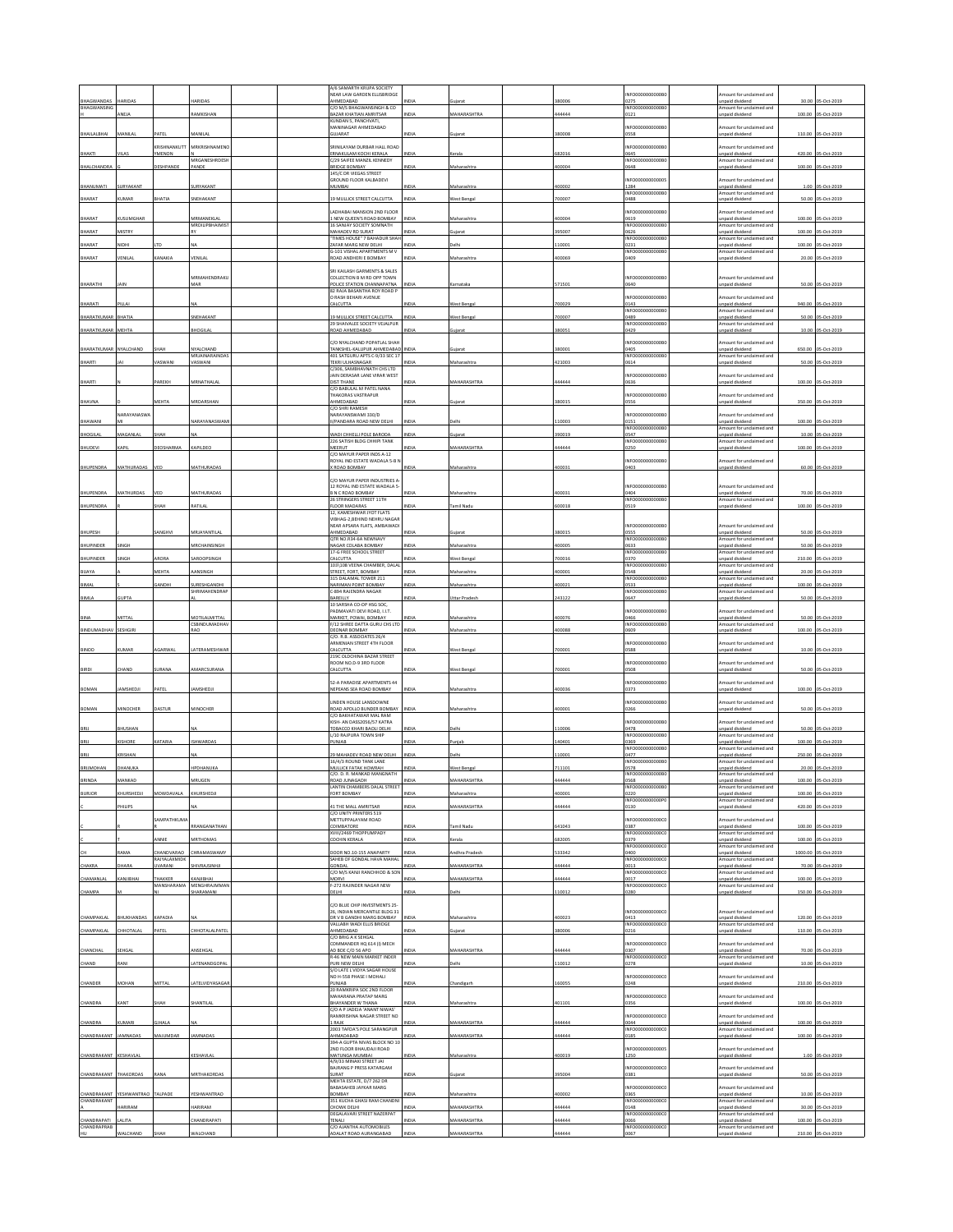|                                  |                               |                            |                             |  | A/6 SAMARTH KRUPA SOCIETY                                                          |                    |                                          |                |                                             |                                                                             |                  |                            |
|----------------------------------|-------------------------------|----------------------------|-----------------------------|--|------------------------------------------------------------------------------------|--------------------|------------------------------------------|----------------|---------------------------------------------|-----------------------------------------------------------------------------|------------------|----------------------------|
| BHAGWANDAS                       | <b>IARIDA</b>                 |                            |                             |  | NEAR LAW GARDEN ELLISBRIDGE<br>AHMEDABAD                                           |                    |                                          | 8000           | INFO0000000000B<br>0275                     | mount for unclaimed and<br>unpaid dividend                                  | 30.00            | 05-Oct-2019                |
| BHAGWANSING                      | ANEJA                         |                            | RAMKISHAN                   |  | /O M/S BHAGWANSINGH & CO<br>BAZAR KHATIAN AMRITSAR                                 | NDIA               | ujarat<br>MAHARASHTRA                    | 44444          | INFO0000000000B<br>0121                     | mount for unclaimed and<br>npaid dividend                                   | 100.00           | 05-Oct-2019                |
|                                  |                               |                            |                             |  | KUNDAN S. PANCHVATI.<br>MANINAGAR AHMEDABAD                                        |                    |                                          |                | <b>INFO00000</b><br>00000B                  | Amount for unclaimed and                                                    |                  |                            |
| BHAILALBHAI                      | MANILA                        |                            | MANILA                      |  | <b>GUJARAT</b>                                                                     | NDLA               | Sujarat                                  | 80008          | 0558                                        | unpaid dividend                                                             | 110.00           | 05-Oct-2019                |
| BHAKTI                           | VII AS                        | KRISHNANKUTT<br>YMENON     | MRKRISHNAMENO               |  | SRINILAYAM DURBAR HALL ROAD<br>ERNAKULAM KOCHI KERALA                              | <b>NDM</b>         | Cerala                                   | \$82016        | INFO0000000000<br>0645                      | mount for unclaimed and<br>Inpaid dividend                                  | 420.00           | 05-Oct-2019                |
| <b>BHALCHANDR</b>                |                               | ESHPANDE                   | MRGANESHRDESH<br>PANDE      |  | C/29 SAIFEE MANZIL KENNEDY<br>BRIDGE BOMBAY                                        | NDIA               | Maharashtra                              | 00004          | INFO0000000000B<br>0648                     | Amount for unclaimed and<br>unpaid dividend                                 | 100.00           | 05-Oct-2019                |
|                                  |                               |                            |                             |  | 145/C DR VIEGAS STREET<br><b>GROUND FLOOR KALBADEVI</b>                            |                    |                                          |                | INFO0000000000                              | mount for unclaimed and                                                     |                  |                            |
| BHANUMATI                        | SURYAKANT                     |                            | SURYAKANT                   |  | MUMBAI                                                                             | NDIA               | Maharashtra                              | 100002         | 1284<br>INFO0000000000B                     | inpaid dividend<br>Amount for unclaimed and                                 |                  | 1.00 05-Oct-2019           |
| BHARAT                           | <b>UMAR</b>                   | BHATIA                     | SNEHAKANT                   |  | 9 MULLICK STREET CALCUTTA                                                          | NDIA               | est Beng                                 | 00007          | 0488                                        | <b>Inpaid divident</b>                                                      | 50.00            | 05-Oct-2019                |
| BHARAT                           | KUSUMGHAR                     |                            | MRMANEKLAL                  |  | ADHABAI MANSION 2ND FLOOR<br>I NEW QUEEN'S ROAD BOMBAY                             | NDIA               | Maharashtra                              | 100004         | INFO0000<br><b>YOOO!</b><br>0619            | mount for unclaimed and<br>Inpaid dividend                                  | 100.00           | 05-Oct-2019                |
| BHARAT                           | <b>AISTRY</b>                 |                            | MRDILIPBHAIMIS'             |  | 16 SANJAY SOCIETY SOMNATH<br><b>MAHADEV RD SURAT</b><br>TIMES HOUSE" 7 BAHADUR SHA |                    |                                          | 95007          | INFO0000000000B<br>0626<br>INFO0000000000   | Amount for unclaimed and<br>unpaid dividend<br>mount for unclaimed and      | 100.00           | S-Oct-2019                 |
| BHARAT                           | HOIV                          |                            |                             |  | AFAR MARG NEW DELHI<br>G-101 VISHAL APARTMENTS M V                                 | DIA                | elhi                                     | 10001          | )231<br>INFO00000000008                     | inpaid dividend<br>Amount for unclaimed and                                 | 100.00           | 5-Oct-2019                 |
| BHARAT                           | <b>ENILA</b>                  | KANAKIA                    | VENILA                      |  | OAD ANDHERI E BOMBAY                                                               |                    | laharashtr                               | 00069          |                                             | inpaid dividend                                                             |                  | 20.00 05-Oct-2019          |
|                                  |                               |                            | MRMAHENDRAKL                |  | <b>SRI KAILASH GARMENTS &amp; SALES</b><br>COLLECTION B M RD OPP TOWN              |                    |                                          |                | INFO0000000000                              | mount for unclaimed and                                                     |                  |                            |
| BHARATHI                         | <b>IAIN</b>                   |                            | MAR                         |  | POLICE STATION CHANNAPATNA<br>82 RAJA BASANTHA ROY ROAD F                          | NDIA               | Carnataka                                | 71501          | 0640                                        | Inpaid dividend                                                             | 50.00            | 05-Oct-2019                |
| BHARATI                          | PILLAI                        |                            | u۸                          |  | RASH BEHARI AVENUE<br>CALCUTTA                                                     | NDIA               | <b>Nest Bengal</b>                       | '00029         | NFO0000000000<br>0143                       | mount for unclaimed and<br>inpaid dividend                                  | 940.00           | 05-Oct-2019                |
| BHARATKUMAR                      | BHATIA                        |                            | SNEHAKAN                    |  | 9 MULLICK STREET CALCUTTA                                                          | NDIA               | Vest Benga                               | 00007          | INFO0000000000B<br>0489                     | mount for unclaimed and<br>Inpaid dividend                                  | 50.00            | 05-Oct-2019                |
| <b>BHARATKUMA</b>                | <b>MEHTA</b>                  |                            | <b>BHOGILA</b>              |  | 29 SHAIVALEE SOCIETY VEJALPUR<br><b>OAD AHMEDABAD</b>                              | NDIA               | ujarat                                   | 80051          | INFO0000000000B<br>0429                     | Amount for unclaimed and<br>inpaid dividend                                 | 10.00            | 05-Oct-2019                |
|                                  |                               |                            |                             |  | C/O NYALCHAND POPATLAL SHAH                                                        |                    |                                          |                | INFOODOO<br>00008                           | nount for unclaimed and                                                     |                  |                            |
| BHARATKUMAR NYALCHAND            |                               | SHAH                       | NYALCHAND<br>MRJAINARAINDAS |  | TANKSHEL-KALUPUR AHMEDABAD INDIA<br>401 SATGURU APTS C-9/33 SEC 17                 |                    | Sujarat                                  | 380001         | 0405<br>INFO0000000000B                     | inpaid dividend<br>Amount for unclaimed and                                 | 650.00           | 05-Oct-2019                |
| BHARTI                           |                               | ASWAN                      | <b>ASWAN</b>                |  | TEKRI ULHASNAGAR<br>C/306, SAMBHAVNATH CHS LTD                                     |                    | aharashtr                                | 21003          | 0614                                        | npaid divide                                                                | 50.00            | 05-Oct-2019                |
| BHARTI                           |                               | PAREKH                     | MRNATHALA                   |  | AIN DERASAR LANE VIRAR WEST<br>DIST THANE<br>C/O BABULAL M PATEL NANA              | NDIA               | <b>MAHARASHTRA</b>                       | 144444         | INFO0000000000<br>0636                      | nount for unclaimed and<br>inpaid dividend                                  | 100.00           | 05-Oct-2019                |
| BHAVNA                           |                               | MEHTA                      | MRDARSHAN                   |  | <b>HAKORAS VASTRAPUR</b><br>AHMEDABAD                                              | NDIA               | iujarat                                  | 380015         | INFO0000000000<br>0556                      | mount for undaimed and<br>inpaid dividend                                   |                  | 350.00 05-Oct-2019         |
|                                  | <b>NARAYANASWA</b>            |                            |                             |  | C/O SHRI RAMESH<br>NARAYANSWAMI 330/D                                              |                    |                                          |                | INFO0000000000                              | mount for unclaimed and                                                     |                  |                            |
| BHAWANI                          |                               |                            | NARAYANASWAM                |  | II/PANDARA ROAD NEW DELHI                                                          | INDIA              | Jelhi                                    | 10003          | 0151<br>INFO0000                            | unpaid dividend<br>mount for unclaimed and                                  |                  | 100.00 05-Oct-2019         |
| BHOGILAL                         | MAGANLAL                      | SHAH                       | N٨                          |  | WADI CHHELLI POLE BARODA<br>226 SATISH BLDG CHHIPI TANK                            | NDIA               | iujarat                                  | 90019          | 0547<br>INFO0000000000B                     | inpaid dividend<br>mount for unclaimed and                                  |                  | 10.00 05-Oct-2019          |
| BHUDEVI                          | KAPI                          | EOSHARMA                   | KAPILDEC                    |  | MEERUT<br>C/O MAYUR PAPER INDS A-12                                                | <b>IDIA</b>        | <b>MAHARASHTRA</b>                       | 44444          | 0250                                        | inpaid dividend                                                             | 100.00           | 05-Oct-2019                |
| BHUPENDRA                        | MATHURADAS                    |                            | MATHURADA                   |  | .<br>NOYAL IND ESTATE WADALA 5-B I<br>ROAD BOMBAY                                  | NDIA               | Maharashtra                              | 100031         | NFO0000000000<br>0403                       | mount for undaimed and<br>unpaid dividend                                   |                  | 60.00 05-Oct-2019          |
|                                  |                               |                            |                             |  | <b>C/O MAYUR PAPER INDUSTRIES A</b>                                                |                    |                                          |                |                                             |                                                                             |                  |                            |
| BHUPENDRA                        | MATHURDAS                     |                            | MATHURADAS                  |  | 12 ROYAL IND ESTATE WADALA 5<br><b>B N C ROAD BOMBAY</b>                           | NDIA               | <b>Aaharashtr</b>                        | 00031          | INFO0000000000B<br>0404                     | Amount for unclaimed and<br>unpaid dividend                                 | 70.00            | 05-Oct-2019                |
| <b>BHUPENDRA</b>                 |                               | <b>MAM</b>                 | RATILA                      |  | 26 STRINGERS STREET 11TH<br><b>LOOR MADARAS</b>                                    |                    | mil Nad                                  | 00018          | INFO0000000000B<br>0519                     | mount for undaimed and<br>npaid dividend                                    | 100.00           | -Oct-2019                  |
|                                  |                               |                            |                             |  | 12. KAMESHWAR JYOT FLATS<br>VIBHAG-2, BEHIND NEHRU NAGAF                           |                    |                                          |                |                                             |                                                                             |                  |                            |
| BHUPESH                          |                               | ANGHVI                     | MRJAYANTILAI                |  | <b>VEAR APSARA FLATS, AMBAWAD</b><br>AHMEDABAD                                     | NDIA               | iujarat                                  | 880015         | INFO0000000000B<br>0555                     | mount for unclaimed and<br>unpaid dividend                                  |                  | 50.00 05-Oct-2019          |
| BHUPINDER                        | SINGH                         |                            | MRCHAINSINGH                |  | QTR NO.R34-6A NEWNAVY<br>NAGAR COLABA BOMBAY                                       | NDIA               | Maharashtra                              | 100005         | INFO0000000000B<br>0633                     | mount for unclaimed and<br>Inpaid dividend                                  | 50.00            | 05-Oct-2019                |
| BHUPINDER                        |                               | RORA                       | AROOPSING                   |  | 17-G FREE SCHOOL STREET<br><b>ALCUTTA</b>                                          |                    | est Benga                                | 00016          | INFO0000000000<br>0370                      | Amount for unclaimed and<br>inpaid dividend                                 | 210.00           | S-Oct-2019                 |
| BIJAYA                           |                               | <b>AEHTA</b>               | LANSINGH                    |  | 103\108 VEENA CHAMBER, DALA<br>STREET, FORT, BOMBAY                                | <b>IDIA</b>        | harasht                                  | 00001          | INFO0000000000<br>0548                      | mount for unclaimed and<br>inpaid dividend                                  | 20.00            | S-Oct-2019                 |
| BIMAL                            |                               | GANDHI                     | SURESHGANDHI<br>HRIMAHENDRA |  | 315 DALAMAL TOWER 211<br>NARIMAN POINT BOMBAY<br>-894 RAJENDRA NAGAR               | INDIA              | Maharashtra                              | 100021         | INFO0000000000B<br>0533                     | Amount for unclaimed and<br>unpaid dividend<br>mount for unclair<br>ned and |                  | 100.00 05-Oct-2019         |
| BIMLA                            | <b>UPTA</b>                   |                            |                             |  | BAREILLY<br>10 SARSHA CO-OP HSG SOC,                                               | NDIA               | Ittar Prades                             | 43122          | INFO0000<br>0647                            | inpaid dividend                                                             |                  | 50.00 05-Oct-2019          |
| BINA                             | MITTAL                        |                            | MOTILALMITTAL               |  | PADMAVATI DEVI ROAD, I.I.T.<br>MARKET, POWAI, BOMBAY                               | NDIA               | Maharashtra                              | 100076         | INFO0000000000B<br>0466                     | Amount for unclaimed and<br>unpaid dividend                                 |                  | 50.00 05-Oct-2019          |
| BINDUMADHAV                      | SESHGIRI                      |                            | CSBINDUMADHA<br>RAO         |  | /12 SHREE DATTA GURU CHS LT<br>DEONAR BOMBAY                                       | NDIA               | Maharashtra                              | 00088          | <b>INFO0000</b><br>1609                     | mount for unclaimed and<br><b>Inpaid dividend</b>                           | 100.00           | 05-Oct-2019                |
|                                  |                               |                            |                             |  | C/O. R.B. ASSOCIATES 26/4<br>ARMENIAN STREET 4TH FLOOR                             |                    |                                          |                | INFO0000000000B                             | mount for unclaimed and                                                     |                  |                            |
| BINOD                            | KUMAR                         | AGARWAL                    | LATERAMESHWAR               |  | CALCUTTA<br>219C OLDCHINA BAZAR STREET                                             | NDIA               | West Bengal                              | 700001         | 0588                                        | unpaid dividend                                                             |                  | 10.00 05-Oct-2019          |
| BIRDI                            | <b>HAND</b>                   | <b>IRANA</b>               | <b>MARCSURANA</b>           |  | ROOM NO.D-9 3RD FLOOR<br><b>ALCUTTA</b>                                            | <b>IDIA</b>        | Vest Beng                                | 00001          | INFO000000000B<br>1508                      | nount for unclaimed and<br>inpaid dividend                                  | 50.00            | 05-Oct-2019                |
|                                  |                               |                            |                             |  | 52-A PARADISE APARTMENTS 44                                                        |                    |                                          |                | INFO0000000000B                             | mount for unclaimed and                                                     |                  |                            |
| BOMAN                            | AMSHEDJI                      | ATEL                       | AMSHEDJI                    |  | <b><i>VEPEANS SEA ROAD BOMBAY</i></b>                                              | NDL                | laharashtr                               | 00036          | 373                                         | <b>Inpaid dividen</b>                                                       |                  | 100.00 05-Oct-2019         |
| BOMAN                            | MINOCHER                      | DASTUR                     | MINOCHER                    |  | INDEN HOUSE LANSDOWNE<br>ROAD APOLLO BUNDER BOMBAY                                 | <b>INDIA</b>       | Aaharashtra                              | 100001         | INFO000000000<br>0266                       | mount for unclaimed and<br>Inpaid dividend                                  |                  | 50.00 05-Oct-2019          |
|                                  |                               |                            |                             |  | C/O BAKHATAWAR MAL RAM<br>KISH- AN DASS2056/57 KATRA                               |                    |                                          |                | NFO0000<br>100006                           | mount for unclaimed and                                                     |                  |                            |
| BRIJ                             | BHUSHAN                       |                            |                             |  | TOBACCO KHARI BAOLI DELHI<br>L/10 RAJPURA TOWN SHIR                                | NDIA               | elhi                                     | 10006          | 0478<br>INFO0000000000B                     | unpaid dividend<br>mount for unclaimed and                                  |                  | 50.00 05-Oct-2019          |
| BRIJ                             | KISHORE                       | KATARIA                    | <b>ISHWARDAS</b>            |  | PUNJAB                                                                             | NDIA               | uniab                                    | 40401          | 0369<br><b>INFO0000</b><br>000B             | npaid dividend<br>Amount for unclaimed and                                  | 100.00           | 05-Oct-2019                |
| BRIJ                             | KRISHAN<br>HANUKA             |                            | <b>IPDHANUKA</b>            |  | 29 MAHADEV ROAD NEW DELHI<br>16/4/3 ROUND TANK LANE                                | NDIA<br>DIA        | elhi                                     | 10001          | 0477<br>INFO0000000000B                     | unpaid dividend<br>mount for unclaimed and                                  | 250.00           | 05-Oct-2019                |
| <b>BRIJMOHAN</b>                 |                               |                            | <b>IRUC</b>                 |  | MULLICK FATAK HOWRAH<br>C/O. D. R. MANKAD MANGNATH<br><b>AD JUNAGADH</b>           |                    | Vest Benj<br><b>IAHARAS</b>              | 11101          | 0578<br>INFO0000000000B                     | inpaid dividend<br>Amount for undaimed and<br>paid dividend                 | 20.00<br>100.00  | 05-Oct-2019                |
| <b>BURJOR</b>                    | <b>CHURSHEDJI</b>             | MOWDAVALA                  | KHURSHEDJI                  |  | ANTIN CHAMBERS DALAL STREET<br><b>FORT BOMBAY</b>                                  | NDLA               | Aaharashtra                              | 00001          | INFO0000000000B<br>0220                     | mount for unclaimed and<br>unpaid dividend                                  | 100.00           | 05-Oct-2019                |
|                                  | <b>HILIPS</b>                 |                            | NA                          |  | 1 THE MALL AMRITSAR                                                                | NDIA               | <b>AAHARASHTRA</b>                       | 44444          | INFO0000000000PC<br>0130                    | Amount for unclaimed and<br>unpaid dividend                                 | 420.00           | 05-Oct-2019                |
|                                  |                               | <b>SAMPATHKUMA</b>         |                             |  | C/O UNITY PRINTERS 519<br>METTUPPALAYAM ROAD                                       |                    |                                          |                | INFO00000000000                             | Amount for unclaimed and                                                    |                  |                            |
|                                  |                               |                            | RRANGANATHAN                |  | COIMBATORE<br>WIII/2469 THOPPUMPADY                                                | NDIA               | amil Nadu                                | 41043          | 0387<br>INFO00000000000                     | unpaid dividend<br>Amount for unclaimed and                                 |                  | 100.00 05-Oct-2019         |
|                                  |                               | ANNIE                      | <b>MRTHOMAS</b>             |  | COCHIN KERALA                                                                      | NDIA               | erala                                    | 82005          | 0379<br><b>INFO00000</b><br>000000          | Inpaid dividend<br>Amount for unclaimed and                                 | 100.00           | 05-Oct-2019                |
|                                  | AMA                           | CHANDVARAO<br>RAJYALAXMIDI | <b>HRAMASWAM</b>            |  | DOOR NO.10-155 ANAPARTY<br>SAHEB OF GONDAL HAVA MAHAL                              | NDIA               | ndhra Prades                             | 33342          | 0400<br>INFO0000000000C                     | unpaid dividend<br>Imount for unclaimed and                                 | 1000.00          | 05-Oct-2019                |
| CHAKRA                           | HARA                          | <b>JVARANI</b>             | HIVRAISINHI                 |  | SONDAL<br>C/O M/S KANJI RANCHHOD & SON                                             | IDIA               | <b>AAHARASHTRA</b>                       | 44444          | 0013<br>INFO0000000000C                     | unpaid dividend<br>Amount for unclaimed and                                 | 70.00            | 05-Oct-2019                |
| CHAMANLAL                        | KANJIBHAI                     | THAKKER<br>MANSHARAMA      | KANJIBHAI<br>MENGHRAJMMAN   |  | MORVI<br>-272 RAJINDER NAGAR NEW                                                   | NDIA               | MAHARASHTRA                              | 144444         | 0017<br>INFO00000000000                     | unpaid dividend<br>Amount for unclaimed and                                 |                  | 100.00 05-Oct-2019         |
| CHAMPA                           |                               |                            | SHARAMANI                   |  | DELHI                                                                              | NDIA               | elhi                                     | 10012          | 0280                                        | inpaid dividend                                                             | 150.00           | 05-Oct-2019                |
|                                  |                               |                            |                             |  | C/O BLUE CHIP INVESTMENTS 25-<br>26, INDIAN MERCANTILE BLDG 31                     |                    |                                          |                | INFO00000000000                             | Amount for unclaimed and<br>unpaid dividend                                 |                  |                            |
| CHAMPAKLAI                       | BHUKHANDAS<br><b>HHOTALAI</b> | KAPADIA<br>PATEL           |                             |  | DR V B GANDHI MARG BOMBAY<br>VALLABH WADI ELLIS BRIDGE<br><b>AHMEDABAD</b>         | <b>NDL</b><br>NDIA | Maharashtra                              | 00023          | 0413<br>INFO00000000000                     | Amount for unclaimed and                                                    |                  | 120.00 05-Oct-2019         |
| CHAMPAKLAL                       |                               |                            | <b>HHOTALALPATEI</b>        |  | C/O BRIG A K SEHGAL                                                                |                    | juiarat                                  | 80006          | 0216                                        | npaid dividend                                                              | 110.00           | 05-Oct-2019                |
| CHANCHAL                         | SEHGAL                        |                            | ANSEHGAL                    |  | COMMANDER HQ 614 (I) MECH<br>AD BDE C/O 56 APO<br>46 NEW MAIN MARKET INDER         | NDIA               | MAHARASHTRA                              | 44444          | INFO00000000000<br>0307<br>INFO000000000000 | mount for unclaimed and<br>unpaid dividend<br>mount for unclaimed and       |                  | 70.00 05-Oct-2019          |
| CHAND                            | RANI                          |                            | LATENANDGOPA                |  | PURI NEW DELHI<br>S/O LATE L VIDYA SAGAR HOUSE                                     | NDIA               | <b>Jelbi</b>                             | 10012          | 0278                                        | npaid dividend                                                              |                  | 10.00 05-Oct-2019          |
| CHANDER                          | MOHAN                         | MITTA                      | LATELVIDYASAGA              |  | NO H-558 PHASE I MOHALI<br>PUNJAB                                                  | NDIA               | handigar                                 | 60055          | INFO00000000000<br>0248                     | mount for unclaimed and<br>unpaid dividend                                  |                  | 210.00 05-Oct-2019         |
|                                  |                               |                            |                             |  | 20 RAMKRIPA SOC 2ND FLOOR<br>.<br>MAHARANA PRATAP MARG                             |                    |                                          |                | INFO00000000000                             | mount for unclaimed and                                                     |                  |                            |
| CHANDRA                          | KANT                          | SHAH                       | SHANTILAL                   |  | BHAYANDER W THANA<br>C/O A P JADEJA 'ANANT NIWAS'                                  | NDIA               | Maharashtra                              | 01101          | 0356                                        | Inpaid dividend                                                             |                  | 100.00 05-Oct-2019         |
| CHANDRA                          | UMARI                         | <b>JHALA</b>               |                             |  | RAMKRISHNA NAGAR STREET NO<br>RAJK                                                 | NDIA               | MAHARASHTRA                              | 44444          | INFO0000000000<br>0044                      | mount for unclaimed and<br>unpaid dividend                                  |                  | 100.00 05-Oct-2019         |
| CHANDRAKANT                      | JAMNADAS                      | <b>MAJUMDAR</b>            | JAMNADAS                    |  | 2003 TAFDA'S POLE SARANGPUR<br><b>GABAGAHMA</b>                                    | NDIA               | <b>MAHARASHTRA</b>                       | 44444          | INFO0000000000C<br>0185                     | Amount for unclaimed and<br>Inpaid dividend                                 |                  | 100.00 05-Oct-2019         |
|                                  |                               |                            |                             |  | 394-A GUPTA NIVAS BLOCK NO 10<br><b>NO FLOOR BHAUDAJI ROAD</b>                     |                    |                                          |                | INFO00000000000                             | mount for unclaimed and                                                     |                  |                            |
| CHANDRAKANT KESHAVLAL            |                               |                            | KESHAVLAI                   |  | MATUNGA MUMBAI<br>4/9/33 MINAXI STREET JAI                                         | NDIA               | Maharashtra                              | 100019         | 1250                                        | unpaid dividend                                                             |                  | 1.00 05-Oct-2019           |
| CHANDRAKANT THAKORDAS            |                               | <b>ANA</b>                 | MRTHAKORDA:                 |  | <b>BAJRANG P PRESS KATARGAM</b><br>SURAT                                           | NDIA               | juiarat                                  | 95004          | INFO0000000000<br>0381                      | Amount for unclaimed and<br><b>Inpaid dividend</b>                          |                  | 50.00 05-Oct-2019          |
|                                  |                               |                            |                             |  | MEHTA ESTATE, D/7 262 DR<br>BABASAHEB JAYKAR MARG                                  |                    |                                          |                | INFO0000000000C                             | mount for unclaimed and                                                     |                  |                            |
| CHANDRAKANT<br>CHANDRAKANT       | <b>YESHWANTRAO</b>            | TALPADE                    | YESHWANTRAO                 |  | VARMOR                                                                             | NDIA               | Maharashtra                              | 00002          | 0365                                        | inpaid dividend                                                             | 10.00            | 05-Oct-2019                |
|                                  |                               |                            |                             |  | 351 KUCHA GHASI RAM CHANDN                                                         |                    |                                          |                | INFO0000000000C                             | Amount for unclaimed and                                                    |                  |                            |
|                                  | HARIRAM                       |                            | HARIRAM                     |  | <b>HOWK DELHI</b><br>DEGALAVARI STREET NAZERPAT                                    | NDIA               | MAHARASHTRA                              | 44444          | 0148<br>INFO00000000000                     | inpaid dividend<br>Amount for unclaimed and                                 |                  | 30.00 05-Oct-2019          |
| CHANDRAPATI<br>CHANDRAPRAB<br>HU | ALITA<br>WALCHAND             | SHAH                       | HANDRAPATI<br>WALCHAND      |  | <b>TENALI</b><br>C/O AJANTHA AUTOMOBILES<br>ADALAT ROAD AURANGABAD                 | NDIA<br>NDIA       | <b>MAHARASHTRA</b><br><b>MAHARASHTRA</b> | 44444<br>44444 | 0066<br>INFO00000000000<br>0067             | unpaid dividend<br>mount for unclaimed and<br>inpaid dividend               | 100.00<br>210.00 | 05-Oct-2019<br>05-Oct-2019 |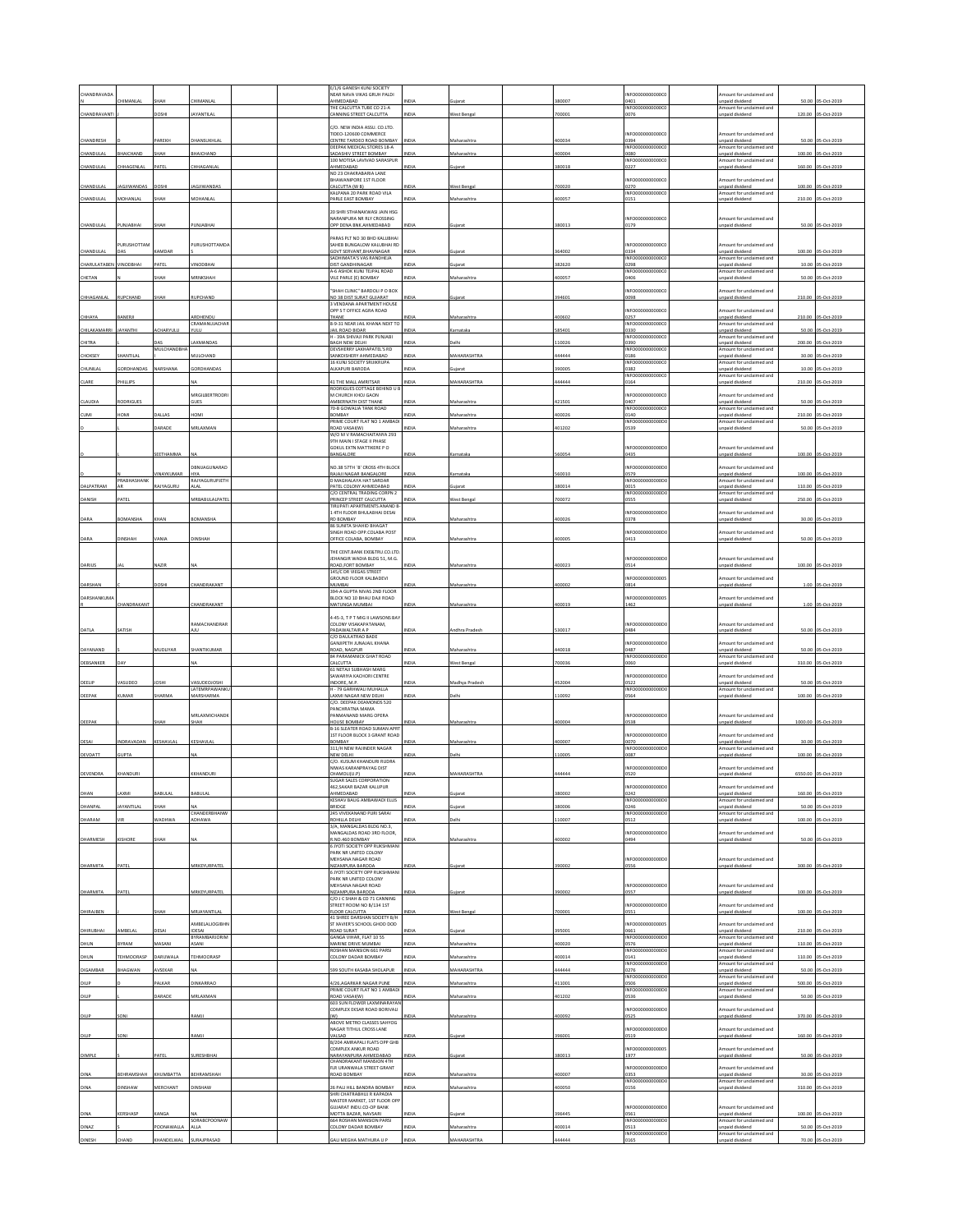| CHANDRAVAD          |                   |                  |                              |  | <b>F/1/6 GANESH KUNI SOCIETY</b><br>NEAR NAVA VIKAS GRUH PALDI      |              |                   |        | NFO0000000000C                  | mount for unclaimed and                         |         |                     |
|---------------------|-------------------|------------------|------------------------------|--|---------------------------------------------------------------------|--------------|-------------------|--------|---------------------------------|-------------------------------------------------|---------|---------------------|
|                     | HIMANLAI          | нан              | HIMANLA                      |  | AHMEDABAD<br>THE CALCUTTA TUBE CO 21-A                              |              | ujara             | 380007 | 1401<br>INFO0000000000          | inpaid dividend<br>mount for unclaimed and      | 50.00   |                     |
| CHANDRAVANT         |                   | DOSHI            | <b>AYANTILAL</b>             |  | CANNING STREET CALCUTTA                                             | <b>INDIA</b> | West Bengal       | 700001 | 1076                            | npaid dividend                                  | 120.00  | 05-Oct-2019         |
|                     |                   |                  |                              |  | C/O. NEW INDIA ASSU. CO.LTD.<br>TIDEO-120600 COMMERCE               |              |                   |        | NFO0000000000                   | mount for undaimed and                          |         |                     |
| CHANDRESH           |                   | AREKH            | <b>HANSUKHLAI</b>            |  | CENTRE TARDEO ROAD BOMBAY<br>DEEPAK MEDICAL STORES 18-A             | INDIA        | Maharashtra       | 400034 | 0394<br>INFO0000000000C0        | inpaid dividend<br>mount for unclaimed and      |         | 50.00 05-Oct-2019   |
| CHANDULAI           | BHAICHAND         | SHAH             | HAICHAND                     |  | SADASHIV STREET BOMBAY<br>100 MOTISA LAVIVAD SARASPUR               | NDIA         | Maharashtra       | 400004 | 080<br>INFO00000000000          | npaid dividend<br>Amount for unclaimed and      | 100.00  | 05-Oct-2019         |
| CHANDULAL           | HHAGENLA          | ATEL             | HHAGANLA                     |  | AHMEDABAD<br>NO 23 CHAKRABARIA LANE                                 | <b>INDIA</b> | ujarat            | 380018 | )227                            | npaid dividend                                  | 160.00  | 05-Oct-201          |
| CHANDULAI           | AGJIWANDAS        | DOSHI            | AGJIWANDAS                   |  | BHAWANIPORE 1ST FLOOR<br>CALCUTTA (W B)                             | <b>INDIA</b> | West Bengal       | 700020 | NFO0000000000<br>3270           | mount for unclaimed and<br>Inpaid dividend      |         | 100.00 05-Oct-2019  |
| CHANDULA            | MOHANLAI          | HAH              | <b>MOHANLA</b>               |  | KALPANA 20 PARK ROAD VILA<br>PARLE EAST BOMBAY                      | NDM          | taharashtr        | 100057 | INFO00000000000<br>0151         | Amount for unclaimed and<br>inpaid divident     | 210.00  | 05-Oct-201          |
|                     |                   |                  |                              |  | 20 SHRI STHANAKWASI JAIN HSG                                        |              |                   |        |                                 |                                                 |         |                     |
| CHANDULAI           | <b>UNJABHA</b>    | HAH              | UNJABHA                      |  | NARANPURA NR RLY CROSSING<br>OPP DENA BNK.AHMEDABAD                 |              | ziara             | 380013 | NFO0000000000<br>0179           | Amount for unclaimed and<br>npaid dividend      |         | 50.00 05-Oct-2019   |
|                     |                   |                  |                              |  | PARAS PLT NO 30 BHD KALUBHAI                                        |              |                   |        |                                 |                                                 |         |                     |
| CHANDULA            | PURUSHOTTAM       | <b>AMDAR</b>     | PURUSHOTTAMD                 |  | SAHEB BUNGALOW KALUBHAI RD<br>GOVT SERVANT RHAVNAGAR                | <b>INDIA</b> | uiarat            | 364002 | NFO0000000000<br>0334           | mount for undaimed and<br>heebivib bisen        |         | 100.00 05-Oct-2019  |
|                     | VINODBHA          | ATEL             | INODBHA                      |  | SADHIMATA'S VAS RANDHEJA                                            | VDIA         |                   | 382620 | INFO0000000000C<br>)298         | Amount for unclaimed and                        | 10.00   | 05-Oct-2019         |
| <b>CHARULATABEN</b> |                   |                  | <b>ARNKSHAF</b>              |  | DIST GANDHINAGAR<br>A-6 ASHOK KUNJ TEJPAL ROAD                      | IN A         |                   |        | NFO0000000000<br>1406           | npaid dividend<br>mount for unclaimed and       |         |                     |
| CHETAN              |                   | <b>IAH</b>       |                              |  | VILE PARLE (E) BOMBAY                                               |              | laharashtr        | 00057  |                                 | paid dividend                                   | 50.00   | S-Oct-2019          |
| CHHAGANLAL          | RUPCHAND          | жан              | <b>UPCHAND</b>               |  | "SHAH CLINIC" BARDOLI P O BOX<br>NO 38 DIST SURAT GUJARAT           | NDIA         |                   | 394601 | INFO00000000000<br>1098         | mount for unclaimed and<br>npaid divident       |         | 210.00 05-Oct-2019  |
|                     |                   |                  |                              |  | 3 VENDANA APARTMENT HOUSE<br>OPP S T OFFICE AGRA ROAD               |              |                   |        | NFO0000000000C                  | mount for unclaimed and                         |         |                     |
| CHHAYA              | BANERJI           |                  | ARDHENDU<br>CRAMANUJACHAF    |  | THANE<br>8-9-31 NEAR JAIL KHANA NEXT TO                             | NDIA         | Maharashtra       | 400602 | )257<br>INFO00000000000         | npaid dividend<br>mount for unclaimed and       |         | 210.00 05-Oct-2019  |
| CHILAKAMARR         | AYANTH            | CHARYULL         | ULU                          |  | JAIL ROAD BIDAR<br>H - 39A SHIVAJI PARK PUNJABI                     |              | mata              | 585401 | 0330<br>NFO0000000000C          | inpaid dividend<br>mount for unclaimed and      | 50.0    | 5-Oct-2019          |
| CHITRA              |                   | MULCHANDBH/      | AXMANDAS                     |  | BAGH NEW DELHI<br>DEVSHERRY LAKHAPATEL'S RD                         |              | <b>Jelbi</b>      | 10026  | 0390<br>INFO0000000000          | npaid dividend<br>mount for undaimed and        | 200.00  | 5-Oct-2019          |
| CHOKSEY             | HANTILAL          |                  | <b>IULCHAND</b>              |  | SANKDISHERY AHMEDABAD<br>16 KUNJ SOCIETY SRUIKRUPA                  | VDL          | MAHARASHTRA       | 44444  | 0186<br>NFO0000000000C          | npaid dividend<br>mount for unclaimed and       | 30.00   | S-Oct-2019          |
| CHUNILAL            | GORDHANDAS        | NARSHANA         | GORDHANDAS                   |  | ALKAPURI BARODA                                                     | INDIA        | ujarat            | 390005 | 0382<br>INFO0000000000C         | npaid dividend<br>mount for undaimed and        | 10.00   | 05-Oct-2019         |
| CLARE               | <b>HILLIPS</b>    |                  |                              |  | <b>11 THE MALL AMRITSAR</b><br>RODRIGUES COTTAGE BEHIND U B         | <b>NDM</b>   | <b>MAHARASHTR</b> | 444444 | 0164                            | npaid dividend                                  | 210.00  | 05-Oct-2019         |
| CLAUDIA             | RODRIGUES         |                  | ARGILBERTRODR<br>GUES        |  | M CHURCH KHOJ GAON<br>AMBERNATH DIST THANE                          | INDIA        | Maharashtra       | 421501 | NFO0000000000C<br>1407          | mount for unclaimed and<br>inpaid dividend      |         | 50.00 05-Oct-2019   |
| CUMI                | <b>IMOH</b>       | 41145            | <b>IMOH</b>                  |  | 70-B GOWALIA TANK ROAD<br>BOMBAY                                    | <b>INDIA</b> | Maharashtra       | 400026 | INFO0000000000C<br>0140         | mount for unclaimed and<br>inpaid dividend      | 210.00  | 05-Oct-2019         |
|                     |                   |                  |                              |  | PRIME COURT FLAT NO 1 AMBADI                                        |              |                   |        | INFO0000000000D                 | mount for unclaimed and                         |         |                     |
|                     |                   | ARADE            | <b>MRLAXMAM</b>              |  | ROAD VASAI(W)<br>W/O M V RAMACHAITANYA 293                          | VDIA         | aharashtr.        | 101202 | 0539                            | npaid dividend                                  | 50.00   | 05-Oct-201          |
|                     |                   |                  |                              |  | 9TH MAIN I STAGE II PHASE<br>GOKUL EXTN MATTIKERE P O               |              |                   |        | INFO0000000000                  | Amount for unclaimed and                        |         |                     |
|                     |                   | EETHAMMA         |                              |  | BANGALORE                                                           | INDIA        | Karnataka         | 560054 | 0435                            | inpaid dividend                                 |         | 100.00 05-Oct-2019  |
|                     |                   | <b>INAYKUMAR</b> | <b>BNIJAGUNARAD</b>          |  | NO.38 57TH 'B' CROSS 4TH BLOCK<br>RAJAJI NAGAR BANGALORE            | <b>VIDU</b>  | matak             | 60010  | NFO0000000000D<br>0579          | nount for unclaimed and<br>npaid dividend       | 100.00  | 05-Oct-2019         |
| DALPATRAM           | PRABHASHANK<br>AR | RAJYAGURU        | RAJYAGURUPJETH<br>ALAI       |  | D MAGHALAYA HAT SARDAR<br>PATEL COLONY AHMEDABAD                    | INDIA        | iujarat           | 380014 | INFO0000000000<br>0015          | Amount for unclaimed and<br>npaid dividend      |         | 110.00 05-Oct-2019  |
| DANISH              | PATE              |                  | <b>MRBABULALPATE</b>         |  | C/O CENTRAL TRADING CORPN 2<br>PRINCEP STREET CALCUTTA              | INDIA        | <b>Nest Benga</b> | 700072 | <b>NFO000</b><br>)555           | ned and<br>mount for unclair<br>inpaid dividend |         | 250.00 05-Oct-2019  |
|                     |                   |                  |                              |  | TIRUPATI APARTMENTS ANAND E<br>14TH FLOOR BHULABHAI DESAI           |              |                   |        | NEODDDDDDDDDD                   | mount for unclaimed and                         |         |                     |
| DARA                | BOMANSHA          | KHAN             | BOMANSHA                     |  | RD BOMBAY<br><b>36 SUNITA SHAHID BHAGA</b>                          | INDIA        | Maharashtra       | 400026 | 0378                            | inpaid dividend                                 |         | 30.00 05-Oct-2019   |
| DARA                | <b>INSHAH</b>     | ANIA             | NSHAH                        |  | SINGH ROAD OPP.COLABA POST<br>OFFICE COLABA, BOMBAY                 |              | taharashtr        | 00005  | NFO0000000000D<br>1413          | nount for unclaimed and<br>paid dividend        | 50.00   | 05-Oct-2019         |
|                     |                   |                  |                              |  | THE CENT.BANK EXE&TRU.CO.LTD.                                       |              |                   |        |                                 |                                                 |         |                     |
|                     |                   | <b>AZIF</b>      |                              |  | JEHANGIR WADIA BLDG 51, M.G.                                        | NDIA         |                   |        | NFO0000000000D<br>0514          | mount for unclaimed and                         |         |                     |
| DARIUS              |                   |                  |                              |  | ROAD, FORT BOMBAY<br>145/C DR VIEGAS STREET                         |              | Maharashtra       | 100023 |                                 | inpaid dividend                                 |         | 100.00 05-Oct-2019  |
| DARSHAN             |                   | DOSHI            | <b>HANDRAKANT</b>            |  | GROUND FLOOR KALBADEVI<br>MUMBAI                                    | INDIA        | Maharashtra       | 400002 | NFO00000000000<br>0814          | mount for unclaimed and<br>inpaid dividend      |         | 1.00 05-Oct-2019    |
| DARSHANKUM          |                   |                  |                              |  | 394-A GUPTA NIVAS 2ND FLOOR<br>BLOCK NO 10 BHAU DAJI ROAD           |              |                   |        | NFO00000000000                  | nount for unclaimed and                         |         |                     |
|                     | HANDRAKANT        |                  | HANDRAKANT                   |  | MATUNGA MUMBAI                                                      |              | faharashtr        | 400019 | 462                             | npaid dividend                                  | 1.00    | 05-Oct-201          |
|                     |                   |                  | <b>AMACHANDRAI</b>           |  | 4-45-3, T P T MIG II LAWSONS BAY<br>COLONY VISAKAPATANAM,           |              |                   |        | NFO0000000000D                  | mount for unclaimed and                         |         |                     |
| DATLA               | <b>ATISH</b>      |                  | ΝU                           |  | PADAWALTAIR A P<br>C/O DAULATRAO BADE                               | INDIA        | Andhra Pradesh    | 530017 | 0484                            | inpaid dividend                                 |         | 50.00 05-Oct-2019   |
| DAYANAND            |                   | MUDLIYAR         | SHANTIKUMAR                  |  | <b>GANJIPETH JUNAJAIL KHANA</b><br>ROAD, NAGPUR                     | INDIA        | Maharashtra       | 440018 | NFO0000000000D<br>0487          | mount for unclaimed and<br>npaid dividend       |         | 50.00 05-Oct-2019   |
| DEBSANKER           |                   |                  |                              |  | 84 PARAMANICK GHAT ROAD<br>CALCUTTA                                 | NDIA         | est Benga         | 700036 | NFO0000000000<br>0060           | mount for unclaimed and<br>npaid divident       | 310.00  | 05-Oct-201          |
|                     |                   |                  |                              |  | 61 NETAJI SUBHASH MARG<br>SAWARIYA KACHORI CENTRE                   |              |                   |        | NFO0000000000D                  | mount for unclaimed and                         |         |                     |
| DEELIP              | VASUDEO           | OSHI             | VASUDEOJOSHI<br>LATEMRPAWANK |  | INDORE, M.P.<br>H - 79 GARHWALI MUHALLA                             | <b>INDIA</b> | Madhya Pradesh    | 452004 | 0522<br>NFO0000000000D          | npaid dividend<br>mount for unclaimed and       |         | 50.00 05-Oct-2019   |
| DEEPAK              | UMAR              | HARMA            | MARSHARMA                    |  | LAXMI NAGAR NEW DELHI                                               | NDIA         | elhi              | 10092  | 0564                            | npaid dividend                                  |         | 100.00 05-Oct-2019  |
|                     |                   |                  |                              |  | C/O. DEEPAK DEAMONDS 520<br>PANCHRATNA MAMA<br>PANMANAND MARG OPERA |              |                   |        |                                 |                                                 |         |                     |
| DEEPAK              |                   | HAH              | MRLAXMICHANDR<br><b>SHAH</b> |  | HOUSE BOMBAY                                                        | <b>NDI</b>   | Maharashtra       | 400004 | INFO0000000000D<br>0538         | Amount for unclaimed and<br>inpaid dividend     | 1000.00 | 05-Oct-2019         |
|                     |                   |                  |                              |  | <b>B-16 SLEATER ROAD SUMAN APRT</b><br>1ST FLOOR BLOCK 3 GRANT ROAD |              |                   |        | NFO0000000000D                  | mount for unclaimed and                         |         |                     |
| DESAI               | NDRAVADAN         | KESHAVLAL        | KESHAVLAL                    |  | BOMBAY<br>311/H NEW RAJINDER NAGAR                                  | NDM          | Maharashtra       | 400007 | 1070<br><b>NFO0000</b><br>00000 | npaid dividend<br>mount for unclaimed and       | 30.00   | 05-Oct-2019         |
| DEVDATT             | <b>SUPTA</b>      |                  |                              |  | NEW DELHI<br>C/O. KUSUM KHANDURI RUDRA                              | <b>VDI</b>   | elh               | 110005 | 1087                            | npaid dividend                                  | 100.00  | 05-Oct-2019         |
| DEVENDRA            | KHANDURI          |                  | KKHANDUR                     |  | NIWAS KARANPRAYAG DIST<br>CHAMOLI(U.P)                              | NDIA         | MAHARASHTRA       | 444444 | NFO0000000000E<br>0520          | mount for undaimed and<br>npaid dividend        |         | 6550.00 05-Oct-2019 |
|                     |                   |                  |                              |  | 462, SAKAR BAZAR KALUPUR                                            |              |                   |        | INFO0000000000                  | Amount for unclaimed and                        |         |                     |
| DHAN                | AXMI              | ABULAL           | ABULA                        |  | AHMEDABAD<br>KESHAV BAUG AMBAWADI ELLIS                             | NDIA         | ujara             | 880002 | 0242<br>INFO0000000000D         | npaid dividend<br>Imount for unclaimed and      |         | 160.00 05-Oct-2019  |
| DHANPAL             | <b>AYANTILAL</b>  | жан              | CHANDERBHANW                 |  | BRIDGE<br>245 VIVEKANAND PURI SARAI                                 | NDIA         | uiarat            | 380006 | )246<br>NFO0000000000D          | npaid dividend<br>mount for unclaimed and       |         | 50.00 05-Oct-2019   |
| DHARAM              |                   | VADHWA           | ADHAWA                       |  | ROHILLA DELHI<br>3/A, MANGALDAS BLDG NO.3,                          | <b>VDI</b>   | elhi              | 110007 | 0512                            | npaid dividend                                  |         | 100.00 05-Oct-2019  |
| DHARMESH            | KISHORE           | SHAH             |                              |  | MANGALDAS ROAD 3RD FLOOR,<br>R NO 460 ROMRAY                        | NDIA         | Maharashtra       | 400002 | NFO0000000000<br>0494           | mount for unclaimed and<br>inpaid dividend      |         | 50.00 05-Oct-2019   |
|                     |                   |                  |                              |  | 6 JYOTI SOCIETY OPP RUKSHMAN                                        |              |                   |        |                                 |                                                 |         |                     |
|                     |                   |                  | MRKEYURPATEL                 |  | PARK NR UNITED COLONY<br>MEHSANA NAGAR ROAD                         |              |                   |        | NFO0000000000DC                 | mount for unclaimed and                         |         |                     |
| DHARMITA            | PATEL             |                  |                              |  | NIZAMPURA BARODA<br>6 IYOTI SOCIETY OPP RUKSHMAN                    |              |                   | 390002 | )556                            | npaid dividend                                  | 300.00  | 05-Oct-2019         |
|                     |                   |                  |                              |  | PARK NR UNITED COLONY<br>MEHSANA NAGAR ROAD                         |              |                   |        | NFO0000000000D                  | mount for unclaimed and                         |         |                     |
| DHARMITA            | PATEL             |                  | <b>MRKEYURPATEL</b>          |  | NIZAMPURA BARODA<br>C/O J C SHAH & CO 71 CANNING                    | INDIA        | iujarat           | 390002 | )557                            | npaid dividend                                  |         | 100.00 05-Oct-2019  |
| DHIRAJBEN           |                   | SHAH             | MRJAYANTILAL                 |  | STREET ROOM NO B/134 1ST<br>FLOOR CALCUTTA                          | NDIA         | West Bengal       | 700001 | NEODDDDDDDDDD<br>0551           | mount for unclaimed and<br>npaid dividend       |         | 100.00 05-Oct-2019  |
|                     |                   |                  | <b>MBELALIOGIBHI</b>         |  | 41 SHREE DARSHAN SOCIETY B/H<br>ST XAVIER'S SCHOOL GHOD DOD         |              |                   |        | NFO00000000000                  | nount for unclaimed and                         |         |                     |
| DHIRUBHAI           | AMBELAL           | DESAL            | DESAI<br>RYRAMRARIORIM       |  | ROAD SURAT<br>GANGA VIHAR, FLAT 10 55                               | <b>VIDIZ</b> |                   | 395001 | 0661<br>INFO0000000000          | npaid dividend<br>Amount for unclaimed and      |         | 210.00 05-Oct-2019  |
| DHUN                | BYRAM             | AASANI           | ASANI                        |  | MARINE DRIVE MUMBAI<br>ROSHAN MANSION 661 PARSI                     | NDIA         | Maharashtra       | 100020 | )576<br>INFO0000000000          | inpaid dividend<br>Amount for unclaimed and     |         | 110.00 05-Oct-2019  |
| DHUN                | EHMOORASP         | ARUWALA          | <b>TEHMOORASP</b>            |  | COLONY DADAR BOMBAY                                                 | NDIA         | Maharashtra       | 100014 | 141<br>INFO0000000000D          | inpaid dividend<br>Amount for unclaimed and     |         | 110.00 05-Oct-2019  |
| <b>DIGAMBAR</b>     | BHAGWAN           | <b>VSEKAR</b>    |                              |  | 599 SOUTH KASABA SHOLAPUR                                           | INDIA        | MAHARASHTRA       | 444444 | 0276<br>INFO0000000000DC        | npaid dividend<br>mount for unclaimed and       |         | 50.00 05-Oct-2019   |
| DILIP               |                   | ALKAR            | <b>JINKARRAC</b>             |  | 4/26, AGARKAR NAGAR PUNE<br>PRIME COURT FLAT NO 1 AMBAD             | <b>NDM</b>   | Maharashtra       | 411001 | 0506<br>NFO0000000000D          | npaid dividend<br>mount for unclaimed and       | 500.00  | 05-Oct-2019         |
| DILIP               |                   | ARADE            | MRLAXMAN                     |  | ROAD VASAI(W)<br>603 SUN FLOWER LAXMINARAYAN                        | <b>NDIA</b>  | Maharashtra       | 401202 | 0536                            | npaid dividend                                  |         | 50.00 05-Oct-2019   |
|                     |                   |                  |                              |  | COMPLEX EKSAR ROAD BORIVALI                                         |              |                   |        | NFO0000000000                   | mount for unclaimed and                         |         |                     |
| DILIP               | SONI              |                  | <b>LAMJ</b>                  |  | (W)<br>ABOVE METRO CLASSES SAHYOG                                   | NDL          | Maharashtra       | 100092 | 0525                            | inpaid dividend                                 |         | 370.00 05-Oct-2019  |
| DILIP               | SONI              |                  | <b>ILMAS</b>                 |  | NAGAR TITHUL CROSS LANE<br>VALSAD                                   | NDIA         | uiarat            | 396001 | NF00000000000D<br>0519          | mount for unclaimed and<br>npaid dividend       |         | 160.00 05-Oct-2019  |
|                     |                   |                  |                              |  | B/204 AMRAPALI FLATS OPP GHB<br>COMPLEX ANKUR ROAD                  |              |                   |        | NFO00000000000                  | mount for unclaimed and                         |         |                     |
| DIMPLE              |                   | ATEL             | URESHBHA                     |  | <b>NARAYANPURA AHMEDABAD</b><br>CHANDRAKANT MANSION 4TH             | NDIA         | ujarat            | 880013 | 1977                            | inpaid dividend                                 |         | 50.00 05-Oct-2019   |
| DINA                | BEHRAMSHAH        | KHUMBATTA        | BEHRAMSHAH                   |  | FLR URANWALA STREET GRANT<br>ROAD BOMBAY                            | NDIA         | Maharashtra       | 100007 | NFO0000000000D<br>353           | mount for unclaimed and<br>inpaid dividend      |         | 30.00 05-Oct-2019   |
| DINA                | INSHAW            | AERCHANT         | INSHAW                       |  | 26 PALI HILL BANDRA BOMBAY                                          | <b>INDIA</b> | Maharashtra       | 00050  | INFO0000000000DC<br>156         | Amount for unclaimed and<br>inpaid dividend     |         | 310.00 05-Oct-2019  |
|                     |                   |                  |                              |  | SHRI CHATRABHUJ R KAPADIA                                           |              |                   |        |                                 |                                                 |         |                     |
|                     |                   |                  |                              |  | MASTER MARKET, 1ST FLOOR OPP                                        |              |                   |        |                                 |                                                 |         |                     |
| DINA                | KERSHASP          |                  |                              |  | GUJARAT INDU.CO-OP BANK<br>MOTTA BAZAR, NAVSARI                     | NDI.         | uiarat            | 396445 | NFO0000000000D<br>0561          | Amount for unclaimed and<br>npaid dividend      | 100.00  | 05-Oct-2019         |
| <b>DINAZ</b>        |                   | OONAWALLA        | SORABCPOONAW<br><b>AILA</b>  |  | 664 ROSHAN MANSION PARSI<br>OLONY DADAR BOMBAY                      | INDIA        | Maharashtra       | 400014 | NFO0000000000D<br>0513          | mount for unclaimed and<br>npaid dividend       | 50.00   | 05-Oct-2019         |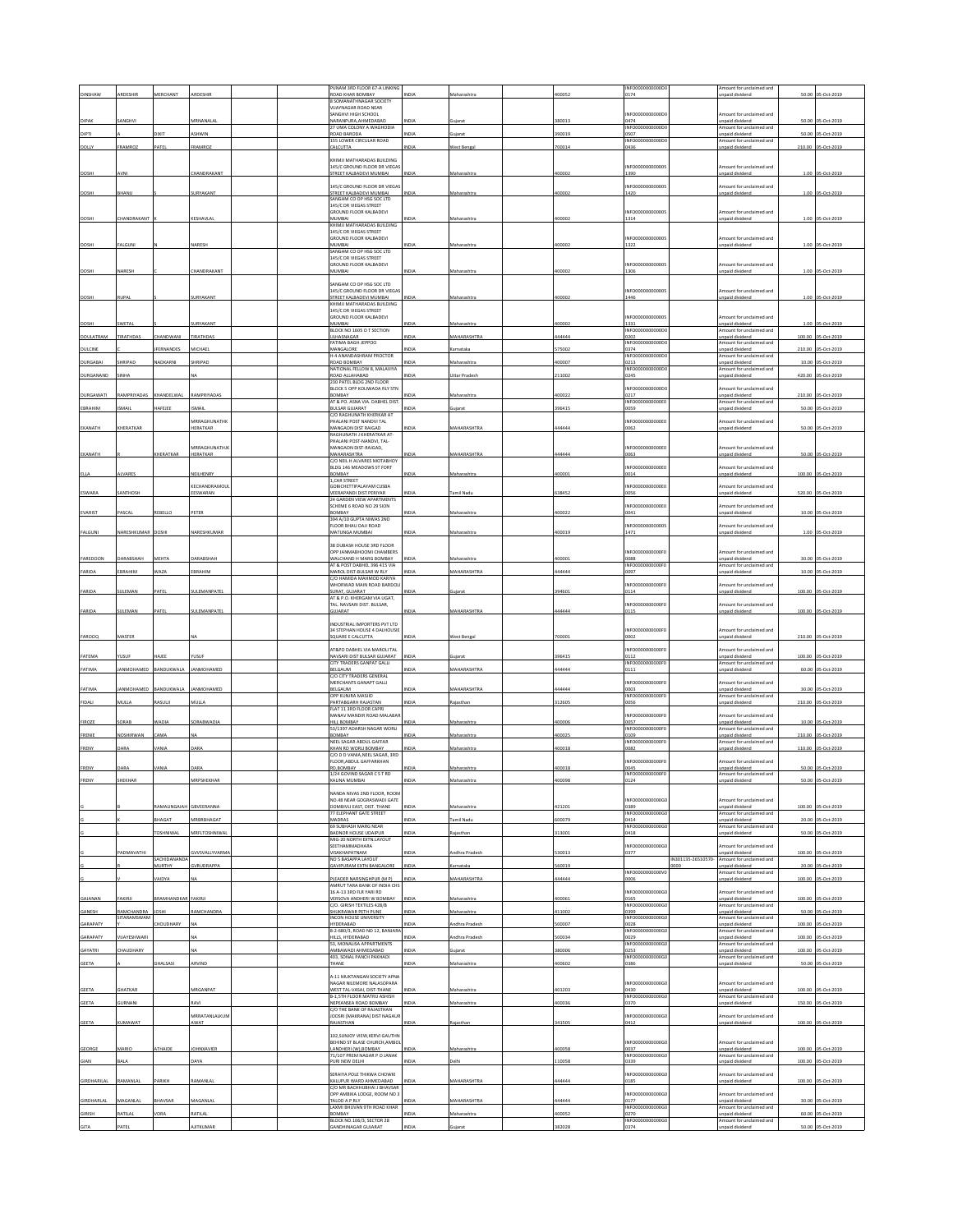|                    |                   |                        |                           |  | PUNAM 3RD FLOOR 67-A LINKING                                    |              |                    |        | INFO0000000000D           |                    | mount for unclaimed and                     |        |                    |
|--------------------|-------------------|------------------------|---------------------------|--|-----------------------------------------------------------------|--------------|--------------------|--------|---------------------------|--------------------|---------------------------------------------|--------|--------------------|
|                    |                   | <b>AFRCHANT</b>        |                           |  | ROAD KHAR BOMBAY                                                | <b>VIDIZ</b> |                    | czonn  | 0174                      |                    | npaid dividend                              | 50.00  | 05-0rt-201         |
|                    |                   |                        |                           |  | 8 SOMANATHNAGAR SOCIETY<br>VIJAYNAGAR ROAD NEAR                 |              |                    |        |                           |                    |                                             |        |                    |
|                    |                   |                        |                           |  | <b>SANGHVI HIGH SCHOOL</b>                                      |              |                    |        | NFO0000000000D            |                    | mount for undaimed and                      |        |                    |
| DIPAK              | ANGHVI            |                        | <b>MRNANALA</b>           |  | NARANPURA, AHMEDABAD<br>27 UMA COLONY A WAGHODIA                | NDIA         | iujarat            | 380013 | 1474<br>INFO0000000000    |                    | inpaid dividend<br>mount for unclaimed and  |        | 50.00 05-Oct-2019  |
| DIPTI              |                   | <b>IXIT</b>            | ASHWIN                    |  | ROAD BARODA                                                     | INDIA        | juiarat            | 390019 | 3507                      |                    | npaid dividend                              | 50.00  | 05-Oct-2019        |
| DOIL)              | FRAMROZ           | ATEL                   | FRAMROZ                   |  | 155 LOWER CIRCULAR ROAD<br><b>ALCUTTA</b>                       | NDM          | est Benga          | 700014 | INFO0000000000<br>1436    |                    | mount for unclaimed and<br>npaid divident   | 210.00 | 05-Oct-201         |
|                    |                   |                        |                           |  |                                                                 |              |                    |        |                           |                    |                                             |        |                    |
|                    |                   |                        |                           |  | KHIMII MATHARADAS RUI DING<br>145/C GROUND FLOOR DR VIEGAS      |              |                    |        | INFOODDOODDOOD            |                    | Amount for unclaimed and                    |        |                    |
| DOSHI              | AVNI              |                        | CHANDRAKANT               |  | STREET KALBADEVI MUMBAI                                         | <b>INDIA</b> | Maharashtra        | 400002 | 1390                      |                    | npaid dividend                              |        | 1.00 05-Oct-2019   |
|                    |                   |                        |                           |  | 145/C GROUND FLOOR DR VIEGAS                                    |              |                    |        | NFO00000000000            |                    | mount for unclaimed and                     |        |                    |
| DOSHI              | <b>HANU</b>       |                        | URYAKANT                  |  | STREET KALBADEVI MUMBAL                                         |              | taharashtr         | 00002  | 1420                      |                    | paid dividend                               | 1.00   | ns-Oct-2019        |
|                    |                   |                        |                           |  | SANGAM CO OP HSG SOC LTD<br>145/C DR VIEGAS STREET              |              |                    |        |                           |                    |                                             |        |                    |
|                    |                   |                        |                           |  | GROUND FLOOR KALBADEVI                                          |              |                    |        | NFO00000000000            |                    | mount for unclaimed and                     |        |                    |
| DOSHI              | <b>HANDRAKAN</b>  |                        | KESHAVLA                  |  | MUMBAI<br>KHIMJI MATHARADAS BUILDING                            | NDIA         | Maharashtra        | 400002 | 1314                      |                    | inpaid dividend                             |        | 1.00 05-Oct-2019   |
|                    |                   |                        |                           |  | 145/C DR VIEGAS STREET                                          |              |                    |        |                           |                    |                                             |        |                    |
| DOSHI              | <b>FALGUN</b>     |                        | NARESH                    |  | GROUND FLOOR KALBADEVI<br>MUMBAI                                |              | Maharashtr.        | 400002 | INFO00000000000<br>1322   |                    | Amount for unclaimed and<br>inpaid dividend |        | 1.00 05-Oct-2019   |
|                    |                   |                        |                           |  | SANGAM CO OP HSG SOC LTD                                        |              |                    |        |                           |                    |                                             |        |                    |
|                    |                   |                        |                           |  | 145/C DR VIEGAS STREET<br><b>GROUND FLOOR KALBADEVI</b>         |              |                    |        | NFO00000000000            |                    | Amount for unclaimed and                    |        |                    |
| DOSHI              | NARESH            |                        | CHANDRAKANT               |  | MUMBAI                                                          | INDIA        | Maharashtra        | 400002 | 1306                      |                    | <b>Inpaid dividend</b>                      |        | 1.00 05-Oct-2019   |
|                    |                   |                        |                           |  | SANGAM CO OP HSG SOC LTD                                        |              |                    |        |                           |                    |                                             |        |                    |
| DOSHI              | RUPAL             |                        | SURYAKANT                 |  | 145/C GROUND FLOOR DR VIEGA<br>STREET KALBADEVI MUMBAI          | INDIA        | Maharashtra        | 400002 | INFO00000000000<br>1446   |                    | mount for undaimed and<br>inpaid dividend   |        | 1.00 05-Oct-2019   |
|                    |                   |                        |                           |  | KHIMJI MATHARADAS BUILDING                                      |              |                    |        |                           |                    |                                             |        |                    |
|                    |                   |                        |                           |  | 145/C DR VIEGAS STREET<br>GROUND FLOOR KALBADEVI                |              |                    |        | NFO00000000000            |                    | mount for unclaimed and                     |        |                    |
| DOSH               | <b>WFTAI</b>      |                        | <b>IRYAKANT</b>           |  | MUMBAI                                                          |              | laharashtra        | 00002  | 1331                      |                    | npaid dividend                              | 1.00   | 3-Oct-2019         |
| DOULATRAM          | TIRATHDAS         | HANDWANI               | TIRATHDAS                 |  | BLOCK NO 1605 O T SECTION<br>ULHASNAGAR                         | INDIA        | MAHARASHTRA        | 144444 | INFO0000000000<br>0202    |                    | Amount for unclaimed and<br>npaid dividend  |        | 100.00 05-Oct-2019 |
|                    |                   |                        |                           |  | FATIMA BAGH JEPPOO                                              |              |                    |        | INFO0000000000D           |                    | Amount for unclaimed and                    |        |                    |
| DULCINE            |                   | FERNANDES              | <b>AICHAEL</b>            |  | MANGALORE<br>H-4 ANANDASHRAM PROCTOR                            | NDIA         | arnataka           | 75002  | 374<br>INFO0000000000D    |                    | inpaid dividend<br>Amount for unclaimed and |        | 210.00 05-Oct-2019 |
| DURGABAI           | HRIPAD            | NADKARNI               | SHRIPAD                   |  | ROAD BOMBAY                                                     | INDIA        | Maharashtra        | 400007 | 0213                      |                    | npaid dividend                              |        | 10.00 05-Oct-2019  |
| DURGANAND          |                   |                        |                           |  | NATIONAL FELLOW 8, MALAVIYA<br>ROAD ALLAHABAD                   | NDM          | Ittar Prades       | 211002 | INFO0000000000<br>0245    |                    | mount for unclaimed and<br>inpaid dividend  | 420.00 | 05-Oct-201         |
|                    |                   |                        |                           |  | 230 PATEL BLDG 2ND FLOOR                                        |              |                    |        |                           |                    |                                             |        |                    |
| DURGAWATI          | RAMPRIYADAS       | KHANDELWAL             | RAMPRIYADAS               |  | BLOCK 5 OPP KOLIWADA RLY STN<br>BOMBAY                          | INDIA        | Maharashtra        | 400022 | NFO0000000000<br>0217     |                    | mount for unclaimed and<br>npaid dividend   |        | 210.00 05-Oct-2019 |
|                    |                   |                        |                           |  | AT & PO. ASNA VIA. DABHEL DIST                                  |              |                    |        | <b>INFO0000</b><br>00000E |                    | mount for unclaimed and                     |        |                    |
| EBRAHIM            | SMAIL             | <b>IAFEJEE</b>         | SMAIL                     |  | <b>BULSAR GUJARAT</b><br>C/O RAGHUNATH KHERKAR AT               | NDM          | uiarat             | 396415 | 1059                      |                    | npaid dividend                              |        | 50.00 05-Oct-2019  |
|                    |                   |                        | MRRAGHUNATHE              |  | PHALANI POST NANDVI TAL                                         |              |                    |        | NFO000000000E             |                    | mount for undaimed and                      |        |                    |
| EKANATH            | KHERATKAR         |                        | HERATKAR                  |  | MANGAON DIST RAIGAD<br>RAGHUNATH J KHERATKAR AT                 | NDIA         | MAHARASHTRA        | 444444 | 0062                      |                    | inpaid dividend                             |        | 50.00 05-Oct-2019  |
|                    |                   |                        |                           |  | PHALANI POST-NANDVI, TAL-                                       |              |                    |        |                           |                    |                                             |        |                    |
| EKANATH            |                   | CHERATKAR              | MRRAGHUNATHJK<br>HERATKAR |  | MANGAON DIST-RAIGAD,<br><b>MAHARASHTRA</b>                      | <b>NDIA</b>  | <b>MAHARASHTRA</b> | 444444 | INFO0000000000E0<br>1063  |                    | mount for unclaimed and<br>npaid dividend   |        | 50.00 05-Oct-2019  |
|                    |                   |                        |                           |  | C/O NEIL H ALVARES MOTABHOY                                     |              |                    |        |                           |                    |                                             |        |                    |
| ELLA               | LVARES            |                        | NEILHENRY                 |  | BLDG 146 MEADOWS ST FORT<br>BOMBAY                              | NDL          | Maharashtra        | 400001 | NFO0000000000E0<br>1014   |                    | mount for unclaimed and<br>npaid dividend   |        | 100.00 05-Oct-2019 |
|                    |                   |                        |                           |  | 1, CAR STREET                                                   |              |                    |        |                           |                    | mount for unclaimed and                     |        |                    |
| ESWARA             | SANTHOSH          |                        | KECHANDRAMOU<br>EESWARAN  |  | GOBICHETTIPALAYAM CUSBA<br><b>VEERAPANDI DIST PERIYAR</b>       | NDIA         | <b>Tamil Nadu</b>  | 638452 | NFO000000000E<br>1056     |                    | npaid dividend                              |        | 520.00 05-Oct-2019 |
|                    |                   |                        |                           |  | 24 GARDEN VIEW APARTMENTS                                       |              |                    |        |                           |                    |                                             |        |                    |
| EVARIST            | <b>ASCAL</b>      | EBELLO                 | PETER                     |  | SCHEME 6 ROAD NO 29 SION<br>BOMBAY                              | NDIA         | Maharashtra        | 100022 | NFO0000000000E0<br>0041   |                    | mount for unclaimed and<br>inpaid dividend  |        | 10.00 05-Oct-2019  |
|                    |                   |                        |                           |  | 394 A/10 GUPTA NIWAS 2ND<br>FLOOR BHAU DAJI ROAD                |              |                    |        | NFO00000000000            |                    | mount for undaimed and                      |        |                    |
| FALGUNI            | NARESHKUMAR       | DOSHI                  | NARESHKUMA                |  | MATUNGA MUMBAI                                                  | <b>NDIA</b>  | Maharashtra        | 400019 | 1471                      |                    | npaid divident                              |        | 1.00 05-Oct-2019   |
|                    |                   |                        |                           |  | 38 DUBASH HOUSE 3RD FLOOR                                       |              |                    |        |                           |                    |                                             |        |                    |
|                    |                   |                        |                           |  | OPP JANMABHOOMI CHAMBERS                                        |              |                    |        | NFO0000000000F            |                    | mount for undaimed and                      |        |                    |
| FAREDOON           | DARABSHAH         | MEHTA                  | <b>JARABSHAH</b>          |  | WALCHAND H MARG BOMBAY                                          | NDIA         | Maharashtra        | 400001 | 3000<br>INFO0000000000F   |                    | npaid dividend                              |        | 30.00 05-Oct-2019  |
| FARIDA             | EBRAHIM           | WAZA                   | EBRAHIM                   |  | AT & POST DABHEL 396 415 VIA<br>MAROL DIST-BULSAR W RLY         | <b>INDIA</b> | MAHARASHTRA        | 44444  | 0097                      |                    | Amount for unclaimed and<br>inpaid dividend | 10.00  | 05-Oct-2019        |
|                    |                   |                        |                           |  | C/O HAMIDA MAHMOD KARIYA                                        |              |                    |        | NFO0000000000F            |                    | mount for unclaimed and                     |        |                    |
| FARIDA             | SULEMAN           | PATEL                  | SULEMANPATEL              |  | WHORWAD MAIN ROAD BARDOLI<br>SURAT, GUJARAT                     | INDIA        | ujarat             | 394601 | 0114                      |                    | inpaid dividend                             | 100.00 | 05-Oct-2019        |
|                    |                   |                        |                           |  | AT & P.O. KHERGAM VIA UGAT.<br>TAL. NAVSARI DIST. BULSAR,       |              |                    |        | NFO0000000000F0           |                    | mount for unclaimed and                     |        |                    |
| FARIDA             | <b>JULEMAN</b>    | PATEL                  | <b>JULEMANPATEL</b>       |  | SUJARAT                                                         | NDIA         | <b>MAHARASHTR</b>  | 44444  | 0115                      |                    | inpaid dividend                             |        | 100.00 05-Oct-2019 |
|                    |                   |                        |                           |  | INDUSTRIAL IMPORTERS PVT LTD                                    |              |                    |        |                           |                    |                                             |        |                    |
|                    |                   |                        |                           |  | 34 STEPHAN HOUSE 4 DALHOUSIE                                    |              |                    |        | INFO000000000F            |                    | Amount for unclaimed and                    |        |                    |
| <b>FAROOQ</b>      | MASTER            |                        |                           |  | SQUARE E CALCUTTA                                               | NDI.         | West Benga         | 700001 | 1002                      |                    | inpaid dividend                             |        | 210.00 05-Oct-2019 |
|                    |                   |                        |                           |  | AT&PO DABHEL VIA MAROLI TAL                                     |              |                    |        | NFO0000000000F            |                    | mount for unclaimed and                     |        |                    |
| FATEMA             | <b>YUSUF</b>      | HAJEE                  | rusur                     |  | NAVSARI DIST BULSAR GUJARAT<br>CITY TRADERS GANPAT GALLI        | <b>INDIA</b> | uiarat             | 396415 | 0112<br>INFO0000000000F   |                    | npaid dividend<br>Amount for unclaimed and  |        | 100.00 05-Oct-2019 |
| FATIMA             | ANMOHAMED         | BANDUKWALA             | <b>ANMOHAMED</b>          |  | BELGAUM                                                         | NDM          | <b>MAHARASHTRA</b> | 144444 | 0111                      |                    | inpaid dividend                             |        | 60.00 05-Oct-2019  |
|                    |                   |                        |                           |  | C/O CITY TRADERS GENERAL<br>MERCHANTS GANAPT GALLI              |              |                    |        | NFO0000000000F            |                    | mount for undaimed and                      |        |                    |
| FATIMA             | IANMOHAMED        | BANDUKWALA             | <b>ANMOHAMED</b>          |  | BELGAUM                                                         | NDIA         | MAHARASHTRA        | 444444 | 1003                      |                    | npaid dividend                              |        | 30.00 05-Oct-2019  |
| FIDALI             | MULLA             | <b>ASULI</b>           | MULLA                     |  | OPP KUNJRA MASJID<br>PARTABGARH RAJASTAN                        | INDIA        | Rajasthar          | 312605 | INFO0000000000F<br>0056   |                    | Amount for unclaimed and<br>inpaid dividend | 210.00 | 05-Oct-2019        |
|                    |                   |                        |                           |  | FLAT 11 3RD FLOOR CAPRI                                         |              |                    |        |                           |                    |                                             |        |                    |
| FIROZE             | ORAB              | <b>NADIA</b>           | <b>ORABWADIA</b>          |  | MANAV MANDIR ROAD MALABAR<br>HILL BOMBAY                        | <b>INDIA</b> | Maharashtra        | 100006 | NFO0000000000F<br>0057    |                    | mount for unclaimed and<br>npaid dividend   | 10.00  | 05-Oct-2019        |
|                    |                   |                        |                           |  | 53/1397 ADARSH NAGAR WORLI                                      |              |                    |        | INFO0000000000F           |                    | Amount for unclaimed and                    |        |                    |
| FRENIE             | NOSHIRWAN         | AMA                    |                           |  | BOMBAY<br>NEEL SAGAR ABDUL GAFFAR                               | NDL          | Maharashtra        | 100025 | 0109<br>INFO0000000000F   |                    | npaid dividend<br>mount for undaimed and    | 210.00 | 05-Oct-2019        |
| FRENY              | DARA              | VANIA                  | DARA                      |  | KHAN RD WORLI BOMBAY                                            | INDIA        | Maharashtra        | 400018 | 0082                      |                    | npaid dividend                              | 110.00 | 05-Oct-2019        |
|                    |                   |                        |                           |  | C/O D D VANIA, NEEL SAGAR, 3RD<br>FLOOR, ABDUL GAFFARKHAN       |              |                    |        | NFO0000000000F            |                    | Amount for unclaimed and                    |        |                    |
| FRENY              | DARA              |                        |                           |  | RD, BOMBAY                                                      |              | Maharashti         | 400018 | 0045                      |                    | inpaid dividend                             | 50.00  | 05-Oct-201         |
|                    |                   |                        |                           |  | 1/24 GOVIND SAGAR CS T RD<br>NA MUAGA                           |              |                    |        | INFO0000000000F0<br>12A   |                    | Imount for unclaimed and<br>sid disi        | 50.0   |                    |
|                    |                   |                        |                           |  |                                                                 |              |                    |        |                           |                    |                                             |        |                    |
|                    |                   |                        |                           |  | NANDA NIVAS 2ND FLOOR, ROOM<br>NO.48 NEAR GOGRASWADI GATE       |              |                    |        | NFO0000000000G            |                    | mount for unclaimed and                     |        |                    |
|                    |                   | AMALINGAIAH GBVEERANNA |                           |  | DOMBIVLI EAST, DIST. THANE                                      | NDLA         | Maharashtra        | 121201 | 389<br>NFO0000000000G     |                    | npaid dividend                              |        | 100.00 05-Oct-2019 |
|                    |                   | HAGAT                  | MRBRBHAGAT                |  | 77 ELEPHANT GATE STREET<br>MADRAS                               | NDIA         | mil Nadu           | 00079  | 1414                      |                    | mount for unclaimed and<br>npaid dividend   | 20.00  | 05-Oct-2019        |
|                    |                   | <b>OSHNIWAL</b>        | MRFLTOSHNIWA              |  | 69 SUBHASH MARG NEAR<br><b>BADNOR HOUSE UDAIPUR</b>             | INDIA        | Rajasthan          | 313001 | INFO0000000000GC<br>0418  |                    | Amount for unclaimed and<br>npaid dividend  |        | 50.00 05-Oct-2019  |
|                    |                   |                        |                           |  | MIG-20 NORTH EXTN.LAYOUT                                        |              |                    |        |                           |                    |                                             |        |                    |
|                    | <b>ADMAVATHI</b>  |                        | <b>VVSVALLYVARMA</b>      |  | SEETHAMMADHARA<br><b>VISAKHAPATNAM</b>                          | INDIA        | ndhra Pradesh      | 30013  | NFO0000000000G<br>0377    |                    | mount for unclaimed and<br>npaid dividend   | 100.00 | 05-Oct-2019        |
|                    |                   | SACHIDANANDA           |                           |  | NO 5 BASAPPA LAYOUT                                             |              |                    |        |                           | IN301135-26510570- | mount for unclaimed and                     |        |                    |
|                    |                   | MURTHY                 | <b>SVRUDRAPPA</b>         |  | GAVIPURAM EXTN BANGALOR                                         | NDI.         | arnataka           | 60019  | INFO0000000000V           | 1000               | npaid dividend<br>mount for unclaimed and   |        | 20.00 05-Oct-2019  |
|                    |                   | <b>AIDYA</b>           |                           |  | PLEADER NARSINGHPUR (M P)                                       | INDIA        | MAHARASHTRA        | 144444 | 0006                      |                    | npaid dividend                              | 100.00 | 05-Oct-2019        |
|                    |                   |                        |                           |  | AMRUT TARA BANK OF INDIA CHS<br>16 A-13 3RD FLR YARI RD         |              |                    |        | INFO000000000G            |                    | mount for unclaimed and                     |        |                    |
| GAJANAN            | FAKIRJ            | RAMHANDKAR             | <b>FAKIRJ</b>             |  | VERSOVA ANDHERI W BOMBA<br>C/O. GIRISH TEXTILES 428/B           | <b>NDI</b>   | Maharashtra        | 400061 | 0165<br>INFO0000000000G   |                    | Inpaid dividend<br>mount for unclaimed and  | 100.00 | 05-Oct-2019        |
| GANESH             | RAMCHANDRA        | OSMI                   | <b>AMCHANDRA</b>          |  | SHUKRAWAR PETH PUNE                                             | INDIA        | Maharashtra        | 411002 | 399                       |                    | inpaid dividend                             | 50.00  | 05-Oct-2019        |
| GARAPATY           | SITARAMSWAN       | HOUDHARY               |                           |  | <b>INCON HOUSE UNIVERSITY</b><br>HYDERABAD                      | NDM          | ndhra Prades       | 500007 | INFO0000000000G<br>0028   |                    | mount for unclaimed and<br>npaid dividend   | 100.00 | 05-Oct-2019        |
|                    |                   |                        |                           |  | 8-2-680/3, ROAD NO 12, BANJARA                                  |              |                    |        | INFO0000000000G           |                    | Amount for unclaimed and                    |        |                    |
| GARAPATY           | <b>UAYESHWARI</b> |                        |                           |  | HILLS, HYDERABAD<br>53, MONALISA APPARTMENTS                    | NDIA         | ndhra Pradesh      | 500034 | 1029<br>NFO0000000000G    |                    | npaid dividend<br>mount for unclaimed and   |        | 100.00 05-Oct-2019 |
| GAYATRI            | HAUDHARY          |                        |                           |  | AMBAWADI AHMEDABAD                                              | VDIA         |                    | 380006 | 0253                      |                    | npaid dividend                              | 100.00 | 05-Oct-2019        |
| <b>GEETA</b>       |                   | HALSASI                | ARVIND                    |  | 403. SONAL PANCH PAKHADI<br>THANE                               | INDIA        | Maharashtra        | 400602 | INFO00000000006<br>0386   |                    | Amount for unclaimed and<br>npaid dividend  |        | 50.00 05-Oct-2019  |
|                    |                   |                        |                           |  |                                                                 |              |                    |        |                           |                    |                                             |        |                    |
|                    |                   |                        |                           |  | 4-11 MUKTANGAN SOCIETY APNA<br>NAGAR NILEMORE NALASOPARA        |              |                    |        | NFO0000000000G            |                    | mount for unclaimed and                     |        |                    |
| GEETA              | <b>GHATKAR</b>    |                        | MRGANPAT                  |  | WEST TAL-VASAI, DIST-THANE                                      | NDM          | Maharashtra        | 401203 | 0430                      |                    | Inpaid dividend                             |        | 100.00 05-Oct-2019 |
| <b>GEETA</b>       | SURNANI           |                        | RAVI                      |  | B-1,5TH FLOOR MATRU ASHISH<br>NEPEANSEA ROAD BOMBAY             | NDIA         | Maharashtra        | 100036 | INFO0000000000G<br>370    |                    | Amount for unclaimed and<br>npaid dividend  |        | 150.00 05-Oct-2019 |
|                    |                   |                        |                           |  | C/O THE BANK OF RAJASTHAN                                       |              |                    |        |                           |                    |                                             |        |                    |
| <b>GEETA</b>       | <b>UMAWAT</b>     |                        | MRRATANLALKUM<br>AWAT     |  | JOOSRI [MAKRANA] DIST NAGAUR<br>RAJASTHAN                       | <b>ND14</b>  | taiasthan          | 341505 | NFO0000000000G<br>1412    |                    | mount for unclaimed and<br>npaid dividend   |        | 100.00 05-Oct-2019 |
|                    |                   |                        |                           |  |                                                                 |              |                    |        |                           |                    |                                             |        |                    |
|                    |                   |                        |                           |  | 102, SUNJOY VIEW, KERVI GAUTHN<br>BEHIND ST BLASE CHURCH, AMBOL |              |                    |        | NFO0000000000G            |                    | mount for unclaimed and                     |        |                    |
| GEORGE             | MARIO             | THAIDE                 | <b>IOHNXAVIER</b>         |  | ANDHERI (W), BOMBAY                                             | <b>INDIA</b> | Maharashtra        | 00058  | 0037                      |                    | npaid dividend                              | 100.00 | 05-Oct-2019        |
| GIAN               | BALA              |                        | DAYA                      |  | 71/107 PREM NAGAR PO JANAK<br>PURI NEW DELHI                    | NDIA         | Delhi              | 110058 | INFO0000000000G<br>0339   |                    | Amount for unclaimed and<br>inpaid dividend | 100.00 | 05-Oct-2019        |
|                    |                   |                        |                           |  |                                                                 |              |                    |        |                           |                    |                                             |        |                    |
| <b>GIRDHARILAL</b> | AMANLA            | ARIKH                  | <b>JAMANLAI</b>           |  | SERAIYA POLE THIKWA CHOWKI<br>KALUPUR WARD AHMEDABAD            |              | MAHARASHTRA        | 144444 | NFO0000000000G<br>0185    |                    | mount for unclaimed and<br>npaid dividend   |        | 100.00 05-Oct-2019 |
|                    |                   |                        |                           |  | C/O MR BACHHUBHAI J BHAVSAR<br>OPP AMBIKA LODGE, ROOM NO 3      |              |                    |        | NFO0000000000G            |                    | mount for unclaimed and                     |        |                    |
| GIRDHARLAL         | MAGANLAL          | HAVSAR                 | MAGANLAL                  |  | <b>TALOD A P RLY</b>                                            | NDLA         | MAHARASHTRA        | 144444 | 0177                      |                    | npaid dividend                              |        | 30.00 05-Oct-2019  |
| <b>GIRISH</b>      | ATILAL            | ORA                    | ATILAL                    |  | LAXMI BHUVAN 9TH ROAD KHAR<br>BOMBAY                            | NDLA         |                    | 00052  | NFO0000000000G<br>0270    |                    | mount for unclaimed and                     |        |                    |
|                    |                   |                        |                           |  | BLOCK NO.106/3, SECTOR 28                                       |              | faharashtra        |        | INFO0000000000G           |                    | npaid dividend<br>mount for unclaimed and   | 60.00  | 05-Oct-2019        |
| <b>GITA</b>        | PATEL             |                        | <b>AJITKUMAR</b>          |  | <b>GANDHINAGAR GUJARAT</b>                                      | INDIA        | ilarat             | 382028 | 0374                      |                    | inpaid dividend                             |        | 50.00 05-Oct-2019  |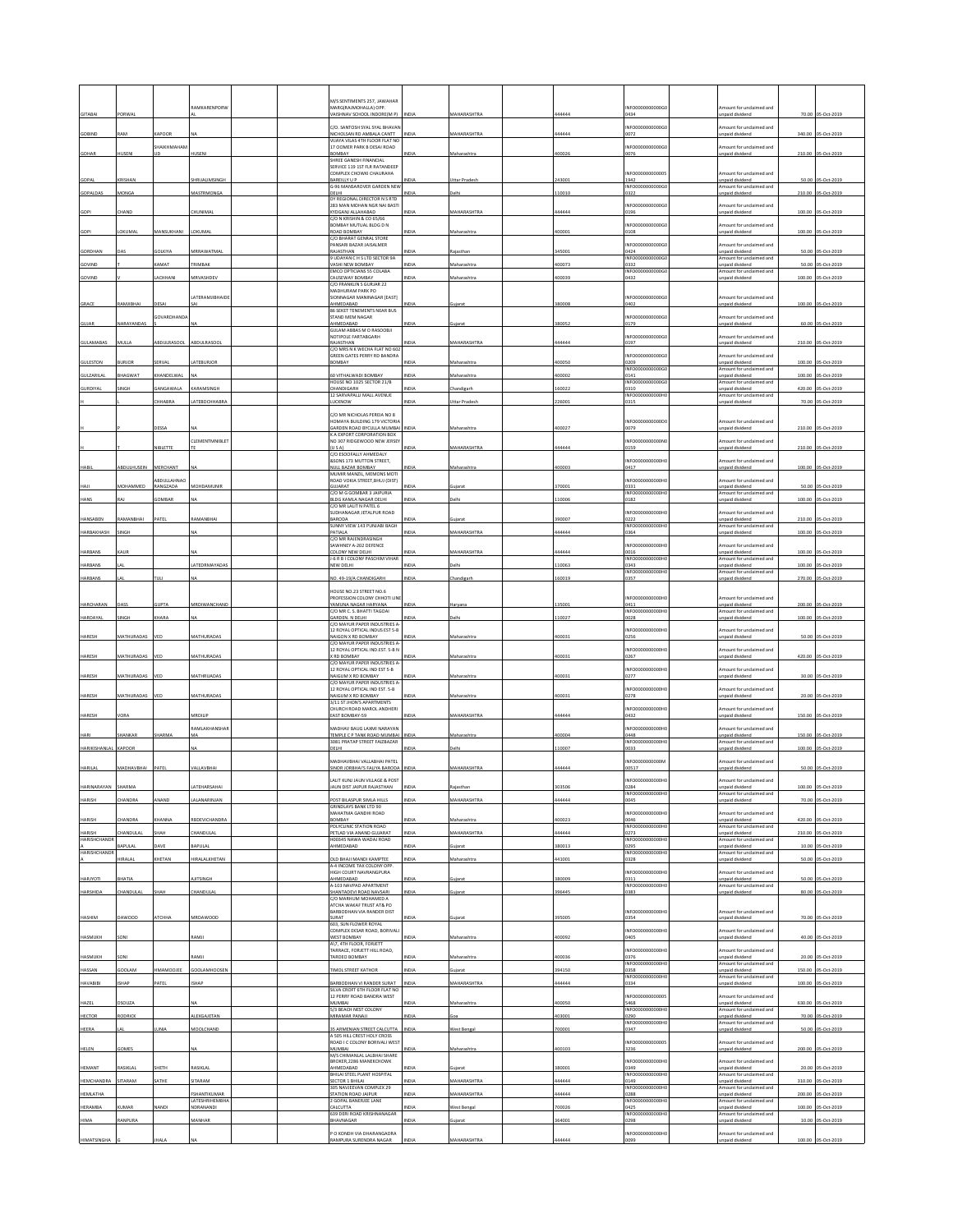|                       |                   |                    | <b>IAMKARENPORV</b>                |  | M/S SENTIMENTS 257, JAWAHAF<br>MARGIRAJMOHALLA) OPP.                 |              |                                     |                  | NFO0000000000G                           | mount for undaimed and                                               |        |                                         |
|-----------------------|-------------------|--------------------|------------------------------------|--|----------------------------------------------------------------------|--------------|-------------------------------------|------------------|------------------------------------------|----------------------------------------------------------------------|--------|-----------------------------------------|
| <b>GITABAI</b>        | PORWAL            |                    |                                    |  | VAISHNAV SCHOOL INDORE(M P)                                          | <b>INDIA</b> | MAHARASHTRA                         | 444444           | 0434                                     | inpaid dividend                                                      |        | 70.00 05-Oct-2019                       |
| GOBIND                | <b>AM</b>         | APOOR              |                                    |  | C/O. SANTOSH SYAL SYAL BHAVAN<br>NICHOLSAN RD AMBALA CANTT           |              | <b>MAHARASHTRA</b>                  | 44444            | NFO0000000000G<br>1072                   | mount for unclaimed and<br>npaid dividend                            | 340.00 | 05-Oct-2019                             |
|                       |                   | SHAIKHMAHAN        |                                    |  | VIJAYA VILAS 4TH FLOOR FLAT NC<br>17 OOMER PARK B DESAI ROAD         |              |                                     |                  | NFO0000000000G                           | mount for unclaimed and                                              |        |                                         |
| GOHAR                 | HUSEN             |                    | HUSEM                              |  | BOMBAY<br>SHREE GANESH FINANCIAL                                     |              | Maharashtra                         | 400026           | 0076                                     | inpaid dividend                                                      |        | 210.00 05-Oct-2019                      |
|                       |                   |                    |                                    |  | SERVICE 119 1ST FLR RATANDEEP<br>COMPLEX CHOWKI CHAURAHA             |              |                                     |                  | NFO0000000000                            | Amount for unclaimed and                                             |        |                                         |
| GOPAL                 | KRISHAN           |                    | SHRUALIMSINGH                      |  | <b>BAREILLY U P</b><br>G-96 MANSAROVER GARDEN NEW                    | INDIA        | <b>Uttar Pradesh</b>                | 243001           | 1942<br>INFO0000000000GC                 | unpaid dividend<br>mount for unclaimed and                           |        | 50.00 05-Oct-2019                       |
| GOPALDAS              | MONGA             |                    | <b>AASTRMONG</b>                   |  | DELHI<br>DY REGIONAL DIRECTOR N S RTD                                | NDLA         | <b>Delhi</b>                        | 110010           | 322                                      | inpaid dividend                                                      |        | 210.00 05-Oct-2019                      |
| GOPI                  | <b>HAND</b>       |                    | <b>HUNIMAI</b>                     |  | 283 MAN MOHAN NGR NAI BAST<br>KYDGANJ ALLAHABAD                      | <b>NDM</b>   | <b>MAHARASHTRA</b>                  | 444444           | NFO0000000000G<br>196                    | mount for unclaimed and<br>npaid dividend                            |        | 100.00 05-Oct-2019                      |
|                       |                   |                    |                                    |  | C/O N KRISHIN & CO 65/66<br>BOMBAY MUTUAL BLDG D N                   |              |                                     |                  | NFO0000000000G                           | nount for unclaimed and                                              |        |                                         |
| GOPI                  | <b>OKUMAL</b>     | MANSUKHANI         | LOKUMAI                            |  | ROAD BOMBAY<br>C/O BHARAT GENRAL STORE                               | INDIA        | Maharashtra                         | 400001           | 108                                      | npaid dividend                                                       |        | 100.00 05-Oct-2019                      |
| GORDHAN               |                   | <b>GLKIYA</b>      | MRRAWATMAL                         |  | PANSARI BAZAR JAISALMER<br>RAJASTHAN                                 |              | aiasthar                            | 345001           | NFO0000000000G<br>0424                   | mount for unclaimed and<br>inpaid dividend                           |        | 50.00 05-Oct-2019                       |
| GOVIND                |                   | CAMAT              | RIMBAK                             |  | 9 UDAYAN C H S LTD SECTOR 9A<br>VASHI NEW BOMBAY                     | NDIA         | Maharashtra                         | 400073           | NFO0000000000G<br>0332                   | mount for unclaimed and<br>npaid dividend                            | 50.00  | 05-Oct-2019                             |
| GOVIND                |                   | ACHHANI            | <b><i>MRVASHDEV</i></b>            |  | EMCO OPTICIANS 55 COLABA<br>CAUSEWAY BOMBAY                          | <b>NDL</b>   | Maharashtra                         | 400039           | INFO0000000000G<br>0432                  | mount for unclaimed and<br>npaid dividend                            |        | 100.00 05-Oct-2019                      |
|                       |                   |                    |                                    |  | C/O FRANKLIN S GURJAR 22<br>MADHURAM PARK PO                         |              |                                     |                  |                                          |                                                                      |        |                                         |
| GRACE                 | RAMJIBHAI         | <b>DESAI</b>       | LATERAMJIBHAIDI                    |  | SIONNAGAR MANINAGAR [EAST]<br>AHMEDABAD                              | NDIA         | uiarat                              | 380008           | INFO0000000000G<br>0402                  | mount for unclaimed and<br>inpaid dividend                           | 100.00 | 05-Oct-2019                             |
|                       |                   | <b>GOVARDHAND</b>  |                                    |  | 86 SEKET TENEMENTS NEAR BUS<br>STAND MEM NAGAR                       |              |                                     |                  | NFO0000000000G                           | mount for unclaimed and                                              |        |                                         |
| GUJAR                 | VARAYANDAS        |                    |                                    |  | AHMEDABAD<br>GULAM ABBAS M O RASOOBJI                                | INDIA        | iujarat                             | 380052           | 0179                                     | inpaid dividend                                                      |        | 60.00 05-Oct-2019                       |
| <b>GULAMABAS</b>      | MULLA             | <b>ABDULRASOOL</b> | ABDULRASOO                         |  | NOTIPOLE FARTABGARH<br>RAJASTHAN<br>C/O MRS N K WECHA FLAT NO 602    | <b>VIDIZ</b> | <b>MAHARASHTRA</b>                  | 444444           | NFO0000000000G<br>197                    | mount for unclaimed and<br>npaid dividend                            |        | 210.00 05-Oct-2019                      |
| GULESTON              | RURIOR            | SERVAL             | LATEBURJOR                         |  | GREEN GATES PERRY RD BANDRA<br>BOMBAY                                | <b>NDL</b>   | Maharashtra                         | 400050           | NF00000000000G<br>209                    | nount for unclaimed and<br>npaid dividend                            | 100.00 | 05-Oct-2019                             |
| GULZARILAL            | <b>BHAGWAT</b>    | <b>HANDELWAL</b>   |                                    |  | 60 VITHALWADI BOMBAY                                                 | INDIA        | Maharashtra                         | 400002           | INFO0000000000G<br>0141                  | Amount for unclaimed and<br>inpaid dividend                          | 100.00 | 05-Oct-2019                             |
| GURDIYAL              | <b>NGH</b>        | ANGAWALA           | ARAMSINGH                          |  | HOUSE NO 1025 SECTOR 21/B<br>CHANDIGARH                              | NDIA         | handigarh                           | 160022           | INFO0000000000G<br>0310                  | Amount for unclaimed and<br>inpaid dividend                          |        | 420.00 05-Oct-2019                      |
|                       |                   | <b>HHABRA</b>      | ATEBDCHHABRA                       |  | 12 SARVAPALLI MALL AVENUE<br>LUCKNOW                                 | INDIA        | Uttar Pradesh                       | 226001           | INFO0000000000H<br>0315                  | Amount for unclaimed and<br>inpaid dividend                          |        | 70.00 05-Oct-2019                       |
|                       |                   |                    |                                    |  | C/O MR NICHOLAS PEREIA NO 8                                          |              |                                     |                  |                                          |                                                                      |        |                                         |
|                       |                   | JESSA              |                                    |  | <b>HOMAYA BUILDING 179 VICTORI</b><br>GARDEN ROAD BYCULLA MUMBAI     | <b>NDL</b>   | Maharashtra                         | 400027           | INFO0000000000D<br>1079                  | mount for unclaimed and<br>npaid dividend                            | 210.00 | 05-Oct-2019                             |
|                       |                   |                    | CLEMENTMNIBLET                     |  | Κ Α ΕΧΡΩΒΤ ΓΩΒΡΩΒΑΤΙΩΝ ΒΩΧ<br>NO 307 RIDGEWOOD NEW JERSEY            |              |                                     |                  | NFO0000000000N                           | mount for unclaimed and                                              |        |                                         |
|                       |                   | <b>IIBLETTE</b>    |                                    |  | $\{U S A\}$<br>C/O ESOOFALLY AHMEDALY                                | NDL          | MAHARASHTRA                         | 444444           | 0159                                     | inpaid dividend                                                      |        | 210.00 05-Oct-2019                      |
| HABII                 | BDULHUSEIN        | MERCHANT           |                                    |  | &SONS 173 MUTTON STREET,<br>NULL BAZAR BOMBAY                        | <b>IDIA</b>  | Maharashtr.                         | 100003           | NFO0000000000<br>0417                    | mount for unclaimed and<br>npaid dividend                            | 100.00 | 05-Oct-2019                             |
|                       |                   | BDULLAHNAO         |                                    |  | MUMIR MANZIL MEMONS MOTI<br>ROAD VOKIA STREET, BHUJ (DIST)           |              |                                     |                  | NFO0000000000                            | mount for unclaimed and                                              |        |                                         |
| HAJI                  | <b>AOHAMMED</b>   | ANGZADA            | <b>JOHDAMUNIE</b>                  |  | GUJARAT<br>C/O M G GOMBAR 3 JAIPURIA                                 |              | ujarat                              | 370001           | 331<br><b>NFO000</b>                     | npaid dividend<br>Amount for unclaimed and                           |        | 50.00 05-Oct-2019                       |
| HANS                  | $\lambda$         | OMBAR              |                                    |  | BLDG KAMLA NAGAR DELHI<br>C/O MR LALIT N PATEL 6                     | NDIA         | elhi                                | 10006            | 182                                      | npaid dividend                                                       | 100.00 | 05-Oct-2019                             |
| HANSABEN              | <b>AMANBHAI</b>   | PATEL              | AMANBHAI                           |  | SUDHANAGAR JETALPUR ROAD<br>BARODA                                   | NDLA         | ujarat                              | 390007           | NFO0000000000H<br>0222                   | mount for unclaimed and<br>inpaid dividend                           |        | 210.00 05-Oct-2019                      |
| HARBAKHASH            | INGH              |                    |                                    |  | SUNNY VIEW 143 PUNJABI BAGH<br>PATIALA                               | NDM          | <b>MAHARASHTR</b>                   | 144444           | NFO0000000000<br>0364                    | Amount for unclaimed and<br>npaid dividend                           | 100.00 | 05-Oct-2019                             |
|                       |                   |                    |                                    |  | C/O MR RAJENDRASINGH<br>SAWHNEY A-202 DEFENCE                        |              |                                     |                  | NFO0000000000H                           | mount for unclaimed and                                              |        |                                         |
| HARBANS               | KAUR              |                    |                                    |  | COLONY NEW DELHI<br>J-6 R B I COLONY PASCHIM VIHAR                   | INDIA        | MAHARASHTRA                         | 44444            | 0016<br>NFO0000000000                    | inpaid dividend<br>mount for unclaimed and                           |        | 100.00 05-Oct-2019                      |
| HARBANS               |                   |                    | ATEDRMAYADA                        |  | NEW DELHI                                                            | <b>INDIA</b> | elhi                                | 10063            | 0343<br>INFO000000000H                   | npaid dividend<br>Amount for unclaimed and                           | 100.00 | 05-Oct-2019                             |
| <b>HARBANS</b>        |                   |                    |                                    |  | NO. 49-19/A CHANDIGARH                                               | <b>INDIA</b> | handigarl                           | 160019           | 0357                                     | inpaid dividend                                                      | 270.00 | 05-Oct-2019                             |
| HARCHARAN             | 1455              | <b>SUPTA</b>       |                                    |  | HOUSE NO.23 STREET NO.6<br>PROFESSION COLONY CHHOTI LINE             | INDIA        |                                     |                  | NFO0000000000H<br>1411                   | mount for unclaimed and                                              |        |                                         |
| HARDAYAL              | INGH              | HARA               | MRDIWANCHAND                       |  | YAMUNA NAGAR HARYANA<br>C/O MR C. S. BHATTI TAGOAI<br>ARDEN. N DELHI | VDIA         | Haryana<br>elhi                     | 135001<br>10027  | INFO0000000000H<br>0028                  | npaid dividend<br>Amount for unclaimed and<br>npaid divide           |        | 200.00 05-Oct-2019                      |
|                       |                   |                    |                                    |  | C/O MAYUR PAPER INDUSTRIES A<br>12 ROYAL OPTICAL INDUS EST 5-B       |              |                                     |                  | NFO0000000000                            | mount for unclaimed and                                              |        | 100.00 05-Oct-2019                      |
| HARESH                | MATHURADAS        |                    | MATHURADAS                         |  | NAIGON X RD BOMBAY<br>C/O MAYUR PAPER INDUSTRIES A-                  | NDM          | Maharashtra                         | 400031           | )256                                     | inpaid dividend                                                      |        | 50.00 05-Oct-2019                       |
| HARESH                | MATHURADAS        | VFD                | MATHURADAS                         |  | 12 ROYAL OPTICAL IND.EST. 5-B N<br>X RD BOMBAY                       | NDM          | Maharashtra                         | 400031           | NFO0000000000<br>0267                    | mount for unclaimed and<br>inpaid dividend                           | 420.00 | 05-Oct-2019                             |
|                       |                   |                    |                                    |  | C/O MAYUR PAPER INDUSTRIES A<br>12 ROYAL OPTICAL IND EST 5-B         |              |                                     |                  | NFO0000000000H                           | mount for unclaimed and                                              |        |                                         |
| HARESH                | MATHURADAS        | VED                | MATHRUADAS                         |  | NAIGUM X RD BOMBAY<br>C/O MAYUR PAPER INDUSTRIES                     | INDIA        | Maharashtra                         | 400031           | 0277                                     | inpaid dividend                                                      |        | 30.00 05-Oct-2019                       |
| HARESH                | MATHURADAS        |                    | MATHURADAS                         |  | 12 ROYAL OPTICAL IND EST. 5-B<br>NAIGUM X RD BOMBAY                  |              | Maharashtr                          | 100031           | NFO0000000000<br>0278                    | mount for unclaimed and<br>npaid dividend                            | 20.00  | 05-Oct-201                              |
|                       |                   |                    |                                    |  | 3/11 ST JHON'S APARTMENTS<br>CHURCH ROAD MAROL ANDHERI               |              |                                     |                  | NFO0000000000H                           | mount for unclaimed and                                              |        |                                         |
| HARESH                | /ORA              |                    | <b>MRDILIP</b>                     |  | EAST BOMBAY-59                                                       | NDIA         | MAHARASHTRA                         | 144444           | 0432                                     | npaid dividend                                                       |        | 150.00 05-Oct-2019                      |
| HARI                  | SHANKAR           | SHARMA             | <b>AMLAKHANSHAF</b>                |  | MADHAV BAUG LAXMI NARAYAN<br>TEMPLE C P TANK ROAD MUMBAL INDIA       |              | Maharashtra                         | 400004           | NFO0000000000H<br>1448                   | mount for unclaimed and<br>npaid dividend                            |        | 150.00 05-Oct-2019                      |
| HARIKISHANLAL         | KAPOOR            |                    |                                    |  | 3081 PRATAP STREET FAIZBAZAR                                         | VDM          | elhi                                | 10007            | INFO0000000000H<br>1033                  | Amount for unclaimed and<br>npaid divider                            |        | 100.00 05-Oct-2019                      |
|                       |                   |                    |                                    |  | MADHAVRHAI VAII ARHAI PATFI                                          |              |                                     |                  | NFO0000000000N                           | mount for unclaimed and                                              |        |                                         |
| HARILAL               | MADHAVBHAI        | PATE               | <b>ALLAVBHA</b>                    |  | SINOR JORBHAI'S FALIYA BARODA                                        | INDIA        | <b>MAHARASHTRA</b>                  | 444444           | 10517                                    | inpaid dividend                                                      |        | 50.00 05-Oct-2019                       |
| HARINARAYAN SHARMA    |                   |                    | LATEHARSAHAI                       |  | ALIT KUNJ JAUN VILLAGE & POST<br>JAUN DIST JAIPUR RAJASTHAN          | INDIA        | Rajasthan                           | 303506           | 0284                                     | ed and<br>unpaid dividend                                            |        | 100.00 05-Oct-2019                      |
| HARISH                | <b>HANDRA</b>     | MAND               | <b>ALANARINJAN</b>                 |  | POST BILASPUR SIMILA HILLS                                           | INDIA        | <b>MAHARASHTRA</b>                  | 444444           | INFO000000000H<br>045                    | mount for undaimed and<br>npaid dividend                             |        | 70.00 05-0ct-2019                       |
|                       |                   |                    |                                    |  | <b>GRINDLAYS BANK LTD 90</b><br>MAHATMA GANDHI ROAD                  |              |                                     |                  | NFO0000000000H                           | mount for unclaimed and                                              |        |                                         |
| HARISH                | HANDRA            | <b>HANNA</b>       | <b>BDEVICHANDRA</b>                |  | BOMBAY<br>POLYCLINIC STATION ROAD                                    | NDIA         | Maharashtra                         | 100023           | 0046<br>INFO000000000H                   | unpaid dividend<br>Amount for unclaimed and                          | 420.00 | 05-Oct-201                              |
| HARISH<br>HARISHCHAND | HANDULA<br>APULAL | жан<br><b>JAVE</b> | HANDULA<br><b>BAPULAL</b>          |  | PETLAD VIA ANAND GUJARAT<br>H00345 NAWA WADAJ ROAD<br>AHMEDABAD      | NDIA<br>NDIA | <b>MAHARASHTRA</b><br><i>sjarat</i> | 444444<br>380013 | 0273<br>INFO0000000000H<br>295           | inpaid dividend<br>mount for unclaimed and<br>npaid dividend         |        | 210.00 05-Oct-2019<br>10.00 05-Oct-2019 |
| HARISHCHAND           | IRALAL            | HETAN              | IRALALKHETAN                       |  | <b>ILD BHAJI MANDI KAMPTEE</b>                                       | NDIA         | taharashtra                         | 41001            | NFO0000000000H<br>0328                   | mount for unclaimed and<br>npaid dividend                            | 50.00  | 05-Oct-2019                             |
|                       |                   |                    |                                    |  | A-4 INCOME TAX COLONY OPP<br>HIGH COURT NAVRANGPURA                  |              |                                     |                  | NFO0000000000H                           | mount for unclaimed and                                              |        |                                         |
| HARJYOTI              | <b>AITAH</b>      |                    | <b>UITSINGH</b>                    |  | AHMEDABAD<br>A-103 NAVPAD APARTMENT                                  | NDIA         | ujarat                              | 80009            | 0311<br>NFO0000000000H                   | inpaid dividend<br>mount for unclaimed and                           |        | 50.00 05-Oct-2019                       |
| HARSHIDA              | CHANDULAL         | SHAH               | CHANDULAL                          |  | SHANTADEVI ROAD NAVSARI<br>C/O MARHUM MOHAMED A                      | INDIA        |                                     | 396445           | 0383                                     | npaid dividend                                                       | 80.00  | 05-Oct-2019                             |
|                       |                   |                    |                                    |  | ATCHA WAKAF TRUST AT& PO<br>BARBODHAN VIA RANDER DIST                |              |                                     |                  | INFO0000000000H                          | mount for unclaimed and                                              |        |                                         |
| HASHIM                | DAWOOD            | <b>TCHHA</b>       | MRDAWOOD                           |  | SURAT<br>603, SUN FLOWER ROYAL                                       | <b>INDIA</b> | ujarat                              | 395005           | )354                                     | inpaid dividend                                                      |        | 70.00 05-Oct-2019                       |
| HASMUKH               | SONI              |                    | RAMJI                              |  | COMPLEX EKSAR ROAD, BORIVAL<br><b>WEST BOMBAY</b>                    | <b>INDIA</b> | Maharashtra                         | 400092           | INFOODDDDDDDDH<br>0405                   | Amount for unclaimed and<br>npaid dividend                           |        | 40.00 05-Oct-2019                       |
|                       |                   |                    |                                    |  | A\7, 4TH FLOOR, FORJETT<br>TARRACE, FORJETT HILL ROAD,               |              |                                     |                  | NFO0000000000H                           | mount for unclaimed and                                              |        |                                         |
| HASMUKH               | ON                |                    | AMJ                                |  | TARDEO BOMBAY                                                        | NDI          | Maharashtr.                         | 00036            | 0376<br>INFO0000000000H                  | npaid dividend<br>Amount for unclaimed and                           | 20.00  | 05-Oct-2019                             |
| HASSAN                | GOOLAM            | <b>IMAMOOJEE</b>   | GOOLAMHOOSE                        |  | TIMOL STREET KATHOR                                                  | INDIA        | uiarat                              | 394150           | 0358<br>INFO0000000000HO                 | npaid dividend<br>mount for unclaimed and                            |        | 150.00 05-Oct-2019                      |
| <b>HAVABIB</b>        |                   |                    |                                    |  | BARBODHAN VI RANDER SURAT<br>SILVA CROFT 6TH FLOOR FLAT NO           | <b>INDIA</b> | MAHARASHTR                          | 144444           | 0334                                     | inpaid dividend                                                      | 100.00 | 05-Oct-2019                             |
| HAZEL                 | <b>DSOUZA</b>     |                    |                                    |  | 12 PERRY ROAD BANDRA WEST<br>MUMBAI                                  | <b>INDIA</b> | Maharashtra                         | 400050           | NFO00000000000<br>5468                   | mount for unclaimed and<br>Inpaid dividend                           |        | 630.00 05-Oct-2019                      |
| HECTOR                | ODRICK            |                    | LEXGAJETAN                         |  | 5/3 BEACH NEST COLONY<br><b>IIRAMAR PANAJ</b>                        | NDLA         |                                     | 03001            | INFO000000000H<br>0290                   | Amount for unclaimed and<br>npaid dividend                           | 70.00  | 05-Oct-2019                             |
| HEERA                 | ΙΔI.              | UNIA               | MOOLCHAND                          |  | 35 ARMENIAN STREET CALCUTTA                                          | <b>INDIA</b> | <b>Nest Bengal</b>                  | 700001           | INFO0000000000H<br>0347                  | mount for undaimed and<br>npaid dividend                             |        | 50.00 05-Oct-2019                       |
|                       |                   |                    |                                    |  | A 505 HILL CREST HOLY CROSS<br>ROAD I C COLONY BORIVALI WEST         |              |                                     |                  | INFO00000000000                          | mount for unclaimed and                                              |        |                                         |
| HELEN                 | GOMES             |                    |                                    |  | MUMBAL<br>M/S CHIMANLAL LALBHAI SHARE<br>BROKER.2286 MANEKCHOWK      | INDIA        | Maharashtra                         | 400103           | 3236                                     | inpaid dividend<br>Amount for unclaimed and                          |        | 200.00 05-Oct-2019                      |
| HEMANT                | RASIKLAL          | SHETH              | RASIKLAL                           |  | AHMEDABAD<br>BHILAI STEEL PLANT HOSPITAL                             | NDIA         | Gujarat                             | 380001           | INFO000000000H<br>0349<br>INFO000000000H | Inpaid dividend<br>Amount for unclaimed and                          |        | 20.00 05-Oct-2019                       |
| <b>HEMCHANDRA</b>     | <b>SITARAM</b>    | ATHE               | <b>SITARAM</b>                     |  | SECTOR 1 BHILAI<br>305 NAVJEEVAN COMPLEX 29                          | VDL          | MAHARASHTRA                         | 444444           | 0149<br>INFO0000000000H                  | inpaid dividend<br>mount for unclaimed and                           | 310.00 | 05-Oct-2019                             |
| HEMLATHA              |                   |                    |                                    |  |                                                                      | INDIA        |                                     | 444444           |                                          | npaid dividend                                                       | 200.00 | 05-Oct-2019                             |
|                       |                   |                    | <b>FSHANTIKUMAR</b>                |  | STATION ROAD JAIPUR                                                  |              | MAHARASHTRA                         |                  | 0288                                     |                                                                      |        |                                         |
| HERAMBA               | UMAR              | <b>AND</b>         | LATESHRIHEMBH/<br><b>IDRANANDI</b> |  | 2 GOPAL BANERJEE LANE<br>CALCUTTA                                    | NDM          | Vest Bengal                         | 700026           | NFO0000000000H<br>0425                   | mount for unclaimed and<br>npaid dividend                            | 100.00 | 05-Oct-2019                             |
| HIMA                  | <b>ANPURA</b>     |                    | AANHAR                             |  | 639 DERI ROAD KRISHNANAGAR<br>BHAVNAGAR<br>O KONDH VIA DHARANGADRA   | NDIA         |                                     | 64001            | NFO0000000000H<br>0298<br>NFO0000000000H | mount for unclaimed and<br>npaid dividend<br>mount for unclaimed and | 10.00  | 05-Oct-2019                             |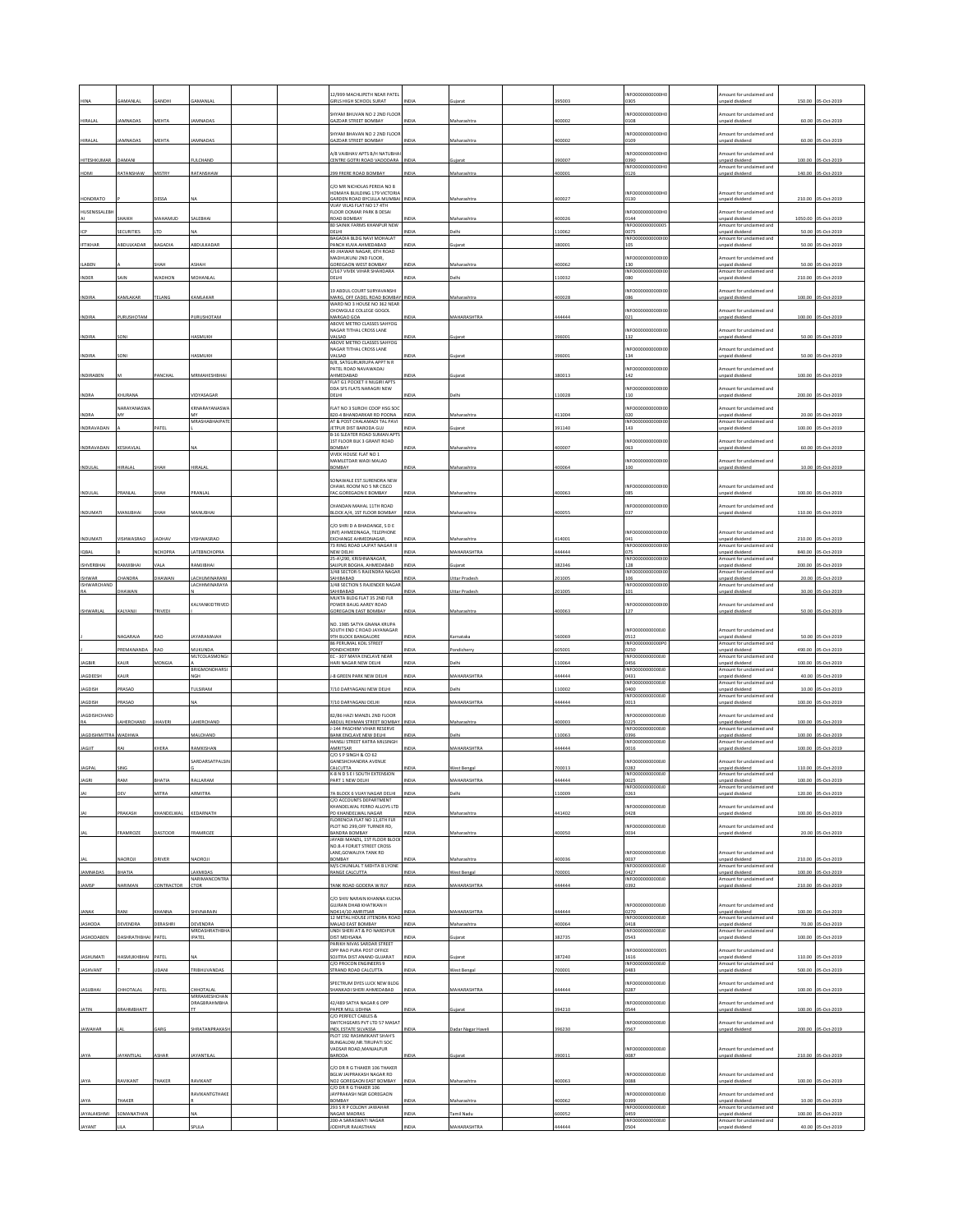|                              |                          |                    |                                           |  | 12/999 MACHLIPETH NEAR PATEL<br><b>IRLS HIGH SCHOOL SURAT</b>                              |                     |                                      | 95003           | NFO0000000000H<br>1305            | mount for unclaimed and<br>inpaid dividend                     | 150.00           | 05-Oct-2019                      |
|------------------------------|--------------------------|--------------------|-------------------------------------------|--|--------------------------------------------------------------------------------------------|---------------------|--------------------------------------|-----------------|-----------------------------------|----------------------------------------------------------------|------------------|----------------------------------|
|                              |                          |                    |                                           |  | HYAM BHUVAN NO 2 2ND FLOOR                                                                 |                     |                                      |                 | NFO0000000000H                    | mount for unclaimed and                                        |                  |                                  |
| HIRALAI                      | <b>AMNADAS</b>           | MEHTA              | <b>AMNADAS</b>                            |  | AZDAR STREET BOMBAY<br>HYAM BHAVAN NO 2 2ND FLOOR                                          | <b>VIDIJ</b>        | Maharashtra                          | 100002          | 0108<br>NFO0000000000H            | <b>Inpaid</b> dividend<br>mount for undaimed and               |                  | 60.00 05-Oct-2019                |
| HIRALAL                      | AMNADAS                  | MEHTA              | AMNADAS                                   |  | GAZDAR STREET BOMBAY                                                                       | NDIA                | Maharashtra                          | 100002          | 0109                              | unpaid dividend                                                |                  | 60.00 05-Oct-2019                |
| HITESHKUMAR                  | DAMANI                   |                    | FULCHAND                                  |  | <b>4/8 VAIBHAV APTS B/H NATUBHA</b><br>CENTRE GOTRI ROAD VADODARA                          | NDIA                | ujarat                               | 90007           | NFO0000000000H<br>0390            | mount for unclaimed and<br>unpaid dividend                     | 100.00           | 05-Oct-2019                      |
| HOMI                         | RATANSHAW                | MISTRY             | RATANSHAW                                 |  | 299 FRERE ROAD BOMBAY                                                                      | <b>INDIA</b>        | Maharashtra                          | 00001           | INFO000000000H<br>0126            | Amount for unclaimed and<br>Inpaid dividend                    | 140.00           | 05-Oct-2019                      |
|                              |                          |                    |                                           |  | C/O MR NICHOLAS PEREIA NO 8<br><b>HOMAYA BUILDING 179 VICTORIA</b>                         |                     |                                      |                 | INFO0000000000H                   | Amount for unclaimed and                                       |                  |                                  |
| HONORATO                     |                          |                    |                                           |  | SARDEN ROAD BYCULLA MUMBAL<br>VIJAY VILAS FLAT NO 17 4TH                                   | NDL                 | Aaharashtra                          | 00027           | 0130                              | unpaid divident                                                | 210.00           | 05-Oct-2019                      |
| HUSENISSALEBI                | HAIKH                    | MAHAMUD            | SALEBHAI                                  |  | <b>FLOOR OOMAR PARK B DESAI</b><br><b>ROAD BOMBAY</b>                                      | NDIA                | Maharashtra                          | 400026          | INFO0000000000<br>0144            | mount for unclaimed and<br>unpaid dividend                     | 1050.00          | 05-Oct-2019                      |
|                              | ECURITIES                |                    |                                           |  | 80 SAINIK FARMS KHANPUR NEW<br>ELHI                                                        |                     | elh                                  | 10062           | INFO00000000000<br>0075           | Amount for unclaimed and<br>unpaid dividend                    | 50.00            | 05-Oct-2019                      |
| <b>IFTIKHAR</b>              | BDULKADAR                | AGADIA             | BDULKADAR                                 |  | AGADIA BLDG NAVI MOHALAT<br><b>PANCH KUVA AHMEDABAD</b><br>49 JHAWAR NAGAR, 6TH ROAD       | VDIA                |                                      | 80001           | INFO00000000001<br>LOS            | Amount for unclaimed and<br>inpaid dividend                    | 50.00            | 05-Oct-2019                      |
| <b>ILABEN</b>                |                          |                    |                                           |  | MADHUKUNJ 2ND FLOOR,<br>GOREGAON WEST BOMBAY                                               | NDIA                | Maharashtra                          | 100062          | INFO000<br>0001<br>130            | Amount for unclaimed and<br>unpaid dividend                    | 50.00            | 05-Oct-2019                      |
| <b>INDER</b>                 | <b>AIN</b>               | <b>ADHON</b>       | <b>MOHANLA</b>                            |  | C/167 VIVEK VIHAR SHAHDARA<br>ELHI                                                         | NDIA                | lelhi                                | 10032           | INFO000000000010<br><b>DRO</b>    | Amount for unclaimed and<br>npaid dividend                     | 210.00           | 05-Oct-2019                      |
|                              |                          |                    |                                           |  | 19 ABDUL COURT SURYAVANSHI                                                                 |                     |                                      |                 | INFO00000000000                   | mount for unclaimed and                                        |                  |                                  |
| INDIRA                       | <b>AMLAKAR</b>           | TELANG             | CAMLAKAR                                  |  | MARG, OFF CADEL ROAD BOMBAY INDIA<br>WARD NO 3 HOUSE NO 362 NEAP<br>CHOWGULE COLLEGE GOGOL |                     | Maharashtra                          | 100028          | )86<br>NFO00000000001             | unpaid dividend<br>nount for undaimed and                      |                  | 100.00 05-Oct-2019               |
| <b>INDIRA</b>                | URUSHOTAM                |                    | PURUSHOTAN                                |  | MARGAO GOA<br>ABOVE METRO CLASSES SAHYOG                                                   | INI                 | <b>MAHARASHTRA</b>                   | 444444          | 021                               | <b>Inpaid dividend</b>                                         | 100.00           | 05-Oct-2019                      |
| INDIRA                       | SON                      |                    | HASMUKH                                   |  | <b>JAGAR TITHAL CROSS LANE</b><br>VALSAD                                                   | NDIA                | ujara                                | 396001          | NFO00000000001<br>132             | mount for unclaimed and<br>inpaid dividend                     |                  | 50.00 05-Oct-2019                |
| <b>INDIRA</b>                | ON                       |                    | HASMUKH                                   |  | ABOVE METRO CLASSES SAHYOG<br>NAGAR TITHAL CROSS LANE<br>VALSAD                            | NDIA                | ujarat                               | 96001           | NFO0000000000<br>134              | mount for unclaimed and<br>unpaid dividend                     |                  | 50.00 05-Oct-2019                |
|                              |                          |                    |                                           |  | /8, SATGURUKRUPA APPT N R<br><b>PATEL ROAD NAVAWADAJ</b>                                   |                     |                                      |                 | NFO00000000001                    | mount for unclaimed and                                        |                  |                                  |
| INDIRABEN                    |                          | <b>ANCHAI</b>      | MRMAHESHBHA                               |  | HMEDABAD<br>FLAT G1 POCKET II NILGIRI APTS                                                 | VDIA                |                                      | 80013           | 42                                | inpaid dividend                                                | 100.00           | 05-Oct-2019                      |
| <b>INDRA</b>                 | HURANA                   |                    | <b>/IDYASAGAR</b>                         |  | DDA SFS FLATS NARAGRI NEW<br>ELH                                                           | iDu                 |                                      | 10028           | NFO000000000010<br>110            | Amount for unclaimed and<br><b>Inpaid divident</b>             | 200.00           | 05-Oct-2019                      |
| <b>INDRA</b>                 | <b>NARAYANASWA</b>       |                    | KRNARAYANASW.                             |  | LAT NO 3 SURCHI COOP HSG SOC<br>320-4 BHANDARKAR RD POONA                                  | <b>INDIA</b>        | Maharashtra                          | 11004           | NFO0000000000<br>ነንበ              | nount for unclaimed and<br>unpaid dividend                     | 20.00            | 05-Oct-2019                      |
| INDRAVADAN                   |                          | PATEL              | MRASHABHAIPATE                            |  | AT & POST CHALAMADI TAL PAVI<br>ETPUR DIST BARODA GUJ                                      | VDIA                |                                      | 91140           | INFO00000000000<br>143            | Amount for unclaimed and<br>inpaid divident                    | 100.00           | 05-Oct-2019                      |
|                              |                          |                    |                                           |  | <b>B-16 SLEATER ROAD SUMAN APTS</b><br>IST FLOOR BLK 3 GRANT ROAD                          |                     |                                      |                 | NFO000000000                      | nount for unclaimed and                                        |                  |                                  |
| INDRAVADAN                   | KESHAVLA                 |                    |                                           |  | <b>OMBAY</b><br>VIVEK HOUSE FLAT NO 1                                                      | NDIA                | Maharashtra                          | 100007          | 063                               | inpaid dividend                                                |                  | 60.00 05-Oct-2019                |
| INDULAL                      | <b>IRALAI</b>            |                    | IRALA                                     |  | MAMLETDAR WADI MALAD<br><b>OMBAY</b>                                                       | NDIA                | Maharashtra                          | 100064          | NFO00000000001<br>100             | nount for unclaimed and<br>unpaid dividend                     |                  | 10.00 05-Oct-2019                |
|                              |                          |                    |                                           |  | ONAWALE EST SURENDRA NEW<br>CHAWL ROOM NO 5 NR CISCO                                       |                     |                                      |                 | INFO00000000000                   | Amount for unclaimed and                                       |                  |                                  |
| INDULAL                      | RANLAL                   |                    | RANLA                                     |  | AC.GOREGAON E BOMBAY                                                                       |                     | Aaharashtra                          | 00063           | 385                               | <b>Inpaid dividend</b>                                         | 100.00           | 05-Oct-2019                      |
| <b>INDUMATI</b>              | MANUBHAL                 | SHAH               | MANUBHAI                                  |  | CHANDAN MAHAL 11TH ROAD<br><b>ILOCK A/4, 1ST FLOOR BOMBAY</b>                              | NDIA                | Maharashtra                          | 100055          | NFO00000000001<br>037             | nount for unclaimed and<br>unpaid dividend                     | 110.00           | 05-Oct-2019                      |
|                              |                          |                    |                                           |  | C/O SHRI D A BHADANGE, S D E<br>INT) AHMEDNAGA, TELEPHONE                                  |                     |                                      |                 | NFO0000000000                     | mount for unclaimed and                                        |                  |                                  |
| INDUMATI                     | SHWASRAO                 | LOHAV              | SHWASRAO                                  |  | XCHANGE AHMEDNAGAR,<br>73 RING ROAD LAJPAT NAGAR III                                       | VDIA                | Aaharashtra                          | 14001           | 341<br>INFO0000000000             | unpaid dividend<br>Amount for undaimed and                     | 210.00           | 5-Oct-2019                       |
| IQBAL                        |                          | <b>NCHOPRA</b>     | LATEBNCHOPRA                              |  | NEW DELHI<br>5-A\290, KRISHNANAGAR                                                         | NDIA                | MAHARASHTRA                          | 144444          | 075<br>NFO00000                   | unpaid dividend<br>mount for unclaimed and                     | 840.00           | 05-Oct-2019                      |
| ISHVERBHAI                   | AMJIBHAI                 |                    | AMJIBHAI                                  |  | AUPUR BOGHA, AHMEDABAD<br>3/48 SECTOR-5 RAJENDRA NAGAR                                     | INDIA               | ujarat                               | 82346           | 128<br>INFO0000<br>100001<br>106  | unpaid dividend<br>Amount for unclaimed and                    | 200.00           | 05-Oct-2019                      |
| <b>ISHWAR</b><br>ISHWARCHAND | HANDRA<br>HAWAN          | HAWAN              | ACHUMINARANI<br>LACHHMINARAYA             |  | AHIBABAD<br>3/48 SECTION 5 RAJENDER NAGAR<br>AHIBABAD                                      | NDIA<br>NDIA        | Uttar Pradesi<br><b>Ittar Prades</b> | 01005<br>01005  | INFO00000000000<br>101            | unpaid dividend<br>Amount for unclaimed and<br>inpaid dividend | 20.00<br>30.00   | 05-Oct-2019<br>05-Oct-2019       |
|                              |                          |                    | KALYANKIDTRIVED                           |  | MUKTA BLDG FLAT 35 2ND FLR<br>OWER BAUG AAREY ROAD                                         |                     |                                      |                 | NFO00000<br>00000                 | mount for unclaimed and                                        |                  |                                  |
| ISHWARLAL                    | KALYANJI                 | TRIVED             |                                           |  | GOREGAON EAST BOMBAY                                                                       | NDIA                | Maharashtr.                          | 100063          | 127                               | unpaid divident                                                | 50.00            | 05-Oct-201                       |
|                              |                          |                    |                                           |  |                                                                                            |                     |                                      |                 |                                   |                                                                |                  |                                  |
|                              |                          |                    |                                           |  | NO. 1985 SATYA GNANA KRUPA<br>SOUTH END C ROAD JAYANAGAR                                   |                     |                                      |                 | INFO0000000000                    | mount for unclaimed and                                        |                  |                                  |
|                              | AGARAIA                  |                    | VARAMAIAH                                 |  | TH BLOCK BANGALORE<br>86 PERUMAL KOIL STREET                                               |                     |                                      | 60069           | 0512<br>INFO000000000P            | unpaid dividend<br>Amount for undaimed and                     | 50.00            | S-Oct-2019                       |
| <b>JAGBIR</b>                | PREMANANDA<br>AUF        | <b>RAO</b><br>ONGL | MUKUNDA<br>MLTCOLASMONGI                  |  | PONDICHERRY<br>C - 307 MAYA ENCLAVE NEAR<br>ARI NAGAR NEW DELHI                            | NDIA<br>NDIA        | Pondicherry<br><b>Jelhi</b>          | 605001          | 0250<br>NFO0000000000<br>1456     | unpaid dividend<br>mount for undaimed and                      | 490.00           | 05-Oct-2019                      |
| JAGDEESH                     | KAUR                     |                    | BRIGMONOHARSI<br><b>NGH</b>               |  | -8 GREEN PARK NEW DELHI                                                                    | <b>INDIA</b>        | MAHARASHTRA                          | 10064<br>44444  | INFO00000000000<br>0431           | unpaid dividend<br>Amount for unclaimed and<br>unpaid dividend | 100.00<br>40.00  | 05-Oct-2019<br>05-Oct-2019       |
| AGDISH                       | RASAD                    |                    | <b>TULSIRAM</b>                           |  | /10 DARYAGANJ NEW DELHI                                                                    | NDIA                | elhi                                 | 10002           | INFO00000000001<br>0400           | Amount for unclaimed and<br>unpaid dividend                    | 10.00            | S-Oct-2019                       |
| AGDISH                       | PRASAD                   |                    |                                           |  | /10 DARYAGANI DELHI                                                                        | NDIA                | MAHARASHTRA                          | 14444           | INFO000000000010<br>0013          | mount for unclaimed and<br>inpaid dividend                     | 100.00           | 5-Oct-2019                       |
| <b>JAGDISHCHAND</b>          | AHERCHANI                | <b>JHAVERI</b>     | LAHERCHAND                                |  | 82/86 HAZI MANZIL 2ND FLOOR                                                                | NDI.                | Maharashtra                          | 100003          | <b>INFO0000</b><br>10000J<br>0225 | Amount for unclaimed and<br>unpaid dividend                    | 100.00           | 3-Oct-2019                       |
| <b>AGDISHMITTR</b>           | VADHWA                   |                    | <b>ALCHAND</b>                            |  | ABDUL REHMAN STREET BOMBAY<br>-144 PASCHIM VIHAR RESERVE<br><b>BANK ENCLAVE NEW DELHI</b>  | <b>VIDU</b>         | <b>Jelbi</b>                         | 10063           | INFO000000000010<br>1396          | mount for unclaimed and<br>unpaid dividend                     | 100.00           | S-Oct-2019                       |
| <b>JAGJIT</b>                | RAI                      | KHERA              | RAMKISHAN                                 |  | HANSLI STREET KATRA MILSINGH<br>AMRITSAR                                                   | NDIA                | MAHARASHTRA                          | 44444           | INFO000000000010<br>0016          | Amount for unclaimed and<br>unpaid dividend                    |                  | 100.00 05-Oct-2019               |
|                              |                          |                    | SARDARSATPALSIM                           |  | C/O S P SINGH & CO 62<br>ANESHCHANDRA AVENUE                                               |                     |                                      |                 | NFO00000<br>00000                 | mount for unclaimed and                                        |                  |                                  |
| JAGPAL                       |                          |                    |                                           |  | ALCUTTA<br>K-8 N D S E I SOUTH EXTENSION<br>ART 1 NEW DELI                                 |                     | Vest Beng<br><b>MAHARASHTRA</b>      | 00013           | 1282<br>INFO000000000010<br>025   | unpaid dividend<br>Amount for unclaimed and<br>npaid dividend  | 110.00<br>100.00 | 05-Oct-2019                      |
|                              |                          | <b>ITRA</b>        | RMITRA                                    |  | A BLOCK 6 VUAY NAGAR DELHI                                                                 | INDIA               | elh                                  | 10009           | NFO0000000000J<br>0263            | mount for unclaimed and<br>npaid dividend                      | 120.00           | 05-Oct-2019                      |
|                              |                          |                    |                                           |  | C/O ACCOUNTS DEPARTMENT<br><b>CHANDELWAL FERRO ALLOYS LTD</b>                              |                     |                                      |                 | NFO00000000001                    | mount for unclaimed and                                        |                  |                                  |
|                              | PRAKASH                  | KHANDELWAL         | KEDARNATH                                 |  | PO KHANDELWAL NAGAR<br>LORENCIA FLAT NO 11,6TH FLR                                         | NDIA                | Maharashtra                          | 141402          | 0428<br>NFO0000000000J0           | unpaid dividend<br>mount for unclaimed and                     |                  | 100.00 05-Oct-2019               |
|                              | RAMROZE                  | ASTOOR             | RAMROZE                                   |  | LOT NO 299, OFF TURNER RD,<br><b>JANDRA BOMBAY</b><br>JAYABI MANZIL, 1ST FLOOR BLOCK       | IDIA                | Aaharashtr.                          | 00050           | 1034                              | inpaid dividend                                                | 20.00            | 05-Oct-2019                      |
|                              |                          |                    |                                           |  | <b>VO.B.4 FORJET STREET CROSS</b><br>ANE, GOWALIYA TANK RD                                 |                     |                                      |                 | NFO0000000000J                    | Amount for unclaimed and                                       |                  |                                  |
|                              | AOROJI                   | RIVER              | <b>AOROJI</b>                             |  | <b>OMBAY</b><br>M/S CHUNILAL T MEHTA B LYONE                                               | NDIA                | Maharashtra                          | 100036          | 0037<br>INFO00000000000           | unpaid dividend<br>Amount for unclaimed and                    |                  | 210.00 05-Oct-2019               |
| <b>JAMNADAS</b><br>JAMSP     | BHATIA<br><b>IARIMAN</b> | <b>ITRACTOR</b>    | LAXMIDAS<br>NARIMANCONTRA<br>CTOR         |  | RANGE CALCUTTA<br>ANK ROAD GODERA W RL                                                     | <b>NDIA</b><br>NDIA | West Bengal<br>MAHARASHTRA           | '00001<br>14444 | 0427<br>INFO000000000010<br>0392  | Inpaid dividend<br>Amount for unclaimed and<br>Inpaid dividend | 100.00<br>210.00 | 05-Oct-2019<br>05-Oct-2019       |
|                              |                          |                    |                                           |  | C/O SHIV NARAIN KHANNA KUCHA                                                               |                     |                                      |                 |                                   |                                                                |                  |                                  |
| JANAK                        | RANI                     | KHANNA             | SHIVNARAIN                                |  | <b>GUJRAN DHAB KHATIKAN H</b><br>NO414/10 AMRITSAR                                         | NDIA                | MAHARASHTRA                          | 444444          | INFOODDOODDOOL<br>0270            | Amount for unclaimed and<br>unpaid dividend                    |                  | 100.00 05-Oct-2019               |
| <b>JASHODA</b>               | <b>EVENDRA</b>           | ERASHR             | DEVENDRA                                  |  | 12 METAL HOUSE JITENDRA ROAD<br>AALAD EAST BOMBAY                                          | VDIA                | Maharashtra                          | 00064           | INFO000000000010<br>0418          | Amount for unclaimed and<br>unpaid dividend                    | 70.00            | 05-Oct-2019                      |
| <b>JASHODABEN</b>            | DASHRATHBHA              | PATEL              | MRDASHRATHBHA<br><b>IPATEL</b>            |  | UNDI SHERI AT & PO NARDIPUR<br><b>JIST MEHSANA</b><br>PARIKH NIVAS SARDAR STREET           | NDIA                | uiarat                               | 82735           | INFO000000000010<br>0543          | Amount for undaimed and<br>unpaid dividend                     | 100.00           | 05-Oct-2019                      |
| JASHUMATI                    | ASMUKHBHAI               | PATEL              |                                           |  | OPP RAO PURA POST OFFICE<br>OJITRA DIST ANAND GUJARAT                                      | NDIA                | ujarat                               | 87240           | NFO00000000000<br>1616            | Amount for unclaimed and<br>unpaid dividend                    | 110.00           | 05-Oct-2019                      |
| <b>JASHVANT</b>              |                          | <b>JDANI</b>       | TRIBHUVANDAS                              |  | C/O PROCON ENGINEERS 9<br>TRAND ROAD CALCUTTA                                              | NDIA                | Vest Bengal                          | '00001          | INFO00000000000<br>0483           | Amount for unclaimed and<br>unpaid dividend                    | 500.00           | 05-Oct-2019                      |
|                              | CHHOTALAI                | ATEL               |                                           |  | <b>SPECTRUM DYES LUCK NEW BLDG</b><br>HANKADI SHERI AHMEDABAD                              | NDIA                |                                      |                 | NFO000000000010<br>0287           | mount for unclaimed and                                        |                  |                                  |
| <b>JASUBHAI</b>              |                          |                    | CHHOTALAL<br>MRRAMESHCHAN<br>DRAGBRAHMBHA |  | 42/489 SATYA NAGAR 6 OPP                                                                   |                     | <b>MAHARASHTRA</b>                   | 144444          | NFO0000000000J                    | inpaid dividend<br>mount for unclaimed and                     |                  | 100.00 05-Oct-2019               |
| JATIN                        | BRAHMBHATT               |                    |                                           |  | PAPER MILL UDHNA<br>C/O PERFECT CABLES &                                                   | NDIA                | uiarat                               | 394210          | 0544                              | <b>Inpaid dividend</b>                                         | 100.00           | 05-Oct-2019                      |
| JAWAHAR                      |                          | iARG               | <b>HRATANPRAKAS</b>                       |  | WITCHGEARS PVT LTD 57 MASA<br>NDL ESTATE SILVASSA<br><b>PLOT 192 RASHMIKANT SHAH'S</b>     | NDIA                | Dadar Nagar Haveli                   | 396230          | NFO000000000010<br>0567           | mount for undaimed and<br>inpaid dividend                      | 200.00           | 05-Oct-2019                      |
|                              |                          |                    |                                           |  | BUNGALOW.NR.TIRUPATI SOC<br>VADSAR ROAD, MANJALPUR                                         |                     |                                      |                 | INFO000000000010                  | Amount for unclaimed and                                       |                  |                                  |
| JAYA                         | <b>AYANTILAL</b>         | SHAR               | <b>AYANTILAI</b>                          |  | ARODA                                                                                      | NDIA                | iujarat                              | 390011          | 0087                              | unpaid dividend                                                |                  | 210.00 05-Oct-2019               |
|                              |                          |                    |                                           |  | C/O DR R G THAKER 106 THAKER<br><b>BGLW JAIPRAKASH NAGAR RD</b>                            |                     |                                      |                 | INFO00000000001                   | Amount for unclaimed and                                       |                  |                                  |
| JAYA                         | <b>AVIKANT</b>           | HAKER              | RAVIKANT<br>RAVIKANTGTHAKE                |  | NO2 GOREGAON EAST BOMBAY<br>C/O DR R G THAKER 106                                          | NDL                 | Maharashtra                          | 00063           | 0088<br>INFO0000000000            | unpaid dividend<br>nount for unclaimed and                     |                  | 100.00 05-Oct-2019               |
| JAYA                         | <b>HAKER</b>             |                    |                                           |  | AYPRAKASH NGR GOREGAON<br><b>OMBAY</b><br>293 S R P COLONY JAWAHAR                         | NDIA                | Aaharashtra                          | 100062          | 399<br>INFO00000000000            | Inpaid dividend<br>Amount for unclaimed and                    | 10.00            | 05-Oct-2019                      |
| <b>JAYALAKSHMI</b><br>JAYANT | SOMANATHAN               |                    | 0111                                      |  | <b>NAGAR MADRAS</b><br>200-A SARASWATI NAGAR<br>ODHPUR RAJASTHAN                           | NDIA<br><b>NDIA</b> | mil Nadu<br>MAHARASHTRA              | 00052<br>44444  | 0459<br>NFQ000000000010<br>0504   | unpaid dividend<br>mount for unclaimed and<br>npaid dividend   | 100.00           | 05-Oct-2019<br>40.00 05-Oct-2019 |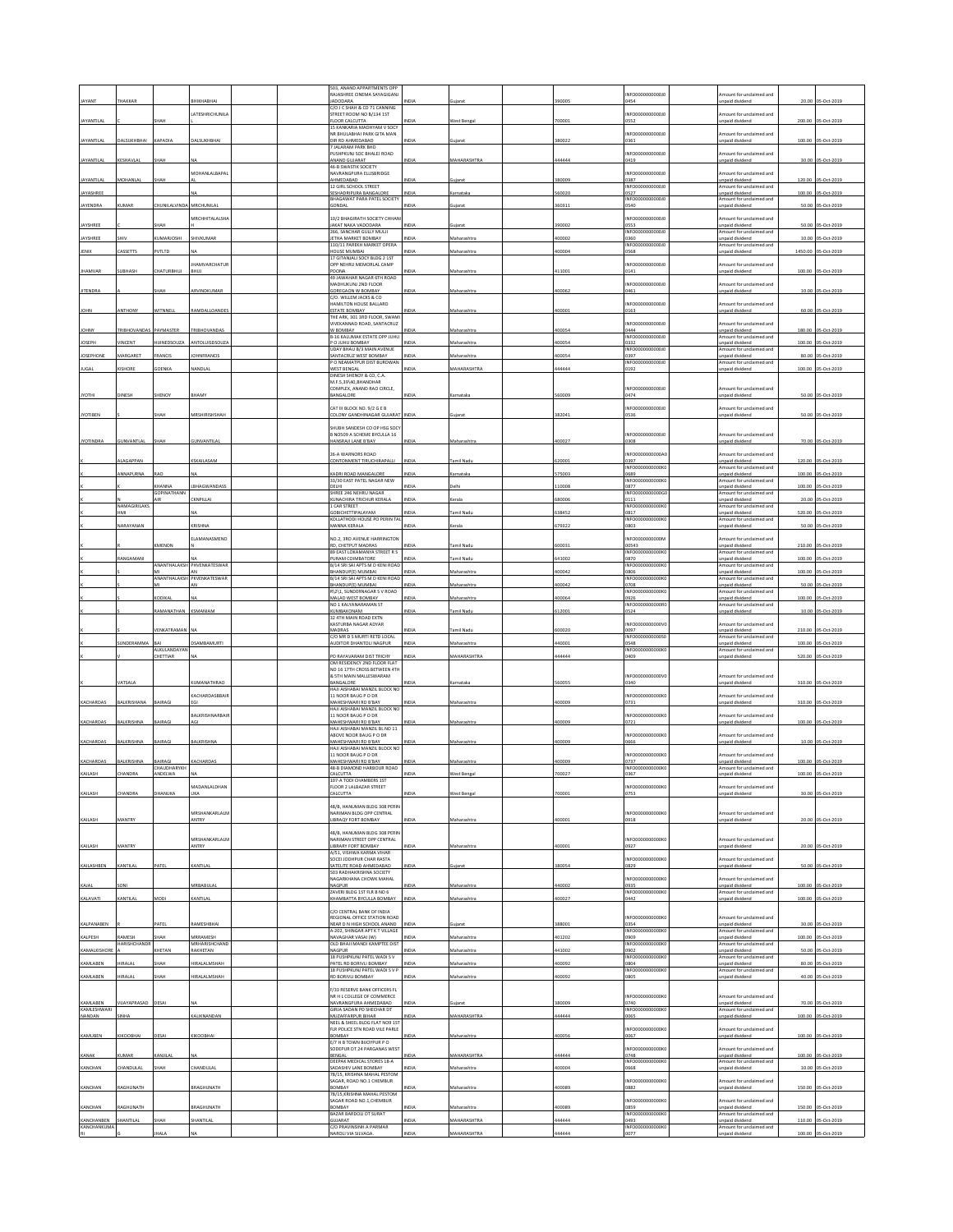|                          |                        |                                |                            |  | 503 ANAND APPARTMENTS OPE                                        |              |                    |        |                          |                                                   |         |                    |
|--------------------------|------------------------|--------------------------------|----------------------------|--|------------------------------------------------------------------|--------------|--------------------|--------|--------------------------|---------------------------------------------------|---------|--------------------|
| <b>JAYANT</b>            | HAKKAF                 |                                | <b>НІКНАВНА</b>            |  | RAJASHREE CINEMA SAYAGIGANI<br>JADODARA                          |              |                    | 9000   | NFO0000000000J           | mount for unclaimed and<br>npaid dividend         |         |                    |
|                          |                        |                                | LATESHRICHUNILA            |  | C/O J C SHAH & CO 71 CANNING<br>STREET ROOM NO B/134 1ST         |              |                    |        | NFO00000000001           | mount for unclaimed and                           |         |                    |
| <b>JAYANTILAL</b>        |                        | HAH                            |                            |  | FLOOR CALCUTTA<br>15 KANKARIA MADHYAM V SOCY                     |              | West Benga         | 700001 | 1552                     | npaid dividend                                    |         | 200.00 05-Oct-2019 |
| <b>JAYANTILAL</b>        | DALSUKHBHAI            | KAPADIA                        | DALSUKHBHAI                |  | NR BHULABHAI PARK GITA MAN<br>DIR RD AHMEDABAD                   | NDIA         | ujarat             | 380022 | NFO0000000000J<br>0361   | mount for unclaimed and<br>npaid dividend         |         | 100.00 05-Oct-2019 |
|                          |                        |                                |                            |  | 7 JALARAM PARK BHD<br>PUSHPKUNJ SOC BHALEJ ROAD                  |              |                    |        | NFO0000000000J           | mount for unclaimed and                           |         |                    |
| <b>JAYANTILAL</b>        | KESHAVLAI              | HAH                            |                            |  | ANAND GUJARAT<br>46-B SWASTIK SOCIETY                            | INDIA        | MAHARASHTRA        | 144444 | 0419                     | inpaid dividend                                   |         | 30.00 05-Oct-2019  |
| <b>JAYANTILAL</b>        | MOHANLAL               | HAH                            | MOHANLALBAPAL              |  | NAVRANGPURA ELLISBRIDGE<br>AHMEDABAD                             | INDIA        | uiarat             | 380009 | NFO0000000000J<br>387    | mount for unclaimed and<br>npaid dividend         | 120.00  | 05-Oct-2019        |
| JAYASHREE                |                        |                                |                            |  | 12 GIRL SCHOOL STREET<br>SESHADRIPURA BANGALORE                  | INDIA        | arnataka           | 60020  | INFO0000000000J<br>0527  | Amount for unclaimed and<br>npaid dividend        | 100.00  | 05-Oct-2019        |
| JAYENDRA                 | KUMAR                  | HUNILALVINDA MRCHUNILAL        |                            |  | <b>BHAGAWAT PARA PATEL SOCIETY</b><br>GONDAL                     | INDIA        | ujarat             | 360311 | NFO000000000010<br>0540  | mount for unclaimed and<br>npaid dividend         |         | 50.00 05-Oct-2019  |
|                          |                        |                                | <b>MRCHHITALALSHA</b>      |  | 10/2 BHAGIRATH SOCIETY CHHAI                                     |              |                    |        | NFO0000000000J           | mount for undaimed and                            |         |                    |
| JAYSHREE                 |                        | HAH                            |                            |  | JAKAT NAKA VADODARA                                              | <b>NDIA</b>  | ujarat             | 390002 | 0553                     | inpaid dividend                                   |         | 50.00 05-Oct-2019  |
| JAYSHREE                 | <b>GHIV</b>            | <b>UMARJOSHI</b>               | SHIVKUMAR                  |  | 266, SANCHAR GULLY MULJI<br>JETHA MARKET BOMBAY                  | INDIA        | Maharashtra        | 400002 | NFO000000000010<br>0360  | mount for unclaimed and<br>npaid dividend         | 10.00   | 05-Oct-2019        |
| <b>JENIX</b>             | ASSETTS                | <b>VTLTD</b>                   |                            |  | 110/11 PAREKH MARKET OPERA<br>HOUSE MUMBAI                       | <b>VIDIZ</b> | Maharashtra        | 400004 | INFO0000000000J<br>0568  | mount for undaimed and<br>npaid dividend          | 1450.00 | 05-Oct-2019        |
|                          |                        |                                | HAMVARCHATUR               |  | 17 GITANJALI SOCY BLDG 2 1ST<br>OPP NEHRU MEMORLAL CAMP          |              |                    |        | NFO0000000000J           | mount for unclaimed and                           |         |                    |
| <b>JHAMVAR</b>           | UBHASH                 | <b>HATURBHUJ</b>               | BHUJ                       |  | POONA<br>49 IAWAHAR NAGAR 6TH ROAD                               | NDIA         | Maharashtra        | 411001 | 0141                     | npaid dividend                                    |         | 100.00 05-Oct-2019 |
| <b>JITENDRA</b>          |                        | HAH                            | RVINDKUMAR                 |  | MADHUKUNJ 2ND FLOOR<br><b>GOREGAON W BOMBAY</b>                  | NDIA         | Maharashtra        | 100062 | NFO0000000000J<br>0461   | mount for undaimed and<br>inpaid dividend         |         | 10.00 05-Oct-2019  |
|                          |                        |                                |                            |  | C/O. WILLEM JACKS & CO<br>HAMILTON HOUSE BALLARD                 |              |                    |        | NFO0000000000J           | mount for unclaimed and                           |         |                    |
| JOHN                     | <b>MTHONY</b>          | <b>ITNNELL</b>                 | <b>AMDALLOANDE</b>         |  | ESTATE BOMBAY<br>THE ARK, 301 3RD FLOOR, SWAMI                   |              | <b>Aaharashtr</b>  | 00001  | 163                      | npaid dividend                                    | 60.00   | 3-Oct-2019         |
| <b>IOHNY</b>             | <b>RIBHOVAND</b>       | PAYMASTER                      | RIBHOVANDA:                |  | VIVEKANNAD ROAD, SANTACRUZ<br>W BOMBAY                           |              | laharashtr         | 100054 | INFO0000000000J<br>1444  | mount for unclaimed and<br><b>Inpaid dividend</b> | 180.00  | 05-Oct-2019        |
| <b>IOSEPH</b>            | <b>INCENT</b>          | <b>UINEDSOUZA</b>              | ANTOLUISDSOUZ              |  | <b>B-16 KALUMAK ESTATE OPP JUHL</b><br>PO JUHU BOMBAY            |              | laharashtr         | 100054 | NFO0000000000J<br>332    | mount for unclaimed and<br>npaid dividend         | 100.00  | S-Oct-2019         |
| <b>JOSEPHONE</b>         | <b>MARGARET</b>        | RANCIS                         | <b>DHNFRANCIS</b>          |  | UDAY BHAU B/3 MAIN AVENUE<br>SANTACRUZ WEST BOMBAY               |              | faharashtr.        | 100054 | INFO0000000000J<br>397   | Amount for unclaimed and<br>npaid dividend        | 80.00   | 05-Oct-2019        |
| JUGAL                    | KISHORE                | <b>GENKA</b>                   | NANDLAL                    |  | O NEAMATPUR DIST BURDWAN<br><b>WEST BENGAL</b>                   | INDIA        | MAHARASHTRA        | 144444 | NFO000000000010<br>0192  | mount for unclaimed and<br>npaid dividend         |         | 100.00 05-Oct-2019 |
|                          |                        |                                |                            |  | DINESH SHENOY & CO, C.A.<br>M.F.5.39\40.BHANDHAR                 |              |                    |        |                          |                                                   |         |                    |
|                          |                        |                                |                            |  | COMPLEX, ANAND RAO CIRCLE,                                       |              |                    |        | INFO00000000001          | Amount for unclaimed and                          |         |                    |
| <b>JYOTHI</b>            | DINESH                 | HENOY                          | BHAMY                      |  | BANGALORE                                                        | <b>INDIA</b> | arnataka           | 560009 | 1474                     | inpaid dividend                                   | 50.00   | 05-Oct-2019        |
| <b>JYOTIBEN</b>          |                        | HAH                            | MRSHIRISHSHAF              |  | CAT III BLOCK NO. 9/2 G E B<br>COLONY GANDHINAGAR GUJARAT INDIA  |              | uiarat             | 382041 | NFO0000000000J<br>0536   | mount for unclaimed and<br>inpaid dividend        | 50.00   | 05-Oct-201         |
|                          |                        |                                |                            |  | SHUBH SANDESH CO OP HSG SOCY                                     |              |                    |        |                          |                                                   |         |                    |
| <b>JYOTINDRA</b>         | <b>GUNVANTLA</b>       | НДН                            | <b>GUNVANTILA</b>          |  | B NO509 A SCHEME BYCULLA 16<br>HANSRAJI LANE B'BAY               | <b>VIDIZ</b> | <b>faharashti</b>  | 100027 | NFO0000000000J<br>1308   | mount for unclaimed and<br>npaid dividend         | 70.00   | 3-Oct-2019         |
|                          |                        |                                |                            |  | 26-A WARNORS ROAD                                                |              |                    |        | INFO0000000000A          | mount for unclaimed and                           |         |                    |
|                          | LAGAPPAN               |                                | KSKAILASAM                 |  | CONTONMENT TIRUCHIRAPALLI                                        | <b>INDIA</b> | mil Nad            | 520001 | 1397<br>NFO0000000000K   | inpaid dividend<br>mount for unclaimed and        | 120.00  | 05-Oct-2019        |
|                          | <b>INNAPURNA</b>       | 340                            |                            |  | KADRI ROAD MANGALORE<br>33/30 EAST PATEL NAGAR NEW               | <b>NDL</b>   | matak              | 75003  | 0689<br>INFO0000000000K  | inpaid dividend<br>Amount for unclaimed and       | 100.00  | 05-Oct-2019        |
|                          |                        | KHANNA<br>SOPINATHANN          | LBHAGWANDASS               |  | DELHI<br>HREE 246 NEHRU NAGAR                                    | INDIA        | Delhi              | 110008 | 0877<br>NFO00            | inpaid dividend<br>mount for unclaimed and        |         | 100.00 05-Oct-2019 |
|                          | NAMAGIRILAKS           |                                | CKNPILLAI                  |  | KUNACHIRA TRICHUR KERALA<br>1 CAR STREET                         | INDIA        | (erala             | 580006 | 111<br>NFO0000000000K    | inpaid dividend<br>Amount for unclaimed and       | 20.00   | 05-Oct-2019        |
|                          | <b>HMI</b>             |                                |                            |  | <b>GOBICHETTIPALAYAM</b><br>KOLLATHODI HOUSE PO PERIN TAL        | INDIA        | amil Nad           | 638452 | 0817<br>INFO0000000000K  | npaid dividend<br>Amount for unclaimed and        |         | 520.00 05-Oct-2019 |
|                          | NARAYANAM              |                                | KRISHNA                    |  | MANNA KERALA                                                     | INDIA        | eral               | 579322 | 0803                     | inpaid dividend                                   | 50.00   | 05-Oct-201         |
|                          |                        |                                | LAMANASMENC                |  | NO.2, 3RD AVENUE HARRINGTON                                      |              |                    |        | NFO0000000000N           | mount for unclaimed and                           |         |                    |
|                          |                        | <b>MENON</b>                   |                            |  | RD. CHETPUT MADRAS<br>89 EAST LOKAMANYA STREET R S               | <b>INDIA</b> | amil Nadı          | 600031 | 10543<br>INFO0000000000K | inpaid dividend<br>Amount for unclaimed and       | 210.00  | 05-Oct-201         |
|                          | <b>ANGAMAN</b>         | <b>NANTHALAKS</b>              | PHVENKATESWA               |  | PURAM COIMBATORE<br>B/14 SRI SAI APTS M D KENI ROAD              | VDM          | mil Nad            | 641002 | 1870<br>NFO0000000000K   | npaid dividend<br>mount for unclaimed and         | 100.00  | 05-Oct-201         |
|                          |                        |                                | ANANTHALAKSH PKVENKATESWAF |  | BHANDUP(E) MUMBAI<br>B/14 SRI SAI APTS M D KENI ROAD             | <b>VIDIZ</b> | laharashtr         | 00042  | 0806<br>INFO0000000000K  | npaid dividend<br>Amount for unclaimed and        | 100.00  | S-Oct-2019         |
|                          |                        |                                |                            |  | BHANDUP(E) MUMBAI<br>R\2\1, SUNDERNAGAR S V ROAD                 | INDIA        | Maharashtra        | 400042 | 0708<br>NFO0000          | npaid dividend<br>mount for unclaimed and         |         | 50.00 05-Oct-2019  |
|                          |                        | <b>ODIKAL</b>                  |                            |  | MALAD WEST BOMBAY<br>NO 1 KALYANARAMAN ST                        | NDIA         | taharashtra        | 100064 | 1926<br>INFO0000000000R  | npaid dividend<br>mount for undaimed and          | 100.00  | 05-Oct-2019        |
|                          |                        | <b>AMANATHAN</b>               | KSMANIAM                   |  | KUMBAKONAM<br>32 4TH MAIN ROAD EXTN                              | <b>INDIA</b> | amil Nadu          | 612001 | 0524                     | inpaid dividend                                   | 10.00   | 05-Oct-2019        |
|                          |                        | <b>/ENKATRAMAN</b>             |                            |  | KASTURBA NAGAR ADYAR<br>MADRAS                                   | INDIA        | Tamil Nadu         | 600020 | NFO0000000000V<br>0097   | nount for unclaimed and<br>inpaid dividend        |         | 210.00 05-Oct-2019 |
|                          | UNDERAMMA              |                                | <b>SAMBAMURTI</b>          |  | C/O MR D S MURTI RETD LOCAL<br>AUDITOR DHANTOLI NAGPUR           | <b>NDL</b>   | Maharashtra        | 440001 | INFO0000000000S<br>0548  | mount for undaimed and<br>npaid dividend          |         | 100.00 05-Oct-2019 |
|                          |                        | ALKULANDAYAN<br><b>HETTIAR</b> |                            |  | PO RAYAVARAM DIST TRICHY                                         | INDIA        | <b>MAHARASHTRA</b> | 444444 | INFO0000000000KO<br>1409 | Amount for unclaimed and<br>inpaid dividend       | 520.00  | 05-Oct-201         |
|                          |                        |                                |                            |  | OM RESIDENCY 2ND FLOOR FLAT<br>NO 16 17TH CROSS BETWEEN 4TH      |              |                    |        |                          |                                                   |         |                    |
|                          | VATSALA                |                                | KUMANATHRAO                |  | & STH MAIN MALLESWARAM<br>BANGALORE                              | INDIA        | Karnataka          | 560055 | NFO0000000000V<br>0340   | Amount for unclaimed and<br>npaid dividend        |         | 310.00 05-Oct-2019 |
|                          |                        |                                | ACHARDASBBAIR              |  | HAJI AISHABAI MANZIL BLOCK NC<br>11 NOOR BAUG P O DR             |              |                    |        | NFO0000000000K           | mount for unclaimed and                           |         |                    |
| KACHARDAS                | <b>ALKRISHANA</b>      | AIRAGI                         |                            |  | MAHESHWARI RD B'BAY<br>HAILAISHARALMANZIL RI OCK NO              |              | Maharashtr         | 100009 | 0731                     | npaid dividend                                    | 310.00  | 05-Oct-2019        |
|                          |                        |                                | BALKRISHNARBAIR            |  | 11 NOOR BAUG P O DR                                              |              |                    |        | NFO0000000000K           | mount for unclaimed and                           |         |                    |
| KACHARDAS                | <b>BALKRISHNA</b>      | AIRAG                          |                            |  | MAHESHWARI RD B'BAY<br>HAJI AISHABAI MANZIL BL NO 11             | ЧDL          | Maharashtra        | 400009 | 0721                     | inpaid dividend                                   | 100.00  | 05-Oct-201         |
| KACHARDAS                | BALKRISHNA             | BAIRAGI                        | BALKRISHNA                 |  | ABOVE NOOR BAUG P O DR<br>MAHESHWARI RD B'BAY                    | NDIA         | Maharashtra        | 400009 | NFO0000000000K<br>0666   | mount for unclaimed and<br>inpaid dividend        |         | 10.00 05-Oct-2019  |
|                          |                        |                                |                            |  | HAJI AISHABAI MANZIL BLOCK NO<br>11 NOOR BAUG P O DR             |              |                    |        | NFO0000000000K           | mount for unclaimed and                           |         |                    |
| KACHARDAS                | BALKRISHNA             | <b>JAIRAGI</b><br>CHAUDHARYKH  | CACHARDAS                  |  | MAHESHWARI RD B'BAY<br>48-B DIAMOND HARBOUR ROAD                 | INDIA        | Maharashtra        | 400009 | 0737<br>INFO0000000000K  | unpaid dividend<br>Amount for unclaimed and       |         | 100.00 05-Oct-2019 |
| KAILASH                  | <b>HANDRA</b>          | ANDELWA                        |                            |  | CALCUTTA                                                         | INDIA        | Vest Bengal        | 700027 | 0367                     | inpaid dividend                                   |         | 100.00 05-Oct-2019 |
| KAILASH                  | HANDRA                 | HANUK                          | MADANLALDHAN               |  | FLOOR 2 LALBAZAR STREET<br>CALCUTTA                              | NDIA         | Vest Beng          | 700001 | INFO0000000000K0<br>1753 | mount for unclaimed and<br>inpaid dividend        |         | 30.00 05-Oct-2019  |
|                          |                        |                                |                            |  | 48/B. HANUMAN BLDG 308 PERIN                                     |              |                    |        |                          |                                                   |         |                    |
| KAILASH                  | MANTRY                 |                                | MRSHANKARLALM<br>ANTRY     |  | NARIMAN BLDG OPP CENTRAL<br>BRAQY FORT BOMBAY                    |              | Maharashtra        | 100001 | INFO0000000000K0<br>0918 | mount for unclaimed and<br>npaid dividend         |         | 20.00 05-Oct-2019  |
|                          |                        |                                |                            |  | 48/B. HANUMAN BLDG 308 PERIN                                     |              |                    |        |                          |                                                   |         |                    |
| KAILASH                  | MANTRY                 |                                | MRSHANKARLALN              |  | NARIMAN STREET OPP CENTRAL<br><b>LIBRARY FORT BOMBAY</b>         | NDIA         |                    | 400001 | NFO0000000000K           | Amount for unclaimed and                          |         | 20.00 05-Oct-2019  |
|                          |                        |                                | ANTRY                      |  | A/51, VISHWA KARMA VIHAR                                         |              | Maharashtra        |        | 0927                     | inpaid dividend                                   |         |                    |
| KAILASHBEN               | KANTILAI               | PATEL                          | KANTILAI                   |  | SOCEI JODHPUR CHAR RASTA<br>SATELITE ROAD AHMEDABAD              | NDIA         |                    | 380054 | NFO0000000000K<br>0829   | mount for unclaimed and<br>npaid dividend         | 50.00   | 05-Oct-2019        |
|                          |                        |                                |                            |  | 503 RADHAKRISHNA SOCIETY<br>NAGARKHANA CHOWK MAHAL               |              |                    |        | NFO0000000000K           | mount for unclaimed and                           |         |                    |
| KAJAL                    | <b>SONI</b>            |                                | MRBABULA                   |  | NAGPUR<br>ZAVERI BLDG 1ST FLR B NO 6                             | <b>NDI</b>   | Maharashtra        | 140002 | 0935<br>NFO0000000000K   | npaid dividend<br>mount for undaimed and          |         | 100.00 05-Oct-2019 |
| KALAVATI                 | <b>CANTILAI</b>        | 40 <sub>D</sub>                | CANTILAI                   |  | KHAMBATTA BYCULLA BOMBAY                                         | ursu         | faharashtr         | 00027  | 0442                     | npaid dividend                                    | 100.00  | 05-Oct-2019        |
|                          |                        |                                |                            |  | C/O CENTRAL BANK OF INDIA<br>REGIONAL OFFICE STATION ROAD        |              |                    |        | NFO0000000000K           | mount for unclaimed and                           |         |                    |
| KALPANABEN               |                        | ATEL                           | AMESHBHAI                  |  | NEAR D N HIGH SCHOOL ANAND<br>A-202, SHINGAR APT K T VILLAGE     | <b>INDIA</b> | ujarat             | 388001 | 0354<br>INFO0000000000K0 | inpaid dividend<br>Amount for unclaimed and       |         | 30.00 05-Oct-2019  |
| KALPESH                  | RAMESH<br>HARISHCHANDE | ЖАН                            | MRRAMESH<br>MRHARISHCHAND  |  | NAVAGHAR VASAI (W)<br>OLD BHAJI MANDI KAMPTEE DIST               | INDIA        | Maharashtra        | 401202 | 1909<br>INFO0000000000K0 | npaid dividend<br>mount for unclaimed and         | 100.00  | 05-Oct-2019        |
| <b>KAMALKISHO</b>        |                        | <b>HETAN</b>                   | RAKHETAN                   |  | NAGPUR<br>18 PUSHPKUNJ PATEL WADI S V                            |              | Maharashtra        | 441002 | 1902<br>NFO0000000000K   | npaid dividend<br>mount for unclaimed and         | 50.00   | 05-Oct-2019        |
| KAMLABEN                 | IRALAL                 | HAH                            | IRALALMSHAH                |  | PATEL RD BORIVLI BOMBAY<br>18 PUSHPKUNJ PATEL WADI S V P         | NDIA         | Maharashtra        | 400092 | 304<br>INFO0000000000KG  | npaid dividend<br>mount for unclaimed and         | 80.00   | 05-Oct-2019        |
| KAMLABEN                 | <b>IRAIAI</b>          | HAH                            | <b>IRALALMSHAH</b>         |  | RD RORIVI I ROMRAY                                               | <b>ND14</b>  | Maharashtra        | 100092 | 1805                     | npaid dividend                                    |         | 40.00 05-Oct-2019  |
|                          |                        |                                |                            |  | F/33 RESERVE BANK OFFICERS FL                                    |              |                    |        |                          |                                                   |         |                    |
| KAMLABEN                 | VUAYAPRASAD            | DESAI                          |                            |  | NR H L COLLEGE OF COMMERCE<br>NAVRANGPURA AHMEDABAD              | INDIA        | uiarat             | 380009 | INFO0000000000K<br>0740  | mount for unclaimed and<br>inpaid dividend        |         | 70.00 05-Oct-2019  |
| KAMLESHWARI<br>NANDAN    |                        |                                | ALIKNANDAM                 |  | GIRJA SADAN PO SHECHAR DT<br>MUZAFFARPUR BIHAR                   | NDM          | MAHARASHTRA        | 44444  | INFO0000000000K<br>0065  | Amount for unclaimed and<br>inpaid dividend       |         | 100.00 05-Oct-2019 |
|                          |                        |                                |                            |  | NEEL & SHEEL BLDG FLAT NO9 1ST<br>FLR POLICE STN ROAD VILE PARLE |              |                    |        | NFO0000000000K           | mount for undaimed and                            |         |                    |
| KAMUBEN                  | KIKOOBHAI              | DESAI                          | <b>IKOOBHAI</b>            |  | BOMBAY<br>E/7 H B TOWN BUOYPUR P O                               | <b>VDIA</b>  | Maharashtra        | 400056 | 0067                     | inpaid dividend                                   |         | 100.00 05-Oct-2019 |
| KANAK                    | UMAR                   | ANJILAL                        |                            |  | SODEPUR DT 24 PARGANAS WEST<br>BENGAL                            | NDIA         | <b>MAHARASHTRA</b> | 144444 | NFO0000000000K<br>0748   | mount for unclaimed and<br>inpaid dividend        |         | 100.00 05-Oct-2019 |
| KANCHAN                  | HANDULAI               | ЖАН                            | CHANDULAI                  |  | DEEPAK MEDICAL STORES 18-A<br>SADASHIV LANE BOMBAY               | NDIA         | Maharashtra        | 400004 | INFO0000000000K<br>0668  | Amount for unclaimed and<br>inpaid dividend       | 10.00   | 05-Oct-2019        |
|                          |                        |                                |                            |  | 78/15, KRISHNA MAHAL PESTOM<br>SAGAR, ROAD NO.1 CHEMBUR          |              |                    |        | NFO0000000000K           | mount for unclaimed and                           |         |                    |
| KANCHAN                  | RAGHUNATH              |                                | <b>BRAGHUNATH</b>          |  | BOMBAY<br>78/15.KRISHNA MAHAL PESTOM                             | VDIA         | Maharashtra        | 100089 | 1882                     | inpaid dividend                                   |         | 150.00 05-Oct-2019 |
| KANCHAN                  | AGHUNATH               |                                | <b>BRAGHUNATH</b>          |  | SAGAR ROAD NO.1, CHEMBUR<br>BOMBAY                               | IDIA         | Maharashtra        | 100089 | NFO0000000000KO<br>0859  | mount for unclaimed and<br>npaid dividend         |         | 150.00 05-Oct-2019 |
| KANCHANBEN               | HANTILAL               | жан                            | HANTILAL                   |  | BAZAR BARDOLI DT SURAT<br>GUJARAT                                | NDIA         | MAHARASHTRA        | 44444  | INFO0000000000K<br>1493  | Amount for unclaimed and<br>npaid dividend        |         | 110.00 05-Oct-2019 |
| KANCHANKUMA<br><b>RI</b> |                        | <b>HALA</b>                    |                            |  | C/O PRAVINSINH A PARMAR<br>NAROLI VIA SILVAGA.                   | <b>INDIA</b> | MAHARASHTRA        | 444444 | INFO0000000000K<br>0077  | mount for unclaimed and<br>npaid dividend         |         | 100.00 05-Oct-2019 |
|                          |                        |                                |                            |  |                                                                  |              |                    |        |                          |                                                   |         |                    |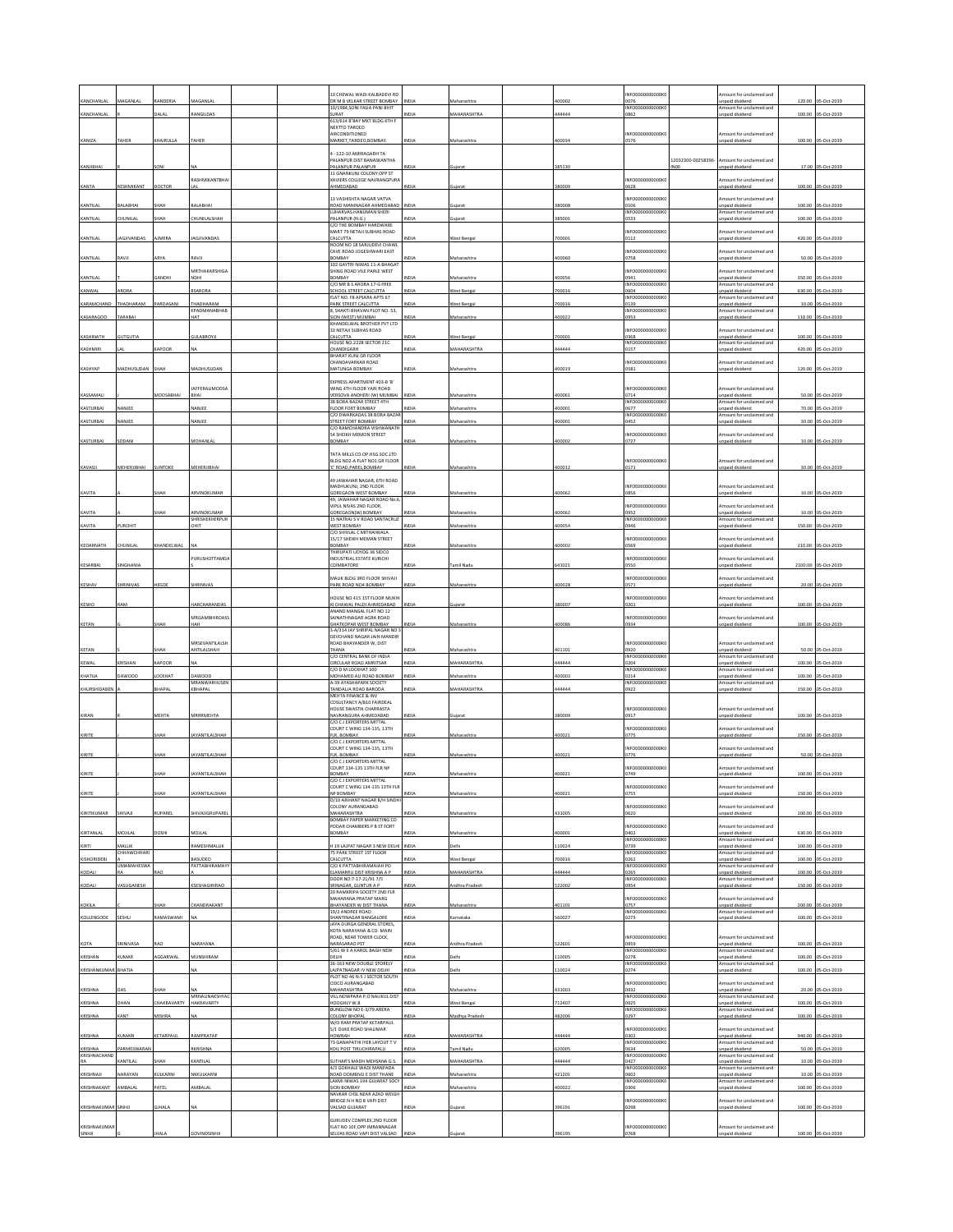| KANCHANLA           |                    |                  |                                     |  |                                                                              |              |                       |        |                                   |                    |                                                   |        |                     |
|---------------------|--------------------|------------------|-------------------------------------|--|------------------------------------------------------------------------------|--------------|-----------------------|--------|-----------------------------------|--------------------|---------------------------------------------------|--------|---------------------|
|                     |                    | ANDERIA          |                                     |  | 13 CHEWAL WADI KALBADEVI RD<br>DR M B VELKAR STREET BOMBAY                   | NDIA         |                       | 00002  | INFO0000000000K<br>0076           |                    | mount for unclaimed and<br>unpaid dividend        | 120.00 | 05-Oct-201          |
| KANCHANLAI          |                    | DALAL            | RANGILDAS                           |  | 10/1984, SONI FALIA PANI BHIT<br>URAT                                        | NDIA         | MAHARASHTRA           | 144444 | INFO0000000000K<br>3862           |                    | mount for unclaimed and<br>npaid dividend         | 100.00 | 05-Oct-2019         |
|                     |                    |                  |                                     |  | 613/614 B'BAY MKT BLDG 6TH F                                                 |              |                       |        |                                   |                    |                                                   |        |                     |
|                     |                    |                  |                                     |  | NEXTTO TARDEO<br><b>IRCONDITIONED</b>                                        |              |                       |        | NFO0000000000K                    |                    | mount for unclaimed and                           |        |                     |
| KANIZA              | <b>TAHER</b>       | <b>HAIRULLA</b>  | TAHER                               |  | MARKET, TARDEO, BOMBAY.                                                      | NDIA         | Maharashtra           | 100034 | 0576                              |                    | npaid dividend                                    |        | 100.00 05-Oct-2019  |
|                     |                    |                  |                                     |  | 1-122-10 AMIRAGADH TA<br>ALANPUR DIST BANASKANTHA                            |              |                       |        |                                   | 12032300-00258396- | Amount for unclaimed and                          |        |                     |
| KANJIBHAI           |                    |                  |                                     |  | ALANPUR PALANPUR<br>11 GNANKUNJ COLONY OPP ST                                | IDIA         | Gujara                | 385130 |                                   | NO <sub>0</sub>    | <b>Inpaid divident</b>                            |        | 17.00 05-Oct-2019   |
|                     |                    |                  | RASHMIKANTBHAI                      |  | <b>(AVIERS COLLEGE NAVRANGPLIRA</b>                                          |              |                       |        | INFO0000000000K                   |                    | mount for unclaimed and                           |        |                     |
| KANTA               | <b>RESHMIKANT</b>  | OCTOR            |                                     |  | HMEDABAD                                                                     | <b>VDIA</b>  | iujarat               | 180009 | 0628                              |                    | inpaid dividend                                   |        | 100.00 05-Oct-2019  |
| KANTILAL            | BALABHAI           | ЖАН              | BALABHAI                            |  | 13 VASHISHTA NAGAR VATVA<br>ROAD MANINAGAR AHMEDABAD                         | NDIA         | Sujara                | 80008  | NFO0000000000K<br>0106            |                    | mount for unclaimed and<br>npaid dividend         |        | 100.00 05-Oct-2019  |
| KANTILAL            | <b>HUNILAI</b>     | HAH              | <b>HUNILALSHAH</b>                  |  | LUHARVAS HANUMAN SHERI<br>PALANPUR (N.G.)                                    | NDIA         | juiarat               | 85001  | INFO0000000000KO<br>0533          |                    | Amount for unclaimed and<br>inpaid dividend       | 100.00 | 05-Oct-2019         |
|                     |                    |                  |                                     |  | C/O THE BOMBAY HARDWARE                                                      |              |                       |        | NFO0000000000K                    |                    |                                                   |        |                     |
| KANTILAL            | AGJIVANDAS         | AJMERA           | AGJIVANDAS                          |  | AART 79 NETAJI SUBHAS ROAD<br>CALCUTTA                                       | NDIA         | <b>Nest Bengal</b>    | 00001  | 0112                              |                    | mount for unclaimed and<br>npaid dividend         |        | 420.00 05-Oct-2019  |
|                     |                    |                  |                                     |  | ROOM NO 18 SARJUDEVI CHAWL<br>CAVE ROAD JOGESHWARI EAST                      |              |                       |        | INFO0000000000K                   |                    | mount for unclaimed and                           |        |                     |
| KANTILAL            | <b>ILVA!</b>       | ARYA             | <b>LVAS</b>                         |  | YABNOE<br>102 GAYTRI NIWAS 11-A BHAGAT                                       | VDIA         | Maharashtr.           | 00060  | 0758                              |                    | npaid dividend                                    |        | 50.00 05-Oct-2019   |
| KANTILAL            |                    | ANDHI            | <b>MRTHAKARSHIGA</b>                |  | HING ROAD VILE PARLE WEST<br><b>OMBAY</b>                                    | IDIA         | Aaharashti            | 100056 | NFO0000000000K<br>0941            |                    | mount for unclaimed and<br>npaid dividend         | 350.00 | 05-Oct-2019         |
|                     | RORA               |                  | <b>SARORA</b>                       |  | C/O MR B S ARORA 17-G FREE<br><b>SCHOOL STREET CALCUTTA</b>                  | VDIA         |                       | '00016 | INFOODDOODDOOK                    |                    | Amount for unclaimed and<br>npaid dividend        | 630.00 | 05-Oct-2019         |
| KANWAL              |                    |                  |                                     |  | LAT NO. F8 APSARA APTS 67                                                    |              | Vest Benga            |        | 0604<br>NFO0000000000K            |                    | mount for unclaimed and                           |        |                     |
| KARAMCHAND          | THADHARAM          | <b>ARDASANI</b>  | THADHARAM<br>KPADMANABHAB           |  | PARK STREET CALCUTTA<br>3, SHAKTI BHAVAN PLOT NO. 53,                        | NDIA         | Vest Bengal           | '00016 | 0139<br>INFO0000000000K           |                    | npaid dividend<br>Amount for unclaimed and        | 10.00  | 05-Oct-2019         |
| KASARAGOD           | <b>ARABAI</b>      |                  | HAT                                 |  | <b>JON (WEST) MUMBAI</b><br>KHANDELWAL BROTHER PVT LTD                       | <b>DIA</b>   |                       | 00022  | 0953                              |                    | npaid dividend                                    | 110.00 | 05-Oct-2019         |
| KASHINATH           | SUTGUTIA           |                  | GULABROYJI                          |  | 3 NETAJI SUBHAS ROAD<br>CALCUTTA                                             | NDIA         | Vest Bengal           | '00001 | NFO0000000000K<br>0368            |                    | mount for unclaimed and<br>inpaid dividend        |        | 100.00 05-Oct-2019  |
|                     |                    |                  |                                     |  | HOUSE NO.2228 SECTOR 21C                                                     |              |                       |        | INFO0000000000KO                  |                    | Amount for unclaimed and                          |        |                     |
| KASHMIRI            |                    | APOOR            |                                     |  | <b>HANDIGARH</b><br>BHARAT KUNJ GR FLOOR                                     | NDIA         | <b>MAHARASHTRA</b>    | 44444  | 0157                              |                    | inpaid dividend                                   | 420.00 | 05-Oct-201          |
| KASHYAP             | MADHUSUDAN SHAH    |                  | MADHUSUDAN                          |  | <b>HANDAVARKAR ROAD</b><br>MATUNGA BOMBAY                                    | NDIA         | Maharashtra           | 00019  | NFO0000000000K<br>0581            |                    | mount for unclaimed and<br>inpaid dividend        |        | 120.00 05-Oct-2019  |
|                     |                    |                  |                                     |  | EXPRESS APARTMENT 403-B'B'                                                   |              |                       |        |                                   |                    |                                                   |        |                     |
| KASSAMALI           |                    | <b>100SABHAI</b> | <b>JAFFERALIMOOSA</b>               |  | WING 4TH FLOOR YARI ROAD<br>ERSOVA ANDHERI (W) MUMBA                         | VDIA         | faharashtr            | 100061 | INFO0000000000<br>0714            |                    | Amount for unclaimed and<br>inpaid dividend       | 50.00  | 05-Oct-2019         |
|                     |                    |                  |                                     |  | 38 BORA BAZAR STREET 4TH                                                     |              |                       |        | INFO0000000000                    |                    | mount for unclaimed and                           |        |                     |
| KASTURBAI           | <b>JANJEE</b>      |                  | VANJE                               |  | LOOR FORT BOMBAY<br>C/O DWARKADAS 38 BORA BAZAI                              | NDIA         | Aaharashtr            | 00001  | 1677<br>INFO0000000000K           |                    | npaid dividend<br>Amount for unclaimed and        | 70.00  | S-Oct-2019          |
| KASTURBAI           | NANJEE             |                  | NANJEE                              |  | <b>STREET FORT BOMBAY</b><br>O RAMCHANDRA VISHWANA                           | NDIA         | Maharashtra           | 400001 | 0452                              |                    | inpaid dividend                                   |        | 30.00 05-Oct-2019   |
| KASTURBAI           | <b>DOAN</b>        |                  | <b>MOHANIA</b>                      |  | 54 SHEIKH MEMON STREET<br><b>OMBAY</b>                                       | <b>VIDIA</b> | Aaharasht             | 00002  | NFO0000000000K<br>0727            |                    | mount for unclaimed and<br>npaid divident         | 10.00  | 05-Oct-2019         |
|                     |                    |                  |                                     |  |                                                                              |              |                       |        |                                   |                    |                                                   |        |                     |
|                     |                    |                  |                                     |  | TATA MILLS CO.OP.HSG.SOC.LTD<br>ILDG NO2-A FLAT NO1 GR FLOOR                 |              |                       |        | NFO0000000000K                    |                    | mount for undaimed and                            |        |                     |
| KAVASJI             | <b>MEHERJIBHAI</b> | UNTOKE           | MEHERJIBHA                          |  | Y ROAD, PAREL, BOMBAY                                                        | VDIA         | Maharashtra           | 100012 | 0171                              |                    | inpaid dividend                                   |        | 30.00 05-Oct-2019   |
|                     |                    |                  |                                     |  | 49 JAWAHAR NAGAR, 6TH ROAD<br>MADHUKUNJ, 2ND FLOOR                           |              |                       |        | INFO0000000000K                   |                    | mount for unclaimed and                           |        |                     |
| KAVITA              |                    |                  | RVINDKUMAI                          |  | GOREGAON WEST BOMBAY                                                         | VDIA         | Aaharashtr.           | 100062 | 0856                              |                    | inpaid dividend                                   | 10.00  | 05-Oct-2019         |
|                     |                    |                  |                                     |  | 19, JAWAHAR NAGAR ROAD No.6<br>VIPUL NIVAS 2ND FLOOR,                        |              |                       |        | NFO0000000000K                    |                    | mount for undaimed and                            |        |                     |
| KAVITA              |                    | HAH              | ARVINDKUMAR<br>SHRISHEKHERPUR       |  | SOREGAON(W) BOMBAY<br>15 NATRAJ S V ROAD SANTACRUZ                           | NDIA         | Maharashtra           | 100062 | 1952<br>INFO0000000000K           |                    | Inpaid dividend<br>mount for unclaimed and        | 10.00  | 05-Oct-2019         |
| KAVITA              | UROHIT             |                  |                                     |  | <b>VEST BOMBAY</b><br>C/O SHIVLAL C MITHAIWALA                               | VDIA         |                       | 00054  | )946                              |                    | inpaid divider                                    | 150.00 | 05-Oct-2019         |
| KEDARNATH           | CHUNILAI           | HANDELWAI        |                                     |  | 15/17 SHEIKH MEMAN STREET<br>BOMBAY                                          | NDIA         | Maharashtr.           | 100002 | NFO0000000000<br>0569             |                    | mount for unclaimed and<br><b>Inpaid dividend</b> |        | 210.00 05-Oct-2019  |
|                     |                    |                  |                                     |  | THIRUPATI UDYOG 36 SIDCO                                                     |              |                       |        |                                   |                    |                                                   |        |                     |
| KESARBAI            | INGHANIA           |                  | URUSHOTTAMD                         |  | NDUSTRIAL ESTATE KURICHI<br>COIMBATORE                                       | NDIA         | amil Nadu             | 41021  | NFO0000000000<br>0550             |                    | nount for unclaimed and<br>inpaid dividend        |        | 2100.00 05-Oct-2019 |
|                     |                    |                  |                                     |  | MALIK BLDG 3RD FLOOR SHIVAJI                                                 |              |                       |        | INFO0000000000K                   |                    | mount for unclaimed and                           |        |                     |
| KESHAV              | SHRINIVAS          | HEGDE            | SHRINIVAS                           |  | PARK ROAD NO4 BOMBAY                                                         | NDIA         | Maharashtra           | 400028 | 0571                              |                    | inpaid dividend                                   |        | 20.00 05-Oct-2019   |
| KESHO               | AM <sub>1</sub>    |                  | <b>ARCHARANDAS</b>                  |  | OUSE NO 415 1ST FLOOR MUKHI<br>I CHAWAL PALDI AHMEDABAD                      | NDIA         |                       | 80007  | NFO0000000000K<br>1201            |                    | nount for unclaimed and<br>paid dividend          | 100.00 | 05-Oct-2019         |
|                     |                    |                  | MRGAMBHIRDASS                       |  | ANAND MANGAL FLAT NO 12<br><b>SAINATHNAGAR AGRA ROAD</b>                     |              |                       |        | INFO0000000000K                   |                    | mount for unclaimed and                           |        |                     |
| KETAN               |                    |                  | IAH                                 |  | HATKOPAR WEST BOMBAY                                                         | VDIA         | Vlaharashtra          | 100086 | 0934                              |                    | inpaid dividend                                   |        | 100.00 05-Oct-2019  |
|                     |                    |                  |                                     |  | -A/314 JAY SHRIPAL NAGAR NO<br>DEVCHAND NAGAR JAIN MANDIR                    |              |                       |        |                                   |                    |                                                   |        |                     |
| KETAN               |                    | SHAH             | MRSEVANTILALSH<br>ANTILALSHAH       |  | ROAD BHAYANDER W. DIST                                                       | NDIA         | Maharashtra           | 401101 | INFO0000000000K<br>0920           |                    | Amount for unclaimed and                          |        | 50.00 05-Oct-2019   |
|                     |                    |                  |                                     |  |                                                                              |              |                       |        |                                   |                    |                                                   |        |                     |
|                     |                    |                  |                                     |  | HANA<br>C/O CENTRAL BANK OF INDIA                                            |              |                       |        | NFO0000000000                     |                    | Inpaid dividend<br>mount for undaimed and         |        |                     |
| KEWAL               | RISHAN             | APOOR            |                                     |  | CIRCULAR ROAD AMRITSAR<br>C/O D M LOCKHAT 100                                | VDIA         | <b>MAHARASHTRA</b>    | 44444  | 0204<br>INFO0000000000K0          |                    | inpaid dividend<br>Amount for unclaimed and       | 100.00 | 05-Oct-2019         |
| KHATUA              | OOWNO              | OCKHAT           | DAWOOD<br>MRANWARHUSEN              |  | <b>MOHAMED ALL ROAD BOMBAY</b><br>4-39 AYASHAPARK SOCIETY                    | NDIA         | Maharashtra           | 100003 | 0214<br>INFO0000000000K           |                    | npaid dividend<br>mount for unclaimed and         | 100.00 | 05-Oct-2019         |
| KHURSHIDABE         |                    | <b>IAPA</b>      | <b>GHAPAL</b>                       |  | ANDALIA ROAD BARODA                                                          | VDIA         | <b>MAHARASHTRA</b>    | 144444 | 0922                              |                    | inpaid divident                                   | 150.00 | 05-Oct-2019         |
|                     |                    |                  |                                     |  | MEHTA FINANCE & INV<br>COSULTANCY A/810 FAIRDEAL<br>HOLISE SWASTIK CHARRASTA |              |                       |        | INFO0000000000                    |                    |                                                   |        |                     |
| KIRAN               |                    | MEHTA            | MRRRMEHTA                           |  | NAVRANGURA AHMEDABAD                                                         | NDIA         | Gujarat               | 80009  | 0917                              |                    | Amount for unclaimed and<br>inpaid dividend       |        | 100.00 05-Oct-2019  |
|                     |                    |                  |                                     |  | C/O CJ EXPORTERS MITTAL<br>COURT C WING 134-135, 13TH                        |              |                       |        | NFO0000000000K                    |                    | nount for unclaimed and                           |        |                     |
| KIRITE              |                    | НАН              | YANTILALSHAH                        |  | LR, BOMBAY.<br>C/O CJ EXPORTERS MITTAL                                       | VDIA         | Aaharashtr            | 00021  | 1775                              |                    | npaid dividend                                    | 150.00 | 05-Oct-2019         |
|                     |                    | ЖАН              |                                     |  | COURT C WING 134-135, 13TH                                                   |              |                       |        | INFO0000000000K                   |                    | mount for unclaimed and                           |        | 50.00 05-Oct-2019   |
| KIRITE              |                    |                  | YANTILALSHAH                        |  | LR, BOMBAY.<br>C/O C J EXPORTERS MITTAL                                      | NDIA         | Vlaharashtra          | 100021 | 0776                              |                    | inpaid dividend                                   |        |                     |
| KIRITE              |                    | SHAH             | <b>JAYANTILALSHAH</b>               |  | COURT 134-135 13TH FLR NP<br><b>OMBAY</b>                                    | NDIA         | Maharashtra           | 100021 | INFO0000000000K<br>0749           |                    | mount for unclaimed and<br>inpaid dividend        |        | 100.00 05-Oct-2019  |
|                     |                    |                  |                                     |  | COURT C WING 134-135 13TH FLR                                                |              |                       |        | INFO0000000000K                   |                    | mount for unclaimed and                           |        |                     |
| KIRITE              |                    |                  | AYANTILALSHAH                       |  | <b>P BOMBAY</b><br>D/10 ARIHANT NAGAR B/H SINDH                              | NDIA         | Aaharashtra           | 00021  | <b>0755</b>                       |                    | inpaid dividend                                   |        | 150.00 05-Oct-2019  |
| KIRITIKUMAR         | SHIVAJI            | RUPAREL          | SHIVAJIGRUPAREL                     |  | COLONY AURANGABAD<br>MAHARASHTRA                                             | NDIA         | Maharashtra           | 131005 | NFO0000000000K<br>0620            |                    | mount for unclaimed and<br>unpaid dividend        |        | 100.00 05-Oct-2019  |
|                     |                    |                  |                                     |  | BOMBAY PAPER MARKETING CO                                                    |              |                       |        |                                   |                    |                                                   |        |                     |
| KIRTANLAL           | 1011141            |                  | $A \cap H$                          |  | ODAR CHAMBERS P B ST FORT<br><b>OMBAY</b>                                    |              | <b>Aaharashtr</b>     | 00001  | NFO0000000000K<br>1402            |                    | mount for unclaimed and<br>inpaid dividend        | 630.00 | 3-Oct-2019          |
| KIRTI               | <b>MALLIK</b>      |                  | RAMESHMALLIK                        |  | 19 LAJPAT NAGAR 3 NEW DELHI INDIA                                            |              | Jelhi                 | 10024  | INFO0000000000K<br>0739           |                    | Amount for unclaimed and<br>Inpaid dividend       |        | 100.00 05-Oct-2019  |
| KISHORIDEB          | <b>HHAWCHHARI</b>  |                  | <b>ASUDEO</b>                       |  | 75 PARK STREET 1ST FLOOR<br>ALCUTTA                                          | VDIA         | Vest Bengal           | 00016  | INFO000000000K<br>0262            |                    | mount for unclaimed and<br>inpaid dividend        | 100.00 | 05-Oct-2019         |
| KODALI              | <b>UMAMAHESWA</b>  | $\Delta$         | PATTABHIRAMAY                       |  | CO K PATTABHIRAMAIAH PO<br>LAMARRU DIST KRISHNA A P                          | NDIA         | MAHARASHTRA           | 44444  | <b>INFO0000</b><br>ООООКС<br>0265 |                    | mount for unclaimed and<br>npaid dividend         |        | 05-Oct-2019         |
|                     |                    |                  |                                     |  | DOOR NO:7-17-21/91 7/5                                                       |              |                       |        | <b>INFO0000</b><br>00000K         |                    | mount for unclaimed and                           | 100.00 |                     |
| KODALI              | ASUGANESH          |                  | <b>SESHAGIRIRAC</b>                 |  | <b>SRINAGAR, GUNTUR A P</b><br>20 RAMKRIPA SOCIETY 2ND FLR                   | <b>VDIA</b>  | ndhra Pradesh         | 22002  | 1954                              |                    | inpaid dividend                                   | 150.00 | 05-Oct-2019         |
| KOKILA              |                    | НАН              | <b>HANDRAKANT</b>                   |  | <b>MAHARANA PRATAP MARG</b><br>HAYANDER W DIST THANA                         | NDIA         | Maharashtra           | 01101  | NFO0000000000K<br>0757            |                    | mount for undaimed and<br>npaid dividend          |        | 200.00 05-Oct-2019  |
| KOLLENGODE          | SESHU              | <b>AMASWAMI</b>  |                                     |  | 19/2 ANDREE ROAD<br>SHANTINAGAR BANGALORE                                    | NDIA         | Carnataka             | 60027  | <b>INFO0000</b><br>0273           |                    | mount for unclaimed and<br><b>Inpaid</b> dividend | 100.00 | 05-Oct-2019         |
|                     |                    |                  |                                     |  | AYA DURGA GENERAL STORES,<br>KOTA NARAYANA & CO. MAIN                        |              |                       |        |                                   |                    |                                                   |        |                     |
|                     |                    |                  | NARAYANA                            |  | <b>COAD NEAR TOWER CLOCK</b>                                                 | NDIA         |                       |        | NFO0000000000K<br>1959            |                    | Amount for unclaimed and                          |        |                     |
| КОТА                | RINIVASA           |                  |                                     |  | NARASARAO PET<br>5/61 W E A KAROL BAGH NEW                                   |              | <b>Indhra Pradesi</b> | 22601  | INFO0000000000K                   |                    | inpaid dividend<br>Amount for unclaimed and       |        | 100.00 05-Oct-2019  |
| KRISHAN             | <b>UMAR</b>        | GGARWAL          | <b>AUNSHIRAM</b>                    |  | <b>IHJ3C</b><br>26-163 NEW DOUBLE STORELY                                    | VDIA         | elhi                  | 10005  | 0278<br>INFO0000000000KO          |                    | inpaid dividend<br>Amount for unclaimed and       |        | 100.00 05-Oct-2019  |
| KRISHANKUMAF        | BHATIA             |                  |                                     |  | AIPATNAGAR IV NEW DELHI<br>PLOT NO 46 N-5 J SECTOR SOUTH                     | NDIA         | <b>Jelhi</b>          | 10024  | 0274                              |                    | npaid dividend                                    | 100.00 | 05-Oct-2019         |
| KRISHNA             |                    | HAF              |                                     |  | CIDCO AURANGABAD<br>MAHARASHTRA                                              | NDIA         | Maharashtra           | 31003  | NFO0000000000K<br>0932            |                    | mount for unclaimed and<br>unpaid dividend        |        | 20.00 05-Oct-2019   |
| KRISHNA             | DHAN               | HAKRAVARTY       | MRNALINAKSHYAC<br><b>HAKRAVARTY</b> |  | VILL NOWPARA P.O NALIKUL DIST<br>OOGHLY W.B                                  | NDIA         |                       | 12407  | INFO0000000000K0<br>0925          |                    | Amount for unclaimed and<br>inpaid dividend       | 100.00 | 05-Oct-2019         |
|                     |                    |                  |                                     |  | BUNGLOW NO E-3/79 ARERA                                                      |              | <b>Nest Bengal</b>    |        | INFO0000000000K                   |                    | Amount for unclaimed and                          |        |                     |
| KRISHNA             | ANT                |                  |                                     |  | COLONY BHOPAL<br>N/O RAM PRATAP KETARPAUL                                    | <b>DIA</b>   | Aadhya Prades         | 82006  | )297                              |                    | inpaid dividend                                   | 100.00 | 05-Oct-2019         |
| KRISHNA             | <b>UMARI</b>       | <b>ETARPAUL</b>  | RAMPRATAP                           |  | 5/1 DUKE ROAD SHALIMAR<br><b>IOWRAH</b>                                      | NDIA         | <b>MAHARASHTRA</b>    | 44444  | INFO0000000000K<br>0302           |                    | mount for unclaimed and<br>npaid dividend         |        | 940.00 05-Oct-2019  |
| KRISHNA             | ARMESWARA          |                  | <b>RKRISHN</b>                      |  | <b>73 GANAPATHI IYER LAYOUT TV</b><br>KOIL POST TIRUCHIRAPALLI               | NDIA         | amil Nadu             | 20005  | INFO0000000000KO<br>0634          |                    | Amount for unclaimed and<br>Inpaid dividend       | 50.00  | 05-Oct-2019         |
| KRISHNACHANI<br>RA  | <b>CANTILAI</b>    | ндн              | KANTILAL                            |  | <b>SUTHAR'S MADH MEHSANA G.S.</b>                                            | NDIA         | <b>MAHARASHTRA</b>    | 144444 | INFO0000000000K<br>0427           |                    | mount for unclaimed and                           |        | 05-Oct-2019         |
|                     |                    |                  |                                     |  | 4/3 GOKHALE WADI MANPADA                                                     | IDIA         |                       |        | INFO0000000000K                   |                    | npaid dividend<br>Amount for unclaimed and        | 10.00  |                     |
| KRISHNAJI           | VARAYAN            | ULKARN           | NKKULKARN                           |  | <b>CAD DOMBIVLI E DIST THANE</b><br>AXMI NIWAS 194 GUJARAT SOCY              |              | laharashtra           | 21201  | 0602<br>INFO0000000000K           |                    | inpaid dividend<br>mount for unclaimed and        | 10.00  | 05-Oct-2019         |
| KRISHNAKANT         | <b>VIBALA</b>      | ATEL             | MBALA                               |  | <b>ION BOMBAY</b><br>NAVKAR CHSL NEAR AZAD WEIGH                             | NDIA         | Maharashtra           | 100022 | 306                               |                    | npaid dividend                                    |        | 100.00 05-Oct-2019  |
| KRISHNAKUMAR SINHJI |                    | SJHALA           |                                     |  | BRIDGE N H NO 8 VAPI DIST<br><b>VALSAD GUJARAT</b>                           | NDIA         | juiarat               | 396191 | NFO0000000000K<br>)298            |                    | mount for unclaimed and<br>inpaid dividend        |        | 100.00 05-Oct-2019  |
| KRISHNAKUMAR        |                    |                  |                                     |  | SURUDEV COMPLEX, 2ND FLOOR<br>FLAT NO 10F, OPP IMRANNAGAR                    |              |                       |        | INFO0000000000K                   |                    | mount for unclaimed and                           |        |                     |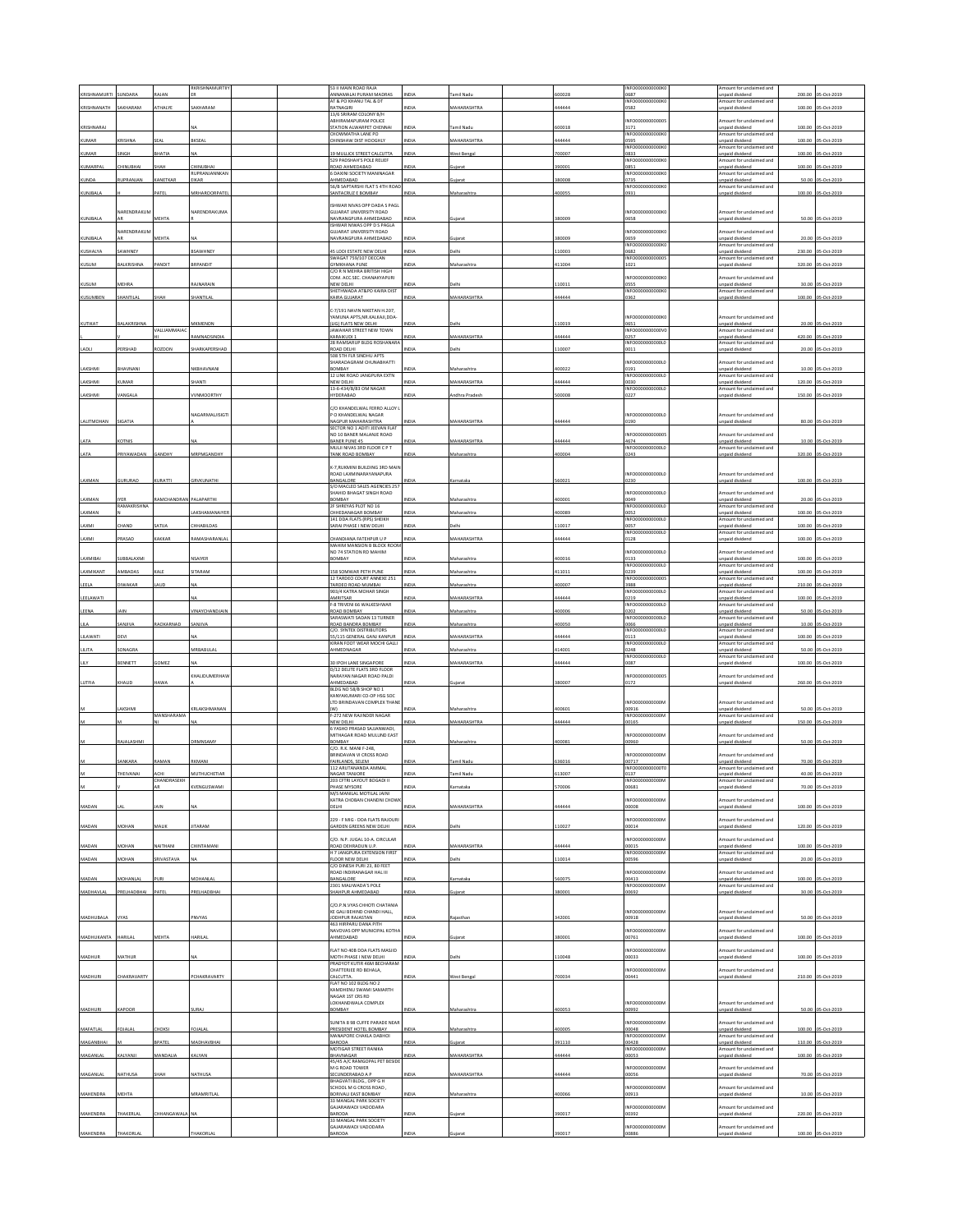|                       |                              | <b>AJAN</b>          | RKRISHNAMURTII                         | 53 II MAIN ROAD RAJA<br>ANNAMALAI PURAM MADRAS<br>AT & PO KHANU TAL & DT            | NDIA                | amil Nad                          | 00028          | INFO0000000000K<br>0687<br>INFO0000000000K          | mount for unclaimed and<br>npaid dividend<br>mount for unclaimed and  | 200.00           | S-Oct-2019                        |
|-----------------------|------------------------------|----------------------|----------------------------------------|-------------------------------------------------------------------------------------|---------------------|-----------------------------------|----------------|-----------------------------------------------------|-----------------------------------------------------------------------|------------------|-----------------------------------|
| KRISHNANATH           | AKHARAM                      | <b>THALYE</b>        | SAKHARAM                               | RATNAGIRI<br>13/6 SRIRAM COLONY B/H                                                 | NDIA                | MAHARASHTRA                       | 44444          | 0582                                                | npaid dividend                                                        |                  | 100.00 05-Oct-2019                |
| KRISHNARAJ            |                              |                      |                                        | ABHIRAMAPURAM POLICE<br>STATION ALWARPET CHENNA                                     | NDIA                | amil Nadı                         | 500018         | NFO00000000000<br>3171                              | mount for unclaimed and<br>unpaid dividend                            | 100.00           | 05-Oct-201                        |
| KUMAR                 | <b>RISHNA</b>                | SEAL                 | BKSEAL                                 | CHOWMATHA LANE PO<br><b>HINSHAW DIST HOOGHLY</b>                                    | NDIA                | <b>MAHARASHTRA</b>                | 44444          | INFO0000000000K<br>3595                             | Amount for unclaimed and<br>npaid dividend                            | 100.00           | 05-Oct-2019                       |
| KUMAR                 | <b>INGH</b>                  | HATIA                |                                        | 19 MULLICK STREET CALCUTTA<br>529 PADSHAH'S POLE RELIEF                             | NDIA                | Vest Bengal                       | 00007          | <b>INFO0000</b><br>10000К<br>0833<br>NFO0000000000K | mount for undaimed and<br>npaid dividend<br>mount for unclaimed and   | 100.00           | 05-Oct-2019                       |
| KUMARPAL              | HINUBHAI                     | НАН                  | HINUBHAI<br>RUPRANJANNKAN              | <b>ROAD AHMEDABAD</b><br>6 DAXINI SOCIETY MANINAGAR                                 | <b>VDIA</b>         |                                   | 90001          | 1851<br>INFORMADOOOOK                               | npaid dividend<br>Amount for unclaimed and                            | 100.00           | 05-Oct-2019                       |
| KUNDA                 | RUPRANJAN                    | <b>ANETKAR</b>       | EIKAR                                  | AHMEDABAD<br>56/B SAPTARSHI FLAT 5 4TH ROAD                                         | NDIA                | Sujarat                           | 380008         | 0735<br>INFO0000000000K                             | npaid dividend<br>Amount for unclaimed and                            |                  | 50.00 05-Oct-2019                 |
| KUNJBALA              |                              | ATEL                 | <b>MRHAROORPATE</b>                    | ANTACRUZ E BOMBA<br>ISHWAR NIVAS OPP DADA S PAGL                                    | NDIA                | faharashtr                        | 00055          | 1931                                                | npaid dividend                                                        | 100.00           | 05-Oct-201                        |
| KUNJBALA              | NARENDRAKUM                  | <b>AEHTA</b>         | NARENDRAKUMA                           | <b>GUJARAT UNIVERSITY ROAD</b><br>NAVRANGPURA AHMEDABAD                             | NDIA                | ujara                             | 80009          | INFO0000000000K<br>0658                             | mount for unclaimed and<br>inpaid dividend                            |                  | 50.00 05-Oct-2019                 |
|                       | VARENDRAKUM                  |                      |                                        | SHWAR NIWAS OPP D S PAGLA<br><b>GUJARAT UNIVERSITY ROAD</b>                         |                     |                                   |                | NFO0000000000K                                      | mount for unclaimed and                                               |                  |                                   |
| KUNJBALA              |                              | MEHTA                |                                        | NAVRANGPURA AHMEDABAD                                                               | <b>NDIA</b>         | uiarat                            | 80009          | 0659<br>INFO0000000000K                             | npaid dividend<br>Amount for unclaimed and                            |                  | 20.00 05-0ct-2019                 |
| KUSHALYA<br>KUSUM     | AWHNEY<br>BALKRISHNA         | PANDIT               | SAWHNEY<br>BRPANDIT                    | 5 LODI ESTATE NEW DELHI<br>WAGAT 759/107 DECCAN<br><b>GYMKHANA PLINE</b>            | NDIA<br>NDIA        | elhi<br>Maharashtra               | 10003<br>11004 | 0682<br>NFO00000000000<br>1021                      | inpaid dividend<br>mount for unclaimed and<br>npaid dividend          | 230.00           | 05-Oct-2019<br>320.00 05-Oct-2019 |
|                       |                              |                      |                                        | C/O R N MEHRA BRITISH HIGH<br>COM. ACC.SEC. CHANAKYAPURI                            |                     |                                   |                | NEODDDDDDDDDD                                       | mount for unclaimed and                                               |                  |                                   |
| KUSUM                 | <b>MEHRA</b><br>HANTILAL     | ЖАН                  | <b>IAJNARAIN</b><br>HANTILAL           | NEW DELHI<br>HETHWADA AT&PO KAIRA DIST<br>KAIRA GUJARAT                             | NDIA<br>NDIA        | elhi<br><b>MAHARASHTRA</b>        | 10011<br>44444 | 0555<br>INFO0000000000K<br>0362                     | inpaid dividend<br>mount for undaimed and<br>npaid dividend           |                  | 30.00 05-Oct-2019                 |
| KUSUMBEN              |                              |                      |                                        | C-7/191 NAVIN NIKETAN H.207.                                                        |                     |                                   |                |                                                     |                                                                       |                  | 100.00 05-Oct-2019                |
| KUTIKAT               | <b>JALAKRISHNA</b>           |                      | <b>AKMENON</b>                         | YAMUNA APTS, NR.KALKAJI, DDA<br>(LIG) FLATS NEW DELHI                               | NDIA                |                                   | 10019          | INFO0000000000K<br>0651                             | Amount for unclaimed and<br>unpaid dividend                           | 20.00            | 05-Oct-201                        |
|                       |                              | ALLIAMMAIA           | <b>AMNADSINDIA</b>                     | JAWAHAR STREET NEW TOWN<br>KARAIKUDI 1                                              | NDIA                | <b>MAHARASHTRA</b>                | 44444          | INFO0000000000V<br>0257                             | mount for unclaimed and<br>npaid dividend                             | 420.00           | 05-Oct-2019                       |
| LADLI                 | ERSHAD                       | OZDON                | HARKAPERSHAD                           | 28 RAMSARUP BLDG ROSHANARA<br>ROAD DELHI<br>508 STH FLR SINDHU APTS                 | NDIA                | elhi                              | 10007          | INFO0000000000L<br>0011                             | Amount for unclaimed and<br>npaid dividend                            |                  | 20.00 05-Oct-2019                 |
| LAKSHMI               | BHAVNANI                     |                      | NKBHAVNANI                             | SHARADAGRAM CHUNABHATTI<br>BOMBAY                                                   | NDIA                | Maharashtra                       | 100022         | NFO0000000000L<br>0191                              | mount for unclaimed and<br>inpaid dividend                            |                  | 10.00 05-Oct-2019                 |
| LAKSHMI               | UMAR                         |                      | HANTI                                  | 12 LINK ROAD JANGPURA EXTN<br>NEW DELHI                                             | NDIA                | <b>MAHARASHTRA</b>                | 44444          | INFO0000000000L<br>0030                             | Amount for unclaimed and<br>inpaid dividend                           | 120.00           | 05-Oct-2019                       |
| LAKSHMI               | <b>/ANGALA</b>               |                      | <b>/VNMOORTHY</b>                      | 13-6-434/B/83 OM NAGAR<br>HYDERABAD                                                 | NDIA                | ndhra Pradesh                     | 00008          | INFO0000000000LC<br>0227                            | mount for undaimed and<br>npaid dividend                              |                  | 150.00 05-Oct-2019                |
|                       |                              |                      | NAGARMALISIGT                          | C/O KHANDELWAL FERRO ALLOY I<br>P O KHANDELWAL NAGAR                                |                     |                                   |                | INFO0000000000L                                     | Amount for unclaimed and                                              |                  |                                   |
| LALITMOHAN            | SIGATIA                      |                      |                                        | NAGPUR MAHARASHTRA<br>SECTOR NO 1 ADITI JEEVAN FLAT                                 | NDIA                | <b>AAHARASHTRA</b>                | 44444          | 0190                                                | inpaid dividend                                                       | 80.00            | 05-Oct-2019                       |
| LATA                  | KOTNIS                       |                      |                                        | NO 10 BANER MALANJE ROAD<br><b>BANER PUNE 45</b><br>MULJI NIVAS 3RD FLOOR C P T     | NDIA                | MAHARASHTRA                       | 444444         | NFO00000000000<br>4674<br>INFO0000000000L0          | mount for unclaimed and<br>npaid dividend<br>Amount for unclaimed and | 10.00            | 05-Oct-201                        |
| LATA                  | RIYAWADAN                    | ANDHY                | ARPMGANDHY                             | <b>TANK ROAD BOMBAY</b>                                                             | VDIA                | faharashtra                       | 00004          | 0243                                                | npaid dividend                                                        | 320.00           | 05-Oct-201                        |
|                       |                              |                      |                                        | K-7, RUKMINI BUILDING 3RD MAIN<br>ROAD LAXMINARAYANAPURA                            |                     |                                   |                | INFOODDDDDDDDLG                                     | Amount for unclaimed and                                              |                  |                                   |
| LAXMAN                | <b>GURURAO</b>               | <b>URATTI</b>        | GRVKUNATHI                             | BANGALORE<br>S/O MACLEO SALES AGENCIES 257<br>HAHID BHAGAT SINGH ROAD               | VDIA                | arnataka                          | 60021          | 0230<br>NFO0000000000L                              | inpaid dividend<br>mount for undaimed and                             |                  | 100.00 05-Oct-2019                |
| LAXMAN                | <b>YFR</b><br>RAMAKRISHNA    | AMCHANDRAN           | PALAPARTHI                             | YABANGE<br>2F SHREYAS PLOT NO 16                                                    | <b>VDIA</b>         | taharashtr                        | 00001          | 1049<br>INFO0000000000L                             | npaid dividend<br>Amount for unclaimed and                            | 20.00            | 05-Oct-2019                       |
| LAXMAN                |                              |                      | AKSHAMANAIYEI                          | CHHEDANAGAR BOMBAY<br>41 DDA FLATS (RPS) SHEIKH                                     | NDIA                | laharashtr                        | 00089          | 0052<br>INFO0000000000L                             | npaid dividend<br>mount for unclaimed and                             | 100.00           | 05-Oct-2019                       |
| LAXMI<br>LAXMI        | HAND<br><b>RASAD</b>         | ATUA<br><b>AKKAP</b> | <b>HHABILDAS</b><br><b>AMASHARANLA</b> | SARAI PHASE I NEW DELHI<br>HANDIANA FATEHPUR U P                                    | NDIA<br>NDIA        | <b>Jelhi</b><br><b>MAHARASHTR</b> | 10017<br>44444 | 0057<br>INFO0000000000L<br>0128                     | npaid dividend<br>Amount for unclaimed and<br>npaid dividend          | 100.00           | 05-Oct-2019<br>100.00 05-Oct-2019 |
|                       |                              |                      |                                        | MAHIM MANSION B BLOCK ROOM<br>NO 74 STATION RD MAHIM                                |                     |                                   |                | NFO0000000000L                                      | mount for unclaimed and                                               |                  |                                   |
| LAXMIBAL              | IMXAJARBU                    |                      | NSAIYER                                | BOMBAY                                                                              | NDIA                | Maharashtra                       | 100016         | 0133<br>INFO0000000000L0                            | npaid dividend<br>Amount for unclaimed and                            |                  | 100.00 05-Oct-2019                |
| LAXMIKANT<br>LEELA    | MBADAS<br><b>IWAKAF</b>      | ALF.                 | <b>ITARAM</b>                          | 58 SOMWAR PETH PUNE<br>12 TARDEO COURT ANNEXE 251<br>ARDEO ROAD MUMBAI              | NDIA<br>NDIA        | Maharashtra<br>laharashtr         | 11011<br>00007 | )239<br>INFO00000000000<br>3988                     | inpaid dividend<br>Amount for unclaimed and                           | 100.00<br>210.00 | 05-Oct-2019<br>S-Oct-2019         |
| LEELAWATI             |                              |                      |                                        | 903/4 KATRA MOHAR SINGH<br>MRITSAR                                                  | <b>IDIA</b>         | <b>IAHARASHTRA</b>                | 44444          | INFO0000000000U<br>0219                             | npaid dividend<br>mount for unclaimed and<br>npaid dividend           | 100.00           | 5-Oct-2019                        |
|                       |                              |                      | INAYCHANDJAIN                          | F-8 TRIVENI 66 WALKESHWAR<br>ROAD BOMBAY                                            | VDIA                | laharashtra                       | 00006          | INFO0000000000L<br>0202                             | Amount for unclaimed and<br>inpaid dividend                           | 50.00            | 05-Oct-2019                       |
| LEENA                 |                              |                      |                                        |                                                                                     |                     |                                   |                |                                                     |                                                                       |                  |                                   |
| LILA                  | ANJIVA                       | AOKARNAD             | ANJIVA                                 | SARASWATI SADAN 13 TURNER<br>ROAD BANDRA BOMBAY                                     | NDIA                | Aaharashtra                       | 100050         | INFO0000000000L<br>0066                             | mount for unclaimed and<br>npaid dividend                             | 10.00            | 05-Oct-2019                       |
| <b>LILAWATI</b>       | <b>DEVI</b>                  |                      |                                        | C/O. SYNTEX DISTRIBUTORS<br>55/115 GENERAL GANJ KANPUR                              | <b>NDIA</b>         | <b>MAHARASHTRA</b>                | 44444          | INFO0000000000L<br>0113                             | Amount for undaimed and<br>npaid dividend                             | 100.00           | 05-Oct-2019                       |
| <b>ILITA</b>          | ONAGRA                       |                      | ARBABULAL                              | KIRAN FOOT WEAR MOCHI GALLI<br>HMEDNAGAR                                            | NDIA                | laharashtra                       | 14001          | INFO0000000000L<br>0248<br>INFO0000000000L          | Amount for unclaimed and<br>npaid dividend<br>mount for undaimed and  | 50.00            | 05-Oct-2019                       |
| II Y                  | ENNETT                       | OME <sub>7</sub>     |                                        | 0 IPOH LANE SINGAPORE<br>D/12 DELITE FLATS 3RD FLOOR                                | <b>VIDIA</b>        | <b>IAHARASHTRA</b>                | 44444          | 087                                                 | paid dividend                                                         | 100.00           | 5-Oct-2019                        |
| LUTFIA                | KHALID                       | <b>AWA</b>           | KHALIDUMERHAW                          | NARAYAN NAGAR ROAD PALDI<br>HMEDABAD                                                | NDIA                | iujara                            | 80007          | INFO00000000000<br>0172                             | mount for unclaimed and<br>inpaid dividend                            |                  | 260.00 05-Oct-2019                |
|                       |                              |                      |                                        | BLDG NO 58/B SHOP NO 1<br>KANYAKUMARI CO-OP HSG SOC<br>LTD BRINDAVAN COMPLEX THAN   |                     |                                   |                | NEODDDDDDDDDD                                       | Amount for unclaimed and                                              |                  |                                   |
|                       | LAKSHMI                      | <b>MANSHARAMA</b>    | KRLAKSHMANAN                           | (W)<br>-272 NEW RAJINDER NAGAR                                                      | NDIA                | Maharashtra                       | 100601         | 00916<br>NFO00000<br>100000                         | Inpaid dividend<br>mount for undaimed and                             |                  | 50.00 05-Oct-2019                 |
|                       |                              |                      |                                        | NEW DELHI<br>S YASHO PRASAD SAJJANWADI,<br>MITHAGAR ROAD MULUND EAST                | NDIA                | <b>MAHARASHTRA</b>                | 44444          | 00165<br>NEODDDDDDDDDD                              | npaid dividend                                                        |                  | 150.00 05-Oct-2019                |
|                       | RAJALASHMI                   |                      | DRMNSAMY                               | BOMBAY<br>C/O. R.K. MANI F-248                                                      | INDIA               | Maharashtra                       | 400081         | 00960                                               | mount for unclaimed and<br>inpaid dividend                            |                  | 50.00 05-Oct-2019                 |
|                       | <b>ANKARA</b>                | <b>AMAN</b>          | KMAN                                   | <b>RINDAVAN VI CROSS ROAD</b><br>AIRLANDS, SELEM                                    | <b>VIDIA</b>        | mil Nad                           | 36016          | NFO0000000000N<br>0717                              | nount for unclaimed and<br>npaid dividend                             | 70.00            | 05-Oct-2019                       |
|                       | THEIVANAI                    | ACHI<br>VDRASEKI     | MUTHUCHETIAR                           | 112 ARUTANANDA AMMAL<br>NAGAR TANJORE<br>03 CFTRI LAYOUT BOGADI II                  | INDIA               | Tamil Nadu                        | 613007         | INFORMACIONOMI<br>0137<br>ifoodo<br>oooov           | Amount for unclaimed and<br>inpaid dividend<br>nt for undaimed and    |                  | 40.00 05-Oct-2019                 |
|                       |                              |                      | KVENGUSWAMI                            | PHASE MYSORE<br>M/S MANILAL MOTILAL JAINI                                           | INDIA               | Karnataka                         | 70006          | 00681                                               | npaid dividend                                                        |                  | 70.00 05-Oct-2019                 |
| MADAN                 | Al                           | <b>AIN</b>           |                                        | KATRA CHOBAN CHANDNI CHOW<br>DELHI                                                  | INDIA               | MAHARASHTRA                       | 44444          | NEODDDDDDDDDD<br>00008                              | mount for unclaimed and<br>npaid dividend                             |                  | 100.00 05-Oct-2019                |
| MADAN                 | <b>AOHAN</b>                 | MALIK                | <b>ITARAM</b>                          | 229 - F MIG - DDA FLATS RAJOURI<br><b>GARDEN GREENS NEW DELHI</b>                   | NDIA                | elhi                              | 10027          | NFO0000000000M<br>10014                             | nount for unclaimed and<br>npaid dividend                             | 120.00           | 05-Oct-2019                       |
|                       |                              |                      |                                        | C/O. N.P. JUGAL 10-A. CIRCULAR                                                      |                     |                                   |                | INFO0000000000N                                     | mount for unclaimed and                                               |                  |                                   |
| MADAN                 | <b>AOHAN</b><br><b>AOHAN</b> | <b>AITHANI</b>       | <b>HINTAMAN</b>                        | <b>ROAD DEHRADUN U.P.</b><br><b>17 JANGPURA EXTENSION FIRST</b>                     | NDIA<br><b>IDIA</b> | <b>MAHARASHTRA</b><br>elhi        | 44444          | 00015<br>INFO0000000000M                            | npaid dividend<br>mount for undaimed and                              | 100.00           | 05-Oct-2019<br>05-Oct-2019        |
| MADAN                 |                              | RIVASTAVA            |                                        | LOOR NEW DELHI<br>C/O DINESH PURI 23, 80 FEET<br>ROAD INDIRANAGAR HAL III           |                     |                                   | 10014          | 0596<br>INFO0000000000N                             | npaid dividend<br>Amount for unclaimed and                            | 20.00            |                                   |
| MADAN                 | MOHANLAI                     | URI                  | MOHANLAL                               | BANGALORE<br>2301 MALIWADA'S POLE                                                   | NDIA                | amataka                           | 60075          | 00413<br>INFO0000000000M                            | inpaid dividend<br>mount for undaimed and                             | 100.00           | 05-Oct-2019                       |
| MADHAVLAL             | <b>RELHADBHAI</b>            | PATEL                | RELHADBHAI                             | HAHPUR AHMEDABAD                                                                    | ursia               |                                   | 80001          | 10692                                               | npaid dividend                                                        | 30.00            | 05-Oct-2019                       |
| MADHUBALA             | VYAS                         |                      | PNVYAS                                 | C/O.P.N.VYAS CHHOTI CHATANIA<br>KE GALI BEHIND CHANDI HALL,<br>JODHPUR RAJASTAN     | NDIA                | lajasthan                         | 42001          | NFO0000000000M<br>00918                             | mount for unclaimed and<br>inpaid dividend                            |                  | 50.00 05-Oct-2019                 |
|                       |                              |                      |                                        | 463 HIRPARU DANA PITH<br>NAVOVAS OPP MUNICIPAL KOTHA                                |                     |                                   |                | NFO0000000000N                                      | mount for unclaimed and                                               |                  |                                   |
| MADHUKANTA            | HARILAL                      | MEHTA                | HARILAL                                | AHMEDABAD                                                                           | INDIA               | Gujarat                           | 380001         | 00761                                               | inpaid dividend                                                       |                  | 100.00 05-Oct-2019                |
| MADHUR                | AATHUR                       |                      |                                        | LAT NO 40B DDA FLATS MASJID<br>MOTH PHASE I NEW DELHI<br>PRADYOT KUTIR 46M BECHARAM | VDIA                | elhi                              | 10048          | NFO0000000000M<br>10033                             | nount for unclaimed and<br>npaid dividend                             | 100.00           | 05-Oct-2019                       |
| MADHURI               | CHAKRAVARTY                  |                      | PCHAKRAVARTY                           | CHATTERJEE RD BEHALA,<br>CALCUTTA.                                                  | NDIA                | West Bengal                       | 00034          | NFO0000000000M<br>00441                             | mount for unclaimed and<br>npaid dividend                             |                  | 210.00 05-Oct-2019                |
|                       |                              |                      |                                        | LAT NO 102 BLDG NO 2<br>KAMDHENU SWAMI SAMARTH<br>NAGAR 1ST CRS RD                  |                     |                                   |                |                                                     |                                                                       |                  |                                   |
| MADHURI               | KAPOOR                       |                      | <b>JURAJ</b>                           | LOKHANDWALA COMPLEX<br>BOMBAY                                                       | NDIA                | Maharashtra                       | 00053          | INFO0000000000N<br>00992                            | Amount for unclaimed and<br>inpaid dividend                           |                  | 50.00 05-Oct-2019                 |
|                       |                              |                      |                                        | SUNITA 8 98 CUFFE PARADE NEAR                                                       |                     |                                   |                | NFO0000000000N                                      | mount for unclaimed and                                               |                  |                                   |
| MAFATLAL              | <b>QJALAL</b>                | <b>HOKSI</b>         | FOJALAL                                | PRESIDENT HOTEL BOMBAY<br>MANAPORE CHAKLA DABHOI                                    | NDIA                | Maharashtra                       | 100005         | 00048<br>NFO0000000000N                             | npaid dividend<br>mount for unclaimed and                             |                  | 100.00 05-Oct-2019                |
| MAGANBHAI<br>MAGANLAL | <b>ALYANJ</b>                | PATEL<br>ANDALIA     | MADHAVBHAI<br>CALYAN                   | BARODA<br>MOTIGAR STREET RANIKA<br>BHAVNAGAR                                        | NDIA<br><b>IDIA</b> | iujarat<br><b>AAHARASHTRA</b>     | 91110<br>44444 | 00428<br>NFO0000000000M<br>10053                    | npaid dividend<br>mount for undaimed and<br>npaid dividend            | 110.00<br>100.00 | 05-Oct-2019<br>05-Oct-2019        |
|                       |                              |                      |                                        | 45/45 A/C RAMGOPAL PET BESIDE<br>M G ROAD TOWER                                     |                     |                                   |                | NFO0000000000N                                      | Amount for unclaimed and                                              |                  |                                   |
| MAGANLAL              | NATHUSA                      | ЖАН                  | NATHUSA                                | SECUNDERABAD A P<br>BHAGVATI BLDG., OPP G H                                         | NDIA                | MAHARASHTRA                       | 44444          | 00056                                               | Inpaid dividend                                                       |                  | 70.00 05-Oct-2019                 |
| MAHENDRA              | MEHTA                        |                      | MRAMRITLAL                             | SCHOOL M G CROSS ROAD<br>BORIVALI EAST BOMBAY<br>33 MANGAL PARK SOCIETY             | NDIA                | Aaharashtra                       | 100066         | NFO0000000000N<br>00913                             | mount for unclaimed and<br>npaid dividend                             |                  | 10.00 05-Oct-2019                 |
| MAHENDRA              | THAKERLAI                    | CHHANGAWALA          |                                        | GAJARAWADI VADODARA<br>BARODA<br>33 MANGAL PARK SOCIETY                             | INDIA               | Sujarat                           | 390017         | NFO0000000000N<br>00392                             | mount for unclaimed and<br>npaid dividend                             |                  | 220.00 05-Oct-2019                |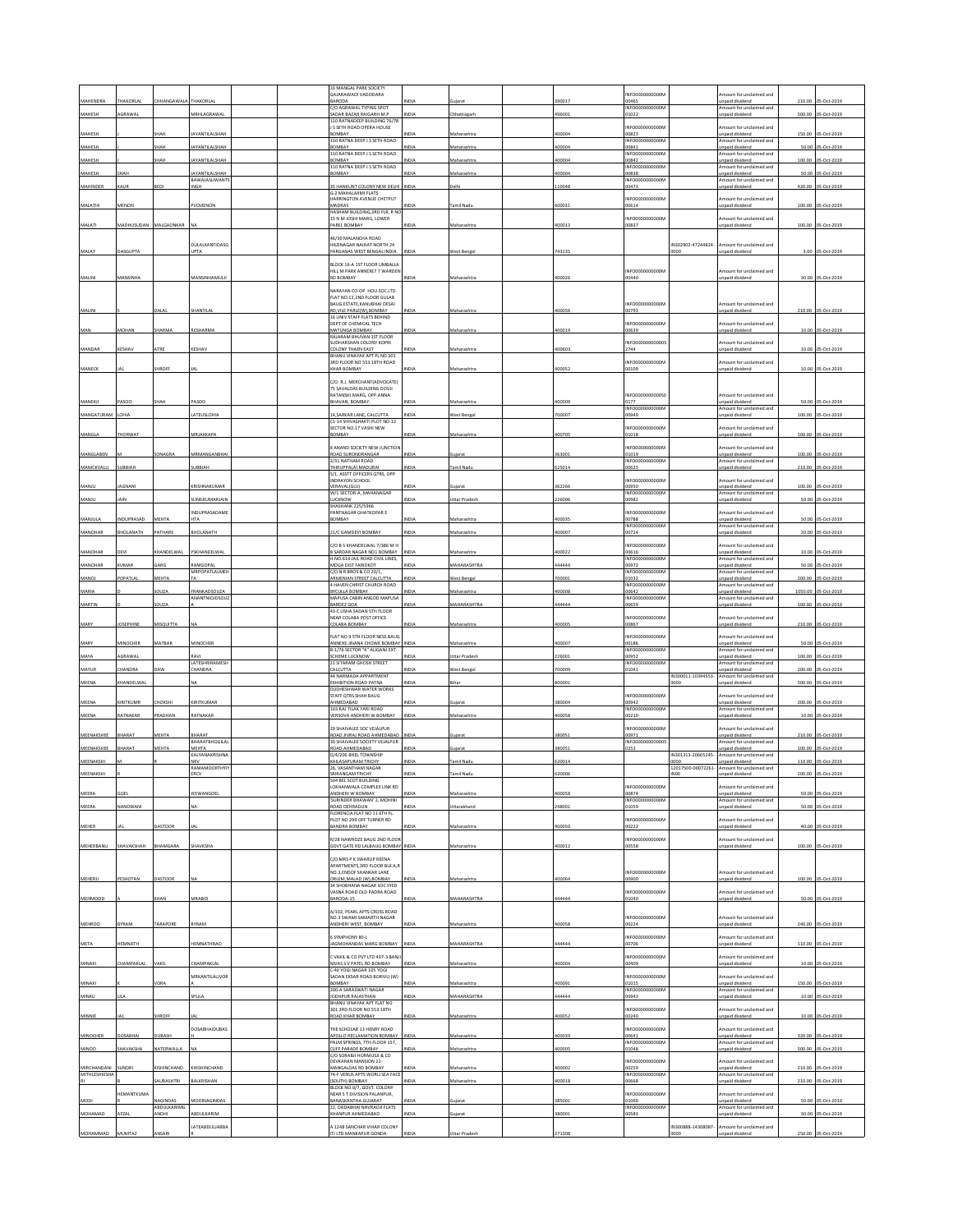|                 |                  |                             |                                 | 33 MANGAL PARK SOCIETY                                            |              |                    |        |                                       |                                        |                                             |        |                     |
|-----------------|------------------|-----------------------------|---------------------------------|-------------------------------------------------------------------|--------------|--------------------|--------|---------------------------------------|----------------------------------------|---------------------------------------------|--------|---------------------|
|                 |                  |                             |                                 | GAJARAWADI VADODARA                                               |              |                    |        | NFO0000000000                         |                                        | mount for unclaimed and                     |        |                     |
| MAHENDRA        | <b>HAKORLAL</b>  | <b>HHANGAWAL</b>            | THAKORLAI                       | BARODA<br>C/O AGRAWAL TYPING SPOT                                 | NDIA         | uiara              | 90017  | 00465<br>INFO0000000000M              |                                        | inpaid dividend<br>mount for unclaimed and  | 210.00 | 05-Oct-2019         |
| MAHESH          | AGRAWAL          |                             | MRHLAGRAWAL                     | <b>SADAR BAZAR RAIGARH M.P</b><br>110 RATNADEEP BUILDING 76/78    | NDIA         | Chhattisgarh       | 96001  | 01022                                 |                                        | npaid dividend                              | 500.00 | 05-Oct-2019         |
| MAHESH          |                  | нан                         | AYANTILALSHAI                   | S SETH ROAD OPERA HOUSE<br>BOMBAY                                 | NDIA         | Aaharashtra        | 00004  | NFO0000000000<br>00823                |                                        | mount for unclaimed and<br>inpaid dividend  | 150.00 | 05-Oct-2019         |
| MAHESH          |                  | жан                         | AYANTILALSHAH                   | 110 RATNA DEEP J S SETH ROAD<br>ROMRAY                            | NDIA         | Aaharashtra        | 00004  | INFO0000000000N<br>00841              |                                        | mount for unclaimed and                     | 50.00  | 05-Oct-2019         |
|                 |                  |                             |                                 | 110 RATNA DEEP J S SETH ROAD                                      |              |                    |        | INFO0000000000M                       |                                        | npaid dividend<br>Amount for unclaimed and  |        |                     |
| MAHESH          |                  | <b>НАН</b>                  | AYANTILALSHAH                   | <b>OMBAY</b><br>110 RATNA DEEP J S SETH ROAD                      | NDIA         | Maharashtra        | 100004 | 10842<br>INFO0000000000               |                                        | npaid dividend<br>Amount for unclaimed and  | 100.00 | 05-Oct-2019         |
| MAHESH          | нан              |                             | AYANTILALSHAH<br>BAWAJASUWANT   | <b>OMBAY</b>                                                      | NDIA         | faharashtra        | 00004  | 0838<br><b>NFO0000</b><br><b>YOOD</b> |                                        | inpaid dividend<br>Amount for unclaimed and |        | 50.00 05-Oct-2019   |
| MAHINDER        | A11R             | <b>LEDI</b>                 | <b>NGH</b>                      | <b>5 HANKUNT COLONY NEW DELHI</b><br>G-2 MAHALAXMI FLATS          | NDIA         | elhi               | 10048  | 0473                                  |                                        | npaid dividend                              | 420.00 | 05-Oct-2019         |
|                 |                  |                             |                                 | HARRINGTON AVENUE CHETPUT                                         |              |                    |        | NFO0000000000N                        |                                        | mount for unclaimed and                     |        |                     |
| MALATHI         | <b>MENON</b>     |                             | VCMENON                         | MADRAS<br>ASHAM BUILDING, 3RD FLR, R NC                           | NDIA         | amil Nadu          | 00031  | 00614                                 |                                        | inpaid dividend                             |        | 100.00 05-Oct-2019  |
| MALATI          | MADHUSUDAN       | MALGAONKAR                  |                                 | 15 N M JOSHI MARG, LOWER<br>PAREL BOMBAY                          | NDIA         | Maharashtra        | 00013  | NFO0000000000N<br>10837               |                                        | mount for unclaimed and<br>npaid dividend   |        | 100.00 05-Oct-2019  |
|                 |                  |                             |                                 | 16/30 MALANCHA ROAD                                               |              |                    |        |                                       |                                        |                                             |        |                     |
|                 |                  |                             | DULALKANTIDASG                  | HAZINAGAR NAIHAT NORTH 24                                         |              |                    |        |                                       | IN302902-47244824-                     | mount for unclaimed and                     |        |                     |
| MALAY           | ASGUPTA          |                             | JPTA                            | PARGANAS WEST BENGAL INDIA                                        | NDIA         | Vest Bengal        | 43135  |                                       | 0000                                   | npaid dividend                              | 3.00   | 05-Oct-201          |
|                 |                  |                             |                                 | BLOCK 16-A 1ST FLOOR UMBALLA<br>HILL M PARK ANNEXE7 7 WARDEN      |              |                    |        | NFO0000000000N                        |                                        | mount for unclaimed and                     |        |                     |
| MALINI          | MANSINHA         |                             | MANSINHAMUL                     | <b>RD BOMBAY</b>                                                  | NDIA         | Maharashtr         | 00026  | 00440                                 |                                        | inpaid divident                             |        | 30.00 05-Oct-2019   |
|                 |                  |                             |                                 | NARAYAN CO-OP HOU SOC LTD<br>FLAT NO.12,2ND FLOOR GULAB           |              |                    |        |                                       |                                        |                                             |        |                     |
|                 |                  |                             |                                 | BAUG ESTATE, KANUBHAI DESAI                                       |              |                    |        | NFO0000000000N                        |                                        | mount for unclaimed and                     |        |                     |
| MALIN           |                  | ALAL                        | SHANTILA                        | RD, VILE PARLE(W), BOMBAY<br>16 UNIV STAFF FLATS BEHIND           | <b>NDL</b>   | Maharashtr         | 00056  | 00793                                 |                                        | inpaid dividen                              | 210.00 | 05-Oct-201          |
| MAN             | MOHAN            | SHARMA                      | RCSHARMA                        | DEPT OF CHEMICAL TECH<br>MATUNGA BOMBAY                           | NDIA         | Maharashtra        | 400019 | NFO0000000000N<br>00639               |                                        | mount for unclaimed and<br>inpaid dividend  | 10.00  | 05-Oct-2019         |
|                 |                  |                             |                                 | RAJARAM BHUVAN 1ST FLOOR<br>UDHARSHAN COLONY KOPRI                |              |                    |        | NFO00000000000                        |                                        | mount for undaimed and                      |        |                     |
| MANDAR          | <b>CESHAV</b>    | <b>ITRE</b>                 | <b>(ESHAV</b>                   | <b>COLONY THAEN EAST</b>                                          | VDIA         | faharashtr         | 00603  | 2744                                  |                                        | npaid dividend                              | 10.00  | 05-Oct-2019         |
|                 |                  |                             |                                 | BHANU VINAYAK APT FL NO 301<br>3RD FLOOR NO 553 18TH ROAD         |              |                    |        | NFO0000000000N                        |                                        | mount for unclaimed and                     |        |                     |
| MANECK          |                  | HROFF                       |                                 | HAR BOMBAY                                                        | NDIA         | Aaharashtra        | 100052 | 00109                                 |                                        | <b>Inpaid dividend</b>                      |        | 10.00 05-Oct-2019   |
|                 |                  |                             |                                 | C/O. R.J. MERCHANT(ADVOCATE)<br>75 SAVALDAS BUILDING DOVJI        |              |                    |        |                                       |                                        |                                             |        |                     |
|                 |                  |                             |                                 | RATANSHI MARG, OPP.ANNA                                           |              |                    |        | NFO0000000000S                        |                                        | Amount for unclaimed and                    |        |                     |
| MANEKJI         | ASOO             | ЖАН                         | ASOO                            | BHAVAN, BOMBAY.                                                   | NDIA         | faharashtra        | 00009  | 0177<br>NFO0000000000N                |                                        | inpaid dividend<br>mount for unclaimed and  |        | 50.00 05-Oct-2019   |
| MANGATURAM      | OHIA             |                             | ATEUSLOHIA                      | 4, SARKAR LANE, CALCUTTA<br>C1-14 SHIVASHAKTI PLOT NO.12          | NDIA         | Vest Bengal        | 00007  | 0949                                  |                                        | npaid dividend                              | 100.00 | 05-Oct-2019         |
| MANGLA          | HORWAT           |                             | <b>MRJAKKAPA</b>                | SECTOR NO.17 VASHI NEW<br>BOMBAY                                  | NDIA         | Aaharashtra        | 100705 | NFO0000000000N<br>01018               |                                        | mount for unclaimed and<br>inpaid dividend  |        | 100.00 05-Oct-2019  |
|                 |                  |                             |                                 |                                                                   |              |                    |        |                                       |                                        |                                             |        |                     |
| MANGLABEN       |                  | <b>ONAGRA</b>               | MRMANGANBHAI                    | ANAND SOCIETY NEW JUNCTION<br>ROAD SURONDRANGAR                   | NDIA         | uiarat             | 363001 | NFO0000000000N<br>1019                |                                        | mount for unclaimed and<br>npaid dividend   |        | 100.00 05-Oct-2019  |
| MANICKVALLI     | UBBIAH           |                             | UBBIAH                          | 2/31 NATHAM ROAD<br>THIRUPPALAI MADURAI                           | NDIA         | amil Nad           | 25014  | NFO0000000000<br>10625                |                                        | mount for unclaimed and<br>npaid divident   | 210.00 | 05-Oct-201          |
|                 |                  |                             |                                 | 5/1, ASSTT OFFICERS QTRS, OPF<br>INDRAYON SCHOOL                  |              |                    |        | NFO0000000000                         |                                        | mount for unclaimed and                     |        |                     |
| MANJU           | AGNANI           |                             | <b>CRISHNAKUMAR</b>             | VERAVALIGUJI                                                      | NDIA         | uiarat             | 362266 | 10950                                 |                                        | npaid dividend                              |        | 100.00 05-Oct-2019  |
| MANJU           | AIN              |                             | UNILKUMARJAIN                   | W/1 SECTOR-A, MAHANAGAR<br>LUCKNOW                                | NDIA         | Ittar Pradesl      | 26006  | <b>INFO00000</b><br>100001<br>0981    |                                        | mount for unclaimed and<br>npaid dividend   |        | 50.00 05-Oct-2019   |
|                 |                  |                             | NDUPRASADAME                    | HASHANK 225/5966<br>PANTNAGAR GHATKOPAR E                         |              |                    |        | NFO0000000000N                        |                                        | mount for unclaimed and                     |        |                     |
| MANJULA         | NDUPRASAD        | MEHTA                       | HΤΔ                             | BOMBAY                                                            | <b>INDIA</b> | Aaharashtra        | 100035 | 10788<br><b>INFO0000</b>              |                                        | npaid dividend                              |        | 50.00 05-Oct-2019   |
| MANOHAR         | HOLANATH         | PATHARE                     | HOLANATH                        | 21/C GAMDEVI BOMBAY                                               | NDIA         | laharashtra        | 00007  | 00724                                 |                                        | Imount for unclaimed and<br>npaid dividend  | 20.00  | 05-Oct-2019         |
|                 |                  |                             |                                 | MORSKHANDELWAL 7/386 M H                                          |              |                    |        | NFO0000000000                         |                                        | mount for unclaimed and                     |        |                     |
| MANOHAR         | <b>DEVI</b>      | <b>HANDELWAL</b>            | YSKHANDELWAL                    | <b>SARDAR NAGAR NO1 BOMBAY</b><br>H.NO.614 JAIL ROAD CIVIL LINES, | NDIA         | Maharashtra        | 100022 | 00616<br>NFO0000000000                |                                        | inpaid dividend<br>mount for undaimed and   |        | 10.00 05-Oct-2019   |
| MANOHAR         | UMAR             | ARG                         | AMGOPAL<br><b>MRPOPATLALMEH</b> | MOGA DIST FARIDKOT<br>C/O N R BROS & CO 20/1,                     | NDIA         | AAHARASHTRA        | 44444  | 00972<br>NFO0000000000                |                                        | npaid dividend<br>mount for unclaimed and   | 50.00  | 05-Oct-201          |
| MANOJ           | OPATLAL          | AEHTA                       |                                 | <b>IRMENIAN STREET CALCUTTA</b>                                   | VDIA         | est Bengal         | 00001  | 01032                                 |                                        | npaid dividend                              | 200.00 | 05-Oct-2019         |
| MARIA           |                  | OUZA                        | RANKADSOUZA                     | 4 HAVEN CHRIST CHURCH ROAD<br>BYCULLA BOMBAY                      | NDIA         | Maharashtra        | 100008 | INFO0000000000N<br>00642              |                                        | mount for unclaimed and<br>inpaid dividend  |        | 1050.00 05-Oct-2019 |
| MARTIN          |                  | OUZA                        | ANANTNIOJDSOU.                  | MAPUSA CABIN ANGOD MAPUSA<br>BARDEZ GOA                           | NDIA         | <b>MAHARASHTRA</b> | 44444  | INFO0000000000M<br>00659              |                                        | Amount for unclaimed and<br>npaid dividend  | 100.00 | 05-Oct-201          |
|                 |                  |                             |                                 | 43-C USHA SADAN 5TH FLOOR<br>NEAR COLABA POST OFFICE              |              |                    |        | NFO0000000000A                        |                                        | mount for unclaimed and                     |        |                     |
| MARY            | <b>JOSEPHINE</b> | MISQUITTA                   |                                 | COLABA BOMBAY                                                     | NDIA         | Maharashtra        | 400005 | 00867                                 |                                        | inpaid dividend                             |        | 210.00 05-Oct-2019  |
|                 |                  |                             |                                 | LAT NO 9 STH FLOOR NESS BAUG                                      |              |                    |        | NFO0000000000                         |                                        | mount for unclaimed and                     |        |                     |
| MARY            | <b>AINOCHER</b>  | AATBAR                      | MINOCHER                        | ANNEXE-3NANA CHOWK BOMBAY<br>B-1/76 SECTOR "K" ALIGANJ EXT        | NDIA         | taharashtr         | 00007  | 00186<br>INFO0000000000N              |                                        | npaid dividend<br>Amount for unclaimed and  | 50.00  | 05-Oct-201          |
| MAYA            | AGRAWAL          |                             | RAVI<br>LATESHRIRAMESH          | SCHEME LUCKNOW<br>21 SITARAM GHOSH STREET                         | NDIA         | Uttar Pradesh      | 26001  | 00952<br>INFO0000000000M              |                                        | inpaid dividend<br>mount for unclaimed and  | 100.00 | 05-Oct-2019         |
| MAYUR           | HANDR            |                             | HANDRA                          | CALCUTTA<br>44 ΝΑΡΜΑΛΑ ΑΡΡΑΡΤΜΕΝΤ                                 | NDIA         | Vest Benga         | 00009  | 1041                                  | IN300011-10394553-                     | npaid dividend<br>Amount for unclaimed and  | 200.00 | JS-Oct-201          |
| MEENA           | HANDELWAL        |                             |                                 | EXHIBITION ROAD PATNA                                             | NDIA         | <b>Jihar</b>       | 300001 |                                       | 0000                                   | npaid dividend                              | 500.00 | 05-Oct-2019         |
|                 |                  |                             |                                 | <b>DUDHESHWAR WATER WORKS</b><br>STAFF QTRS SHAH BAUG             |              |                    |        | <b>INFO00000</b><br>00000N            |                                        | mount for unclaimed and                     |        |                     |
| MEENA           | <b>IRITKUMP</b>  | <b>НОКSH</b>                | KIRITKUMAR                      | AHMEDABAD<br>103 RAJ TILAK YARI ROAD                              | NDIA         | Sujarat            | 80004  | 00942<br>INFO0000000000N              |                                        | inpaid dividend<br>Amount for unclaimed and | 200.00 | 05-Oct-2019         |
| MEENA           | RATNAKAR         | PRADHAN                     |                                 | VERSOVA ANDHERI W BOMBAY                                          | NDIA         | Aaharashtra        | 100058 | 00210                                 |                                        | npaid dividend                              |        | 10.00 05-Oct-2019   |
|                 |                  |                             | RATNAKAR                        |                                                                   |              |                    |        |                                       |                                        |                                             |        |                     |
|                 |                  |                             |                                 | 29 SHAIVALEE SOC VEJALPUR                                         |              |                    |        | NFO0000000000N                        |                                        | mount for unclaimed and                     |        |                     |
| MEENAKSHEE      | HARA'            | MEHTA                       | BHARAT<br>BHARATBHOGILA         | ROAD JIVRAJ ROAD AHMEDABAD<br>30 SHAIVALEE SOCIETY VEJALPUR       | INDIA        | Sujarat            | 880051 | 00971<br>INFO000000000005             |                                        | unpaid dividend<br>mount for unclaimed and  | 210.00 | 05-Oct-201          |
| MEENAKSHEE      | HARAT            | MEHTA                       | MEHTA<br>KAI YANAKRISHNA        | ROAD AHMEDARAD<br>D/4/206 BHEL TOWNSHIP                           | NDIA         | uiarat             | 80051  | 0253                                  | IN301313-20665245                      | nnaid dividend<br>mount for undaimed and    | 100.00 | 05-Oct-2019         |
| MEENAKSHI       |                  |                             | NKV                             | KAILASAPURAM TRICHY                                               | NDIA         | amil Nadı          | 20014  |                                       | 0000                                   | npaid dividend                              | 110.00 | 05-Oct-2019         |
| MEENAKSHI       |                  |                             | RAMAMOORTHYT<br>ERCV            | 26, VASANTHAM NAGAF<br>SRIRANGAM TRICHY                           | NDIA         | amil Nadu          | 20006  |                                       | 12017500-00072261-<br>INO <sub>0</sub> | mount for unclaimed and<br>npaid dividend   |        | 100.00 05-Oct-2019  |
|                 |                  |                             |                                 | 4 RFI SO<br>LOKHANWALA COMPLEX LINK RD                            |              |                    |        | INFOODDDDDDDDD                        |                                        | Amount for unclaimed and                    |        |                     |
| MEERA           | COEL             |                             | EEWANGOEI                       | ANDHERI W BOMBAY<br><b>SURINDER BHAWAN' 2, MOHIN</b>              |              | laharashtra        | 00058  | 00874<br>INFO0000000000N              |                                        | npaid dividend<br>mount for unclaimed and   |        | 50.00 05-Oct-2019   |
| MEERA           | NANDWANI         |                             | ۷A                              | ROAD DEHRADUN<br>FLORENCIA FLAT NO 11 6TH FL                      | NDIA         | Jttarakhand        | 48001  | 01059                                 |                                        | npaid dividend                              |        | 50.00 05-Oct-2019   |
|                 |                  |                             |                                 | PLOT NO 299 OFF TURNER RD                                         |              |                    |        | NFO0000000000N                        |                                        | mount for unclaimed and                     |        |                     |
| <b>MEHER</b>    |                  | ASTOOR                      |                                 | BANDRA BOMBAY                                                     | NDIA         | faharashtra        | 00050  | 0222                                  |                                        | npaid dividend                              |        | 40.00 05-Oct-2019   |
| MEHERBANU       | SHAVAKSHAH       | <b>BHAMGARA</b>             | SHAVKSHA                        | R/28 NAWROZE BAUG 2ND FLOOR<br>GOVT GATE RD LALBAUG BOMBAY        | <b>INDIA</b> | Maharashtra        | 00012  | NFO0000000000N<br>00558               |                                        | mount for unclaimed and<br>npaid dividend   |        | 100.00 05-Oct-2019  |
|                 |                  |                             |                                 | C/O MRS P K SWARUP REENA                                          |              |                    |        |                                       |                                        |                                             |        |                     |
|                 |                  |                             |                                 | APARTMENTS, 3RD FLOOR BLK A, R<br>NO.3.ENDOF SHANKAR LANE         |              |                    |        | NFO0000000000N                        |                                        | mount for unclaimed and                     |        |                     |
| MEHERJI         | PESHOTAN         | <b>ASTOOR</b>               |                                 | ORLEM, MALAD (W), BOMBAY                                          | NDIA         | Maharashtra        | 100064 | 00900                                 |                                        | nnaid dividend                              |        | 100.00 05:0ct-2019  |
|                 |                  |                             |                                 | 34 SHORHANA NAGAR SOC SYED<br>VASNA ROAD OLD PADRA ROAD           |              |                    |        | NFO0000000000N                        |                                        | mount for unclaimed and                     |        |                     |
| MEHMOOD         |                  | HAN                         | MRABID                          | ARODA-15                                                          |              | MAHARASHTRA        | 44444  | 01040                                 |                                        | inpaid dividend                             |        | 50.00 05-Oct-2019   |
|                 |                  |                             |                                 | 4/102 PEARL APTS CROSS ROAD<br>NO.3 SWAMI SAMARTH NAGAR           |              |                    |        | NEODDDDDDDDDD                         |                                        | Amount for unclaimed and                    |        |                     |
| <b>MEHROO</b>   | <b>SYRAM</b>     | TARAPORE                    | <b>SYRAM</b>                    | ANDHERI WEST, BOMBAY                                              | NDIA         | Aaharashtra        | 00058  | 00224                                 |                                        | npaid dividend                              |        | 240.00 05-Oct-2019  |
|                 |                  |                             |                                 | SYMPHONY 80-L                                                     |              |                    |        | NFO0000000000N                        |                                        | mount for unclaimed and                     |        |                     |
| <b>META</b>     | EMNATH           |                             | <b>EMNATHRAO</b>                | AGMOHANDAS MARG BOMBAY                                            | NDIA         | <b>MAHARASHTRA</b> | 14444  | 10706                                 |                                        | npaid dividend                              | 110.00 | 05-Oct-2019         |
| MINAXI          | <b>HAMPAKLAL</b> | <b>AKIL</b>                 | <b>HAMPAKLAL</b>                | C VAKIL & CO PVT LTD 497-3 BANJI<br>NIVAS S V PATEL RD BOMBAY     | NDIA         | Aaharashtra        | 00004  | INFO0000000000N<br>0409               |                                        | mount for unclaimed and<br>inpaid dividend  |        | 10.00 05-Oct-2019   |
|                 |                  |                             | MRKANTILAI IVOR                 | C-40 YOGI NAGAR 105 YOGI                                          |              |                    |        |                                       |                                        |                                             |        |                     |
| MINAXI          |                  | <b>ORA</b>                  |                                 | SADAN EKSAR ROAD BORIVLI (W)<br>BOMBAY                            | NDIA         | Maharashtra        | 100091 | NFO0000000000N<br>01015               |                                        | mount for unclaimed and<br>inpaid dividend  |        | 150.00 05-Oct-2019  |
| MINKU           |                  |                             | PLILA                           | 200-A SARASWATI NAGAR<br>ODHPUR RAJASTHAN                         | VDIA         | <b>MAHARASHTRA</b> | 44444  | INFO0000000000M<br>0943               |                                        | Amount for unclaimed and<br>npaid dividen   |        | 10.00 05-Oct-2019   |
|                 |                  |                             |                                 | BHANU VINAYAK APT FLAT NO<br>301 3RD FLOOR NO 553 18TH            |              |                    |        |                                       |                                        |                                             |        |                     |
| MINNIE          |                  | HROFF                       |                                 | ROAD KHAR BOMBAY                                                  | NDIA         | Maharashtra        | 100052 | NFO0000000000N<br>00240               |                                        | mount for unclaimed and<br>inpaid dividend  |        | 10.00 05-Oct-2019   |
|                 |                  |                             | OSABHAIDUBAS                    | HE SCHOLAR 13 HENRY ROAD                                          |              |                    |        | NF00000000000M                        |                                        | mount for unclaimed and                     |        |                     |
| <b>MINOCHER</b> | DOSABHAI         | <b>UBASH</b>                |                                 | APOLLO RECLAMATION BOMBAY<br>PALM SPRINGS, 7TH FLOOR 157,         | NDIA         | Maharashtra        | 00039  | 00641<br>INFO0000000000M              |                                        | inpaid dividend<br>Amount for unclaimed and |        | 320.00 05-Oct-2019  |
| <b>MINOO</b>    | <b>HAVAKSHA</b>  | VATERWALLA                  |                                 | CUFF PARADE BOMBAY<br>C/O SORABJI HORMUSJI & CO                   | NDIA         | Maharashtra        | 00005  | 01048                                 |                                        | inpaid dividend                             |        | 500.00 05-Oct-2019  |
| MIRCHANDANI     | SUNDRI           | <b>ISHINCHAND</b>           |                                 | <b>DEVKARAN MANSION 22-</b><br>MANGALDAS RD BOMBAY                | NDIA         |                    | 100002 | NFO0000000000M<br>00259               |                                        | mount for unclaimed and                     |        |                     |
| MITHLESHKISHA   |                  |                             | KHISHINCHAND                    | 74-F VENUS APTS WORLI SEA FACE                                    |              | Maharashtra        |        | INFO0000000000M                       |                                        | npaid dividend<br>Amount for unclaimed and  |        | 210.00 05-Oct-2019  |
|                 |                  | <b>AURASHTRI</b>            | <b>JALKRISHAN</b>               | SOUTH) BOMBAY<br>BLOCK NO.0/7, GOVT. COLONY                       | NDIA         | Maharashtra        | 00018  | 00668                                 |                                        | npaid dividend                              |        | 210.00 05-Oct-2019  |
| MODI            | EMANTKUMA        | <b>IAGINDAS</b>             | MODINAGINDAS                    | <b><i>VEAR ST DIVISION PALANPUR,</i></b><br>BANASKANTHA GUJARAT   | NDIA         | Sujarat            | 385001 | NF00000000000M<br>01060               |                                        | mount for unclaimed and<br>npaid dividend   |        | 50.00 05-Oct-2019   |
| MOHAMAD         | AFZAI            | ABDULKARIMG<br><b>IHQNA</b> | BDULKARIM                       | 22, DADABHAI NAVRAOJI FLATS<br>KHANPUR AHMEDABAD                  | NDIA         | uiarat             | 80001  | INFO0000000000M<br>00583              |                                        | Amount for unclaimed and<br>npaid dividend  | 30.00  | 05-Oct-2019         |
|                 |                  |                             | ATEABDULJABBA                   | 1248 SANCHAR VIHAR COLONY                                         |              |                    |        |                                       | N300888-14308087-                      | nount for unclaimed and                     |        |                     |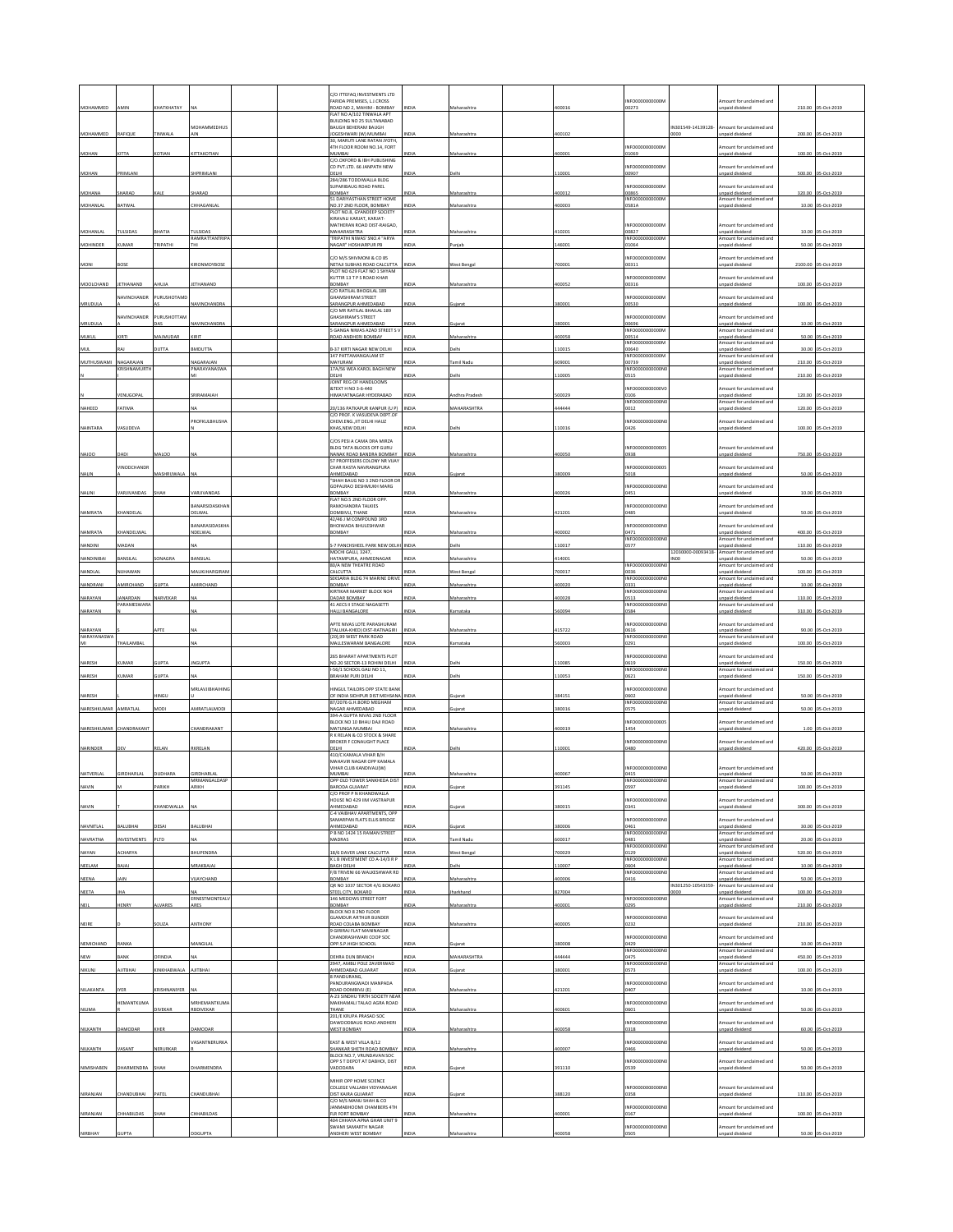|                                     |                     |                        |                                   |  | C/O ITTEFAQ INVESTMENTS LTD<br>FARIDA PREMISES, L.J.CROSS                              |               |                          |                  | NFO0000000000N                            |                           | mount for unclaimed and                                                 |        |                                        |
|-------------------------------------|---------------------|------------------------|-----------------------------------|--|----------------------------------------------------------------------------------------|---------------|--------------------------|------------------|-------------------------------------------|---------------------------|-------------------------------------------------------------------------|--------|----------------------------------------|
| MOHAMMED                            | AMIN                | КНАТКНАТАҮ             |                                   |  | ROAD NO 2. MAHIM - BOMBAY<br>FLAT NO A/102 TINWALA APT                                 | <b>INDIA</b>  | Maharashtra              | 400016           | 00273                                     |                           | inpaid dividend                                                         | 210.00 | 05-Oct-2019                            |
| MOHAMMED                            | RAFIQUE             | <b>INWALA</b>          | <b>MOHAMMEDHUS</b>                |  | BUILDING NO 25 SULTANABAD<br>BAUGH BEHERAM BAUGH<br>JOGESHWARI (W) MUMBAI              | VDM           | Maharashtra              | 100102           |                                           | IN301549-14139128-        | mount for unclaimed and<br>npaid dividend                               | 200.00 | 05-Oct-2019                            |
|                                     |                     |                        |                                   |  | 30 MARLITI LANE RATAN IYOTH<br>4TH FLOOR ROOM NO.14, FORT                              |               |                          |                  | INFO0000000000N                           |                           | mount for unclaimed and                                                 |        |                                        |
| MOHAN                               | KITTA               | KOTIAN                 | KITTAKOTIAN                       |  | MUMBAI<br>C/O.OXFORD & IBH PUBLISHING<br>CO PVT.LTD. 66 JANPATH NEW                    | NDIA          | Maharashtra              | 400001           | 01069<br>NFO0000000000N                   |                           | inpaid dividend<br>mount for unclaimed and                              |        | 100.00 05-Oct-2019                     |
| MOHAN                               | PRIMLANI            |                        | HPRIMLANI                         |  | DELHI<br>284/286 TODDIWALLA BLDG                                                       | NDIA          | Jelhi                    | 110001           | 00907                                     |                           | inpaid dividend                                                         |        | 500.00 05-Oct-2019                     |
| MOHANA                              | HARAD               |                        | HARAD                             |  | SUPARIBAUG ROAD PAREL<br>BOMBAY                                                        | INDIA         | Maharashtra              | 400012           | NFO0000000000N<br>00865                   |                           | mount for unclaimed and<br>unpaid dividend                              |        | 320.00 05-Oct-2019                     |
| MOHANLAL                            | BATWAL              |                        | <b>HHAGANLAL</b>                  |  | 51 DARIYASTHAN STREET HOME<br>NO.37 2ND FLOOR, BOMBAY<br>PLOT NO.8. GYANDEEP SOCIETY   | NDIA          | Maharashtra              | 400003           | INFO0000000000<br>0581A                   |                           | Amount for unclaimed and<br>npaid dividend                              |        | 10.00 05-Oct-2019                      |
|                                     |                     |                        |                                   |  | KIRAVALI KARJAT, KARJAT-<br>MATHERAN ROAD DIST-RAIGAD,                                 |               |                          |                  | NFO0000000000N                            |                           | mount for undaimed and                                                  |        |                                        |
| MOHANLAL                            | <b>TULSIDAS</b>     | <b>AITAHA</b>          | <b>TULSIDAS</b><br>RAMRATTANTRIPA |  | MAHARASHTRA<br>TRIPATHI NIWAS' SNO.4 "ARYA                                             | <b>NDIA</b>   | Maharashtra              | 410201           | 0827<br>INFO0000000000                    |                           | npaid dividend<br>Amount for unclaimed and                              | 10.00  | 05-Oct-2019                            |
| MOHINDER                            | <b>UMAR</b>         | TRIPATHI               | ſнı                               |  | NAGAR" HOSHIARPUR PB<br>C/O M/S SHIVMONI & CO 85                                       | INDIA         | uniab                    | 146001           | 01064<br>NFO0000000000A                   |                           | nnaid dividend<br>mount for unclaimed and                               |        | 50.00 05-Oct-2019                      |
| MONI                                | BOSE                |                        | KIRONMOYBOSE                      |  | NETAJI SUBHAS ROAD CALCUTTA<br>PLOT NO 629 FLAT NO 1 SHYAM                             | INDIA         | West Benga               | 700001           | 00311                                     |                           | inpaid dividend                                                         |        | 2100.00 05-Oct-2019                    |
| MOOLCHAND                           | JETHANANE           | HUJA                   | JETHANAND                         |  | KUTTIR 13 T P S ROAD KHAR<br>BOMBAY<br>C/O RATILAL BHOGILAL 189                        | <b>NDI</b>    | Maharashtra              | 400052           | NFO0000000000<br>00316                    |                           | Amount for unclaimed and<br>npaid dividend                              |        | 100.00 05-Oct-2019                     |
| MRUDULA                             | NAVINCHANDR         | PURUSHOTAME            | NAVINCHANDRA                      |  | <b>GHAMSHIRAM STREET</b><br>SARANGPUR AHMEDABAD                                        | INDIA         | uiarat                   | 380001           | NFO0000000000N<br>00530                   |                           | mount for unclaimed and<br>inpaid dividend                              |        | 100.00 05-Oct-2019                     |
|                                     | VAVINCHANDR         | PURUSHOTTAN            |                                   |  | C/O MR RATILAL BHAILAL 189<br><b>GHASHIRAM'S STREET</b>                                |               |                          |                  | NFO0000000000N                            |                           | mount for unclaimed and                                                 |        |                                        |
| MRUDULA<br>MUKUL                    | <b>GRTI</b>         | MAJMUDAR               | NAVINCHANDRA<br>CIRIT             |  | SARANGPUR AHMEDABAD<br>5 GANGA NIWAS AZAD STREET S V<br>ROAD ANDHERI BOMBAY            | INDIA<br>NDIA | iujarat<br>Maharashtra   | 380001<br>400058 | 00696<br>INFO0000000000<br>0514           |                           | unpaid dividend<br>Amount for unclaimed and<br>npaid dividend           |        | 10.00 05-Oct-2019<br>50.00 05-Oct-2019 |
| <b>MUL</b>                          | RAJ                 | <b>UTTA</b>            | BMDUTTA                           |  | <b>B-37 KIRTI NAGAR NEW DELHI</b>                                                      | <b>INDIA</b>  | elhi                     | 110015           | INFO0000000000<br>00640                   |                           | Amount for unclaimed and<br>inpaid dividend                             |        | 30.00 05-Oct-2019                      |
| MUTHUSWAMI                          | NAGARAJAN           |                        | NAGARAIAN                         |  | 147 PATTAMANGALAM ST<br><b>MAYURAM</b><br>17A/S6 WEA KAROL BAGH NEW                    | INDIA         | amil Nadu                | 609001           | NFO0000000000N<br>00739                   |                           | mount for undaimed and<br>npaid dividend                                | 210.00 | 05-Oct-2019                            |
|                                     | KRISHNAMURT         |                        | PNARAYANASWA                      |  | DELHI<br>JOINT REG OF HANDLOOMS                                                        | INDIA         | Delhi                    | 110005           | INFO0000000000N<br>0515                   |                           | Amount for unclaimed and<br>inpaid dividend                             |        | 210.00 05-Oct-2019                     |
|                                     | VENUGOPAL           |                        | SRIRAMAIAH                        |  | &TEXT H NO 3-6-440<br>HIMAYATNAGAR HYDERABAD                                           | <b>INDIA</b>  | Andhra Pradesh           | 500029           | NFO0000000000V<br>0106                    |                           | mount for unclaimed and<br>npaid dividend                               | 120.00 | 05-Oct-2019                            |
| NAHEED                              | FATIMA              |                        |                                   |  | 20/136 PATKAPUR KANPUR (U P)                                                           | <b>INDIA</b>  | <b>MAHARASHTRA</b>       | 444444           | INFO0000000000N<br>0012                   |                           | Amount for unclaimed and<br>npaid dividend                              |        | 120.00 05-Oct-2019                     |
| NAINTARA                            | VASUDEVA            |                        | <b>PROFKULBHUSHA</b>              |  | C/O PROF. K VASUDEVA DEPT.OF<br>CHEM.ENGIIT DELHI HAUZ<br>KHAS, NEW DELHI              | NDIA          | <b>Jelbi</b>             | 110016           | NFO0000000000N<br>0426                    |                           | mount for undaimed and<br>npaid dividend                                |        | 100.00 05-Oct-2019                     |
|                                     |                     |                        |                                   |  | C/OS PESI A CAMA DRA MIRZA                                                             |               |                          |                  |                                           |                           |                                                                         |        |                                        |
| 00LAN                               | DADI                | AALOO                  |                                   |  | BLDG TATA BLOCKS OFF GURU<br>NANAK ROAD BANDRA BOMBAY<br>57 PROFFESERS COLONY NR VIJAY | <b>INDIA</b>  | Maharashtra              | 400050           | INFO00000000000<br>0938                   |                           | mount for unclaimed and<br>npaid dividend                               |        | 750.00 05-Oct-2019                     |
| NALIN                               | <b>/INODCHANDR</b>  | MASHRUWALA             |                                   |  | CHAR RASTA NAVRANGPLIRA<br>AHMEDABAD                                                   | NDIA          | uiarat                   | 380009           | NFO00000000000<br>5018                    |                           | mount for unclaimed and<br>npaid dividend                               |        | 50.00 05-Oct-2019                      |
|                                     |                     |                        |                                   |  | "SHAH BAUG NO 3 2ND FLOOR DR<br>GOPALRAO DESHMUKH MARG                                 | <b>NDIA</b>   | Maharashtra              |                  | NFO0000000000N                            |                           | nount for unclaimed and                                                 |        | 10.00 05-Oct-2019                      |
| NALINI                              | VARJIVANDAS         | <b>ЧАН</b>             | VARJIVANDAS<br>BANARSIDASKHAN     |  | BOMBAY<br>FLAT NO.5 2ND FLOOR OPP<br>RAMCHANDRA TALKIES                                |               |                          | 400026           | 0451<br>NFO0000000000N                    |                           | npaid dividend<br>mount for unclaimed and                               |        |                                        |
| NAMRATA                             | KHANDELAL           |                        | DELWAL                            |  | DOMBIVLI, THANE<br>42/46 J M COMPOUND 3RD                                              | <b>NDL</b>    | Maharashtra              | 421201           | 0485                                      |                           | npaid dividend                                                          |        | 50.00 05-Oct-2019                      |
| NAMRATA                             | KHANDELWAL          |                        | RANARASIDASKHJ<br>NDELWAL         |  | BHOIWADA BHULESHWAR<br>BOMBAY                                                          | NDIA          | Maharashtra              | 100002           | NFO0000000000N<br>1471<br>INFO0000000000M |                           | mount for unclaimed and<br>npaid dividend                               | 400.00 | 05-Oct-2019                            |
| NANDINI                             | MADAN               |                        |                                   |  | S-7 PANCHSHEEL PARK NEW DELHI INDIA<br>MOCHI GALLI, 3247,                              |               | <b>Delhi</b>             | 110017           | 0577                                      | 12030000-00093418-        | Amount for unclaimed and<br>inpaid dividend<br>mount for unclaimed and  | 110.00 | 05-Oct-201                             |
| NANDINIBAL                          | BANSILAL            | <b>ONAGRA</b>          | BANSILAI                          |  | HATAMPURA, AHMEDNAGAR<br>80/A NEW THEATRE ROAD                                         | <b>INDIA</b>  | Maharashtra              | 414001           | INFO0000000000N                           | N <sub>00</sub>           | npaid dividend<br>mount for unclaimed and                               | 50.00  | 05-Oct-2019                            |
| NANDLAL                             | NUHAWAN             |                        | <b>MALIKJHARGIRAN</b>             |  | CALCUTTA<br>SEKSARIA BLDG 74 MARINE DRIVE                                              | NDM           | <b>Nest Benga</b>        | 700017           | 036<br>INFO0000000000N                    |                           | npaid dividend<br>mount for unclaimed and                               | 100.00 | 05-Oct-2019                            |
| NANDRANI                            | MIRCHAND<br>ANARDAN | <b>UPTA</b>            | MIRCHAND                          |  | BOMBAY<br>KIRTIKAR MARKET BLOCK NO4<br>DADAR BOMBAY                                    | NDLA<br>NDIA  | taharashtra              | 100020<br>100028 | 0331<br><b>NFO0000</b><br>10000<br>0513   |                           | npaid dividend<br>mount for unclaimed and                               |        | 10.00 05-Oct-2019                      |
| NARAYAN<br>NARAYAN                  | PARAMESWARA         | <b>JARVEKAR</b>        |                                   |  | 41 AECS II STAGE NAGASETTI<br>HALLI BANGALORE                                          | <b>INDIA</b>  | faharashtra<br>Carnataka | 560094           | INFO0000000000N<br>0584                   |                           | npaid dividend<br>Amount for unclaimed and<br>inpaid dividend           | 110.00 | 05-Oct-2019<br>310.00 05-Oct-2019      |
|                                     |                     |                        |                                   |  | APTE NIVAS LOTE PARASHURAM                                                             |               |                          |                  | NFO0000000000N                            |                           | mount for unclaimed and                                                 |        |                                        |
| NARAYAN<br><b>NARAYANASWA</b><br>MI | THAILAMBAL          | <b>IPTE</b>            |                                   |  | (TALUKA-KHED) DIST-RATNAGIRI<br>(20).99 WEST PARK ROAD<br>MALLESWARAM BANGALORI        | INDIA<br>NDI  | Maharashtra<br>arnataka  | 115722<br>560003 | 0616<br>INFO0000000000M<br>0291           |                           | inpaid dividend<br>Amount for unclaimed and<br>inpaid dividend          | 90.00  | 05-Oct-2019<br>100.00 05-Oct-2019      |
|                                     |                     |                        |                                   |  |                                                                                        |               |                          |                  |                                           |                           |                                                                         |        |                                        |
|                                     |                     |                        |                                   |  | 265 BHARAT APARTMENTS PLOT                                                             |               |                          |                  | NFO0000000000N                            |                           | mount for unclaimed and                                                 |        |                                        |
| NARESH                              | <b>UMAR</b>         | UPTA                   | NGUPTA                            |  | NO.20 SECTOR-13 ROHINI DELHI<br>I-56/1 SCHOOL GALI NO 11,                              | <b>INDIA</b>  | elhi                     | 10085            | 0619<br>INFO0000000000NO                  |                           | npaid dividend<br>Amount for unclaimed and                              |        | 150.00 05-Oct-2019                     |
| NARESH                              | KUMAR               | GUPTA                  | MRLAVJIBHAIHING                   |  | BRAHAM PURI DELHI<br>HINGUL TAILORS OPP STATE BANK                                     | INDIA         | Delhi                    | 110053           | 0621                                      |                           | inpaid dividend                                                         |        | 150.00 05-Oct-2019                     |
| NARESH                              |                     | INGU                   |                                   |  | OF INDIA SIDHPUR DIST MEHSANA INDIA<br>87/2076 G.H.BORD MEGHAM                         |               |                          | 384151           | NFO0000000000N<br>1602<br>INFO0000000000N |                           | mount for unclaimed and<br>npaid dividend<br>Amount for unclaimed and   | 50.00  | 05-Oct-2019                            |
| NARESHKUMAR                         | AMRATLAL            | MODI                   | AMRATLALMODI                      |  | NAGAR AHMEDABAD<br>394-A GUPTA NIVAS 2ND FLOOR                                         | INDIA         | uiarat                   | 380016           | 0575                                      |                           | inpaid dividend                                                         |        | 50.00 05-Oct-2019                      |
| NARESHKUMAR                         | CHANDRAKANT         |                        | HANDRAKANT                        |  | BLOCK NO 10 BHAU DAJI ROAD<br>MATUNGA MUMBAL<br>R K RELAN & CO STOCK & SHARE           | VDIA          | Maharashtra              | 100019           | NFO00000000000<br>1454                    |                           | mount for unclaimed and<br>inpaid dividend                              |        | 1.00 05-Oct-2019                       |
| NARINDER                            | DEV                 | ELAN                   | KRELAN                            |  | BROKER F CONAUGHT PLACE<br>DELHI                                                       | NDLA          | elhi                     | 10001            | NFO0000000000N<br>1480                    |                           | mount for unclaimed and<br>inpaid dividend                              |        | 420.00 05-Oct-2019                     |
|                                     |                     |                        |                                   |  | 410/C KAMALA VIHAR B/H<br>MAHAVIR NAGAR OPP KAMALA                                     |               |                          |                  |                                           |                           |                                                                         |        |                                        |
| NATVERLAL                           | GIRDHARLAL          | <b>DUDHARA</b>         | GIRDHARLAL<br>MRMANGALDASP        |  | VIHAR CLUB KANDIVALI(W)<br>MUMBAI<br>OPP OLD TOWER SANKHEDA DIST                       | <b>INDIA</b>  | Maharashtra              | 400067           | INFO0000000000N<br>0415<br>INFO00         |                           | Amount for unclaimed and<br>unpaid dividend<br>Amount for unclaimed and |        | 50.00 05-Oct-2019                      |
| NAVIN                               |                     | PARIKH                 | ARIKH                             |  | BARODA GUJARAT<br>C/O PROF P N KHANDWALLA                                              | <b>INDIA</b>  | Gujarat                  | 391145           | )597                                      |                           | <b>Inpaid dividend</b>                                                  |        | 100.00 05-Oct-2019                     |
| NAVIN                               |                     | KHANDWALLA             | NA                                |  | HOUSE NO 429 IIM VASTRAPUR<br>AHMEDABAD                                                | INDIA         | Suiarat                  | 380015           | NFO0000000000N<br>0341                    |                           | mount for unclaimed and<br>inpaid dividend                              |        | 300.00 05-Oct-2019                     |
|                                     | ALUBHAI             | ESAI                   | <b>ALUBHAI</b>                    |  | C-4 VAIBHAV APARTMENTS, OPI<br>SAMARPAN FLATS ELLIS BRIDGE<br>AHMEDABAD                | <b>IDIA</b>   |                          | 380006           | NFO0000000000N<br>1461                    |                           | mount for unclaimed and                                                 | 30.00  |                                        |
| NAVNITLAL<br>NAVRATNA               | NVESTMENTS          | PLTD                   |                                   |  | P B NO 1424 15 RAMAN STREET<br>MADRAS                                                  | NDIA          | amil Nadu                | 600017           | INFO0000000000N<br>0481                   |                           | npaid dividend<br>Amount for unclaimed and<br>npaid dividend            | 20.00  | 05-Oct-2019<br>05-Oct-2019             |
| NAYAN                               | <b>CHARY</b>        |                        | <b>HUPENDR</b>                    |  | 18/6 DAVER LANE CALCUTTA                                                               | NDLA          | Vest Beng                | 700029           | NFO0000000000N<br>0129                    |                           | mount for undaimed and<br>npaid dividend                                | 520.00 | S-Oct-2019                             |
| NEELAM                              | BAJAI               |                        | MRAKBAJA                          |  | K L B INVESTMENT CO A-14/3 R P<br>BAGH DELHI                                           | NDIA          | Jelhi                    | 110007           | INFO0000000000M<br>1604                   |                           | mount for unclaimed and<br>inpaid dividend                              |        | 10.00 05-Oct-2019                      |
| NEENA                               | AIN                 |                        | <b>IJAYCHAND</b>                  |  | F/8 TRIVENI 66 WALKESHWAR RD<br>BOMBAY                                                 | VDIA          | taharashtra              | 100006           | INFO0000000000N<br>0416                   |                           | mount for unclaimed and<br>npaid dividend                               |        | 50.00 05-Oct-2019                      |
| NEETA                               | НΔ                  |                        |                                   |  | QR NO 1037 SECTOR 4/G BOKARO                                                           | NDM           |                          |                  |                                           | IN301250-10543359-<br>000 | mount for unclaimed and                                                 |        |                                        |
| NEIL                                | HENRY               | LVARES                 | ERNESTMONTEALV<br>ARES            |  | STEEL CITY, BOKARO<br>146 MEDOWS STREET FORT<br>BOMBAY                                 | <b>INDIA</b>  | arkhand<br>Maharashtra   | 327004<br>400001 | INFO0000000000NO<br>0295                  |                           | npaid dividend<br>mount for unclaimed and<br>inpaid dividend            | 100.00 | 05-Oct-2019<br>210.00 05-Oct-2019      |
|                                     |                     |                        |                                   |  | BLOCK NO 8 2ND FLOOR<br><b>GLAMOUR ARTHUR BUNDER</b>                                   |               |                          |                  | NFO0000000000N                            |                           | mount for unclaimed and                                                 |        |                                        |
| NEIRE                               |                     | OUZA                   | ANTHONY                           |  | ROAD COLABA BOMBAY<br>9 GIRIRA I FI AT MANINAGAR                                       | NDIA          | Maharashtra              | 100005           | 0232                                      |                           | npaid dividend                                                          |        | 210.00 05-Oct-2019                     |
| NEMICHAND                           | RANKA               |                        | AANGILAL                          |  | CHANDRASHWARI COOP SOC<br>OPP.S.P.HIGH SCHOOL                                          | NDIA          | ujarat                   | 380008           | NFO0000000000N<br>0429<br>NFO0000000000N  |                           | mount for unclaimed and<br>npaid dividend                               |        | 10.00 05-Oct-2019                      |
| NEW                                 | <b>LANK</b>         | FINDIA                 |                                   |  | DEHRA DUN BRANCH<br>2947 AMRILPOLE ZAVERIWAD                                           | NDM           | MAHARASHTRA              | 44444            | 0475<br>INFO0000000000N                   |                           | mount for unclaimed and<br>npaid dividend<br>mount for unclaimed and    | 450.00 | 05-Oct-2019                            |
| NIKUNJ                              | <b>NITBHAI</b>      | <b>INKHABWALA</b>      | <b>AJITBHAI</b>                   |  | AHMEDABAD GUJARAT<br>8 PANDURANG,                                                      | NDIA          | uiarat                   | 380001           | 0573                                      |                           | inpaid dividend                                                         |        | 100.00 05-Oct-2019                     |
| NILAKANTA                           | <b>YFR</b>          | RISHNANIYER            |                                   |  | ANDURANGWADI MANPADA<br>ROAD DOMBIVLI (E)<br>A-23 SINDHU TIRTH SOCIETY NEAR            | VDIA          | Maharashtra              | 121201           | NFO0000000000N<br>0407                    |                           | mount for unclaimed and<br>npaid dividend                               |        | 10.00 05-Oct-2019                      |
| <b>NILIMA</b>                       | <b>IEMANTKUMA</b>   | <b>IVEKAR</b>          | <b>MRHEMANTKUMA</b><br>RBDIVEKAF  |  | MAKHAMALI TALAO AGRA ROAD<br>THANE                                                     |               | faharashtra              | 00601            | NFO0000000000N<br>1601                    |                           | mount for unclaimed and<br>npaid dividend                               |        | 50.00 05-Oct-2019                      |
|                                     |                     |                        |                                   |  | 201/E KRUPA PRASAD SOC<br>DAWOODBAUG ROAD ANDHERI                                      |               |                          |                  | NFO0000000000N                            |                           | mount for unclaimed and                                                 |        |                                        |
| NILKANTH                            | DAMODAR             | <b>CHER</b>            | DAMODAR<br>VASANTNERURKA          |  | <b>WEST BOMBAY</b><br>EAST & WEST VILLA B/12                                           | NDIA          | Maharashtra              | 400058           | 0318<br>INFO0000000000N                   |                           | npaid dividend<br>mount for unclaimed and                               |        | 60.00 05-Oct-2019                      |
| NILKANTH                            | VASANT              | <b><i>IERURKAR</i></b> |                                   |  | SHANKAR SHETH ROAD BOMBAY<br>BLOCK NO.7, VRUNDAVAN SOC                                 | <b>INDIA</b>  | Maharashtra              | 100007           | 1466                                      |                           | inpaid dividend                                                         | 50.00  | 05-Oct-2019                            |
| NIMISHABEN                          | DHARMENDRA          | SHAH                   | DHARMENDRA                        |  | OPP S T DEPOT AT DABHOI, DIST<br>VADODARA                                              | INDIA         | Gujarat                  | 391110           | NFO0000000000N<br>0539                    |                           | mount for unclaimed and<br>Inpaid dividend                              |        | 50.00 05-Oct-2019                      |
|                                     |                     |                        |                                   |  | MIHIR OPP HOME SCIENCE<br>COLLEGE VALLABH VIDYANAGAR                                   |               |                          |                  | NFO0000000000N                            |                           | mount for unclaimed and                                                 |        |                                        |
| NIRANJAN                            | CHANDUBHAI          | PATEL                  | HANDUBHAI                         |  | DIST KAIRA GUJARAT<br>C/O M/S MANU SHAH & CO                                           | NDIA          | uiarat                   | 388120           | 0358                                      |                           | npaid dividend                                                          |        | 110.00 05-Oct-2019                     |
| NIRANJAN                            | HHABILDA            | HAI                    | <b>HHABILDA</b>                   |  | JANMABHOOMI CHAMBERS 4TH<br>FLR FORT BOMBAY<br>404 CHHAYA APNA GHAR UNIT 9             |               | Maharashtra              | 100001           | NFO0000000000N<br>167                     |                           | mount for unclaimed and<br>inpaid dividend                              | 100.00 | 05-Oct-201                             |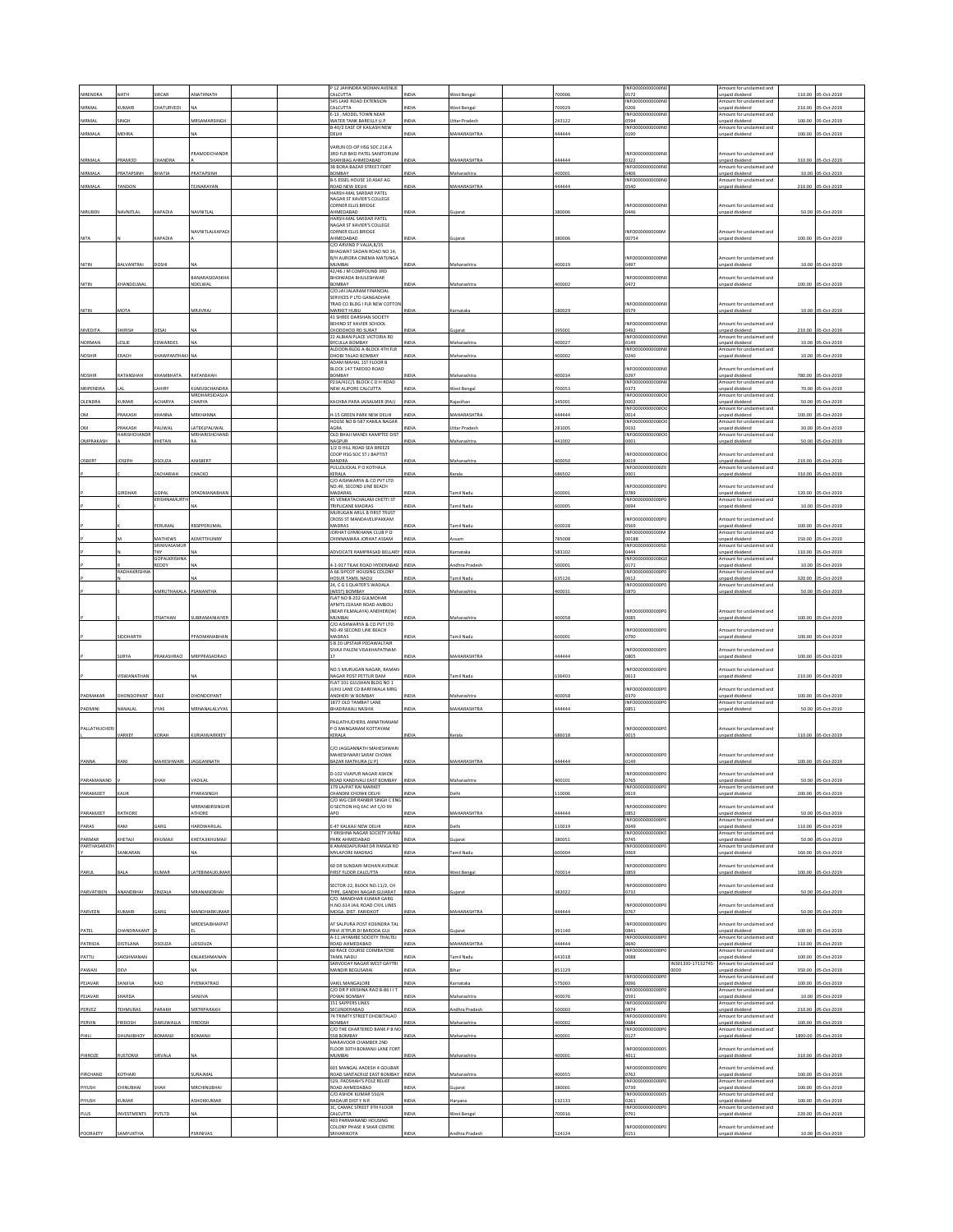| <b>IIRENDRA</b>      | <b>IATH</b>                    |                                            | ANATHNATH                        |  | P 12 JAHINDRA MOHAN AVENUE<br>CALCUTTA                                                         |               |                                     | 00006           | INFO0000000000N<br>0172                    |                            | Amount for unclaimed and<br>unpaid dividend                             | 110.00         | 5-Oct-2019                        |
|----------------------|--------------------------------|--------------------------------------------|----------------------------------|--|------------------------------------------------------------------------------------------------|---------------|-------------------------------------|-----------------|--------------------------------------------|----------------------------|-------------------------------------------------------------------------|----------------|-----------------------------------|
| NIRMAL               | <b>UMARI</b>                   | CHATURVEDI                                 |                                  |  | <b>545 LAKE ROAD EXTENSION</b><br>CALCUTTA<br>E-13, MODEL TOWN NEAR                            | NDIA          | Vest Bengal                         | 00029           | INFO0000000000N<br>0206<br>INFO000         |                            | Amount for unclaimed and<br>npaid dividend<br>Amount for unclaimed and  | 210.00         | 05-Oct-2019                       |
| NIRMAL               | <b>INGH</b>                    |                                            | MRSAMARSINGH                     |  | WATER TANK BAREILLY U.P<br>1-40/2 EAST OF KAILASH NEW                                          | NDIA          | Ittar Pradesh                       | 43122           | 0594<br>INFO0000000000N                    |                            | Inpaid dividend<br>mount for unclaimed and                              | 100.00         | 05-Oct-2019                       |
| <b>VIRMALA</b>       | <b>MEHRA</b>                   |                                            |                                  |  | DELHI                                                                                          | <b>IDIA</b>   | <b>MAHARASHTRA</b>                  | 44444           | 0190                                       |                            | npaid dividend                                                          | 100.00         | 05-Oct-2019                       |
| NIRMALA              | RAMOL                          | HANDRA                                     | PRAMODCHANDE                     |  | VARUN CO-OP HSG SOC 21K-A<br>3RD FLR BHD PATEL SANITORIUM<br>HAHIBAG AHMEDABAD                 |               | <b>IAHARASHTRA</b>                  | 44444           | <b>INFO0000</b><br>0322                    |                            | Amount for unclaimed and<br>unpaid dividend                             | 310.00         | S-Oct-2019                        |
| NIRMALA              | PRATAPSINH                     | BHATIA                                     | PRATAPSINH                       |  | 38 BORA BAZAR STREET FORT<br>YABANGE                                                           | NDIA          | Maharashtra                         | 400001          | INFO0000000000M<br>0406                    |                            | Amount for unriaimed and<br>npaid dividend                              | 10.00          | 05-Oct-2019                       |
| NIRMALA              | <b>ANDON</b>                   |                                            | TEJNARAYAN                       |  | <b>B-5 ESSEL HOUSE 10 ASAF AG</b><br>ROAD NEW DELHI                                            | <b>VDM</b>    | <b>MAHARASHTRA</b>                  | 44444           | INFO0000000000N<br>0540                    |                            | Amount for unclaimed and<br>npaid divident                              | 210.00         | 05-Oct-2019                       |
|                      |                                |                                            |                                  |  | <b>HARSH-MAL SARDAR PATEL</b><br>NAGAR ST XAVIER'S COLLEGE<br>CORNER ELLIS BRIDGE              |               |                                     |                 | INFO0000000000N                            |                            | Amount for unclaimed and                                                |                |                                   |
| NIRUBEN              | VAVNITLAI                      | KAPADIA                                    | VAVNITLA                         |  | AHMEDABAD<br>HARSH-MAL SARDAR PATEL<br>NAGAR ST XAVIER'S COLLEGE                               |               |                                     | 80000           | 0446                                       |                            | inpaid dividend                                                         | 50.00          | 05-Oct-201                        |
| NITA                 |                                | CAPADIA                                    | NAVNITLALKAPAD                   |  | CORNER ELLIS BRIDGE<br>AHMEDABAD<br>C/O ARVIND P VALIA.8/35                                    | NDIA          | <b>Garat</b>                        | 380006          | <b>INFO0000</b><br>0000N<br>00754          |                            | Amount for unclaimed and<br>npaid dividend                              |                | 100.00 05-Oct-2019                |
| NITIN                | BALVANTRAI                     | DOSHI                                      |                                  |  | BHAGWAT SADAN ROAD NO 14,<br><b>B/H AURORA CINEMA MATUNGA</b><br>MUMRAL                        | NDIA          | Maharashtra                         | 400019          | INFO0000000000<br>0497                     |                            | mount for unclaimed and<br>npaid dividend                               |                | 10.00 05-Oct-2019                 |
| NITIN                | CHANDELWAL                     |                                            | <b>BANARASIDASKHA</b><br>NDELWAL |  | 42/46 LM COMPOUND 3RD<br>BHOIWADA BHULESHWAR<br>BOMBAY                                         | <b>VDM</b>    | faharashtr.                         | 100002          | INFO0000000000N<br>0472                    |                            | mount for unclaimed and<br>inpaid dividend                              |                | 100.00 05-Oct-2019                |
|                      |                                |                                            |                                  |  | C/OJAI JALARAM FINANCIAL<br>SERVICES P LTD GANGADHAR<br>TRAD CO BLDG I FLR NEW COTTON          |               |                                     |                 | INFORMATION                                |                            | Amount for unclaimed and                                                |                |                                   |
| NITIN                | <b>MOTA</b>                    |                                            | MRJIVRAJ                         |  | MARKET HUBLI<br>41 SHREE DARSHAN SOCIETY<br>BEHIND ST XAVIER SCHOOL                            |               | arnataka                            | 80029           | 0579<br>INFO0000000000N                    |                            | inpaid dividend<br>mount for unclaimed and                              | 10.00          | 05-Oct-2019                       |
| NIVEDITA             | HIRISH                         | <b>DESAI</b>                               |                                  |  | CHODDHOD RD SURAT<br>22 ALBIAN PLACE VICTORIA RD                                               | NDIA          | ujara                               | 395001          | 0492<br>INFO0000000000N                    |                            | unpaid dividend<br>Amount for unclaimed and                             |                | 210.00 05-Oct-2019                |
| NORMAN<br>NOSHIP     | ESLIE<br>RACH                  | <b>DWARDES</b><br>HAWPANTHA                |                                  |  | BYCULLA BOMBAY<br>ALDOON BLDG A-BLOCK 4TH FLR<br>DHOBI TALAO BOMBAY                            | NDM           | Maharashtr.<br>taharash             | 100027<br>00002 | 0149<br>INFO0000000000N<br>0240            |                            | Inpaid dividend<br>Amount for unclaimed and<br>inpaid dividend          | 10.00<br>10.00 | 05-Oct-2019<br>05-Oct-201         |
|                      |                                |                                            |                                  |  | ADAM MAHAL 1ST FLOOR B<br>BLOCK 147 TARDEO ROAD                                                |               |                                     |                 | INFO0000000000N                            |                            | Amount for unclaimed and                                                |                |                                   |
| <b>NOSHIR</b>        | RATANSHAH                      | <b>КНАМВНАТА</b>                           | RATANSHAH                        |  | BOMBAY<br>P23A/41C/1 BLOCK CD H ROAD                                                           |               | Aaharashtr                          | 100034          | 0297<br>INFO0000000000N                    |                            | Inpaid dividend<br>Amount for unclaimed and                             |                | 780.00 05-Oct-2019                |
| NRIPENDRA            |                                | AHIRY                                      | KUMUDCHANDRA<br>MRDHARSIDASJIA   |  | NEW ALIPORE CALCUTTA                                                                           |               | est Benga                           | 00053           | 0373<br>INFO0000000000                     |                            | unpaid dividend<br>Amount for unclaimed and                             | 70.00          | 05-Oct-201                        |
| DLENDRA              | <b>CUMAR</b>                   | <b>ACHARYA</b>                             | <b>HARYA</b>                     |  | KACHRA PARA JAISAI MER (RAI)                                                                   | <b>INDIA</b>  | aiasthar                            | 45001           | 0002<br>INFO0000000000                     |                            | npaid dividend<br>Amount for unclaimed and                              | 50.00          | 05-Oct-2019                       |
| MQ<br><b>DM</b>      | RAKASH<br>RAKASH               | HANNA<br><b>ALIWAL</b>                     | ARKHANNA<br>ATEKLPALIMAL         |  | <b>H-15 GREEN PARK NEW DELHI</b><br>HOUSE NO B-587 KAMLA NAGAR<br><b>AGRA</b>                  | NDIA<br>NDIA  | <b>IAHARASHTRA</b><br>Uttar Pradesh | 44444<br>281005 | 0014<br>INFO0000000000<br>0032             |                            | Inpaid dividend<br>mount for unclaimed and<br>npaid dividend            | 100.00         | 05-Oct-2019<br>30.00 05-Oct-2019  |
| OMPRAKASH            | <b>IARISHCHAND</b>             | <b>CHETAN</b>                              | MRHARISHCHAND                    |  | OLD BHAJI MANDI KAMPTEE DIST<br>NAGPUR                                                         | <b>NDM</b>    | Maharashtr.                         | 41002           | INFO0000000000<br>0001                     |                            | Amount for undaimed and<br>inpaid dividend                              | 50.00          | 05-Oct-2019                       |
|                      |                                |                                            |                                  |  | 1/2 D HILL ROAD SEA BREEZE<br>COOP HSG SOC ST J BAPTIST                                        |               |                                     |                 | INFO0000000000                             |                            | mount for unclaimed and                                                 |                |                                   |
| OSBERT               | OSEPH                          | DSOUZA                                     | ANISBERT                         |  | BANDRA<br>PULLOLICKAL P O KOTHALA                                                              | NDIA          | Maharashtra                         | 400050          | 0019<br>INFO0000000002                     |                            | inpaid dividend<br>Amount for unclaimed and                             |                | 210.00 05-Oct-2019                |
|                      |                                | ACHARIAH                                   | CHACKO                           |  | KERALA<br>C/O AISHWARYA & CO PVT LTD                                                           |               | erala                               | 86502           | 0001<br>INFO0000000000                     |                            | inpaid dividend<br>mount for unclaimed and                              | 310.00         | 05-Oct-2019                       |
|                      | <b>GIRDHAR</b>                 | <b>GOPAL</b><br>CRISHNAMURT                | DPADMANABHAM                     |  | NO.49, SECOND LINE BEACH<br>MADARAS<br>45 VENKATACHALAM CHETTI ST                              | NDIA          | Tamil Nadu                          | 500001          | 0789<br>INFO0000000000PC                   |                            | inpaid dividend<br>Amount for unclaimed and                             |                | 120.00 05-Oct-2019                |
|                      |                                |                                            |                                  |  | TRIPLICANE MADRAS<br>MURUGAN ARUL B FIRST TRUST                                                | <b>VIDIZ</b>  | amil Nadu                           | 00005           | 0694                                       |                            | inpaid dividend                                                         | 10.00          | 05-Oct-2019                       |
|                      |                                | PERUMAL                                    | RBSPPERUMAL                      |  | CROSS ST MANDAVELIPAKKAM<br>MADRAS                                                             | NDIA          | Tamil Nadu                          | 500028          | INFO000000000P<br>0569                     |                            | mount for unclaimed and<br>npaid dividend                               |                | 100.00 05-Oct-2019                |
|                      |                                | <b>MATHEWS</b>                             | AEMITTHUNNY                      |  | JORHAT GYMKHANA CLUB P O<br>CHINNAMARA JORHAT ASSAM                                            |               | ssam                                | 785008          | INFO0000000000<br>00188                    |                            | Amount for unclaimed and<br>Inpaid dividend                             | 150.00         | 05-Oct-2019                       |
|                      |                                | SRINIVASAMUI<br>THY<br><b>GOPALKRISHNA</b> |                                  |  | ADVOCATE RAMPRASAD BELLARY                                                                     | NDLA          | mataka                              | 83102           | INFO0000000000S<br>0444<br>INFO0000000000  |                            | Amount for unclaimed and<br>inpaid dividend<br>mount for unclaimed and  | 110.00         | 5-Oct-2019                        |
|                      | RADHAKRISHN                    | <b>LEDDY</b>                               |                                  |  | -1-917 TILAK ROAD HYDERABAD<br>A 66 SIPCOT HOUSING COLONY                                      | $\sum$        | dhra Prade                          | 00001           | 0171<br>INFO000000000P                     |                            | npaid dividend<br>Amount for unclaimed and                              | 10.00          | 5-Oct-2019                        |
|                      |                                |                                            |                                  |  | HOSUR TAMIL NADU<br>24, C G S QUATER'S WADALA                                                  | <b>VDM</b>    | amil Nadu                           | 35126           | 0612<br>INFO0000000000P                    |                            | Inpaid dividend<br>mount for unclaimed and                              | 320.00         | 5-Oct-2019                        |
|                      |                                | MRUTHAKALA                                 | PSANANTHA                        |  | (WEST) BOMBAY<br>FLAT NO B-202 GULMOHAR                                                        | NDIA          | Aaharashtr.                         | 00031           | 0870                                       |                            | npaid dividend                                                          |                | 50.00 05-Oct-2019                 |
|                      |                                |                                            |                                  |  | APMTS CEASAR ROAD AMBOLI<br>(NEAR FILMALAYA) ANDHERI(W)                                        |               |                                     |                 | INFO0000000000F                            |                            | Amount for unclaimed and                                                |                |                                   |
|                      |                                | <b>NATHAN</b>                              | SUBRAMANIAIY                     |  | MUMBAI<br>C/O AISHWARYA & CO PVT LTD                                                           |               | faharashti                          | 00058           | 0085                                       |                            | inpaid divident                                                         | 100.00         | 05-Oct-201                        |
|                      | <b>IDDHARTH</b>                |                                            | PPADMANABHAM                     |  | NO.49 SECOND LINE BEACH<br>MADRAS<br>S B 20 UPSTAIR PEDAWALTAIR                                |               | Tamil Nadu                          | 500001          | INFO0000000000F<br>0790                    |                            | mount for unclaimed and<br>inpaid dividend                              | 100.00         | 05-Oct-201                        |
|                      | SURYA                          | RAKASHRAO                                  | MRPPRASADRAO                     |  | SIVAJI PALENI VISAKHAPATNAM<br>17                                                              | NDIA          | MAHARASHTRA                         | 44444           | INFO0000000000F<br>0805                    |                            | mount for undaimed and<br>npaid dividend                                |                | 100.00 05-Oct-2019                |
|                      |                                |                                            |                                  |  | NO.5 MURUGAN NAGAR, RAMAN                                                                      |               |                                     |                 | INFO0000000000P                            |                            | mount for unclaimed and                                                 |                |                                   |
|                      | VISWANATHAN                    |                                            |                                  |  | NAGAR POST PETTUR DAM<br>FLAT 101 GULSHAN BLDG NO 1<br>JUHU LANE CD BARFIWALA MRG              | <b>INDIA</b>  | Tamil Nadu                          | 636403          | 0613<br>INFO000000000P                     |                            | unpaid dividend<br>mount for unclaimed and                              |                | 210.00 05-Oct-2019                |
| PADMAKAR             | HONDOPANT                      | RAJE                                       | HONDOPANT                        |  | MDHERI W BOMBAY<br>1877 OLD TAMBAT LANE                                                        | IDIA          | laharashtr                          | 00058           | 0370<br>INFO000000000P                     |                            | npaid dividend<br>Amount for unclaimed and                              | 100.00         | S-Oct-2019                        |
| PADMINI              | NANALAL                        | VYAS                                       | MRNANALALVYAS                    |  | BHADRAKALI NASHIK                                                                              | INDIA         | MAHARASHTRA                         | 444444          | 0851                                       |                            | <b>Inpaid dividend</b>                                                  |                | 50.00 05-Oct-2019                 |
| ALLATHUCHER          | <b>ARKEY</b>                   | <b>CORAH</b>                               | <b>URIANVARKKEY</b>              |  | ALLATHUCHERIL ANNATHANAM<br>P O MANGANAM KOTTAYAM<br>KERALA                                    |               | Kerala                              | 586018          | INFO000000000P<br>0015                     |                            | mount for unclaimed and<br>inpaid dividend                              |                | 110.00 05-Oct-2019                |
|                      | <b>ANI</b>                     | <b>MAHESHWARI</b>                          | AGGANNATH                        |  | C/O JAGGANNATH MAHESHWAR<br>.<br>MAHESHWARI SARAF CHOWK<br>BAZAR MATHURA [U P]                 |               |                                     |                 |                                            |                            |                                                                         |                |                                   |
|                      |                                |                                            |                                  |  |                                                                                                |               |                                     |                 | INFO0000000000P                            |                            | mount for unclaimed and                                                 |                |                                   |
| PARAMJEET            |                                |                                            |                                  |  | D-102 VIJAPUR NAGAR ASHOK                                                                      |               | <b>AHARASHTRA</b>                   | 44444           | 0149<br>INFO0000000000PC                   |                            | npaid dividend<br>Amount for unclaimed and                              | 100.00         | 05-Oct-2019                       |
|                      | AUF                            |                                            | VARASINGH                        |  | 179 LAJPAT RAI MARKET                                                                          |               |                                     | 10000           | INFO000000000P<br>0619                     |                            | mount for unclaimed and<br>npaid dividend                               | 200.00         | S-0rt-2019                        |
|                      |                                |                                            | MRRANBIRSINGHI                   |  | HANDNI CHOWK DELHI<br>C/O WG CDR RANBIR SINGH C ENG<br>O SECTION HQ EAC IAF C/O 99             |               |                                     |                 | INFO0000<br>000F                           |                            | Amount for unclaimed and                                                |                |                                   |
| PARAMJEET            | ATHORE                         |                                            | THORE                            |  | <b>LPO</b>                                                                                     |               | <b>MAHARASHTRA</b>                  | 4444            | 0852<br>INFO0000000000P                    |                            | unpaid dividend<br>mount for unclaimed and                              | 50.00          | S-Oct-2019                        |
| PARAS                | AM <sub>1</sub>                | <b>ARG</b><br>KHUMAJI                      | <b>IARDWARILAL</b>               |  | -47 KALKAJI NEW DELHI<br><b><i>FIRISHNA NAGAR SOCIETY JIVRAJ</i></b><br>PARK AHMEDABAD         | IN A<br>INDIA | ujarat                              | 10019<br>880051 | 0049<br>INFORMADOOOOK<br>0745              |                            | unpaid dividend<br>Amount for unclaimed and<br>unpaid dividend          | 110.00         | 5-Oct-2019                        |
| PARMAR<br>PARTHASARA | KHETAJI<br>ANKARAN             |                                            | KHETAJIKHUMAJI                   |  | ANANDAPURAM DR RANGA RD<br>MYLAPORE MADRAS                                                     | NDL           | amil Nadu                           | 00004           | INFO000<br>0069                            |                            | nount for undaimed and<br>inpaid dividend                               | 160.00         | 50.00 05-Oct-2019<br>05-Oct-2019  |
| PARUL                | BALA                           | KUMAR                                      | LATEBIMALKUMAR                   |  | 60 DR SUNDARI MOHAN AVENUE<br>FIRST FLOOR CALCUTTA                                             | <b>INDIA</b>  | West Bengal                         | 700014          | INFO0000000000P<br>0859                    |                            | mount for unclaimed and<br>unpaid dividend                              |                | 100.00 05-Oct-2019                |
| PARVATIBEN           | MANDBHAI                       | INZALA                                     | ARANANDBHAI                      |  | SECTOR-22, BLOCK NO.11/2, CH<br>TYPE, GANDHI NAGAR GUJARAT                                     |               |                                     | 82022           | INFO000000000P<br>0732                     |                            | nount for unclaimed and<br>npaid dividend                               | 50.00          | 05-Oct-2019                       |
| PARVEEN              | UMARI                          | ARC                                        | AANOHARKUMA                      |  | C/O. MANOHAR KUMAR GARG<br>H.NO.614 JAIL ROAD CIVIL LINES<br>MOGA. DIST. FARIDKOT              |               | <b>IAHARASHTRA</b>                  | 4444            | INFO0000000000P<br>)767                    |                            | mount for unclaimed and<br>inpaid divident                              |                | 50.00 05-Oct-2019                 |
|                      |                                |                                            | MRDESAIBHAIPAT                   |  | AT SALPURA POST KOSINDRA TAL<br>PAVI JETPUR DI BARODA GUJ                                      | NDIA          | Jiarat                              |                 | <b>INFO00000</b><br>00000F<br>0841         |                            | mount for unclaimed and<br>heebivib bisen                               |                |                                   |
| PATEL<br>PATRICIA    | <b>HANDRAKANT</b><br>DISTILANA | DSOUZA                                     | LIDSOUZA                         |  | A-11 JAYAMBE SOCIETY THALTEJ<br>ROAD AHMEDABAD                                                 |               | AAHARASHTRA                         | 91140<br>44444  | INFO000<br>0640                            |                            | Amount for unclaimed and<br>unpaid dividend                             | 110.00         | 100.00 05-Oct-2019<br>05-Oct-2019 |
| PATTU                | AKSHMANAM                      |                                            | <b>INLAKSHMANAM</b>              |  | 60 RACE COURSE COIMBATORE<br>TAMIL NADU                                                        |               | mil Nad                             | 41018           | INFO0000000000P<br>0088                    |                            | mount for undaimed and<br>npaid dividend                                | 100.00         | S-Oct-2019                        |
| PAWAN                | DEVI                           |                                            |                                  |  | SARVODAY NAGAR WEST GAYTRI<br>MANDIR BEGUSARAI                                                 | INDIA         | Bihar                               | 851129          |                                            | IN301330-17132745-<br>0000 | Amount for unclaimed and<br>unpaid dividend                             |                | 350.00 05-Oct-2019                |
| PEJAVAR              | ANJIVA                         | <b>AO</b>                                  | PVENKATRAO                       |  | VAKIL MANGALORE<br>C/O DR P KRISHNA RAO B-86 I I T                                             | NDLA          | amataka                             | 75003           | INFO0000000000P<br>0096<br>INFO0000000000P |                            | Amount for unclaimed and<br>inpaid dividend<br>Amount for unclaimed and | 100.00         | 05-Oct-2019                       |
| PEJAVAR              | HARDA                          |                                            | SANJIVA                          |  | YOWAI BOMBAY<br>151 SAPPERS LINES                                                              | NDIA          | Maharashtra                         | 100076          | 0591<br>INFO0000<br>0000F                  |                            | Inpaid dividend<br>Amount for unclaimed and                             | 10.00          | 05-Oct-2019                       |
| PERVEZ               | TEHMURAS                       | ARAKH                                      | MRTRPARAKH                       |  | SECUNDERABAD<br>74 TRIMTY STREET DHOBITALAO                                                    |               | dhra Prades                         | 00003           | 0874<br>INFO0000000000P                    |                            | unpaid dividend<br>mount for undaimed and                               | 210.00         | S-Oct-2019                        |
| PERVIN               | <b>IRDOSH</b>                  | ARUWALLA                                   | FIRDOSH                          |  | <b>BOMBAY</b><br>C/O THE CHARTERED BANK P B NO                                                 |               | aharashtr                           | 00002           | 0684<br>INFO0000000000PC                   |                            | inpaid dividend<br>Amount for unclaimed and                             | 100.00         | 05-Oct-2019                       |
| PHILI                | YOHBIUNUHO                     | BOMANJI                                    | BOMANJI                          |  | 558 BOMBAY<br>MARAVOOR CHAMBER 2ND                                                             | <b>INDIA</b>  | Maharashtra                         | 400001          | 0127                                       |                            | unpaid dividend                                                         |                | 1890.00 05-Oct-2019               |
| PHIROZE              | <b>USTOMJ</b>                  | <b>IVAL4</b>                               |                                  |  | LOOR 30TH BOMANJI LANE FORT<br>IABNUM                                                          |               |                                     | 00001           | <b>INFO00000</b><br>000000<br>4011         |                            | mount for undaimed and<br>npaid dividend                                | 310.00         | 05-Oct-2019                       |
| PIRCHAND             | KOTHARI                        |                                            | SURAJMAI                         |  | 601 MANGAL AADESH 4 GOLIBAR<br>ROAD SANTACRUZ EAST BOMBAY                                      |               | Aaharashtr                          | 100055          | <b>INFO0000</b><br>0000F<br>0762           |                            | Amount for unclaimed and<br>unpaid dividend                             |                | 100.00 05-Oct-2019                |
| PIYUSH               | <b>HINUBHAI</b>                | ндь                                        | <b><i>ARCHINI IRHAI</i></b>      |  | 529, PADSHAH'S POLE RELIEF<br>ROAD AHMEDABAD<br>C/O ASHOK KUMAR 550/4                          | <b>IDI</b>    |                                     | 80001           | INFO0000000000P<br>0739<br>INFO0000000000  |                            | mount for unclaimed and<br>inpaid dividend<br>Amount for unclaimed and  | 100.00         | S-Oct-2019                        |
| PIYUSH               | KUMAR                          |                                            | ASHOKKUMAR                       |  | RADAUR DISTYN R                                                                                | INDIA         | Haryana                             | 32133           | 0261<br>INFO0000000000P                    |                            | unpaid dividend<br>Amount for unclaimed and                             |                | 100.00 05-Oct-2019                |
| PLUS                 | <b>NVESTMENTS</b>              | PVTLTD                                     |                                  |  | 3C, CAMAC STREET 9TH FLOOR<br>CALCUTTA<br>403 PARMANAND HOUSING<br>COLONY PHASE II SHAR CENTRE | NDIA          | est Benga                           | 00016           | 1791<br>INFO0000000000P                    |                            | inpaid dividend<br>mount for unclaimed and                              | 220.00         | 05-Oct-2019                       |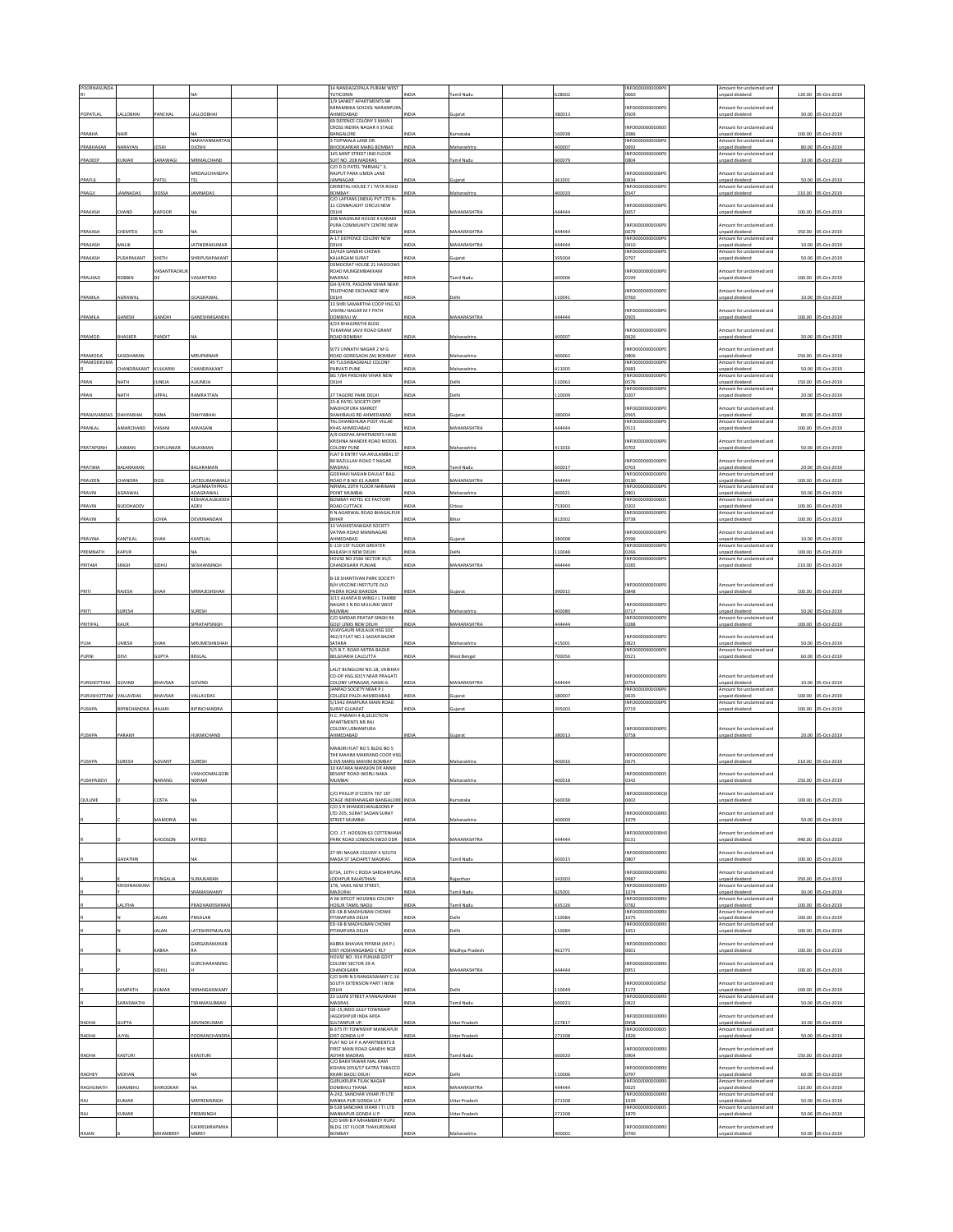| POORNASUNDA  |                  |                  |                               |  | 14 NANDAGOPALA PURAM WEST                                          |              |                    |        | INFO0000000000P          | mount for undaimed and                      |        |                    |
|--------------|------------------|------------------|-------------------------------|--|--------------------------------------------------------------------|--------------|--------------------|--------|--------------------------|---------------------------------------------|--------|--------------------|
|              |                  |                  |                               |  | <b>TUTICORIN</b><br>1/9 SANKET APARTMENTS NR                       | <b>VIDIJ</b> | amil Nad           | 28002  | 1660                     | npaid dividend                              | 120.00 | 05-Oct-2019        |
| POPATLAL     | LALLOBHAI        | PANCHAL          | LALLOOBHAI                    |  | MIRAMBIKA SCHOOL NARANPUR<br>AHMEDABAD                             | NDIA         |                    | 380013 | NFO0000000000P<br>0509   | mount for unclaimed and<br>inpaid dividend  | 30.00  | 05-Oct-2019        |
|              |                  |                  |                               |  | 69 DEFENCE COLONY 3 MAIN I<br>CROSS INDIRA NAGAR II STAGE          |              |                    |        | NEODDDDDDDDDD            | Amount for unclaimed and                    |        |                    |
| PRABHA       | NAIR             |                  | <b>NARAYANMARTAN</b>          |  | BANGALORE                                                          | NDIA         | Carnataka          | 60038  | 2086                     | Inpaid dividend                             | 100.00 | 05-Oct-2019        |
| PRABHAKAR    | NARAYAN          | nsu              | <b>IOSHI</b>                  |  | 3 TOPIWALA LANE DR.<br>BHODKARKAR MARG BOMBAY                      | INDIA        | <b>Maharashtra</b> | 400007 | NFO0000000000P<br>1692   | mount for unclaimed and<br>npaid dividend   |        | 80.00 05-Oct-2019  |
| PRADEEP      | <b>UMAR</b>      | ARAWAGI          | MRMALCHAND                    |  | 145 MINT STREET IIND FLOOR<br>SUIT NO. 208 MADRAS                  | INDIA        | amil Nadu          | 600079 | INFO0000000000P<br>1804  | Amount for unclaimed and<br>inpaid dividend | 10.00  | 05-Oct-2019        |
|              |                  |                  | <b>MRDALICHANDPA</b>          |  | C/O D D PATEL "NIRMAL" 3,<br>.<br>RAJPUT PARA LIMDA LANE           |              |                    |        | NFO00000<br>00000P       | mount for unclaimed and                     |        |                    |
| PRAFUL       |                  | ATEL             | TCI                           |  | <b>IAMMAGAR</b>                                                    | NDIA         | uiara              | 361001 | 0834                     | npaid dividend                              | 50.00  | 05-Oct-2019        |
| PRAGJI       | AMNADAS          | 02201            | AMNADA:                       |  | ORINETAL HOUSE 7 J TATA ROAD<br>BOMBAY                             | <b>NDIA</b>  | Maharashtra        | 400020 | INFO0000000000P<br>3547  | mount for unclaimed and<br>npaid dividend   |        | 210.00 05-Oct-2019 |
|              |                  |                  |                               |  | C/O LAFFANS (INDIA) PVT LTD N-<br>11 CONNAUGHT CIRCUS NEW          |              |                    |        | NFO0000000000P           | mount for unclaimed and                     |        |                    |
| PRAKASH      | HAND             | CAPOOR           |                               |  | DELHI<br>208 MAGNUM HOUSE II KARAM                                 |              | <b>MAHARASHTR</b>  | 444444 | 1057                     | inpaid divident                             |        | 100.00 05-Oct-2019 |
|              |                  |                  |                               |  | PURA COMMUNITY CENTRE NEW                                          |              |                    |        | NFO0000000000P           | mount for unclaimed and                     |        |                    |
| PRAKASH      | <b>HEMTEX</b>    | LTD              |                               |  | DELHI<br>A-17 DEFFENCE COLONY NEW                                  | INDIA        | MAHARASHTRA        | 444444 | 0679<br><b>NFO0000</b>   | npaid dividend<br>mount for unclaimed and   | 350.00 | 05-Oct-2019        |
| PRAKASH      |                  |                  | ATINDRAKUMA                   |  | DELHI<br>19/424 GANDHI CHOWK                                       | NDL          | <b>MAHARASHTR</b>  | 144444 | 0410<br>INFO0000000000P  | npaid dividend<br>mount for unclaimed and   | 10.0   | 05-Oct-2019        |
| PRAKASH      | PUSHPAKANT       | SHETH            | <b>SHRIPLISHPAKANT</b>        |  | KALARGAM SURAT<br>DEMOCRAT HOUSE 21 HADDOWS                        | NDM          | uiarat             | 395004 | 1797                     | nnaid dividend                              |        | 50.00 05-Oct-2019  |
|              |                  | ASANTRAOKUR      |                               |  | ROAD MUNGEMBAKKAM                                                  |              |                    |        | NFO0000000000P           | mount for undaimed and                      |        |                    |
| PRALHAD      | OBBIN            |                  | <b>ASANTRAO</b>               |  | MADRAS<br>GH-9/479, PASCHIM VIHAR NEAR                             |              | amil Nadı          | 600006 | 199                      | inpaid divident                             |        | 100.00 05-Oct-2019 |
| PRAMILA      | AGRAWAL          |                  | GCAGRAWAL                     |  | TELEPHONE EXCHANGE NEW<br>DELHI                                    | INDIA        | Delhi              | 110041 | NFO0000000000P<br>0760   | mount for unclaimed and<br>inpaid dividend  |        | 10.00 05-Oct-2019  |
|              |                  |                  |                               |  | 13 SHRI SAMARTHA COOP HSG SO<br>VISHNU NAGAR M F PATH              |              |                    |        | NFO0000000000P           | mount for unclaimed and                     |        |                    |
| PRAMILA      | <b>SANESH</b>    | ANDHI            | <b>GANESHMGANDH</b>           |  | DOMBIVLI W                                                         | NDIA         | MAHARASHTRA        | 144444 | <b>0505</b>              | inpaid dividend                             | 100.00 | 05-Oct-2019        |
|              |                  |                  |                               |  | 4/24 BHAGIRATHI BLDG<br>TUKARAM JAVJI ROAD GRANT                   |              |                    |        | NFO0000000000P           | mount for unclaimed and                     |        |                    |
| PRAMOD       | HASKER           | ANDIT            |                               |  | ROAD BOMBAY                                                        | NDIA         | Maharashtra        | 400007 | 0626                     | inpaid dividend                             |        | 30.00 05-Oct-2019  |
| PRAMODA      | ASIDHARAN        |                  | <b>VIRUPMNAIR</b>             |  | 9/73 UNNATH NAGAR 2 M G<br>ROAD GOREGAON (W) BOMBAY                | NDL          | Maharashtra        | 400062 | NFO0000000000P<br>806    | mount for unclaimed and<br>inpaid dividend  | 250.00 | 05-Oct-2019        |
| PRAMODKUMA   |                  |                  |                               |  | 45 TULSHIBAGWALE COLONY                                            |              |                    |        | INFO000000000P           | Amount for unclaimed and                    |        |                    |
|              | HANDRAKANT       | KULKARNI         | HANDRAKANT                    |  | PARVATI PUNE<br>BG 7/84 PASCHIM VIHAR NEW                          | NDIA         | taharashtra        | 111005 | 1683<br>NFO0000000000P   | npaid dividend<br>mount for unclaimed and   |        | 50.00 05-Oct-2019  |
| PRAN         | <b>VATH</b>      | <b>JNEJA</b>     | JJUNEJA                       |  | DELHI                                                              | NDM          | elhi               | 10063  | 3576<br>INFOOD0000000P   | npaid dividend<br>Amount for unclaimed and  | 150.00 | 05-Oct-2019        |
| PRAN         | NATH             | JPPAL            | AMRATTAN                      |  | 27 TAGORE PARK DELHI<br>23-B PATEL SOCIETY OPF                     | INDIA        | Delhi              | 110009 | 0207                     | inpaid dividend                             |        | 20.00 05-Oct-2019  |
|              |                  |                  |                               |  | MADHOPURA MARKET                                                   |              |                    |        | NFO0000000000P           | mount for unclaimed and                     |        |                    |
| PRANJIVANDAS | DAHYABHAI        | ANA              | AHYABHAI                      |  | SHAHIBAUG RD AHMEDABAD<br>TAL DHANDHUKA POST VILLAE                | INDIA        | ujarat             | 380004 | )565<br>INFO0000000000P0 | npaid dividend<br>Amount for unclaimed and  | 80.00  | 05-Oct-2019        |
| PRANLAL      | AMARCHAND        | VASANI           | MVASANI                       |  | KHAS AHMEDABAD<br>A/9 DEEPAK APARTMENTS HARE                       | INDIA        | MAHARASHTRA        | 444444 | 0513                     | inpaid dividend                             |        | 100.00 05-Oct-2019 |
|              |                  |                  |                               |  | KRISHNA MANDIR ROAD MODEL                                          |              |                    |        | NFO0000000000F           | mount for unclaimed and                     |        |                    |
| PRATAPSINH   | AXMAN            | <b>HIPLUNKAR</b> | MLAXMAN                       |  | COLONY PUNE<br>FLAT B ENTRY VIA ARULAMBAL ST                       | VDIA         | Maharashtra        | 411016 | 0702                     | npaid dividend                              |        | 50.00 05-Oct-2019  |
| PRATIMA      | <b>BALARAMAN</b> |                  | <b>ALARAMAN</b>               |  | 80 BAZULLAH ROAD T NAGAR<br>MADRAS                                 | <b>VDIA</b>  | amil Nadu          | 600017 | NFO0000000000P<br>0703   | mount for unclaimed and<br>Inpaid dividend  | 20.00  | 05-Oct-2019        |
| PRAVEEN      | HANDRA           | <b>DOS</b>       | ATEGUMANMAL                   |  | GODHAKI NASIAN DAULAT BAG<br>ROAD P B NO 61 AJMER                  | <b>NDL</b>   | <b>MAHARASHTRA</b> | 44444  | NFO0000000000P<br>0530   | mount for unclaimed and<br>npaid dividend   | 100.00 | 05-Oct-2019        |
|              |                  |                  | <b>IAGANNATHPRAS</b>          |  | NIRMAL 20TH FLOOR NARIMAN<br>POINT MUMBAI                          |              |                    |        | INFO0000000000P          | Amount for unclaimed and                    |        |                    |
| PRAVIN       | AGRAWAL          |                  | ADAGRAWAL<br>KESHAVLALBUDDI   |  | BOMBAY HOTEL ICE FACTORY                                           | INDIA        | Maharashtra        | 400021 | 0901<br>INFO00000000000  | npaid dividend<br>mount for unclaimed and   | 50.00  | 05-Oct-2019        |
| PRAVIN       | <b>BUDDHADE</b>  |                  | <b>IDEV</b>                   |  | ROAD CUTTACK<br>R N AGARWAL ROAD BHAGALPUF                         |              | rissa              | 753003 | 0202<br>INFO0000000000P  | npaid dividend<br>Amount for unclaimed and  | 100.00 | S-Oct-201          |
| PRAVIN       |                  | LOHIA            | DEVKINANDAN                   |  | BIHAR<br>13 VASHISTANAGAR SOCIETY                                  | INDIA        | Bihar              | 812002 | 0738                     | npaid dividend                              |        | 100.00 05-Oct-2019 |
|              |                  |                  |                               |  | VATWA ROAD MANINAGAR                                               |              |                    |        | NFO0000000000P           | mount for unclaimed and                     |        |                    |
| PRAVINA      | <b>ANTILA</b>    | НАН              | CANTILAI                      |  | AHMEDABAD<br>E-119 1ST FLOOR GREATER                               | NDIA         | iujarat            | 380008 | 396<br>INFO0000000000P   | inpaid dividend<br>mount for unclaimed and  | 10.00  | 05-Oct-201         |
| PREMNATH     | KAPUR            |                  |                               |  | KAILASH II NEW DELHI<br>HOUSE NO 2566 SECTOR 35/C                  | INDIA        | Delhi              | 110048 | 0266<br>NFO000000000P    | npaid dividend<br>mount for unclaimed and   | 100.00 | 05-Oct-2019        |
| PRITAM       | INGH             |                  | KISHANSINGI                   |  | HANDIGARH PUNJAB                                                   | VDM          | <b>MAHARASHTRA</b> | 144444 | <b>285</b>               | npaid dividend                              | 210.00 | 05-Oct-2019        |
|              |                  |                  |                               |  | <b>B-18 SHANTIVAN PARK SOCIETY</b>                                 |              |                    |        |                          |                                             |        |                    |
| PRITI        | RAJESH           | SHAH             | MRRAJESHSHAH                  |  | B/H VECCINE INSTITUTE OLD<br>PADRA ROAD BARODA                     | INDIA        | iuiarat            | 390015 | INFO000000000P<br>0848   | Amount for unclaimed and<br>inpaid dividend |        | 100.00 05-Oct-2019 |
|              |                  |                  |                               |  | 3/15 AJANTA B WING J L TAMBE<br>AGAR S N RD MULUND WEST            |              |                    |        | NFO0000000000P           | mount for unclaimed and                     |        |                    |
| PRITI        | URESH            |                  | URESH                         |  | MUMBAI                                                             | <b>IDIA</b>  | Maharashtr.        | 100080 | 3717                     | npaid dividend                              | 50.00  | 05-Oct-2019        |
|              |                  |                  |                               |  |                                                                    |              |                    |        |                          |                                             |        |                    |
| PRITIPAL     | KAUR             |                  | PRATAPSINGH                   |  | C/O SARDAR PRATAP SINGH 96<br>GOLF LINKS NEW DELHI                 | NDIA         | MAHARASHTRA        | 444444 | INFO000000000P<br>0288   | Amount for unclaimed and<br>inpaid dividend | 100.00 | 05-Oct-2019        |
|              |                  |                  |                               |  | VIJAYGAURI MULALIK HSG SOC<br>462/3 FLAT NO.1 SADAR BAZAR          |              |                    |        | NFO0000000000F           | mount for unclaimed and                     |        |                    |
| PUJA         | <b>IMESH</b>     | HAH              | <b>MRUMESHNSHAH</b>           |  | SATARA<br>5/5 B.T. ROAD MITRA BAZAR                                | NDIA         | Maharashtra        | 415001 | 0823<br>INFO0000000000P  | npaid dividend<br>Amount for unclaimed and  |        | 50.00 05-Oct-2019  |
| PURNI        | DEVI             | <b>GUPTA</b>     | BRIJLAI                       |  | BELGHARIA CALCUTTA                                                 | INDIA        | West Bengal        | 700056 | 0521                     | inpaid dividend                             |        | 60.00 05-Oct-2019  |
|              |                  |                  |                               |  | LALIT BUNGLOW NO.18, VAIBHAV                                       |              |                    |        |                          |                                             |        |                    |
| PURSHOTTAM   | GOVIND           | BHAVSAR          | GOVIND                        |  | CO-OP.HSG.SOCY NEAR PRAGATI<br>COLONY UPNAGAR NASIK-6              | NDIA         | MAHARASHTRA        | 444444 | NFO0000000000P<br>0754   | Amount for unclaimed and<br>npaid dividend  |        | 10.00 05-Oct-2019  |
|              |                  | <b>HAVSAR</b>    | <b>ALLAVDAS</b>               |  | JANPAD SOCIETY NEAR PJ<br>COLLEGE PALDI AHMEDABAD                  | NDM          | ujarat             |        | NFO000000000P<br>0635    | mount for undaimed and<br>inpaid dividend   | 100.00 |                    |
| PURUSHOTTAM  | VALLAVDAS        |                  |                               |  | 5/1942 RAMPURA MAIN ROAD                                           |              |                    | 380007 | NFO0000000000F           | mount for unclaimed and                     |        | 05-Oct-2019        |
| PUSHPA       | BIPINCHANDRA     | HAJARI           | <b>SIPINCHANDRA</b>           |  | <b>SURAT GUJARAT</b><br>H C PARAKH 4-R SELECTION                   | INDIA        | ujarat             | 395003 | 0719                     | npaid dividend                              |        | 100.00 05-Oct-2019 |
|              |                  |                  |                               |  | APARTMENTS NR RAI<br>COLONY.USMANPURA                              |              |                    |        | INFO000000000P           | mount for unclaimed and                     |        |                    |
| PUSHPA       | ARAKH            |                  | <b>IUKMICHAND</b>             |  | AHMEDABAD                                                          |              | ujara              | 380013 | )758                     | inpaid divident                             |        | 20.00 05-Oct-2019  |
|              |                  |                  |                               |  | MANJIRI FLAT NO 5 BLDG NO 5                                        |              |                    |        |                          |                                             |        |                    |
| PUSHPA       | <b>URESH</b>     | <b>DVANT</b>     | <b>URESH</b>                  |  | THE MAHIM MAKRAND COOP HSG<br>S SVS MARG MAHIM BOMBAY              | INDIA        | Maharashtra        | 100016 | NFO0000000000P<br>0675   | Amount for unclaimed and<br>inpaid dividend |        | 210.00 05-Oct-2019 |
|              |                  |                  | VASHOOMALGOBI                 |  | 10 KATARA MANSION DR ANNIE<br>BESANT ROAD WORL NAKA                |              |                    |        | NFO00000000000           | mount for unclaimed and                     |        |                    |
|              |                  |                  |                               |  | <b>IIMRAI</b>                                                      |              |                    |        |                          |                                             | 250.00 |                    |
|              |                  |                  |                               |  | C/O PHILLIP D'COSTA 767 1ST                                        |              |                    |        | NF00000000000Q           | mount for undaimed and                      |        |                    |
| QUILNIE      |                  |                  |                               |  | .<br>STAGE INDIRANAGAR BANGALORI<br>C/O S R KHANDELWAL&SONS P      |              |                    | 60038  | 1002                     | npaid dividend                              |        | 100.00 05-Oct-2019 |
|              |                  | MAMORIA          |                               |  | LTD 205, SURAT SADAN SURAT<br><b>STREET MUMBAI</b>                 |              | Maharashtra        | 400009 | NFO0000000000R<br>1079   | mount for unclaimed and<br>npaid dividend   |        | 50.00 05-Oct-2019  |
|              |                  |                  |                               |  | C/O. J.T. HODSON 63 COTTENHAM                                      |              |                    |        | NFO0000000000H           | mount for unclaimed and                     |        |                    |
|              |                  | HODSON           | AFFRED                        |  | PARK ROAD LONDON SW20 ODR                                          | INDIA        | MAHARASHTRA        | 44444  | 0131                     | npaid dividend                              |        | 940.00 05-Oct-2019 |
|              |                  |                  |                               |  | 27 SRI NAGAR COLONY 4 SOLITH                                       |              |                    |        | NFO0000000000R           | mount for unclaimed and                     |        |                    |
|              | <b>AYATHRI</b>   |                  |                               |  | MADA ST SAIDAPET MADRAS                                            | <b>NDM</b>   | amil Nadu          | 500015 | 0807                     | inpaid dividend                             |        | 100.00 05-Oct-2019 |
|              |                  | UNGALIA          | SURAJKARAN                    |  | 673A. 10TH C RODA SARDARPUR<br>JODHPUR RAJASTHAN                   | NDIA         | Raiasthan          | 342003 | NFO0000000000R<br>1987   | mount for unclaimed and<br>npaid dividend   | 350.00 | 05-Oct-2019        |
|              | KRISHNASWAN      |                  |                               |  | 178. VAKIL NEW STREET.                                             |              |                    |        | NFO0000000000R           | Amount for unclaimed and                    |        |                    |
|              |                  |                  | RAMASWAMY                     |  | MADURAI<br>4 66 SIPCOT HOUSING COLONY                              | NDM          | mil Nadu           | 525001 | 1074<br>NFO0000000000F   | npaid dividend<br>mount for unclaimed and   | 30.00  | 05-Oct-2019        |
|              | ALITHA           |                  | PRADHAKRISHNAM                |  | HOSUR TAMIL NADU<br><b>FD-58-R MADHLIRAN CHOWK</b>                 | NDIA         | amil Nadu          | 635126 | 1782<br>INFO000000000R   | npaid dividend<br>mount for unclaimed and   |        | 100.00 05-Oct-2019 |
|              |                  | ALAN             | PMJALAN                       |  | PITAMPURA DELHI                                                    | NDM          | elhi               | 10084  | 1075                     | npaid dividend                              | 100.00 | 05-Oct-2019        |
|              |                  | ALAN             | ATESHRIPMJAL                  |  | ED-58-B MADHUBAN CHOWK<br><b>TAMPURA DELHI</b>                     | NDM          | elh                | 10084  | INFO0000000000R0<br>1051 | mount for unclaimed and<br>npaid dividend   | 100.00 | 05-Oct-2019        |
|              |                  |                  | <b>GARGARAMJIKA</b>           |  | KABRA BHAVAN PIPARIA (M.P.)                                        |              |                    |        | NFO0000000000K           | nount for unclaimed and                     |        |                    |
|              |                  | ABRA             |                               |  | DIST HOSHANGABAD C RLY<br>HOUSE NO. 914 PUNJAB GOVT                | NDIA         | Madhya Prades      | 461775 | 0001                     | npaid dividend                              |        | 100.00 05-Oct-2019 |
|              |                  | IDHU             | <b>GURCHARANSING</b>          |  | COLONY SECTOR 39-A<br>CHANDIGARH                                   | NDIA         | MAHARASHTRA        | 444444 | NFO0000000000R           | mount for unclaimed and<br>npaid dividend   |        |                    |
|              |                  |                  |                               |  | C/O SHRI N S RANGASWAMY C-16                                       |              |                    |        | 0951                     |                                             |        | 100.00 05-Oct-2019 |
|              | AMPATH           | UMAR             | <b><i>ISRANGASWAMY</i></b>    |  | SOUTH EXTENSION PART I NEW<br>DELHI                                | NDIA         |                    | 110049 | NFO0000000000S<br>1173   | mount for unclaimed and<br>Inpaid dividend  |        | 100.00 05-Oct-2019 |
|              | ARASWATHI        |                  | <b>TSRAMASUBBAN</b>           |  | 23 UJJINI STREET AYANAVARAM<br>MADRAS                              | NDIA         | amil Nadu          | 500023 | NFO0000000000R<br>0822   | mount for undaimed and<br>npaid dividend    |        | 50.00 05-Oct-2019  |
|              |                  |                  |                               |  | GE-15, INDO GULF TOWNSHIP<br>JAGDISHPUR INDA AREA                  |              |                    |        | NFO0000000000R           | mount for unclaimed and                     |        |                    |
| RADHA        | <b>UPTA</b>      |                  | RVINDKUMAR                    |  | SULTANPUR UP.                                                      | NDIA         | Ittar Pradesl      | 227817 | 0958                     | npaid dividend                              |        | 10.00 05-Oct-2019  |
| RADHA        | <b>IUYAL</b>     |                  | POORANCHANDRA                 |  | <b>B-375 ITI TOWNSHIP MANKAPUR</b><br>DIST GONDA U P               | NDIA         | Ittar Pradesh      | 271308 | NFO00000000000<br>1926   | mount for unclaimed and<br>npaid dividend   |        | 50.00 05-Oct-2019  |
|              |                  |                  |                               |  | FLAT NO 14 P A APARTMENTS 8<br>FIRST MAIN ROAD GANDHI NGR          |              |                    |        | NFO0000000000R           | mount for unclaimed and                     |        |                    |
| RADHA        | CASTURI          |                  | KASTURI                       |  | ADYAR MADRAS<br>C/O BAKHTAWAR MAL RAM                              | VDL          | mil Nadu           | 00020  | 1904                     | npaid dividend                              |        | 150.00 05-Oct-2019 |
|              |                  |                  |                               |  | KISHAN 2056/57 KATRA TABACCO                                       |              | alh                |        | NFO0000000000R           | mount for unclaimed and                     |        |                    |
| RADHEY       | <b>AOHAN</b>     |                  |                               |  | KHARI BAOLI DELHI<br><b>GURUKRUPA TILAK NAGAR</b>                  |              |                    | 10006  | 1797<br>INFO000000000R   | npaid dividend<br>Amount for unclaimed and  | 60.00  | 05-Oct-2019        |
| RAGHUNATH    | HAMBHU           | HIRODKAR         |                               |  | DOMBIVLI THANA<br>-242, SANCHAR VIHAR ITI LTD                      | VDM          | MAHARASHTRA        | 44444  | 1025<br>NFO0000000000F   | npaid dividend<br>mount for unclaimed and   | 110.00 | 05-Oct-2019        |
| RAJ          | UMAR             |                  | MRPREMSINGH                   |  | MANKA PUR GONDA U.P                                                | NDIA         | ttar Pradesh       | 71308  | 1039                     | npaid dividend                              | 50.00  | 05-Oct-2019        |
| RAJ          | UMAR             |                  | <b>REMSINGH</b>               |  | B-538 SANCHAR VIHAR I T I LTD<br>MANKAPUR GONDA U P                | NDM          | Ittar Pradesl      | 71308  | INFO00000000000<br>1870  | mount for unclaimed and<br>npaid dividend   | 50.00  | 05-Oct-2019        |
| RAJAN        |                  | <b>MHAMBREY</b>  | <b>AIKRISHRAPMHA</b><br>MBREY |  | C/O SHRI B P MHAMBREY RUPJI<br>BLDG 1ST FLOOR THAKURDWAR<br>BOMBAY | NDM          | Maharashtra        | 400002 | NF00000000000R<br>0740   | mount for unclaimed and<br>inpaid dividend  |        | 50.00 05-Oct-2019  |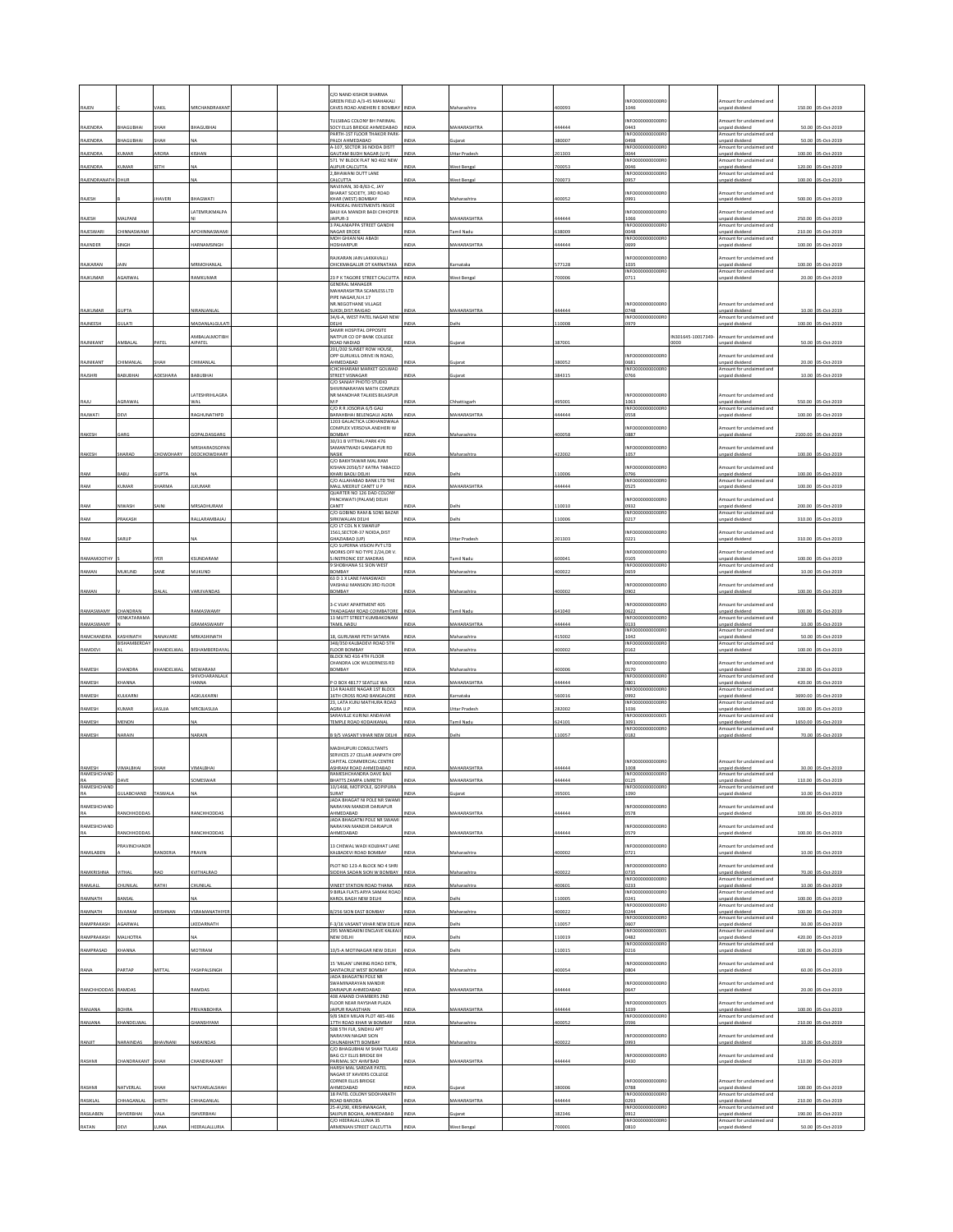|                   |                                      |                  |                          |  | C/O NAND KISHOR SHARMA<br>SREEN FIELD A/3-45 MAHAKALI                                     |              |                     |                | INFO0000000000                             |                   | ount for unclaimed and                                                 |         |                    |
|-------------------|--------------------------------------|------------------|--------------------------|--|-------------------------------------------------------------------------------------------|--------------|---------------------|----------------|--------------------------------------------|-------------------|------------------------------------------------------------------------|---------|--------------------|
| RAJEN             |                                      | VAKIL            | MRCHANDRAKAN             |  | <b>CAVES ROAD ANDHERLE ROMRAY</b>                                                         | <b>NDIA</b>  | Maharashtra         | 00093          | 1046                                       |                   | Inpaid dividend                                                        | 150.00  | 05-Oct-2019        |
| RAJENDRA          | BHAGUBHA                             | SHAH             | BHAGUBHA                 |  | ULSIBAG COLONY BH PARIMAL<br>SOCY ELLIS BRIDGE AHMEDABAD                                  | INDIA        | MAHARASHTRA         | 44444          | INFO000000000R<br>0443                     |                   | mount for unclaimed and<br>unpaid dividend                             |         | 50.00 05-Oct-2019  |
| RAJENDRA          | BHAGUBHAI                            | SHAH             | NΔ                       |  | PARTH-1ST FLOOR THAKOR PARK<br>PALDI AHMEDABAD                                            | NDIA         | uiarat              | 80007          | INFO0000000000R<br>0498                    |                   | Amount for unclaimed and<br>Inpaid dividend                            | 50.00   | 05-Oct-2019        |
| RAJENDRA          |                                      | ROR/             | KISHAN                   |  | A-107, SECTOR 36 NOIDA DISTT<br>GAUTAM BUDH NAGAR (U P)                                   | NDM          | <b>Jttar Prades</b> | 01303          | <b>INFO00000</b><br>00000R<br>0044         |                   | Amount for unclaimed and<br>unpaid dividend                            | 100.00  | 05-Oct-2019        |
| RAJENDRA          | 110405                               | <b>SETH</b>      |                          |  | 571 'N' BLOCK FLAT NO 402 NEW<br><b>LIPUR CALCUTTA</b>                                    | <b>IDIA</b>  | Vest Beng           | 00053          | INFO0000000000R<br>0046                    |                   | mount for unclaimed and<br>unpaid dividend                             | 120.00  | S-Oct-2019         |
| RAJENDRANATH DHUR |                                      |                  | NA                       |  | 2, BHAWANI DUTT LANE<br>CALCUTTA                                                          | INDIA        | West Bengal         | 700073         | INFO0000000000R<br>0957                    |                   | Amount for unclaimed and<br>unpaid dividend                            |         | 100.00 05-Oct-2019 |
|                   |                                      |                  |                          |  | NAVJIVAN, 30-B/63-C, JAY<br>HARAT SOCIETY, 3RD ROAD                                       |              |                     |                | INFO0000000000R                            |                   | mount for unclaimed and                                                |         |                    |
| RAJESH            |                                      | HAVERI           | BHAGWATI                 |  | <b>CHAR (WEST) BOMBAY</b><br>FAIRDEAL INVESTMENTS INSIDE                                  | NDIA         | Maharashtr          | 100052         | 0991                                       |                   | unpaid dividend                                                        | 500.00  | 05-Oct-2019        |
| RAJESH            | MALPANI                              |                  | LATEMRJKMALPA            |  | BAIJI KA MANDIR BADI CHHOPER<br>JAIPUR-3                                                  | NDIA         | MAHARASHTRA         | 44444          | INFO000000000R<br>1066                     |                   | mount for unclaimed and<br>unpaid dividend                             | 250.00  | 05-Oct-2019        |
| RAJESWARI         | <b>HINNASWAM</b>                     |                  | APCHINNASWAM             |  | PALANIAPPA STREET GANDHI<br><b>JAGAR ERODE</b>                                            | NDIA         | amil Nadu           | 38009          | INFO0000000000R<br>0048                    |                   | mount for unclaimed and<br>npaid dividend                              | 210.00  | 05-Oct-2019        |
| RAJINDER          | <b>INGH</b>                          |                  | HARNAMSINGH              |  | MOH GHIAN NAI ABADI<br>HOSHIARPUR                                                         | NDIA         | <b>MAHARASHTRA</b>  | 44444          | INFO0000000000R<br>0699                    |                   | Amount for unclaimed and<br>inpaid dividend                            | 100.00  | 05-Oct-2019        |
|                   | <b>IAIN</b>                          |                  |                          |  | AJKARAN JAIN LAKKAVALLI                                                                   | NDIA         |                     |                | INFO0000000000F                            |                   | mount for unclaimed and                                                |         |                    |
| RAJKARAN          |                                      |                  | MRMOHANLA                |  | CHICKMAGALUR DT KARNATAKA                                                                 |              | arnataka            | 577128         | 1035<br>INFO0000000000R                    |                   | inpaid dividend<br>Amount for unclaimed and                            | 100.00  | 05-Oct-2019        |
| RAJKUMAR          | AGARWAI                              |                  | RAMKUMAR                 |  | 23 P K TAGORE STREET CALCUTTA INDIA<br><b>GENERAL MANAGER</b><br>MAHARASHTRA SCAMLESS LTD |              | West Benga          | 00006          | 0711                                       |                   | inpaid dividend                                                        |         | 20.00 05-Oct-2019  |
|                   |                                      |                  |                          |  | PIPE NAGAR, N.H.17<br>NR.NEGOTHANE VILLAGE                                                |              |                     |                | INFO000000000R                             |                   | Amount for unclaimed and                                               |         |                    |
| RAJKUMAR          | <b>SUPTA</b>                         |                  | NIRANJANLA               |  | SUKDI.DIST.RAIGAD<br>34/6-A, WEST PATEL NAGAR NEW                                         | NDIA         | MAHARASHTRA         | 44444          | 0748<br>INFO0000000000R                    |                   | Inpaid dividend<br>Amount for unclaimed and                            |         | 10.00 05-Oct-2019  |
| RAJNEESH          | <b>TAJU</b>                          |                  | AADANLALGULATI           |  | DELHI<br>SAMIR HOSPITAL OPPOSITE                                                          | NDIA         | elhi                | 10008          | 979                                        |                   | inpaid dividend                                                        |         | 100.00 05-Oct-2019 |
| RAJNIKANT         | MBALA                                | PATE             | AMBALALMOTIBH<br>AIPATEL |  | NATPUR CO OP BANK COLLEGE<br>ROAD NADIAD                                                  | NDIA         | uiarat              | 387001         |                                            | N301645-10017349- | mount for unclaimed and<br>npaid dividend                              |         | 50.00 05-Oct-2019  |
|                   |                                      |                  |                          |  | 201/202 SUNSET ROW HOUSE,<br>OPP GURUKUL DRIVE IN ROAD,                                   |              |                     |                | INFO0000000000F                            |                   | nount for unclaimed and                                                |         |                    |
| RAJNIKANT         | <b>HIMANLAL</b>                      | SHAH             | CHIMANLAI                |  | AHMEDABAD<br><b>CHCHHARAM MARKET GOLWAD</b>                                               | NDIA         | iujarat             | 80052          | 0681<br>INFO0000000000R                    |                   | Inpaid dividend<br>mount for unclaimed and                             | 20.00   | 05-Oct-2019        |
| RAJSHRI           | <b>ABUBHAI</b>                       | <b>IDESHARA</b>  | BABUBHAI                 |  | <b>STREET VISNAGAR</b><br>C/O SANJAY PHOTO STUDIO                                         | NDIA         | uiarat              | 884315         | 0766                                       |                   | npaid dividend                                                         |         | 10.00 05-Oct-2019  |
|                   |                                      |                  | <b>LATESHRIHLAGRA</b>    |  | <b>HIVRINARAYAN MATH COMPLEX</b><br>NR MANOHAR TALKIES BILASPUR                           |              |                     |                | INFO0000000000F                            |                   | mount for unclaimed and                                                |         |                    |
| RAJU              | AGRAWAL                              |                  | WAL                      |  | MP<br>C/O R R JOSORIA 6/5 GAU                                                             | NDIA         | hhattisgarh         | 95001          | 1063<br>INFO0000000000R                    |                   | Inpaid dividend<br>Amount for unclaimed and                            | 550.00  | 05-Oct-2019        |
| RAJWATI           | DEVI                                 |                  | RAGHUNATHPD              |  | BARAHBHAI BELENGAUJ AGRA<br>1203 GALACTICA LOKHANDWALA                                    | NDIA         | <b>AAHARASHTRA</b>  | 44444          | 0558                                       |                   | unpaid dividend                                                        | 100.00  | 05-Oct-2019        |
| RAKESH            | GARG                                 |                  | GOPALDASGARG             |  | OMPLEX VERSOVA ANDHERI W<br>BOMBAY                                                        | NDIA         | Aaharashtra         | 100058         | INFO0000<br>00000F<br>0887                 |                   | mount for unclaimed and<br>Inpaid dividend                             | 2100.00 | 05-Oct-2019        |
|                   |                                      |                  | MRSHARADSOPAN            |  | 30/31 B VITTHAL PARK 476<br>SAMANTWADI GANGAPUR RD                                        |              |                     |                | INFO0000000000R                            |                   | mount for unclaimed and                                                |         |                    |
| RAKESH            | HARAD                                | HOWDHARY         | DEOCHOWDHARY             |  | <b>JASIK</b><br>C/O BAKHTAWAR MAL RAM                                                     | NDIA         | faharashtra         | 22002          | 1057                                       |                   | unpaid dividend                                                        |         | 100.00 05-Oct-2019 |
| RAM               | RARLI                                | UPTA             |                          |  | KISHAN 2056/57 KATRA TABACCO<br>KHARI RAOLI DELHI                                         | NDIA         | elhi                | 10006          | INFOOD00000000R<br>796                     |                   | mount for unclaimed and<br>Inpaid dividend                             | 100.00  | 05-Oct-2019        |
| RAM               | UMAR                                 | HARMA            | <b>ILKUMAR</b>           |  | C/O ALLAHABAD BANK LTD THE<br>AALL MEERUT CANTT U P                                       | NDIA         | <b>MAHARASHTRA</b>  | 14444          | INFO0000000000R<br>0525                    |                   | Amount for unclaimed and<br>unpaid dividend                            |         | 100.00 05-Oct-2019 |
|                   |                                      |                  |                          |  | QUARTER NO 126 DAD COLON<br>PANCHWATI (PALAM) DELHI                                       |              |                     |                | INFOODDOODDOOR                             |                   | mount for unclaimed and                                                |         |                    |
| RAM               | NIWASH                               |                  | MRSADHURAM               |  | CANTT<br>C/O GOBIND RAM & SONS BAZAR                                                      | NDIA         | •lhi                | 10010          | 0932<br>INFO000000000R                     |                   | inpaid dividend<br>Amount for unclaimed and                            | 200.00  | 05-Oct-2019        |
| RAM               | PRAKASH                              |                  | RALLARAMBAJAJ            |  | <b>IRKIWALAN DELHI</b><br>VO LT COL N K SWARUF                                            | NDIA         | elhi                | 10006          | 0217                                       |                   | inpaid dividend                                                        |         | 310.00 05-Oct-2019 |
| RAM               | ARUP                                 |                  |                          |  | 1561, SECTOR-37 NOIDA, DIST<br>SHAZIABAD (UP)                                             | NDIA         | Uttar Prades        | 201303         | INFOODDOODDOOR<br>221                      |                   | mount for unclaimed and<br><b>Inpaid</b> dividend                      |         | 310.00 05-Oct-2019 |
|                   |                                      | VED              | KSUNDARAM                |  | C/O SUPERNA VISION PVT LTD<br><b>NORKS OFF NO TYPE 2/24, DR V.</b>                        | NDIA         |                     |                | INFO0000000000R                            |                   | mount for unclaimed and                                                |         |                    |
| RAMAMOOTHY        |                                      |                  |                          |  | <b>INSTRONIC EST.MADRAS</b><br>9 SHOBHANA 51 SION WEST                                    |              | amil Nadı           | 00041          | 105<br>INFO0000000000R                     |                   | inpaid dividend<br>Amount for unclaimed and                            | 100.00  | 05-Oct-2019        |
| RAMAN             | MUKUND                               | SANE             | MUKUND                   |  | BOMBAY<br>63 D 1 X LANE FANASWADI<br>AISHALI MANSION 3RD FLOOR                            | NDIA         | Maharashtra         | 100022         | 0659<br>INFO000000000R                     |                   | inpaid dividend<br>mount for unclaimed and                             | 10.00   | 05-Oct-2019        |
| RAMAN             |                                      | DALAL            | VARJIVANDAS              |  | BOMBAY                                                                                    | NDIA         | Maharashtr.         | 100002         | 0902                                       |                   | inpaid dividend                                                        | 100.00  | 05-Oct-2019        |
|                   |                                      |                  |                          |  |                                                                                           |              |                     |                |                                            |                   |                                                                        |         |                    |
|                   |                                      |                  |                          |  | 3-C VIJAY APARTMENT 405                                                                   |              |                     |                | INFO0000000000R                            |                   | mount for unclaimed and                                                |         |                    |
| RAMASWAMY         | CHANDRAN<br><b><i>FNKATARAMA</i></b> |                  | RAMASWAMY                |  | THADAGAM ROAD COIMBATORE<br>13 MUTT STREET KUMBAKONAM                                     | <b>INDIA</b> | amil Nad            | 41040          | 0622<br>INFO0000000000R                    |                   | unpaid dividend<br>mount for unclaimed and                             | 100.00  | 05-Oct-2019        |
| RAMASWAMY         |                                      |                  | GRAMASWAMY               |  | AMIL NADU                                                                                 | NDIA         | <b>MAHARASHTRA</b>  | 44444          | 0133<br>INFO0000000000R                    |                   | inpaid dividend<br>mount for unclaimed and                             | 10.00   | 05-Oct-2019        |
| RAMCHANDRA        | KASHINATH<br><b>BISHAMBERDAY</b>     | <b>IANAVARE</b>  | MRKASHINATH              |  | 8. GURUWAR PETH SATARA<br>348/350 KALBADEVI ROAD STH                                      | NDIA         | Maharashtra         | 15002          | 1042<br>INFO0000000000R                    |                   | Inpaid dividend<br>Amount for unclaimed and                            | 50.00   | 05-Oct-2019        |
| RAMDEVI           |                                      | HANDELWAL        | BISHAMBERDAYA            |  | LOOR BOMBAY<br>BLOCK NO 416 4TH FLOOR                                                     | NDIA         | faharashtra         | 00002          | 0162                                       |                   | inpaid dividend                                                        |         | 100.00 05-Oct-2019 |
| RAMESH            | <b>HANDRA</b>                        | <b>HANDELWAL</b> | MEWARAM                  |  | CHANDRA LOK WILDERNESS RD<br>BOMBAY                                                       | NDIA         | Maharashtra         | 100006         | INFO0000000000<br>170                      |                   | mount for unclaimed and<br>inpaid dividend                             | 230.00  | 05-Oct-2019        |
| RAMESH            | <b>HANNA</b>                         |                  | SHIVCHARANLALK<br>AMMA   |  | O BOX 48177 SEATLLE WA                                                                    | NDIA         | <b>MAHARASHTRA</b>  | 14444          | INFO000000000R<br>1801                     |                   | Amount for unclaimed and<br>inpaid dividend                            | 420.00  | 05-Oct-2019        |
| RAMESH            | <b>ULKARNI</b>                       |                  | AGKULKARNI               |  | 114 RAJAJEE NAGAR 1ST BLOCK<br>16TH CROSS ROAD BANGALORE<br>23. LATA KUNJ MATHURA ROAD    | NDIA         | matak               | 60016          | INFO0000000000R<br>0992<br>INFO0000000000R |                   | mount for unclaimed and<br>inpaid dividend<br>Amount for unclaimed and | 3690.00 | 05-Oct-2019        |
| RAMESH            | KUMAR                                | ASUJA            | MRCBJASUJA               |  | AGRA U.P<br>SARAVILLE KURINJI ANDAVAR                                                     | NDIA         | Uttar Pradesh       | 282002         | 1036                                       |                   | unpaid dividend                                                        | 100.00  | 05-Oct-2019        |
| RAMESH            | <b>AENON</b>                         |                  |                          |  | <b>TEMPLE ROAD KODAIKANAL</b>                                                             | NDIA         | amil Nadı           | 24101          | INFO0000000000<br>3091<br>INFO0000000000R  |                   | mount for unclaimed and<br>unpaid dividend<br>Amount for unclaimed and | 1650.00 | 05-Oct-2019        |
| RAMESH            | NARAIN                               |                  | NARAIN                   |  | 3 9/5 VASANT VIHAR NEW DELHI                                                              | <b>NDIA</b>  | <b>Jelhi</b>        | 10057          | 0182                                       |                   | inpaid dividend                                                        |         | 70.00 05-Oct-2019  |
|                   |                                      |                  |                          |  | <b>MADHUPURI CONSULTANTS</b><br>SERVICES 27 CELLAR JANPATH OP                             |              |                     |                |                                            |                   |                                                                        |         |                    |
| <b>RAMESH</b>     | VIMALBHAI                            | <b>ЧАН</b>       | VIMALBHAI                |  | CAPITAL COMMERCIAL CENTRE<br>SHRAM ROAD AHMEDABAD                                         | NDIA         | MAHARASHTRA         | 144444         | INFO0000000000R<br>1008                    |                   | mount for unclaimed and<br>Inpaid dividend                             |         | 30.00 05-Oct-2019  |
| RAMESHCHAND<br>RA | DAVE                                 |                  | SOMESWAR                 |  | RAMESHCHANDRA DAVE BAJI<br>HATTS ZAMPA UMRETH                                             | NDIA         | <b>MAHARASHTRA</b>  | 44444          | INFO0000000000R<br>125                     |                   | Amount for unclaimed and<br>npaid dividend                             | 110.00  | 05-Oct-2019        |
| RAMESHCHAND       | <b>ULABCHAND</b>                     | TASWALA          |                          |  | 0/1468, MOTIPOLE, GOPIPURA<br>SURAT                                                       | <b>IDIA</b>  |                     | 95001          | INFO000000000R<br>1090                     |                   | Imount for unclaimed and<br>npaid dividend                             |         | 10.00 05-Oct-2019  |
| RAMESHCHAND       |                                      |                  |                          |  | JADA BHAGAT NI POLE NR SWAMI<br>NARAYAN MANDIR DARIAPUR                                   |              |                     |                | INFO0000000000R                            |                   | mount for unclaimed and                                                |         |                    |
| RA                | RANCHHODDAS                          |                  | RANCHHODDAS              |  | AHMEDABAD<br>ADA BHAGATNI POLE NR SWAMI                                                   | NDIA         | <b>MAHARASHTRA</b>  | 44444          | 0578                                       |                   | inpaid dividend                                                        |         | 100.00 05-Oct-2019 |
| RAMESHCHAND<br>RA | RANCHHODDA                           |                  | RANCHHODDAS              |  | NARAYAN MANDIR DARIAPUR<br>AHMEDABAD                                                      | NDIA         | <b>MAHARASHTRA</b>  | 44444          | INFO0000000000R<br>0579                    |                   | mount for unclaimed and<br><b>Inpaid dividend</b>                      |         | 100.00 05-Oct-2019 |
|                   | <b>PRAVINCHANDE</b>                  |                  |                          |  | <b>13 CHEWAL WADI KOLBHAT LANE</b>                                                        |              |                     |                | INFO0000000000R                            |                   | mount for unclaimed and                                                |         |                    |
| RAMILABEN         |                                      | RANDERIA         | PRAVIN                   |  | KALBADEVI ROAD BOMBAY                                                                     | NDIA         | Maharashtra         | 100002         | )721                                       |                   | unpaid dividend                                                        | 10.00   | 05-Oct-2019        |
| RAMKRISHNA        | VITHAL                               | RAO              | KVITHALRAO               |  | PLOT NO 123-A BLOCK NO 4 SHRI<br>SIDDHA SADAN SION W BOMBAY                               | INDIA        | Maharashtra         | 100022         | INFO00000000008<br>0735                    |                   | Amount for unclaimed and<br>unpaid dividend                            |         | 70.00 05-Oct-2019  |
| RAMLALL           |                                      | <b>ATHI</b>      | HUNILA                   |  | VINEET STATION ROAD THANA                                                                 | NDIA         | laharashtra         | 00601          | INFO0000000000R<br>0233                    |                   | mount for unclaimed and<br>unpaid dividend                             | 10.00   | 05-Oct-2019        |
| RAMNATH           | BANSAL                               |                  |                          |  | <b>BIRLA FLATS ARYA SAMAK ROAD</b><br>KAROL BAGH NEW DELHI                                | NDIA         | elhi                | 10005          | INFO0000000000R<br>0241                    |                   | Amount for unclaimed and<br>inpaid dividend                            | 100.00  | 05-Oct-2019        |
| RAMNATH           | SIVARAM                              | KRISHNAN         | VSRAMANATHIYER           |  | 8/256 SION EAST BOMBAY                                                                    | NDIA         | faharashtra         | 00022          | INFO0000000000R<br>0244                    |                   | Amount for unclaimed and<br>inpaid dividend                            |         | 100.00 05-Oct-2019 |
| RAMPRAKASH        | <b>GARWAL</b>                        |                  | KEDARNATH                |  | 3/16 VASANT VIHAR NEW DELHI                                                               | NDIA         | elhi                | 10057          | INFO000000000R<br>0607                     |                   | Imount for unclaimed and<br>unpaid dividend                            | 30.00   | 05-Oct-2019        |
| RAMPRAKASH        | MALHOTRA                             |                  |                          |  | 295 MANDAKINI ENCLAVE KALKAJI<br>NEW DELHI                                                | INDIA        | <b>Delhi</b>        | 10019          | INFO000000000005<br>0482                   |                   | Amount for unclaimed and<br>unpaid dividend                            | 420.00  | 05-Oct-2019        |
| RAMPRASAD         |                                      |                  | MOTIRAM                  |  | 10/S-A MOTINAGAR NEW DELHI                                                                | INDIA        | <b>Jelhi</b>        | 10015          | INFO0000000000R<br>0216                    |                   | Amount for unclaimed and<br>inpaid dividend                            | 100.00  | 05-Oct-2019        |
|                   |                                      |                  |                          |  | 15 'MILAN' LINKING ROAD EXTN,                                                             |              |                     |                | INFO0000000000R                            |                   | mount for unclaimed and                                                |         |                    |
| RANA              | PARTAP                               | MITTAL           | YASHPALSINGH             |  | SANTACRUZ WEST BOMBAY<br>JADA BHAGATNI POLE NR                                            | NDIA         | Maharashtra         | 100054         | 0804                                       |                   | unpaid dividend                                                        |         | 60.00 05-Oct-2019  |
| RANCHHODDAS       | RAMDAS                               |                  | RAMDAS                   |  | WAMINARAYAN MANDIR<br>DARIAPUR AHMEDABAD<br>408 ANAND CHAMBERS 2ND                        | NDIA         | <b>MAHARASHTRA</b>  | 44444          | INFO0000000000R<br>0647                    |                   | mount for unclaimed and<br>inpaid dividend                             |         | 20.00 05-Oct-2019  |
|                   |                                      |                  |                          |  | FLOOR NEAR RAYSHAR PLAZA                                                                  | NDIA         |                     |                | INFO00000000000                            |                   | mount for unclaimed and                                                |         |                    |
| RANJANA           | <b>SOHRA</b>                         |                  | PRIVANBOHRA              |  | JAIPUR RAJASTHAN<br>9/B SNEH MILAN PLOT 485-486                                           | NDIA         | <b>MAHARASHTRA</b>  | 14444<br>00052 | 1039<br>INFO0000000000R0<br>0596           |                   | unpaid dividend<br>Amount for unclaimed and                            |         | 100.00 05-Oct-2019 |
| RANJANA           | KHANDELWAL                           |                  | <b>GHANSHYAM</b>         |  | <b>7TH ROAD KHAR W BOMBAY</b><br>508 STH FLR. SINDHU APT<br>NARAYAN NAGAR SION            |              | taharashtra         |                | INFO0000000000R                            |                   | npaid dividend<br>mount for unclaimed and                              | 210.00  | 05-Oct-2019        |
| RANJIT            | NARAINDAS                            | BHAVNANI         | NARAINDAS                |  | CHUNABHATTI BOMBAY<br>C/O BHAGUBHAI M SHAH TULASI                                         | NDIA         | faharashtra         | 00022          | 993                                        |                   | <b>Inpaid</b> dividend                                                 |         | 10.00 05-Oct-2019  |
| RASHMI            | CHANDRAKANT SHAH                     |                  | CHANDRAKANT              |  | BAG CLY ELLIS BRIDGE BH<br>PARIMAL SCY AHM'BAD                                            | <b>NDIA</b>  | MAHARASHTRA         | 144444         | INFO0000000000R<br>0430                    |                   | mount for unclaimed and<br>Inpaid dividend                             |         | 110.00 05-Oct-2019 |
|                   |                                      |                  |                          |  | HARSH MAL SARDAR PATEL<br>NAGAR ST XAVIERS COLLEGE                                        |              |                     |                |                                            |                   |                                                                        |         |                    |
| RASHMI            | NATVERLAL                            | ЖАН              | NATVARLALSHAH            |  | ORNER ELLIS BRIDGE<br>AHMEDABAD                                                           | NDIA         | ujarat              | 80006          | INFO0000000000F<br>0788                    |                   | mount for unclaimed and<br>unpaid dividend                             | 100.00  | 05-Oct-2019        |
| RASIKLAL          | <b>HHAGANLAL</b>                     | SHETH            | CHHAGANLAL               |  | 18 PATEL COLONY SIDDHANATH<br>ROAD BARODA                                                 | NDIA         | MAHARASHTRA         | 144444         | INFO0000000000R<br>0293                    |                   | Amount for unclaimed and<br>unpaid dividend                            | 210.00  | 05-Oct-2019        |
| RASILABEN         | SHVERBHA                             | ALA              | SHVERBHA                 |  | 25-A\290, KRISHNANAGAR,<br>SAUPUR BOGHA, AHMEDABAD<br>CO HEERALAL LUNIA 35                | NDIA         | Sujarat             | 82346          | INFO0000000000R<br>0912<br>INFO0000000000R |                   | Amount for unclaimed and<br>unpaid dividend<br>mount for unclaimed and | 190.00  | 05-Oct-2019        |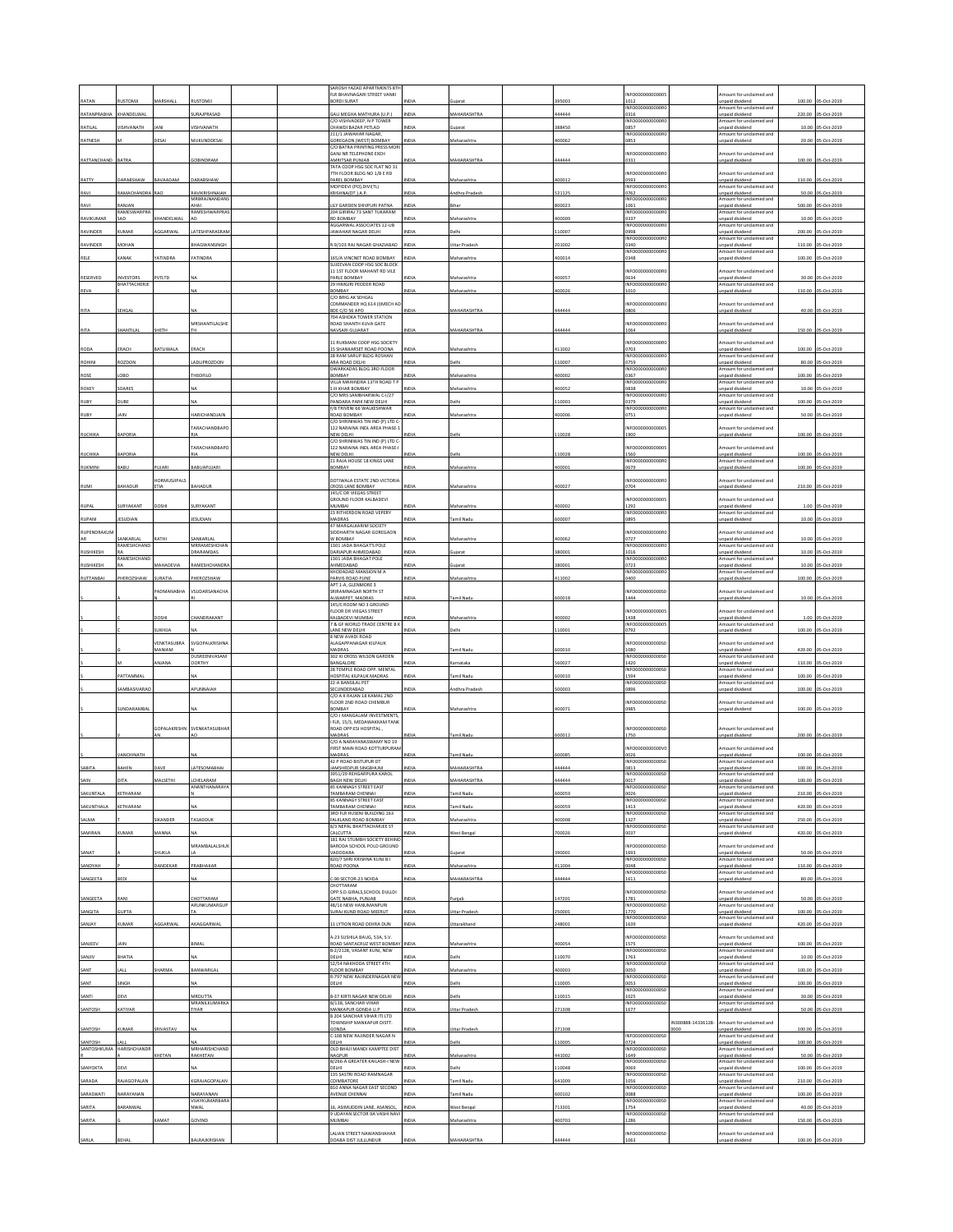|                      |                                |                       |                                      |  | SAROSH YAZAD APARTMENTS 8TH<br>FLR BHAVNAGARI STREET VANKI                   |              |                      |                  | NFO0000000000                              |                            | mount for unclaimed and                                               |                  |                           |
|----------------------|--------------------------------|-----------------------|--------------------------------------|--|------------------------------------------------------------------------------|--------------|----------------------|------------------|--------------------------------------------|----------------------------|-----------------------------------------------------------------------|------------------|---------------------------|
| RATAM<br>RATANPRABHA | <b>IUSTOMJI</b><br>KHANDELWAL  | MARSHALL              | <b>IUSTOMJ</b><br><b>URAJPRASAD</b>  |  | BORDI SURAT<br>GALI MEGHA MATHURA (U.P.)                                     | <b>NDIA</b>  | MAHARASHTRA          | 395003<br>144444 | 1012<br>NFO0000000000R<br>316              |                            | npaid dividend<br>mount for unclaimed and<br>npaid dividend           | 100.00<br>220.00 | 05-Oct-201<br>05-Oct-2019 |
| RATILAL              | VISHVANATH                     |                       | /ISHVANATH                           |  | C/O VISHVADEEP. N P TOWER<br>CHAWDI BAZAR PETLAD                             | NDIA         | uiarat               | 388450           | INFO0000000000R<br>857                     |                            | mount for unclaimed and<br>npaid dividend                             | 10.00            | 05-Oct-2019               |
| RATNESH              |                                | <b>DESAI</b>          | <b>MUKUNDDESAI</b>                   |  | 211/1 JAWAHAR NAGAR<br>GOREGAON (WEST) BOMBAY                                | INDIA        | faharashtra          | 100062           | INFO000000000F<br>0853                     |                            | mount for unclaimed and<br>npaid divident                             |                  | 20.00 05-Oct-2019         |
|                      |                                |                       |                                      |  | C/O BATRA PRINTING PRESS MOR<br>GANJ NR TELEPHONE EXCH                       |              |                      |                  | NFO0000000000R                             |                            | mount for unclaimed and                                               |                  |                           |
| RATTANCHAND          | BATRA                          |                       | COBINDRAM                            |  | AMRITSAR PUNJAB<br>TATA COOP HSG SOC FLAT NO 31                              | NDIA         | <b>MAHARASHTRA</b>   | 444444           | 0331                                       |                            | inpaid dividend                                                       |                  | 100.00 05-Oct-2019        |
| RATTY                | DARABSHAW                      | BAVAADAM              | DARABSHAW                            |  | 7TH FLOOR BLDG NO 1/B E RD<br>PAREL ROMRAY                                   | <b>NDIA</b>  | Maharashtra          | 400012           | NFO0000000000F<br>0593                     |                            | mount for unclaimed and<br>inpaid dividend                            | 110.00           | 05-Oct-2019               |
| RAVI                 | RAMACHANDRA                    | <b>RAO</b>            | RAVIKRISHNAIAH                       |  | MOPIDEVI (PO), DIVI(TL)<br>KRISHNA(DT.) A.P                                  | INDIA        | ndhra Pradesi        | 521125           | INFO0000000000R<br>1762                    |                            | mount for unclaimed and<br>npaid dividend                             | 50.00            | 05-Oct-2019               |
| RAVI                 | ANJAN                          |                       | MRBRAJNANDANS<br>AHAI                |  | LILY GARDEN SHIVPURI PATNA                                                   | NDIA         | ihar                 | 800023           | INFO0000000000F<br>1061                    |                            | Amount for unclaimed and<br>inpaid dividend                           | 500.00           | 05-Oct-2019               |
| RAVIKUMAR            | RAMESWARPR                     | HANDELWAL             | RAMESHWARPRAS                        |  | 204 GIRIRAJ 73 SANT TUKARAM<br><b>RD BOMBAY</b>                              | <b>VIDIZ</b> | taharashtra          | 00009            | NFO0000000000R<br>1337                     |                            | mount for unclaimed and<br>npaid dividend                             | 10.00            | 05-Oct-2019               |
| RAVINDER             | KUMAR                          | AGGARWAL              | ATESHPARASRAN                        |  | AGGARWAL ASSOCIATES 12-UB<br>JAWAHAR NAGAR DELHI                             | INDIA        | Jelhi                | 110007           | INFO000000000R<br>0998<br><b>NFO000</b>    |                            | mount for unclaimed and<br>npaid dividend<br>mount for unclaimed and  | 200.00           | 05-Oct-2019               |
| RAVINDER             |                                |                       | HAGWANS                              |  | -9/103 RAJ NAGAR GHAZIABA                                                    | <b>INDIA</b> | Ittar Prades         | 201002           | 340<br>INFO0000000000R                     |                            | npaid dividend<br>mount for unclaimed and                             | 110.00           | S-Oct-2019                |
| RELE                 | KANAK                          | <b>ATINDRA</b>        | YATINDRA                             |  | 165/A VINCNET ROAD BOMBAY<br>SUJEEVAN COOP HSG SOC BLOCK                     | NDIA         | Maharashtra          | 400014           | 348                                        |                            | nnaid dividend                                                        |                  | 100.00 05-Oct-2019        |
| RESERVED             | <b>INVESTORS</b>               | VTLTD                 |                                      |  | 11 1ST FLOOR MAHANT RD VILE<br>PARLE BOMBAY                                  |              | Maharashtra          | 100057           | NF00000000000R<br>0634                     |                            | mount for unclaimed and<br>inpaid dividend                            | 30.00            | 05-Oct-201                |
| REVA                 | BHATTACHERJE                   |                       |                                      |  | 29 HIMGIRI PEDDER ROAD<br>BOMBAY                                             | NDIA         | Maharashtra          | 400026           | INFO00000000008<br>1010                    |                            | mount for unclaimed and<br>npaid dividend                             |                  | 110.00 05-Oct-2019        |
|                      |                                |                       |                                      |  | C/O BRIG AK SEHGAL<br>COMMANDER HQ 614 (I)MECH AD                            |              |                      |                  | NF00000000000R                             |                            | mount for unclaimed and                                               |                  |                           |
| RITA                 | EHGA                           |                       |                                      |  | BDE C/O 56 APO<br>704 ASHOKA TOWER STATION                                   | NDIA         | MAHARASHTR           | 144444           | 3806                                       |                            | inpaid dividend                                                       | 40.00            | S-Oct-2019                |
| RITA                 | SHANTILAL                      | SHETH                 | MRSHANTILALSHE                       |  | ROAD SHANTH KUVA GATE<br>NAVSARI GUJARAT                                     | INDIA        | MAHARASHTRA          | 444444           | NFO0000000000R<br>1064                     |                            | mount for unclaimed and<br>inpaid dividend                            | 150.00           | 05-Oct-2019               |
|                      |                                |                       |                                      |  | 11 RUKMANI COOP HSG SOCIETY                                                  |              |                      |                  | NFO0000000000F                             |                            | mount for unclaimed and                                               |                  |                           |
| RODA                 | RACH                           | <b>ATLIWALA</b>       | ERACH                                |  | <b>IS SHANKARSET ROAD POONA</b><br>28 RAM SARUP BLDG ROSHAN                  | <b>VIDU</b>  | Maharashtr.          | 111002           | 0703<br>INFO000000000R                     |                            | npaid dividend<br>Amount for unclaimed and                            | 100.00           | 05-Oct-2019               |
| ROHIN                | ROZDON                         |                       | ADLIPROZDON                          |  | ARA ROAD DELHI<br>DWARKADAS BLDG 3RD FLOOR                                   | INDIA        | Jelhi                | 110007           | 0759<br><b>NFO000</b>                      |                            | npaid dividend<br>mount for unclaimed and                             | 80.00            | 05-Oct-2019               |
| ROSE                 | OBO                            |                       | HEOFIL                               |  | BOMBAY<br>VILLA MAHINDRA 13TH ROAD T F                                       |              | Maharashtra          | 100002           | 367<br>INFO0000000000R                     |                            | npaid dividend<br>mount for undaimed and                              | 100.00           | 5-Oct-2019                |
| ROXEY                | CARES                          |                       |                                      |  | <b>SIII KHAR BOMBAY</b><br>C/O MRS SAMBHARWAL C-I/27                         | VDM          | Maharashtra          | 400052           | 0838<br>INFO000000000F                     |                            | inpaid dividend<br>mount for unclaimed and                            | 10.00            | 05-Oct-2019               |
| RUBY                 | OUBE                           |                       |                                      |  | ANDARA PARK NEW DELHI<br>F/8 TRIVENI 66 WALKESHWAR                           | VDIA         | elhi                 | 10003            | 379<br>NFO0000000000R                      |                            | npaid dividend<br>mount for unclaimed and                             | 100.00           | 05-Oct-2019               |
| RUBY                 | AIN                            |                       | <b>IARICHANDJAIN</b><br>ARACHANDBAPC |  | ROAD BOMBAY<br>C/O SHRINIWAS TIN IND (P) LTD C-                              | VDIA         | faharashtra          | 00006            | 0751                                       |                            | npaid dividend                                                        | 50.00            | 05-Oct-2019               |
| RUCHIKA              | <b>APORIA</b>                  |                       |                                      |  | 122 NARAINA INDL AREA PHASE-<br>NEW DELHI                                    |              | elhi                 | 10028            | NFO00000000000<br>1900                     |                            | mount for unclaimed and<br>inpaid dividend                            |                  | 100.00 05-Oct-2019        |
| RUCHIKA              | BAPORIA                        |                       | <b>ARACHANDBAPC</b>                  |  | C/O SHRINIWAS TIN IND (P) LTD C<br>122 NARAINA INDL AREA PHASE-<br>NEW DELHI | <b>AICIN</b> | Delhi                | 110028           | NFO00000000000<br>1560                     |                            | mount for unclaimed and<br>nnaid dividend                             |                  | 100.00 05-0ct-2019        |
| RUKMINI              | <b>ABU</b>                     | UJARI                 | <b>ABUAPUJAR</b>                     |  | 21 RAJA HOUSE 18 KINGS LANE<br>BOMBAY                                        | NDM          | Maharashtra          | 00001            | <b>NFO0000</b><br>0679                     |                            | Imount for unclaimed and<br>npaid dividend                            | 100.00           | 05-Oct-2019               |
|                      |                                | <b>ORMUSJIPALS</b>    |                                      |  | DOTIVALA ESTATE 2ND VICTORIA                                                 |              |                      |                  | NFO0000000000F                             |                            | mount for unclaimed and                                               |                  |                           |
| <b>RUMI</b>          | <b>BAHADUR</b>                 | <b>TIA</b>            | BAHADUR                              |  | CROSS LANE BOMBAY<br>145/C DR VIEGAS STREET                                  | NDIA         | Maharashtra          | 400027           | 0704                                       |                            | npaid dividend                                                        |                  | 210.00 05-Oct-2019        |
| RUPAL                | URYAKAN                        |                       | <b>URYAKAN</b>                       |  | GROUND FLOOR KALBADEVI<br>MUMBAI                                             | VDL          | Maharashtr           | 100002           | NFO0000000000<br>1292                      |                            | mount for unclaimed and<br>inpaid dividend                            | 1.00             | S-Oct-201                 |
| <b>RUPANI</b>        | <b>JESUDIAN</b>                |                       | <b>JESUDIAN</b>                      |  | 23 RITHERDON ROAD VEPERY<br>MADRAS                                           | <b>INDIA</b> | amil Nadu            | 600007           | INFO0000000000R<br>0895                    |                            | Amount for unclaimed and<br>npaid dividend                            |                  | 10.00 05-Oct-2019         |
| RUPENDRAKUM          |                                |                       |                                      |  | 47 MARGALKARIM SOCIETY<br>SIDDHARTH NAGAR GOREGAON                           |              |                      |                  | NFO0000000000R                             |                            | mount for unclaimed and                                               |                  |                           |
| AR                   | <b>ANKARLAL</b><br>RAMESHCHAND | ATH                   | ANKARLAL<br>MRRAMESHCHAN             |  | W BOMBAY<br>1301 JADA BHAGAT'S POLE                                          | VDIA         | Maharashtr.          | 100062           | 0727<br>INFO0000000000R                    |                            | inpaid dividend<br>mount for unclaimed and                            | 10.00            | JS-Oct-201                |
| RUSHIKESH            | RAMESHCHAND                    |                       | DRARAMDAS                            |  | DARIAPUR AHMEDABAD<br>1301 JADA BHAGAT POLE                                  | <b>INDIA</b> | <i><b>Jiarat</b></i> | 380001           | 1016<br>NFO000000000R                      |                            | npaid dividend<br>mount for undaimed and                              | 10.00            | 05-Oct-2019               |
| RUSHIKESH            |                                | <b>IAHADEVIA</b>      | AMESHCHANDRA                         |  | AHMEDABAD<br>HODADAD MANSION M A                                             | NDM          | ujarat               | 380001           | 0723<br>NFO0000000000F                     |                            | npaid dividend<br>mount for unclaimed and                             | 10.00            | 3-Oct-2019                |
| RUTTANBAI            | HEROZSHAW                      | URATIA                | HEROZSHAW                            |  | PARVIS ROAD PUNE<br>APT 1-A. GLENMORE 3                                      | NDIA         | faharashtr           | 111002           | 1400                                       |                            | npaid dividend                                                        | 100.00           | 05-Oct-2019               |
|                      |                                | <b>ADMANABHA</b>      | VSUDARSANACHA                        |  | SRIRAMNAGAR NORTH ST<br>ALWARPET, MADRAS                                     | INDIA        | amil Nadu            | 600018           | NFO0000000000S<br>1444                     |                            | mount for unclaimed and<br>inpaid dividend                            |                  | 10.00 05-Oct-2019         |
|                      |                                | <b>OSHI</b>           | <b>HANDRAKANT</b>                    |  | 145/C ROOM NO 3 GROUND<br><b>FLOOR DR VIEGAS STREET</b><br>KALBADEVI MUMBAI  | INDIA        | Maharashtra          | 400002           | NFO00000000000<br>1438                     |                            | mount for unclaimed and<br>npaid dividend                             |                  | 1.00 05-Oct-2019          |
|                      |                                |                       |                                      |  |                                                                              |              |                      |                  |                                            |                            |                                                                       |                  |                           |
|                      |                                |                       |                                      |  | 7 & GF WORLD TRADE CENTRE B I                                                |              |                      |                  | NFO0000<br>00000                           |                            | Imount for unclaimed and                                              |                  |                           |
|                      |                                | UKHIJA                |                                      |  | LANE NEW DELHI<br><b>BNEW AVADI ROAD</b>                                     | <b>INDIA</b> | <b>Delhi</b>         | 110001           | 1792                                       |                            | npaid dividend                                                        | 100.00           | 05-Oct-2019               |
|                      |                                | VENKTASUBRA<br>MANIAM | <b>SVGOPALKRISHNA</b>                |  | ALAGAPPANAGAR KILPAUK<br>MADRAS                                              | <b>INDIA</b> | amil Nadu            | 600010           | NFO0000000000S<br>1080                     |                            | mount for unclaimed and<br>npaid dividend                             | 420.00           | 05-Oct-2019               |
|                      |                                | NJANA                 | DUSREENIVASAM<br>OORTHY              |  | 302 XI CROSS WILSON GARDEN<br>BANGALORE                                      | <b>VDM</b>   | ırnataka             | 60027            | NFO0000000000S<br>1420                     |                            | mount for unclaimed and<br>inpaid dividend                            | 110.00           | S-Oct-2019                |
|                      | PATTAMMAL                      |                       | u۸                                   |  | 28 TEMPLE ROAD OPP. MENTAL<br>HOSPITAL KILPAUK MADRAS<br>22-A BANSILAL PET   | INDIA        | amil Nadu            | 600010           | NFO0000000000S<br>594<br>INFO0000000000S   |                            | mount for unclaimed and<br>npaid dividend                             | 100.00           | 05-Oct-2019               |
|                      | <b>AMBASIVARAC</b>             |                       | APUNNAIAH                            |  | SECUNDERABAD                                                                 | INDIA        | Andhra Prades        | 500003           | 0896                                       |                            | mount for unclaimed and<br>inpaid dividend                            | 100.00           | 05-Oct-2019               |
|                      | UNDARAMBA                      |                       |                                      |  | C/O A K RAJAN 18 KAMAL 2ND<br>LOOR 2ND ROAD CHEMBUR<br>BOMBAY                | NDIA         |                      |                  | NFO0000000000S<br>0985                     |                            | mount for unclaimed and                                               |                  |                           |
|                      |                                |                       |                                      |  | C/O I MANGALAM INVESTMENTS<br>FIR 15/3 MEDAWAKKAM TANK                       |              | Maharashtra          | 400071           |                                            |                            | npaid dividend                                                        |                  | 100.00 05-Oct-2019        |
|                      |                                | GOPALAKRISHN          | SVENKATASUBHAR                       |  | ROAD OPP:ESI HOSPITAL,<br>MADRAS                                             |              | amil Nadu            | 600012           | INFO0000000000S<br>1750                    |                            | mount for unclaimed and<br>inpaid divident                            | 200.00           | 05-Oct-201                |
|                      |                                |                       |                                      |  | C/O A NARAYANASWAMY NO 19<br>FIRST MAIN ROAD KOTTURPURAM                     |              |                      |                  | NFO0000000000V                             |                            | mount for unclaimed and                                               |                  |                           |
|                      | VANCHINATH                     |                       |                                      |  | <b>MADRAS</b><br>42 P ROAD BISTUPUR DT                                       | <b>INDIA</b> | Tamil Nadu           | 600085           | 026<br>INFO0000000000S                     |                            | npaid dividend<br>Amount for unclaimed and                            | 100.00           | 05-Oct-2019               |
| SABITA               | <b>BAHEI</b>                   |                       | LATESOMABH                           |  | JAMSHEDPUR SINGBHUM<br>3951/29 REHGARPURA KAROL                              | VDL          | <b>MAHARASHTR</b>    | 144444           | 0813<br>INFO0000000000S0                   |                            | Inpaid dividend<br>Amount for unclaimed and                           | 100.00           | 05-Oct-2019               |
|                      |                                | <b>ISETHI</b>         | <b>NANTHANARAYA</b>                  |  | GH NEW DELHI<br>85 KANNAGY STREET EAST                                       |              |                      |                  | 117<br>INFO0000000000S                     |                            | naid dividend<br>mount for unclaimed and                              | 100.00           |                           |
| SAKUNTALA            | KETHARAM                       |                       |                                      |  | TAMBARAM CHENNAL<br>85 KANNAGY STREET EAST                                   | <b>VDL</b>   | mil Nadı             | 00059            | 1026<br>NFO0000000000S                     |                            | npaid dividend<br>mount for unclaimed and                             | 210.00           | 05-Oct-2019               |
| SAKUNTHALA           | KETHARAM                       |                       |                                      |  | TAMBARAM CHENNAI<br>3RD FLR HUSENI BUILDING 163                              | INDIA        | amil Nadu            | 500059           | 1413<br>NFO00000000005                     |                            | npaid dividend<br>mount for unclaimed and                             |                  | 420.00 05-Oct-2019        |
| SALMA                |                                | <b>IKANDER</b>        | <b>ASADDUK</b>                       |  | FALKLAND ROAD BOMBAY<br>8/3 NEPAL BHATTACHARJEE ST                           | NDIA         | Maharashtra          | 400008           | 1327<br>INFO0000000000S0                   |                            | npaid dividend<br>Amount for unclaimed and                            |                  | 250.00 05-0ct-2019        |
| SAMIRAN              | <b>CUMAR</b>                   | AANN                  | MRAMBALALSHUK                        |  | CALCUTTA<br>181 RAJ STUMBH SOCIETY BEHIND<br>BARODA SCHOOL POLO GROUND       | <b>INDIA</b> | <b>Nest Benga</b>    | 700026           | 0037<br>NFO0000000000S                     |                            | inpaid dividend                                                       | 420.00           | 05-Oct-2019               |
| SANAT                |                                | HUKLA                 |                                      |  | VADODARA                                                                     | NDM          | uiarat               | 390001           | 1693                                       |                            | mount for unclaimed and<br>npaid dividend                             | 50.00            | 05-Oct-2019               |
| SANDYAH              |                                | ANDEKAR               | PRABHAKAR                            |  | 820/7 SHRI KRISHNA KUNJ B I<br>ROAD POONA                                    | NDIA         | Maharashtra          | 411004           | INFO0000000000S0<br>0048                   |                            | Amount for unclaimed and<br>inpaid dividend                           | 110.00           | 05-Oct-201                |
| SANGEETA             | BEDI                           |                       | NΔ                                   |  | C-90 SECTOR-23 NOIDA                                                         | INDIA        | MAHARASHTRA          | 444444           | INFO0000000000S<br>1611                    |                            | Imount for unclaimed and<br>nnaid dividend                            |                  | 80.00 05-Oct-2019         |
|                      | <b>ANI</b>                     |                       | <b>HOTTARAM</b>                      |  | CHOTTARAM<br>OPP.S.D.GIRALS, SCHOOL DULLDI                                   | NDL          | unjab                |                  | INFO0000000000S                            |                            | mount for unclaimed and                                               | 50.00            | S-Oct-2019                |
| SANGEETA<br>SANGITA  | <b>GUPTA</b>                   |                       | ARLINKLIMARGLI                       |  | GATE NABHA, PUNJAB<br>48/16 NEW HANUMANPURI<br>SURAL KUND ROAD MEERUT        | INDIA        | Uttar Pradesh        | 147201<br>250001 | 1781<br>INFO0000000000S0<br>1770           |                            | inpaid dividend<br>Amount for unclaimed and<br>npaid dividend         | 100.00           | 05-Oct-2019               |
| SANJAY               | UMAR                           | GGARWA                | AKAGGARWA                            |  | 11 LYTION ROAD DEHRA DUN                                                     | INDIA        | Ittarakhand          | 248001           | INFO00000000005<br>1639                    |                            | mount for unclaimed and<br>npaid dividend                             |                  | 420.00 05-Oct-2019        |
|                      |                                |                       |                                      |  | A-23 SUSHILA BAUG, 53A, S.V.                                                 |              |                      |                  | NFO0000000000S                             |                            | mount for unclaimed and                                               |                  |                           |
| SANJEEV              | <b>AIN</b>                     |                       | <b>UMA</b>                           |  | ROAD SANTACRUZ WEST BOMBA<br>B-2/2128, VASANT KUNJ, NEW                      |              | Aaharashtra          | 00054            | 1575<br>INFOODDDDDDDDSI                    |                            | npaid dividend<br>Amount for unclaimed and                            | 100.00           | 05-Oct-2019               |
| SANJIV               | <b>BHATIA</b>                  |                       |                                      |  | DELHI<br>52/54 NAKHODA STREET 4TH                                            | VDM          | elhi                 | 10070            | 1763<br>NFO0000000000S                     |                            | npaid dividend<br>mount for unclaimed and                             | 10.00            | 05-Oct-2019               |
| SANT                 | 411                            | HARMA                 | BANWARILAI                           |  | FLOOR BOMBAY<br>R-797 NEW RAJINDERNAGAR NEW                                  | NDIA         | Maharashtra          | 100003           | 0050<br>INFO0000000000S                    |                            | npaid dividend<br>Amount for unclaimed and                            |                  | 100.00 05-Oct-2019        |
| SANT                 | SINGH                          |                       |                                      |  | DELHI                                                                        | <b>INDIA</b> | Jelhi                | 10005            | 1053<br>INFO0000000000S                    |                            | npaid dividend<br>mount for unclaimed and                             | 100.00           | 05-Oct-2019               |
| SANTI                | <b>DEVI</b>                    |                       | MRDUTTA<br>MRANILKUMARKA             |  | B-37 KIRTI NAGAR NEW DELHI<br>B/138, SANCHAR VIHAR                           | NDIA         | elhi                 | 110015           | 1025<br>NFO0000000000S                     |                            | npaid dividend<br>mount for undaimed and                              | 30.00            | 05-Oct-2019               |
| SANTOSH              | KATIYAR                        |                       | <b>TIYAR</b>                         |  | MANKAPUR GONDA U.P.<br>B 204 SANCHAR VIHAR ITI LTD                           | <b>VIDIZ</b> | Ittar Prades         | 271308           | 1677                                       |                            | npaid dividend                                                        | 50.00            | S-Oct-2019                |
| SANTOSH              | <b>CUMAR</b>                   | RIVASTAV              |                                      |  | TOWNSHIP MANKAPUR DISTT.<br>GONDA                                            | <b>IDIA</b>  | Ittar Prades         | 271308           |                                            | IN300888-14336128-<br>1000 | mount for unclaimed and<br>inpaid dividend                            | 100.00           | 5-Oct-2019                |
| SANTOSH              | <b>ALI</b>                     |                       |                                      |  | C-108 NEW RAJINDER NAGAR N<br><b>IHJ3</b>                                    | <b>IDI</b>   | <b>Jelbi</b>         | 10005            | INFO0000000000S<br>0724                    |                            | mount for unclaimed and<br>npaid dividend                             | 100.00           | S-Oct-2019                |
| SANTOSHKUMA          | HARISHCHANDE                   | HETAN                 | MRHARISHCHAND<br><b>AKHETAN</b>      |  | OLD BHAJI MANDI KAMPTEE DIST<br>NAGPUR                                       | <b>IDI</b>   | Maharashtra          | 141002           | INFO00000000005<br>1649                    |                            | mount for unclaimed and<br>npaid dividend                             | 50.00            | S-Oct-2019                |
| SANYOKTA             | DEVI                           |                       |                                      |  | B/266-A GREATER KAILASH-I NEW<br>DELHI                                       | NDIA         | elhi                 | 10048            | NFO0000000000S<br>0069                     |                            | mount for unclaimed and<br>npaid dividend                             | 100.00           | 05-Oct-2019               |
| SARADA               | <b>AJAGOPALAR</b>              |                       | <b>GRAJAGOPALAI</b>                  |  | 135 SASTRI ROAD RAMNAGAR<br>COIMBATORE                                       | NDM          | amil Nadı            | 641009           | INFO0000000000S<br>1056                    |                            | mount for undaimed and<br>npaid dividend<br>Amount for unclaimed and  | 210.00           | 05-Oct-2019               |
| SARASWATI            | NARAYANAN                      |                       | VARAYANAN<br><b>JUAYKUMARBAR</b>     |  | <b>B10 ANNA NAGAR EAST SECOND</b><br>AVENUE CHENNAI                          | NDIA         | mil Nadı             | 600102           | INFO0000000000S0<br>1088<br>NFO0000000000S |                            | npaid dividend                                                        | 100.00           | 05-Oct-2019               |
| SARITA               | <b>ARANWAL</b>                 |                       | MAL                                  |  | 16, ASIMUDDIN LANE, ASANSOL<br>9 UDAYAN SECTOR 9A VASHI NAVI                 |              | est Benga            | 13301            | 1754<br>INFO0000000000S                    |                            | mount for unclaimed and<br>npaid dividend<br>Amount for unclaimed and | 40.00            | -Oct-2019                 |
| SARITA               |                                | <b>AMAT</b>           | GOVIND                               |  | MUMBAI<br>ALIAN STREET NAWANSHAHAR                                           | NDM          | Maharashtra          | 00703            | 1286<br>NFO0000000000S                     |                            | npaid dividend<br>mount for unclaimed and                             | 150.00           | 05-Oct-2019               |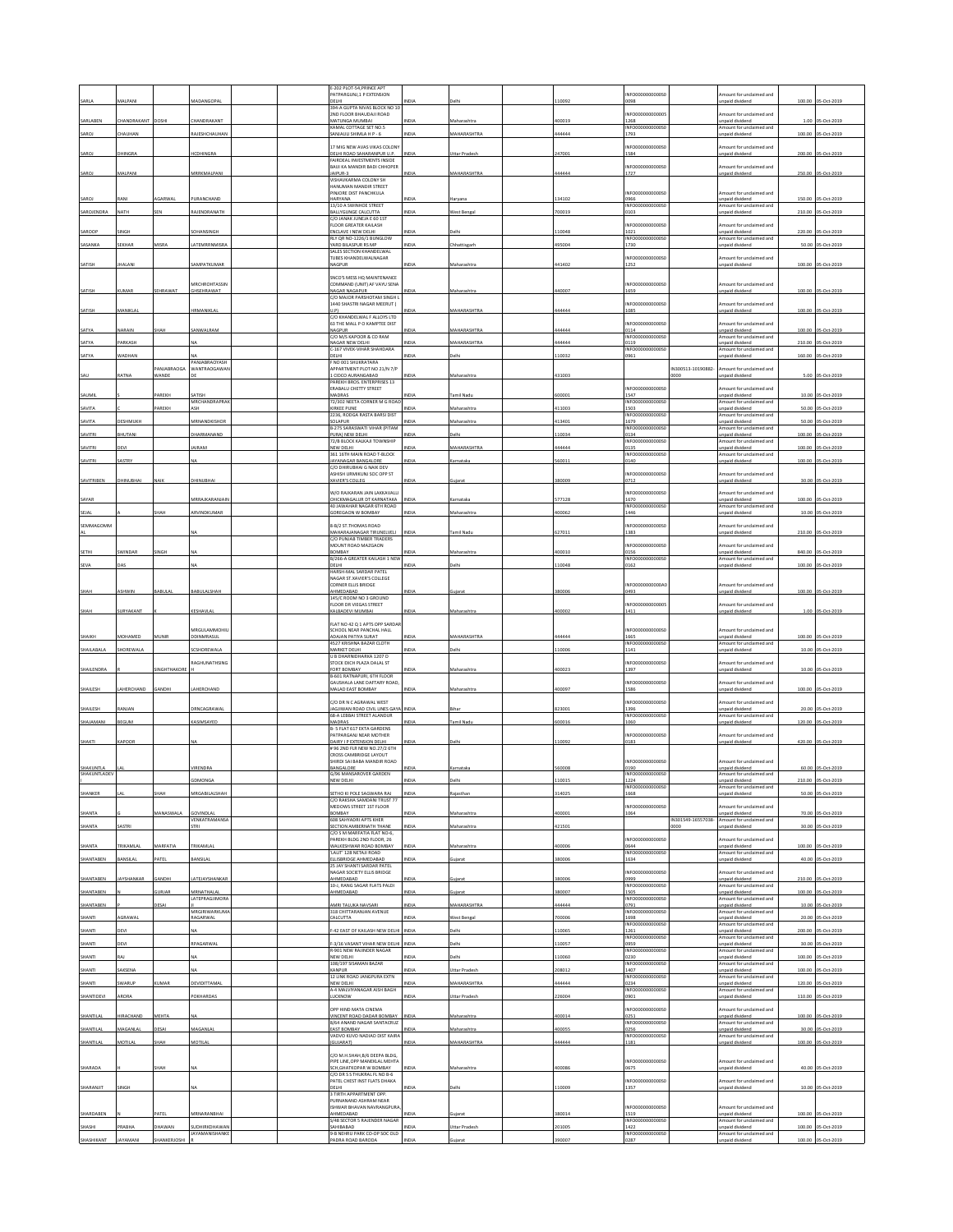|                      |                      |                     |                                           |  | E-202 PLOT-54, PRINCE APT<br>PATPARGUNJ,1 P EXTENSION                                   |                              |                                   |                  | NFO0000000000S                             |                    | mount for unclaimed and                                                |                  |                                         |
|----------------------|----------------------|---------------------|-------------------------------------------|--|-----------------------------------------------------------------------------------------|------------------------------|-----------------------------------|------------------|--------------------------------------------|--------------------|------------------------------------------------------------------------|------------------|-----------------------------------------|
| SARLA                | MALPANI              |                     | MADANGOPA                                 |  | DELHI<br>394-A GUPTA NIVAS BLOCK NO 10<br>2ND FLOOR BHAUDAJI ROAD                       |                              |                                   | 10092            | 1098<br>NFO0000000000                      |                    | inpaid dividend<br>mount for unclaimed and                             | 100.00           | 05-Oct-2019                             |
| SARLABEN             | <b>HANDRAKANT</b>    | DOSHI               | HANDRAKANT                                |  | MATUNGA MUMBAI<br>KAMAL COTTAGE SET NO.5                                                | VDM                          | Maharashtra                       | 100019           | 1268<br>INFO000000000050                   |                    | npaid dividend<br>Amount for unclaimed and                             |                  | 1.00 05-Oct-2019                        |
| SAROJ                | CHAUHAN              |                     | RAJESHCHAUHAM                             |  | SANJAULI SHIMLA H P - 6                                                                 | INDIA                        | MAHARASHTRA                       | 44444            | 1793                                       |                    | inpaid dividend                                                        |                  | 100.00 05-Oct-2019                      |
| SAROJ                | DHINGRA              |                     | <b>ICDHINGRA</b>                          |  | 17 MIG NEW AVAS VIKAS COLONY<br>DELHI ROAD SAHARANPUR U.P.                              | <b>INDIA</b>                 | <b>Jttar Pradesh</b>              | 247001           | NFO0000000000S<br>1584                     |                    | mount for unclaimed and<br>npaid dividend                              |                  | 200.00 05-Oct-2019                      |
| SAROJ                | MALPANI              |                     | <b>MRRKMALPANI</b>                        |  | FAIRDEAL INVESTMENTS INSIDE<br>BAIJI KA MANDIR BADI CHHOPER<br>AIPUR-3                  | NDLA                         | MAHARASHTRA                       | 144444           | INFO0000000000SC<br>1727                   |                    | mount for unclaimed and<br>npaid dividend                              |                  | 250.00 05-Oct-2019                      |
|                      |                      |                     |                                           |  | VISHAVKARMA COLONY SH<br>HANUMAN MANDIR STREET                                          |                              |                                   |                  |                                            |                    |                                                                        |                  |                                         |
| SAROJ                | RANI                 | AGARWAL             | PURANCHAND                                |  | PINJORE DIST PANCHKULA<br>HARYANA<br>13/10 A SWINHOE STREET                             | INDIA                        | Haryana                           | 134102           | INFO0000000000S<br>0966                    |                    | Amount for unclaimed and<br>Inpaid dividend                            |                  | 150.00 05-Oct-2019                      |
| SAROJENDRA           | NATH                 |                     | AJENDRANATH                               |  | BALLYGUNGE CALCUTTA<br>C/O JANAK JUNEJA E 60 1ST                                        | <b>INDIA</b>                 | <b>Nest Benga</b>                 | 700019           | NFO0000000000S<br>103                      |                    | mount for unclaimed and<br>inpaid divident                             |                  | 210.00 05-Oct-2019                      |
| SAROOP               | SINGH                |                     | SOHANSINGH                                |  | FLOOR GREATER KAILASH<br>ENCLAVE I NEW DELHI                                            | INDIA                        | Delhi                             | 110048           | NFO0000000000S<br>1021                     |                    | mount for unclaimed and<br>npaid dividend                              |                  | 220.00 05-Oct-2019                      |
| SASANKA              | EKHAF                | <b>IISRA</b>        | ATEMRRNMIS                                |  | RLY QR NO-1226/1 BUNGLOW<br>YARD BILASPUR RS MP                                         | NDIA                         | hattisgar                         | 95004            | INFO0000000000S<br>1730                    |                    | mount for unclaimed and<br>npaid divident                              | 50.00            | 05-Oct-201                              |
| SATISH               | <b>JHALANI</b>       |                     | SAMPATKUMAR                               |  | SALES SECTION KHANDELWAL<br>TURES KHANDELWALNAGAR<br>NAGPUR                             | INDIA                        | Maharashtra                       | 441402           | NEODDDDDDDDDDSI<br>1252                    |                    | Amount for unclaimed and<br>inpaid dividend                            |                  | 100.00 05-Oct-2019                      |
|                      |                      |                     |                                           |  | SNCO'S MESS HQ MAINTENANCE                                                              |                              |                                   |                  |                                            |                    |                                                                        |                  |                                         |
| SATISH               | KUMAR                | EHRAWAT             | <b><i>MRCHROHTASSIN</i></b><br>GHSEHRAWAT |  | COMMAND (UNIT) AF VAYU SENA<br>NAGAR NAGAPUR                                            | NDIA                         | Maharashtra                       | 440007           | NFO0000000000S<br>1659                     |                    | mount for unclaimed and<br>inpaid dividend                             |                  | 100.00 05-Oct-2019                      |
|                      |                      |                     |                                           |  | C/O MAJOR PARSHOTAM SINGH L<br>1440 SHASTRI NAGAR MEERUT (                              |                              |                                   |                  | NFO0000000000S                             |                    | mount for unclaimed and                                                |                  |                                         |
| SATISH               | MANIKLAI             |                     | <b>IRMANIKLAL</b>                         |  | U.P)<br>C/O KHANDELWAL F ALLOYS LTD<br>63 THE MALL P O KAMPTEE DIST                     | NDIA                         | MAHARASHTRA                       | 444444           | 1085<br>NFO0000000000S                     |                    | inpaid dividend<br>Amount for unclaimed and                            | 100.00           | 05-Oct-201                              |
| SATYA                | NARAIN               | SHAH                | SANWALRAM                                 |  | NAGPUR<br>C/O M/S KAPOOR & CO RAM                                                       | <b>INDIA</b>                 | MAHARASHTRA                       | 444444           | 0114<br>NFO0000000000                      |                    | Inpaid dividend<br>mount for unclaimed and                             |                  | 100.00 05-Oct-2019                      |
| SATYA                | <b>ARKASH</b>        |                     |                                           |  | NAGAR NEW DELHI<br>C-167 VIVEK-VIHAR SHAHDARA                                           | NDIA                         | <b>MAHARASHTRA</b>                | 444444           | 0119<br>INFO0000000000S                    |                    | unpaid dividend<br>mount for undaimed and                              | 210.00           | 05-Oct-201                              |
| SATYA                | WADHAN               | ANJABRAOGA          | PANJABRAOYASH<br>WANTRAOGAWA              |  | DELHI<br>F NO 001 SHUKRATARA<br>APPARTMENT PLOT NO 21/N 7/F                             | <b>NDL</b>                   | <b>Jelbi</b>                      | 110032           | 1961                                       | IN300513-10190882- | npaid dividend<br>mount for unclaimed and                              |                  | 160.00 05-Oct-2019                      |
| SAU                  | ATNA                 | <b>ANDE</b>         |                                           |  | LCIDCO AURANGABAD<br>PAREKH BROS, ENTERPRISES 13                                        | NDL                          | Maharashtra                       | 431003           |                                            | 1000               | inpaid dividend                                                        | 5.00             | 05-Oct-201                              |
| SAUMIL               |                      | AREKH               | SATISH                                    |  | ERABALU CHETTY STREET<br>MADRAS                                                         | INDIA                        | Tamil Nadu                        | 600001           | INFOODDOODDOOS<br>1547                     |                    | Amount for unclaimed and<br>Inpaid dividend                            |                  | 10.00 05-Oct-2019                       |
| SAVITA               |                      | AREKH               | <b><i>MRCHANDRAPRAI</i></b>               |  | 72/302 NEETA CORNER M G ROAD<br>KIRKEE PUNE                                             |                              | laharashtra                       | 111003           | NFO0000000000S<br>1503                     |                    | mount for undaimed and<br>inpaid dividend                              | 50.00            | 05-Oct-201                              |
| SAVITA               | DESHMUKH             |                     | MRNANDKISHOR                              |  | 2236, RODGA RASTA BARSI DIST<br>SOLAPUR<br>B-275 SARASWATI VIHAR (PITAM                 | NDIA                         | Maharashtra                       | 413401           | INFO0000000000S<br>1679<br>NFO0000000000S  |                    | mount for unclaimed and<br>npaid dividend<br>mount for unclaimed and   |                  | 50.00 05-0ct-2019                       |
| SAVITRI              | <b>HUTANI</b>        |                     | <b>HARMANAND</b>                          |  | PURA) NEW DELHI<br>72/B BLOCK KALKAJI TOWNSHIP                                          | NDIA                         | Jelhi                             | 110034           | 0134<br>NFO0000000000S                     |                    | inpaid dividend<br>mount for unclaimed and                             |                  | 100.00 05-Oct-2019                      |
| AVITRI               | <b>FVI</b>           |                     | AIRAM                                     |  | NEW DELHI<br>361 16TH MAIN ROAD T-BLOCK                                                 | VDIA                         | <b>MAHARASHTRA</b>                | 144444           | 0135<br>INFO00000000005                    |                    | npaid dividend<br>Amount for unclaimed and                             | 100.00           | 05-Oct-2019                             |
| SAVITRI              | SASTRY               |                     |                                           |  | JAYANAGAR BANGALORE<br>C/O DHIRUBHAI G NAIK DEV                                         | INDIA                        | Karnataka                         | 560011           | 0140                                       |                    | npaid dividend                                                         |                  | 100.00 05-Oct-2019                      |
| SAVITRIBEN           | DHINUBHAI            |                     | DHINUBHAI                                 |  | ASHISH URMIKUNJ SOC OPP ST<br>XAVIER'S COLLEG                                           | NDIA                         |                                   | 380009           | NFO0000000000S<br>0712                     |                    | mount for unclaimed and<br>npaid dividend                              |                  | 30.00 05-Oct-2019                       |
| SAYAR                |                      |                     | <b>ARRAJKARANJAIM</b>                     |  | W/O RAJKARAN JAIN LAKKAVALLI<br>CHICKMAGALUR DT KARNATAKA                               | INDIA                        | Carnataka                         | 577128           | NFO0000000000S<br>1670                     |                    | mount for unclaimed and<br>npaid dividend                              |                  | 100.00 05-Oct-2019                      |
| SEJAL                |                      | ндн                 | RVINDKUMAR                                |  | <b>40 JAWAHAR NAGAR 6TH ROAD</b><br>GOREGAON W BOMBAY                                   | <b>NDL</b>                   | <b>Aaharashtr</b>                 | 100062           | NFO0000000000S<br>1446                     |                    | mount for undaimed and<br>npaid dividend                               | 10.00            | 05-Oct-2019                             |
| SEMMAGOMM            |                      |                     |                                           |  | 8-B/2 ST. THOMAS ROAD                                                                   |                              |                                   |                  | NFO0000000000S                             |                    | mount for unclaimed and                                                |                  |                                         |
|                      |                      |                     |                                           |  | MAHARAJANAGAR TIRUNELVELI<br>C/O PUNJAB TIMBER TRADERS<br>MOUNT ROAD MAZGAON            | <b>NDL</b>                   | mil Nadı                          | 627011           | 1383<br>NFO0000000000S                     |                    | npaid dividend<br>mount for unclaimed and                              |                  | 210.00 05-Oct-2019                      |
| <b>SETHI</b>         | <b>SWINDAR</b>       | <b>INGH</b>         |                                           |  | BOMBAY<br>B/266-A GREATER KAILASH 1 NEW                                                 | INDIA                        | Maharashtra                       | 400010           | 156<br>NFO0000000000S                      |                    | inpaid dividend<br>mount for unclaimed and                             |                  | 840.00 05-Oct-2019                      |
| SEVA                 | <b>JAS</b>           |                     |                                           |  | DELHI<br>HARSH-MAL SARDAR PATEL                                                         | NDL                          | elhi                              | 110048           | 162                                        |                    | npaid dividend                                                         |                  | 100.00 05-Oct-2019                      |
|                      |                      |                     |                                           |  | NAGAR ST.XAVIER'S COLLEGE<br>CORNER ELLIS BRIDGE                                        |                              |                                   |                  | INFO0000000000A                            |                    | Amount for unclaimed and                                               |                  |                                         |
| SHAH                 | <b>ASHWIN</b>        | BABULAL             | BABULALSHAH                               |  | AHMEDABAD<br>145/C ROOM NO 3 GROUND<br><b>FLOOR DR VIEGAS STREET</b>                    | INDIA                        | Gujarat                           | 380006           | 0493<br>NFO00000000000                     |                    | inpaid dividend<br>mount for unclaimed and                             |                  | 100.00 05-Oct-2019                      |
| SHAH                 | <b>JURYAKANT</b>     |                     | KESHAVLA                                  |  | KALBADEVI MUMBAI                                                                        | <b>INDIA</b>                 | Maharashtr                        | 400002           | 1411                                       |                    | npaid dividend                                                         |                  | 1.00 05-Oct-2019                        |
|                      |                      |                     | MRGULAMMOHIL                              |  | FLAT NO 42 Q 1 APTS OPP SARDAR<br>SCHOOL NEAR PANCHAL HALL                              |                              |                                   |                  | INFO0000000000S                            |                    | Amount for unclaimed and                                               |                  |                                         |
| SHAIKH<br>SHAILABALA | MOHAMED<br>SHOREWALA |                     | DINMRASUL<br>SCSHOREWALA                  |  | ADAJAN PATIYA SURAT<br>4527 KRISHNA BAZAR CLOTH<br>MARKET DELHI                         | NDL<br><b>INDIA</b>          | <b>MAHARASHTR</b><br>Delhi        | 144444<br>110006 | 1665<br>INFO0000000000S<br>1141            |                    | inpaid dividend<br>Amount for unclaimed and<br>npaid dividend          | 100.00           | 05-Oct-201<br>10.00 05-Oct-2019         |
|                      |                      |                     | RAGHUNATHSING                             |  | U B DHARNIDHARKA 1207 D<br>STOCK EXCH PLAZA DALAL ST                                    |                              |                                   |                  | INFO0000000000S                            |                    | mount for unclaimed and                                                |                  |                                         |
| SHAILENDRA           |                      | NGHTHAKOR           |                                           |  | FORT BOMBAY<br>B-601 RATNAPURI, 6TH FLOOR                                               | VDIA                         | Maharashtra                       | 400023           | 1397                                       |                    | inpaid dividend                                                        |                  | 10.00 05-Oct-2019                       |
| SHAILESH             | LAHERCHAND           | GANDHI              | LAHERCHAND                                |  | GALISHALA LANE DAFTARY ROAD<br>MALAD EAST BOMBAY                                        | <b>INDIA</b>                 | Maharashtra                       | 400097           | NFO0000000000S<br>1586                     |                    | mount for unclaimed and<br>inpaid dividend                             |                  | 100.00 05-Oct-2019                      |
| SHAILESH             | RANJAN               |                     | PRACAGRAWAL                               |  | C/O DR N C AGRAWAL WEST<br>JAGJIWAN ROAD CIVIL LINES GAYA INDIA                         |                              | <b>Bihar</b>                      | 823001           | NFO0000000000S<br>1396                     |                    | mount for unclaimed and<br>npaid dividend                              |                  | 20.00 05-Oct-2019                       |
| SHAJAMANI            | <b>BEGUM</b>         |                     | KASIMSAYED                                |  | 68-A LEBRAL STREET ALANDUR<br>MADRAS                                                    | NDM                          | mil Nadu                          | 600016           | INFO00000000005<br>1060                    |                    | Amount for unclaimed and<br>npaid dividend                             | 120.00           | 05-Oct-2019                             |
|                      |                      |                     |                                           |  | B- 5 FLAT 617 EKTA GARDENS<br>PATPARGANJ NEAR MOTHER                                    |                              |                                   |                  | NFO0000000000SC                            |                    | mount for unclaimed and                                                |                  |                                         |
| SHAKTI               | KAPOOR               |                     |                                           |  | DAIRY I P EXTENSION DELHI<br># 96 2ND FIR NEW NO 27/2 6TH                               | INDIA                        | Delhi                             | 110092           | 0183                                       |                    | npaid dividend                                                         |                  | 420.00 05-Oct-2019                      |
| SHAKUNTLA            |                      |                     |                                           |  | CROSS CAMBRIDGE LAYOUT<br>SHIRDI SAI BABA MANDIR ROAD<br>BANGALORE                      | VDL                          | Carnata                           | 560008           | INFO0000000000S<br>0190                    |                    | Amount for unclaimed and<br>inpaid dividend                            | 60.00            | 05-Oct-201                              |
| SHAKUNTLADEV         |                      |                     |                                           |  | G/96 MANSAROVER GARDEN<br>W DEIHL                                                       |                              |                                   | 10015            | INFO0000000000S0<br>224                    |                    | Amount for unclaimed and<br>naid dividend                              | 210.00           |                                         |
| SHANKER              |                      |                     | <b>IRGABILALSHAH</b>                      |  | SETHO KI POLE SAGWARA RAJ                                                               | VDM                          | aiasthar                          | 14025            | NFO0000000000S<br>668                      |                    | mount for unclaimed and<br>npaid dividend                              |                  | 50.00 05-Oct-2019                       |
| SHANTA               |                      | MANASWALA           | GOVINDIAL                                 |  | C/O RAKSHA SAMDANI TRUST 77<br>MEDOWS STREET 1ST FLOOR<br>BOMBAY                        | NDIA                         | Maharashtra                       | 400001           | NFO0000000000S<br>1064                     |                    | mount for unclaimed and<br>npaid dividend                              |                  | 70.00 05-Oct-2019                       |
| SHANTA               | ASTRI                |                     | VENKATRAMANSA                             |  | 608 SAHYADRI APTS KHER<br>SECTION AMBERNATH THANE                                       | NDM                          | Maharashtra                       | 121501           |                                            | IN301549-16557038- | Amount for unclaimed and<br>npaid dividend                             |                  | 30.00 05-Oct-2019                       |
|                      |                      |                     |                                           |  | C/O S M MARFATIA FLAT NO-6,<br>PAREKH BLDG 2ND FLOOR, 26                                |                              |                                   |                  | NFO0000000000S                             |                    | mount for unclaimed and                                                |                  |                                         |
| SHANTA               | TRIKAMLAL            | MARFATIA            | TRIKAMLAL                                 |  | WALKESHWAR ROAD BOMBAY<br>'LALIT' 128 NETAJI ROAD                                       | <b>INDIA</b>                 | Maharashtra                       | 400006           | 0644<br>INFO0000000000S                    |                    | npaid dividend<br>Amount for unclaimed and                             |                  | 100.00 05-Oct-2019<br>40.00 05-Oct-2019 |
| SHANTABEN            | ANSILAL              | ATEL                | <b>JANSILAI</b>                           |  | ELLISBRIDGE AHMEDABAD<br>25 JAY SHANTI SARDAR PATEL<br>NAGAR SOCIETY ELLIS BRIDGE       | NDIA                         | ujarat                            | 380006           | 1634<br>NFO0000000000S                     |                    | npaid dividend<br>mount for unclaimed and                              |                  |                                         |
| SHANTABEN            | <b>AYSHANKAR</b>     | SANDHI              | LATEJAYSHANKAR                            |  | AHMEDABAD<br>10-J. RANG SAGAR FLATS PALDI                                               | NDIA                         | uiarat                            | 380006           | 1999<br>INFOODDOODDOOS                     |                    | npaid dividend<br>Amount for unclaimed and                             | 210.00           | 05-Oct-2019                             |
| SHANTABEN            |                      | <b>JURJAR</b>       | MRNATHALAL<br>LATEPRAGJIMORA              |  | HMEDABAD                                                                                | <b>NDM</b>                   | ujarat                            | 380007           | 1505<br>NFO00000000005                     |                    | inpaid dividend<br>mount for unclaimed and                             | 100.00           | 05-Oct-2019                             |
| SHANTABEN<br>SHANTI  | AGRAWAL              | <b>JESAI</b>        | MRGIRIWARKUMA<br>RAGARWAL                 |  | AMRI TALUKA NAVSARI<br>318 CHITTARANJAN AVENUE<br>CALCUTTA                              | <b>INDIA</b><br><b>INDIA</b> | MAHARASHTRA<br><b>Nest Bengal</b> | 144444<br>700006 | 0791<br>INFO000000000050<br>1698           |                    | npaid dividend<br>mount for undaimed and<br>npaid dividend             | 20.00            | 10.00 05-Oct-2019<br>05-Oct-2019        |
| SHANTI               | <b>DEVI</b>          |                     |                                           |  | -42 EAST OF KAILASH NEW DELH                                                            | NDM                          | elhi                              | 110065           | INFO0000000000S<br>1261                    |                    | Amount for unclaimed and<br>inpaid dividend                            | 200.00           | 05-Oct-2019                             |
| SHANTI               | hFVI                 |                     | RAGARWAL                                  |  | -3/16 VASANT VIHAR NEW DELH                                                             | <b>VIDIZ</b>                 | elhi                              | 10057            | INFO0000000000S<br>)959                    |                    | mount for unclaimed and<br>npaid dividend                              | 30.00            | 5-Oct-2019                              |
| SHANTI               | ١A                   |                     |                                           |  | R-901 NEW RAJINDER NAGAR<br>NEW DELHI                                                   | VDL                          | elhi                              | 10060            | INFO00000000005<br>0230                    |                    | Amount for unclaimed and<br>inpaid dividend                            | 100.00           | 05-Oct-2019                             |
| SHANTI               | SAKSENA              |                     |                                           |  | 108/197 SISAMAN BAZAR<br>KANPUR<br>12 LINK ROAD JANGPURA EXTN                           | NDIA                         | <b>Jttar Pradesh</b>              | 208012           | NFO0000000000S<br>1407<br>INFO0000000000S  |                    | mount for unclaimed and<br>npaid dividend<br>Amount for unclaimed and  |                  | 100.00 05-Oct-2019                      |
| SHANTI               | SWARUP               | UMAR                | <b>EVIDITTAMA</b>                         |  | NEW DELHI<br>A-4 MALVIYANAGAR AISH BAGH                                                 | NDM                          | MAHARASHTRA                       | 444444           | 0234<br>INFO0000000000S                    |                    | inpaid dividend<br>mount for unclaimed and                             | 120.00           | 05-Oct-2019                             |
| SHANTIDEVI           | RORA                 |                     | <b>OKHARDAS</b>                           |  | <b>UCKNOW</b>                                                                           | VDIA                         | ttar Prades                       | 226004           | 1901                                       |                    | npaid dividend                                                         |                  | 110.00 05-Oct-2019                      |
| SHANTILAL            | <b>IIRACHAND</b>     | MEHTA               |                                           |  | OPP HIND MATA CINEMA<br>VINCENT ROAD DADAR BOMBAY INDIA                                 |                              | Maharashtra                       | 400014           | NFO0000000000S<br>)251                     |                    | mount for unclaimed and<br>Inpaid dividend                             |                  | 100.00 05-Oct-2019                      |
| SHANTILAL            | AAGANLA              | ESAI                | AAGANLA                                   |  | 8/64 ANAND NAGAR SANTACRUZ<br><b>EAST BOMBAY</b><br>VADVO KUVO NADIAD DIST KAIRA        |                              | laharashtr                        | 100055           | INFO0000000000S0<br>0256<br>NFO0000000000S |                    | Amount for unclaimed and<br>inpaid dividend<br>mount for unclaimed and | 30.0             | S-Oct-2019                              |
| SHANTILAL            | MOTILAL              | HAH                 | MOTILAI                                   |  | <b>GUJARATI</b>                                                                         |                              | <b>MAHARASHTRA</b>                | 144444           | 1181                                       |                    | npaid dividend                                                         | 100.00           | 05-Oct-2019                             |
|                      |                      |                     |                                           |  | C/O M.H.SHAH, B/6 DEEPA BLDG,<br><b>IPE LINE, OPP MANEKLAL MEHTA</b>                    |                              |                                   |                  | NFO0000000000S                             |                    | mount for unclaimed and                                                |                  |                                         |
| SHARADA              |                      | НАН                 |                                           |  | SCH, GHATKOPAR W BOMBAY<br>C/O DR S S THUKRAL FL NO B-6<br>PATEL CHEST INST FLATS DHAKA | INDIA                        | Maharashtra                       | 100086           | 0675<br>NFO0000000000S                     |                    | npaid dividend                                                         |                  | 40.00 05-Oct-2019                       |
| SHARANJIT            | <b>INGH</b>          |                     |                                           |  | DELHI<br>3 TIRTH APPARTMENT OPP.                                                        | NDIA                         | Jelhi                             | 110009           | 1357                                       |                    | mount for unclaimed and<br>npaid dividend                              |                  | 10.00 05-Oct-2019                       |
|                      |                      |                     |                                           |  | PURNANAND ASHRAM NEAR                                                                   |                              |                                   |                  |                                            |                    |                                                                        |                  |                                         |
| SHARDABEN            |                      |                     |                                           |  | SHWAR BHAVAN NAVRANGPURA                                                                |                              |                                   |                  | NFO0000000000S                             |                    | mount for unclaimed and                                                |                  |                                         |
| SHASHI               | RABH                 | ATEL<br><b>HAWA</b> | VIRNARANBHAI<br><b>JUDHIRKDHAWAN</b>      |  | AHMEDABAD<br>S/48 SECTOR 5 RAJENDER NAGAR<br><b>GAHIBABAD</b>                           | <b>NDM</b><br>NDIA           | Jiarat<br>ttar Prades             | 380014<br>201005 | 1519<br>INFO0000000000S<br>1422            |                    | npaid dividend<br>mount for unclaimed and<br>npaid dividend            | 100.00<br>100.00 | 05-Oct-2019<br>05-Oct-2019              |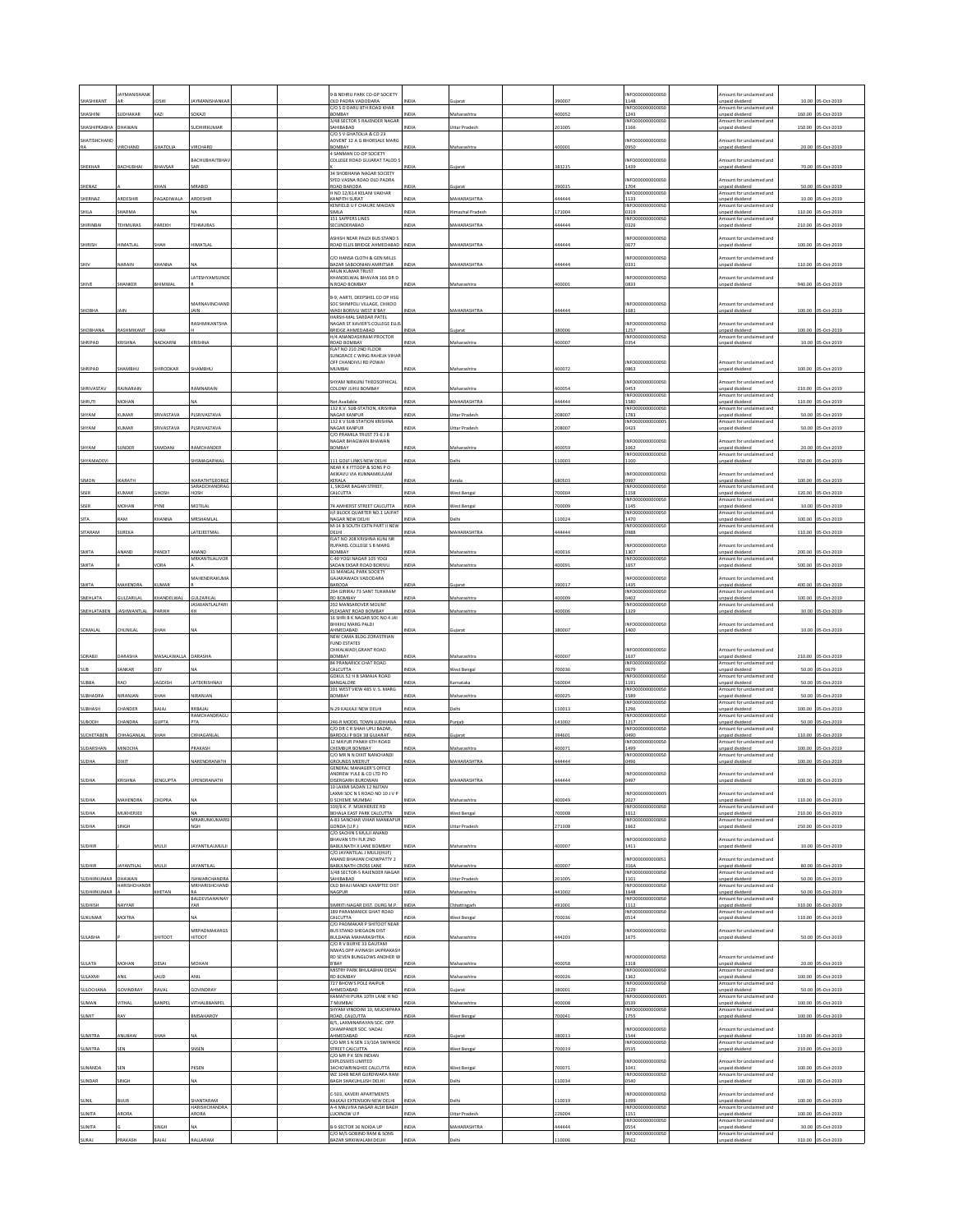|                | <b>AYMANISHAN</b>  |                 |                                     |  | 9-B NEHRU PARK CO-OP SOCIETY                                   |                 |                      |        | INFOODDOODDOOS                             | mount for unclaimed and                                               |        |                    |
|----------------|--------------------|-----------------|-------------------------------------|--|----------------------------------------------------------------|-----------------|----------------------|--------|--------------------------------------------|-----------------------------------------------------------------------|--------|--------------------|
| HASHIKANT      |                    |                 |                                     |  | OLD PADRA VADODARA                                             |                 |                      | 90007  | 1148                                       | unpaid dividend                                                       | 10.00  |                    |
| SHASHINI       | SUDHAKAR           | KAZI            | SOKAZI                              |  | C/O S D DARU 8TH ROAD KHAR<br>YABANGE                          | <b>VDIA</b>     | Maharashtra          | 00052  | INFO0000000000S<br>1243                    | Amount for unclaimed and<br>npaid dividend                            | 160.00 | 05-Oct-2019        |
| SHASHIPRABHA   | DHAWAN             |                 | <b>JUDHIRKUMAR</b>                  |  | 3/48 SECTOR 5 RAJENDER NAGAR<br>SAHIBABAD                      | NDL             | Uttar Pradesl        | 01005  | INFO0000000000S<br>1166                    | Amount for unclaimed and<br>inpaid dividend                           | 150.00 | 05-Oct-2019        |
| SHATISHCHAND   |                    |                 |                                     |  | C/O S V GHATOLIA & CO 23<br>ADVENT 12 A G BHORSALE MARG        |                 |                      |        | INFO0000000000S                            | mount for unclaimed and                                               |        |                    |
|                | <b>IRCHAND</b>     | <b>GHATOLIA</b> | VIRCHARD                            |  | YABANGE                                                        | NDIA            | Maharashtra          | 100001 | 0950                                       | npaid dividend                                                        |        | 20.00 05-Oct-2019  |
|                |                    |                 | <b>BACHUBHAITBHAY</b>               |  | 4 SANMAN CO-OP SOCIETY<br>COLLEGE ROAD GUJARAT TALOD S         |                 |                      |        | INFO0000000000S                            | mount for unclaimed and                                               |        |                    |
| SHEKHAR        | <b>ACHUBHAI</b>    | <b>HAVSAR</b>   |                                     |  | 34 SHOBHANA NAGAR SOCIETY                                      |                 |                      | 883215 | 1439                                       | inpaid dividend                                                       |        | 70.00 05-Oct-2019  |
| SHENAZ         |                    | <b>CHAN</b>     | MRABID                              |  | SYED VASNA ROAD OLD PADRA<br>ROAD BARODA                       |                 | ziara                | 390015 | INFO00000000005<br>1704                    | Amount for unclaimed and<br>Inpaid dividend                           | 50.00  | 05-Oct-2019        |
|                |                    |                 |                                     |  | H NO 12/614 KELANI VAKHAR                                      |                 |                      |        | INFO0000000000S                            | Amount for unclaimed and                                              |        |                    |
| SHERNAZ        | RDESHIR            | AGADIWALA       | ARDESHIR                            |  | KANPITH SURAT<br>KENFIELD U F CHAURE MAIDAN                    |                 | <b>IAHARASHTRA</b>   | 44444  | 1133<br>INFO00000000005                    | inpaid dividend<br>mount for unclaimed and                            | 10.00  | 5-Oct-2019         |
| <b>HILA</b>    | HARMA              |                 |                                     |  | <b>SIMLA</b><br>151 SAPPERS LINES                              |                 | chal Prades          | 71004  | 0319<br>INFO0000000000S                    | npaid dividend<br>Amount for unclaimed and                            | 110.00 | -Oct-2019          |
| SHIRINBAI      | <b>EHMURAS</b>     | AREKH           | TEHMURAS                            |  | SECUNDERABAD                                                   | NDIA            | <b>MAHARASHTRA</b>   | 44444  | 0326                                       | inpaid dividend                                                       | 210.00 | 05-Oct-2019        |
|                |                    |                 |                                     |  | <b>ASHISH NEAR PALDI BUS STAND S</b>                           |                 |                      |        | <b>INFO00000</b><br>00000S                 | mount for unclaimed and                                               |        |                    |
| SHIRISH        | IIMATLAI           | IAH             | <b>IMATLAI</b>                      |  | ROAD ELUS BRIDGE AHMEDABAD                                     |                 | <b>MAHARASHTRA</b>   | 44444  | 0677                                       | inpaid dividend                                                       | 100.00 | 05-Oct-2019        |
| SHIV           | NARAIN             | HANNA           |                                     |  | C/O HANSA CLOTH & GEN MILLS<br>BAZAR SABOONIAN AMRITSAR        |                 | <b>AAHARASHTRA</b>   | 4444   | INFO0000000000S<br>0331                    | Amount for unclaimed and<br>inpaid dividend                           |        | 110.00 05-Oct-2019 |
|                |                    |                 |                                     |  | ARUN KUMAR TRUST                                               |                 |                      |        | INFO0000000000S                            |                                                                       |        |                    |
| SHIVE          | SHANKER            | <b>HIMWAI</b>   | LATESHYAMSUND                       |  | KHANDELWAL BHAVAN 166 DR D<br>N ROAD BOMBAY                    |                 | Maharashtr.          | 100003 | 0833                                       | mount for undaimed and<br>inpaid dividend                             |        | 940.00 05-Oct-2019 |
|                |                    |                 |                                     |  | 3-9, AARTI, DEEPSHEL CO OP HSG                                 |                 |                      |        |                                            |                                                                       |        |                    |
| SHOBHA         |                    |                 | MARNAVINCHANI                       |  | SOC SHIMPOLI VILLAGE, CHIKOO<br><b>WADI BORIVLI WEST B'BAY</b> |                 | <b>IAHARASHTRA</b>   | 44444  | INFO0000000000S<br>1681                    | Amount for unclaimed and<br>npaid dividend                            | 100.00 | 05-Oct-2019        |
|                |                    |                 |                                     |  | HARSH-MAL SARDAR PATEL                                         |                 |                      |        |                                            |                                                                       |        |                    |
| SHOBHANA       | RASHMIKANT         | жан             | RASHMIKANTSHA                       |  | NAGAR ST XAVIER'S COLLEGE ELLIS<br>BRIDGE AHMEDABAD            |                 |                      | 80006  | INFO0000000000S<br>1257                    | Amount for unclaimed and<br>unpaid dividend                           | 100.00 | 05-Oct-2019        |
| SHRIPAD        | RISHNA             | <b>ADKARNI</b>  | <b>CRISHNA</b>                      |  | H/4 ANANDASHRAM PROCTOR<br><b>ROAD BOMBAY</b>                  | <b>IDI</b>      | taharashtr           | 00007  | INFO0000000000S<br>0354                    | Amount for undaimed and<br>npaid dividend                             | 10.00  | 05-Oct-2019        |
|                |                    |                 |                                     |  | FLAT NO 210 2ND FLOOR<br>SUNGRACE C WING RAHEJA VIHAR          |                 |                      |        |                                            |                                                                       |        |                    |
|                | HAMBHU             |                 | SHAMBHU                             |  | OFF CHANDIVLI RD POWAI<br>MUMRAL                               | NDIA            | Maharashtra          | 400072 | INFO0000000000S<br>0863                    | mount for unclaimed and<br>npaid dividend                             |        |                    |
| SHRIPAD        |                    | HIRODKAR        |                                     |  |                                                                |                 |                      |        |                                            |                                                                       |        | 100.00 05-Oct-2019 |
| SHRIVASTAV     | RAJNARAIM          |                 | RAMNARAIN                           |  | SHYAM NIRKUNJ THEOSOPHICAL<br>COLONY JUHU BOMBAY               | NDL             | Aaharashtra          | 100054 | INFO0000000000S<br>0453                    | Amount for unclaimed and<br>Inpaid dividend                           |        | 210.00 05-Oct-2019 |
| HRUTI          | <b>MOHAN</b>       |                 |                                     |  | <b>Vot Available</b>                                           | NDIA            | AAHARASHTRA          | 44444  | INFO0000000000S<br>1580                    | mount for unclaimed and<br>Inpaid dividend                            | 110.00 | 05-Oct-2019        |
|                |                    |                 |                                     |  | 132 K.V. SUB-STATION, KRISHNA                                  |                 |                      |        | INFO0000000000S                            | Amount for unclaimed and                                              |        |                    |
| SHYAM          | UMAR               | RIVASTAVA       | PLSRIVASTAVA                        |  | NAGAR KANPUR<br>132 K V SUB STATION KRISHNA                    |                 | <b>Ittar Prades</b>  | 08007  | 1783<br>INFO0000000000                     | Inpaid dividend<br>Amount for unclaimed and                           | 50.00  | 05-Oct-2019        |
| <b>HYAM</b>    | UMAR               | RIVASTAVA       | PLSRIVASTAVA                        |  | NAGAR KANPUR<br>C/O PRAMILA TRUST 73-6 J B                     |                 | ttar Prades          | 08007  | 0423                                       | inpaid dividend                                                       | 50.00  | 05-Oct-201         |
| SHYAM          | SUNDER             | SAMDANI         | RAMCHANDER                          |  | NAGAR BHAGWAN BHAWAN<br>BOMBAY                                 | INDIA           | Maharashtra          | 400059 | INFO0000000000S<br>1062                    | mount for unclaimed and<br>unpaid dividend                            |        | 20.00 05-Oct-2019  |
|                |                    |                 |                                     |  |                                                                |                 |                      |        | INFO0000000000S                            | Amount for unclaimed and                                              |        |                    |
| SHYAMADEVI     |                    |                 | HSMAGARWA                           |  | 111 GOLF LINKS NEW DELHI<br>NEAR K K ITTOOP & SONS PO          | VDL             |                      | 10003  | 1100                                       | npaid divider                                                         | 150.00 | 05-Oct-201         |
| SIMON          | KARATH             |                 | KARATHTGEORG                        |  | AKIKAVU VIA KUNNAMKULAM<br>KERALA                              |                 | 'erali               | 580503 | <b>INFO0000</b><br><b>10000S</b><br>0997   | mount for unclaimed and<br>Inpaid dividend                            | 100.00 | 05-Oct-2019        |
|                | UMAR               | <b>HOSH</b>     | SARADCHANDRAG<br><b>IOSH</b>        |  | 1, SIKDAR BAGAN STREET,<br>CALCUTTA                            | VDL             | est Benga            | 00004  | INFO0000000000S<br>1158                    | Amount for unclaimed and<br>unpaid dividend                           | 120.00 | 05-Oct-201         |
|                |                    |                 |                                     |  |                                                                |                 |                      |        | INFO0000000000S                            | mount for unclaimed and                                               |        |                    |
| <b>ISIR</b>    | <b>MOHAN</b>       | WE              | <b>AOTH AI</b>                      |  | 4 AMHERST STREET CALCUTTA<br>II/I BLOCK QUARTER NO.1 LAJPAT    | DIA             | est Re               | 00009  | 1145<br>INFO0000000000S                    | npaid dividend<br>Amount for unclaimed and                            | 10.00  | -Oct-2019          |
| SITA           | RAM                | KHANNA          | MRSHAMLAI                           |  | NAGAR NEW DELHI<br>M-14 B SOUTH EXTN PART II NEW               | INDIA           | Delhi                | 10024  | 1470<br>INFO0000000000S                    | Inpaid dividend<br>mount for unclaimed and                            |        | 100.00 05-Oct-2019 |
| SITARAM        | UREKA              |                 | ATEJEETMA                           |  | DELHI<br>FLAT NO 208 KRISHNA KUNJ NR                           | VDIA            | <b>MAHARASHTRA</b>   | 44444  | 0988                                       | npaid dividend                                                        |        | 110.00 05-Oct-2019 |
|                |                    |                 |                                     |  | RUPAREL COLLEGE S B MARG                                       |                 |                      |        | INFO0000000000S                            | Amount for unclaimed and                                              |        |                    |
| SMITA          | ANAND              | PANDIT          | ANAND<br><b>IRKANTILALIVOR</b>      |  | BOMBAY<br>C-40 YOGI NAGAR 105 YOGI                             | INDIA           | Maharashtra          | 400016 | 1307<br><b>INFO00000</b>                   | unpaid dividend<br>mount for undaimed and                             |        | 200.00 05-Oct-2019 |
| SMITA          |                    | /ORA            |                                     |  | ADAN EKSAR ROAD BORIVLI<br>33 MANGAL PARK SOCIETY              | <b>INDIA</b>    | faharashtra          | 00091  | 1657                                       | inpaid dividend                                                       |        | 500.00 05-Oct-2019 |
| SMITA          | MAHENDRA           | KUMAR           | MAHENDRAKUMA                        |  | GAJARAWADI VADODARA<br>BARODA                                  | INDIA           | Sujarat              | 390017 | INFO0000000000S<br>1435                    | mount for unclaimed and<br>unpaid dividend                            |        | 400.00 05-Oct-2019 |
|                |                    |                 |                                     |  | 204 GIRIRAJ 73 SANT TUKARAM                                    |                 |                      |        | INFO000                                    | mount for unclaimed and                                               |        |                    |
| SNEHLATA       | ULZARILA           | CHANDELWA       | GULZARILAL<br><b>JASWANTLALPARI</b> |  | <b>RD BOMBAY</b><br>202 MANSAROVER MOUNT                       | NDLA            | laharashtr           | 00009  | 0402<br>INFO0000000000S0                   | inpaid dividend<br>Amount for unclaimed and                           | 100.00 | 05-Oct-2019        |
| SNEHLATABEN    | ASHWANTLA          | PARIKH          |                                     |  | PLEASANT ROAD BOMBAY<br>16 SHRI B K NAGAR SOC NO 4 JAI         | NDIA            | Aaharashtra          | 100006 | 1329                                       | inpaid dividend                                                       | 30.00  | 05-Oct-2019        |
|                |                    |                 |                                     |  | HIKHU MARG PALDI<br>AHMEDABAD                                  | NDIA            |                      |        | INFO0000000000S                            | mount for unclaimed and                                               |        |                    |
| SOMALAL        | CHUNILAL           | SHAH            |                                     |  | NEW CAMA BLDG ZORASTRIAN                                       |                 | iujarat              | 80007  | 1400                                       | <b>Inpaid dividend</b>                                                |        | 10.00 05-Oct-2019  |
|                |                    |                 |                                     |  | <b>FUND ESTATES</b><br>CHIKALWADI, GRANT ROAD                  |                 |                      |        | INFO0000<br>000S                           | Amount for unclaimed and                                              |        |                    |
| SORABJI        | DARASHA            | MASALAWALLA     | DARASHA                             |  | BOMBAY<br>84 PRANARICK CHAT ROAD                               |                 | laharashtr           | 00007  | 1637<br>INFO0000000000S                    | unpaid dividend<br>mount for unclaimed and                            | 210.00 | 05-Oct-2019        |
| <b>SUB</b>     | <b>ANKAR</b>       | <b>IFY</b>      |                                     |  | CALCUTTA<br>GOKUL 52 H B SAMAJA ROAD                           | <b>VIDIZ</b>    | est Benga            | 00036  | 0679<br>INFO0000000000S                    | unpaid dividend<br>Amount for unclaimed and                           | 50.00  | S-Oct-2019         |
| SUBBA          | RAO                | <b>AGDISH</b>   | LATEKRISHNAJI                       |  | BANGALORE                                                      | INDIA           | Karnataka            | 560004 | 1191                                       | unpaid dividend                                                       |        | 50.00 05-Oct-2019  |
| SUBHADRA       | <b>IIRANJAN</b>    | HAH             | <b>IRANJAN</b>                      |  | 201 WEST VIEW 485 V.S. MARG<br>BOMBAY                          | NDLA            | laharashtr           | 00025  | INFO00<br>1589                             | mount for undair<br>ned and<br>inpaid dividend                        | 50.00  | 05-Oct-2019        |
| SUBHASH        | <b>HANDER</b>      | BAJAJ           | RRBAJAJ                             |  | N-29 KALKAJI NEW DELHI                                         | NDIA            | elhi                 | 10013  | <b>INFO0000</b><br>0000S<br>1296           | Amount for unclaimed and<br>Inpaid dividend                           | 100.00 | 05-Oct-2019        |
| SUBODH         | CHANDRA            | <b>GUPTA</b>    | RAMCHANDRAGU<br>PTA                 |  | 246-R MODEL TOWN LUDHIANA                                      | <b>NDL</b>      |                      | 41002  | INFO0000<br>0000S<br>1217                  | Amount for unclaimed and                                              | 50.00  | 05-Oct-2019        |
|                |                    |                 |                                     |  | C/O DR C R SHAH UPLI BAZAR,                                    |                 | niat                 |        | INFO0000000000S                            | unpaid dividend<br>mount for unclaimed and                            |        |                    |
| SUCHETABEN     | <b>HHAGANLA</b>    | HAH             | <b>HHAGANLA</b>                     |  | BARDOLI P BOX 38 GUJARAT<br>12 MAYUR PANKH 6TH ROAD            | IN A            |                      | 94601  | 0490<br>INFO0000000000S                    | unpaid dividend<br>Amount for unclaimed and                           | 110.00 | 5-Oct-2019         |
| SUDARSHAN      | MINOCHA            |                 | PRAKASH                             |  | CHEMBUR BOMBAY<br>C/O MR N N DIXIT NANCHANDI                   | INDIA           | Maharashtra          | 400071 | 1499<br>INFO0000000000S0                   | unpaid dividend<br>Amount for unclaimed and                           |        | 100.00 05-Oct-2019 |
| <b>SUDHA</b>   | DIXIT              |                 | NARENDRANATH                        |  | <b>GROUNDS MEERUT</b><br><b>GENERAL MANAGER'S OFFICE</b>       | NDIA            | <b>ANHARASHTRA</b>   | 44444  | 1496                                       | inpaid dividend                                                       |        | 100.00 05-Oct-2019 |
|                |                    |                 |                                     |  | ANDREW YULE & CO LTD PO                                        |                 |                      |        | INFO0000000000S                            | Amount for unclaimed and                                              |        |                    |
|                | :RISF              |                 |                                     |  | <b>ISERGARH BURDWAN</b><br>10 LAXMI SADAN 12 NUTAN             |                 |                      | 44444  | 497                                        | npaid div                                                             | 100.00 | 05-Oct             |
| UDHA           | <b>AGHENDRA</b>    | HOPRA           |                                     |  | LAXMI SOC N S ROAD NO 10 J V P<br>SCHEME MUMBAL                |                 | abarashtr            | 00049  | INFO00000000000<br>2027                    | nount for unclaimed and<br>npaid dividend                             | 110.00 | S-0rt-2019         |
| SUDHA          | MUKHERJEE          |                 |                                     |  | 339/6 K. P. MUKHERJEE RD<br>BEHALA EAST PARK CALCUTTA          | INDIA           | West Bengal          | 00008  | INFO0000000000S<br>1612                    | Amount for unclaimed and<br>unpaid dividend                           |        | 210.00 05-Oct-2019 |
|                |                    |                 | MRARUNKUMARSI                       |  | A-83 SANCHAR VIHAR MANKAPUR                                    |                 |                      |        | INFO0000000000S                            | Amount for unclaimed and                                              |        |                    |
| SUDHA          | <b>NGH</b>         |                 | NGH                                 |  | GONDA (U.P.)<br>C/O SACHIN S MULJI ANAND                       | NDL             | <b>Ittar Pradesh</b> | 71308  | 1662                                       | npaid dividend                                                        | 250.00 | 05-Oct-2019        |
| SUDHIR         |                    | MULJI           | <b>JAYANTILALMULJI</b>              |  | BHAVAN STH FLR 2ND<br>BABULNATH X LANE BOMBAY                  | <b>INDIA</b>    | Maharashtra          | 400007 | INFO0000000000S<br>1411                    | mount for unclaimed and<br>unpaid dividend                            |        | 10.00 05-Oct-2019  |
|                |                    |                 |                                     |  | C/O JAYANTILAL J MULJI(HUF)<br>ANAND BHAVAN CHOWPATTY 2        |                 |                      |        | INFO000000000051                           | nount for unclaimed and                                               |        |                    |
| SUDHIR         | AYANTILAL          | viuui           | AYANTILAL                           |  | BABULNATH CROSS LANE<br>3/48 SECTOR-5 RAJENDER NAGAR           | DH <sub>4</sub> | laharashtr           | 00007  | 316A                                       | inpaid dividend                                                       | 80.00  | 05-Oct-2019        |
| SUDHIRKUMAR    | DHAWAN             |                 | <b>SHWARCHANDRA</b>                 |  | SAHIBABAD                                                      | NDIA            | Uttar Pradesh        | 201005 | INFO0000000000S<br>1101                    | Amount for unclaimed and<br>unpaid dividend                           |        | 50.00 05-Oct-2019  |
| SUDHIRKUMAR    | <b>IARISHCHAND</b> | <b>HETAN</b>    | MRHARISHCHAND                       |  | OLD BHAJI MANDI KAMPTEE DIST<br><b>JAGPUR</b>                  |                 | taharashtra          | 41002  | INFO0000000000S<br>1648                    | Amount for unclaimed and<br>inpaid dividend                           | 50.00  | 05-Oct-2019        |
| SUDHISH        | VAYYAR             |                 | BALDEVSAHAINAY<br>YAR               |  | <b>UMRITI NAGAR DIST DURG M P</b>                              | NDIA            | Chhattisgarh         | 91001  | INFO0000000000S<br>1112                    | Amount for undaimed and<br>Inpaid dividend                            | 310.00 | 05-Oct-2019        |
|                |                    |                 |                                     |  | 189 PARAMANICK GHAT ROAD                                       |                 |                      |        | <b>INFO0000</b><br><b>10000S</b>           | Amount for unclaimed and                                              |        |                    |
| SUKUMAR        | MOITRA             |                 |                                     |  | CALCUTTA<br>C/O PADMAKAR P SHITOOT NEAR                        |                 | est Benga            | 00036  | 0514                                       | <b>Inpaid dividend</b>                                                | 110.00 | 05-Oct-2019        |
| SULABHA        |                    | нітоот          | MRPADMAKARGS<br>HITOOT              |  | BUS STAND SHEGAON DIST<br>BULDANA MAHARASHTRA                  | NDIA            | Maharashtra          | 44203  | <b>INFO0000</b><br>000005<br>1675          | mount for undaimed and<br>inpaid dividend                             |        | 50.00 05-Oct-2019  |
|                |                    |                 |                                     |  | C/O R V BURYE 33 GAUTAM<br>NIWAS OPP AVINASH JAIPRAKASH        |                 |                      |        |                                            |                                                                       |        |                    |
|                |                    |                 |                                     |  | RD SEVEN BUNGLOWS ANDHER W                                     |                 |                      |        | INFO0000000000S                            | Amount for unclaimed and                                              |        |                    |
| SULATA         | MOHAN              | <b>DESAI</b>    | MOHAN                               |  | R'RAY<br>MISTRY PARK BHULABHAI DESAI                           | <b>VIDIZ</b>    | Maharashtr.          | 100058 | 1318<br>INFO000000000050                   | inpaid dividend<br>Amount for undaimed and                            | 20.00  | 05-Oct-2019        |
| SULAXMI        | MIL                | AUD             | ANIL                                |  | RD BOMBAY<br>727 BHOW'S POLE RAIPUR                            | NDIA            | Maharashtra          | 00026  | 1362<br>INFO0000000000S                    | Inpaid dividend<br>Amount for unclaimed and                           | 100.00 | 05-Oct-2019        |
| SULOCHANA      | GOVINDRAY          | <b>AVAL</b>     | GOVINDRAY                           |  | HMEDABAD                                                       | <b>IDIA</b>     | ujarat               | 80001  | 1229                                       | inpaid dividend                                                       | 50.00  | 05-Oct-2019        |
| SUMAN          | /ITHAL             | <b>BANPEL</b>   | VITHALBBANPEL                       |  | KAMATHI PURA 10TH LANE H NO<br>MUMBAI                          | NDIA            | Maharashtra          | 00008  | INFO000000000005<br>0539                   | Amount for unclaimed and<br>Inpaid dividend                           | 100.00 | 05-Oct-2019        |
| SUMIT          | ۹AY                |                 | <b>MSAHAROY</b>                     |  | SHYAM VINODINI 10. MUCHIPARA<br>ROAD, CALCUTTA                 |                 | est Benga            | 00041  | INFO0000000000S0<br>1755                   | Amount for unclaimed and<br><b>Inpaid</b> dividend                    | 100.00 | 05-Oct-2019        |
|                |                    |                 |                                     |  | B/S, LAXMINARAYAN SOC. OPP.<br>CHAMPANER SOC. VADAJ            |                 |                      |        | INFO0000000000S                            | Amount for unclaimed and                                              |        |                    |
| SUMITRA        | ANUBHAI            | <b>НАН</b>      |                                     |  | AHMEDABAD<br>C/O MR S N SEN 13/10A SWINHOE                     | NDIA            | ilarat               | 80013  | 1544                                       | Inpaid dividend                                                       |        | 110.00 05-Oct-2019 |
| <b>SUMITRA</b> | SEN                |                 | SNSEN                               |  | STREET CALCUTTA                                                | NDI.            | Vest Benga           | 00019  | INFO0000000000S0<br>0535                   | Amount for unclaimed and<br><b>Inpaid</b> dividend                    | 210.00 | 05-Oct-2019        |
|                |                    |                 |                                     |  | C/O MR P K SEN INDIAN<br>EXPLOSIVES LIMITED                    |                 |                      |        | <b>INFO0000</b><br>00000S                  | mount for unclaimed and                                               |        |                    |
| SUNANDA        | SEN                |                 | PKSEN                               |  | <b>34CHOWRINGHEE CALCUTTA</b><br>WZ 1048 NEAR GURDWARA RANI    | NDIA            | West Benga           | '00071 | 1041<br>INFO0000000000S                    | Inpaid dividend<br>Amount for undaimed and                            | 100.00 | 05-Oct-2019        |
| SUNDAR         | <b>INGH</b>        |                 |                                     |  | BAGH SHAKUHLUSH DELHI                                          |                 |                      | 10034  | 0540                                       | unpaid dividend                                                       | 100.00 | 05-Oct-2019        |
|                |                    |                 |                                     |  | C-503, KAVERI APARTMENTS                                       |                 |                      |        | INFO0000000000S                            | Amount for unclaimed and                                              |        |                    |
| SUNIL          | <b>BUUR</b>        |                 | SHANTARAM<br>HARISHCHANDRA          |  | KALKAJI EXTENSION NEW DELHI<br>A-4 MALVIYA NAGAR ALSH BAGH     | NDIA            | Delhi                | 10019  | 1099<br>INFO0000000000S0                   | Inpaid dividend<br>Amount for unclaimed and                           | 100.00 | 05-Oct-2019        |
| SUNITA         | ARORA              |                 | ARORA                               |  | LUCKNOW U P                                                    |                 | <b>Ittar Prades</b>  | 26004  | 1151                                       | Inpaid dividend                                                       | 100.00 | S-Oct-2019         |
|                |                    |                 |                                     |  |                                                                |                 |                      |        |                                            |                                                                       |        |                    |
| SUNITA         |                    | <b>INGH</b>     | N۵                                  |  | 3-9 SECTOR 36 NOIDA UP<br>C/O M/S GOBIND RAM & SONS            | <b>VIDIA</b>    | <b>MAHARASHTRA</b>   | 44444  | INFO0000000000S<br>0554<br>INFO0000000000S | mount for unclaimed and<br>npaid dividend<br>Amount for unclaimed and | 30.00  | 05-Oct-2019        |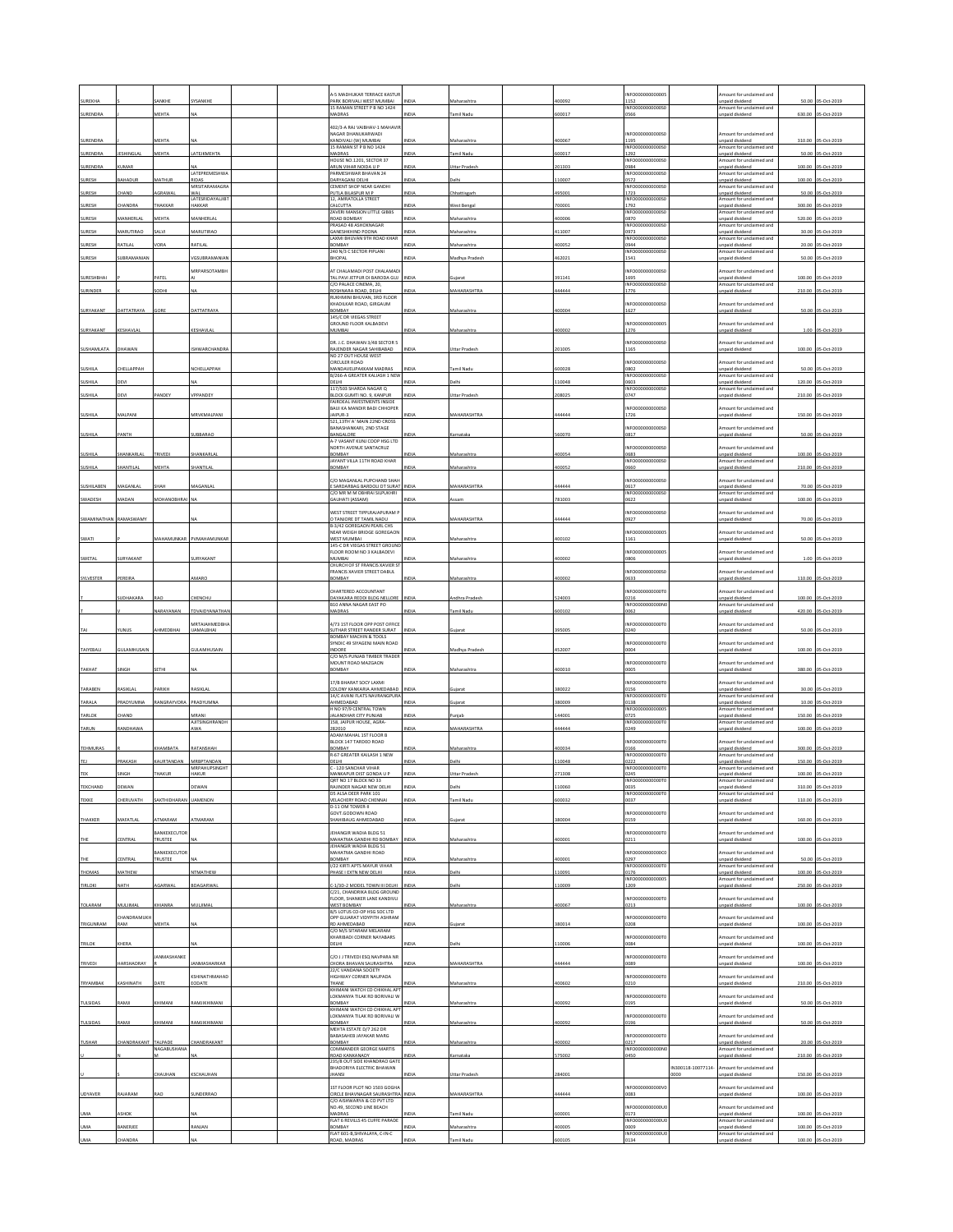| UREKHA                   |                         |                         | <b><i><b>CANKHI</b></i></b>        | -5 MADHUKAR TERRACE KASTUI<br>PARK BORIVALI WEST MUMBAI                     |              |                      | 0092   | INFO00000000000<br>1152                    |                   | nount for unclaimed and<br>inpaid dividend                            | 50.00  | -Oct-2019          |
|--------------------------|-------------------------|-------------------------|------------------------------------|-----------------------------------------------------------------------------|--------------|----------------------|--------|--------------------------------------------|-------------------|-----------------------------------------------------------------------|--------|--------------------|
| SURENDRA                 |                         | MEHTA                   | <b>NA</b>                          | 15 RAMAN STREET P B NO 1424<br>MADRAS                                       | NDIA         | <b>Tamil Nadu</b>    | 00017  | INFO0000000000S<br>0566                    |                   | Amount for unclaimed and<br>inpaid dividend                           |        | 630.00 05-Oct-2019 |
|                          |                         |                         |                                    | 02/3-A RAJ VAIBHAV-1 MAHAV                                                  |              |                      |        |                                            |                   |                                                                       |        |                    |
| SURENDRA                 |                         | MEHTA                   |                                    | NAGAR DHANUKARWADI<br>KANDIVALI (W) MUMBAI                                  | NDIA         | Maharashtra          | 100067 | INFO0000000000S<br>1195                    |                   | mount for unclaimed and<br>unpaid dividend                            | 310.00 | 05-Oct-2019        |
| SURENDRA                 | <b>IESHINGLAI</b>       | MEHTA                   | LATEJKMEHTA                        | 15 RAMAN ST P B NO 1424<br>MADRAS                                           | NDL          | amil Nadı            | 00017  | INFO0000000000S<br>1292                    |                   | Amount for unclaimed and<br>unpaid dividend                           | 50.00  | 05-Oct-2019        |
| SURENDRA                 | UMAR                    |                         |                                    | HOUSE NO.1201, SECTOR 37<br>ARUN VIHAR NOIDA U P                            | NDIA         | Ittar Pradesi        | 01303  | INFO0000000000S<br>0984                    |                   | mount for unclaimed and<br>unpaid dividend                            | 100.00 | 5-Oct-2019         |
| SURESH                   | BAHADUR                 | MATHUR                  | LATEPREMESHWA<br>RIDAS             | PARMESHWAR BHAVAN 24<br>DARYAGANJ DELHI                                     | INDIA        | Jelhi                | 10007  | INFORMATION<br>0572                        |                   | Amount for unclaimed and<br>unpaid dividend                           | 100.00 | 05-Oct-2019        |
| SURESH                   | HAND                    | GRAWAI                  | MRSITARAMAGRA<br>WAL               | CEMENT SHOP NEAR GANDHI<br>PUTLA BILASPUR M P                               | NDIA         | hhattisgarh          | 95001  | INFO0000000000S<br>1723                    |                   | Amount for unclaimed and<br>unpaid dividend                           | 50.00  | 05-Oct-2019        |
| SURESH                   | <b>HANDRA</b>           | <b>HAKKAR</b>           | <b>LATESRIDAYALJIBT</b><br>HAKKAR  | 12, AMRATOLLA STREET<br>CALCUTTA                                            | NDIA         | Vest Bengal          | 00001  | INFO0000000000S<br>1792                    |                   | Amount for unclaimed and<br>Inpaid dividend                           | 300.00 | 05-Oct-2019        |
| SURESH                   | MANHERLA                | MEHTA                   | MANHERLA                           | ZAVERI MANSION LITTLE GIBBS<br>ROAD BOMBAY                                  | NDIA         | faharashtra          | 00006  | INFO0000000000S<br>0870                    |                   | Amount for unclaimed and<br>unpaid dividend                           | 520.00 | 05-Oct-2019        |
| SURESH                   | MARUTIRAO               | IV IA:                  | MARUTIRAO                          | RASAD 48 ASHOKNAGAR<br>GANESHKHIND POONA                                    | NDIA         | <b>taharashtr</b>    | 11007  | INFO0000000000S<br>0973                    |                   | mount for unclaimed and<br>npaid dividend                             | 30.00  | 05-Oct-2019        |
| SURESH                   | RATILAL                 | /ORA                    | RATILAL                            | ΑΧΜΙ ΒΗΙ ΙΥΑΝ 9ΤΗ ΒΩΔΩ ΚΗΔΒ<br>BOMBAY                                       | NDIA         | Maharashtra          | 100052 | INFO0000000000S<br>0944                    |                   | Amount for unclaimed and<br>Inpaid dividend                           | 20.00  | 05-Oct-2019        |
| SURESH                   | UBRAMANIAN              |                         | GSUBRAMANIA                        | 240 N/3 C SECTOR PIPLANI<br><b>BHOPAL</b>                                   | INDIA        | Madhya Pradesh       | 62021  | INFO0000000000S<br>1541                    |                   | Amount for unclaimed and<br>unpaid dividend                           |        | 50.00 05-Oct-2019  |
|                          |                         |                         | MRPARSOTAMBH                       | AT CHALAMADI POST CHALAMAD                                                  |              |                      |        | INFOODDDDDDDDSI                            |                   | mount for unclaimed and                                               |        |                    |
| SURESHBHAI               |                         | PATE                    |                                    | TAL PAVI JETPUR DI BARODA GUJ<br>C/O PALACE CINEMA, 20,                     | <b>INDIA</b> | iujarat              | 391141 | 1695<br>INFO0000000000S                    |                   | inpaid dividend<br>Amount for unclaimed and                           |        | 100.00 05-Oct-2019 |
| SURINDER                 |                         | ODHI                    |                                    | ROSHNARA ROAD, DELHI<br>RUKHMINI BHUVAN, 3RD FLOOR                          | NDIA         | <b>MAHARASHTRA</b>   | 44444  | 1776                                       |                   | <b>Inpaid dividend</b>                                                |        | 210.00 05-Oct-2019 |
| SURYAKANT                | <b>JATTATRAYA</b>       | ORF                     | DATTATRAY                          | KHADILKAR ROAD, GIRGAUM<br>BOMBAY                                           | NDIA         | Maharashtra          | 100004 | INFO0000000000S<br>1627                    |                   | Amount for unclaimed and<br>inpaid dividend                           |        | 50.00 05-Oct-2019  |
|                          |                         |                         |                                    | 145/C DR VIEGAS STREET<br><b>SROUND FLOOR KALBADEVI</b>                     |              |                      |        | INFO0000000000                             |                   | mount for undaimed and                                                |        |                    |
| SURYAKANT                | KESHAVLAL               |                         | KESHAVLAI                          | MUMRAL                                                                      | NDIA         | Maharashtra          | 100002 | 1276                                       |                   | inpaid dividend                                                       | 1.00   | 05-Oct-2019        |
| SUSHAMLATA               | DHAWAN                  |                         | <b>ISHWARCHANDR</b>                | DR. J.C. DHAWAN 3/48 SECTOR 5<br>RAJENDER NAGAR SAHIBABAD                   | <b>INDIA</b> | <b>Jttar Prades</b>  | 01005  | INFO0000000000S<br>1165                    |                   | mount for unclaimed and<br>unpaid dividend                            | 100.00 | 05-Oct-2019        |
|                          |                         |                         |                                    | NO 27 OUT HOUSE WEST<br><b>CIRCULER ROAD</b>                                |              |                      |        | INFO0000000000S                            |                   | nount for undaimed and                                                |        |                    |
| SUSHILA                  | CHELLAPPAH              |                         | NCHELLAPPAH                        | MANDAVELIPAKKAM MADRAS<br>B/266-A GREATER KALIASH 1 NEW                     | NDIA         | amil Nadu            | 00028  | 0802<br>INFO0000000000S                    |                   | Inpaid dividend<br>Amount for unclaimed and                           | 50.00  | 05-Oct-2019        |
| SUSHILA                  | DEVI                    |                         |                                    | DELHI<br>117/503 SHARDA NAGAR Q                                             | NDIA         | elhi                 | 10048  | 0603<br>INFO0000000000S                    |                   | unpaid dividend<br>mount for undaimed and                             | 120.00 | 05-Oct-2019        |
| SUSHILA                  | DEVI                    | PANDEY                  | VPPANDEY                           | <b>BLOCK GUMTI NO. 9, KANPUR</b><br>FAIRDEAL INVESTMENTS INSIDE             | NDIA         | <b>Jttar Pradesh</b> | 08025  | 0747                                       |                   | inpaid dividend                                                       | 210.00 | 05-Oct-2019        |
|                          |                         |                         |                                    | BAIJI KA MANDIR BADI CHHOPER                                                |              |                      |        | INFO00000000005                            |                   | mount for unclaimed and                                               |        |                    |
| <b>SUSHILA</b>           | MALPAN                  |                         | MRVKMALPAN                         | JAIPUR-3<br>521,13TH'A' MAIN 22ND CROSS                                     | NDIA         | <b>MAHARASHTR</b>    | 44444  | 1726<br>INFO000000000S                     |                   | unpaid dividend                                                       | 150.00 | 05-Oct-2019        |
| SUSHILA                  | PANTH                   |                         | SUBBARAO                           | BANASHANKARI, 2ND STAGE<br>BANGALORE                                        | NDIA         | arnataka             | 60070  | 0817                                       |                   | mount for unclaimed and<br>Inpaid dividend                            |        | 50.00 05-Oct-2019  |
|                          |                         |                         |                                    | A-7 VASANT KUNJ COOP HSG LTD<br>NORTH AVENUE SANTACRUZ                      |              |                      |        | INFO0000000000S                            |                   | Amount for unclaimed and                                              |        |                    |
| SUSHILA                  | HANKARLAL               | TRIVEDI                 | HANKARLAL                          | BOMBAY<br>JAYANT VILLA 11TH ROAD KHAR                                       | NDIA         | faharashtra          | 00054  | 0683<br>INFO0000000000S                    |                   | unpaid dividend<br>Amount for unclaimed and                           |        | 100.00 05-Oct-2019 |
| <b>JUSHILA</b>           | HANTILAL                | MEHTA                   | HANTILAI                           | BOMBAY                                                                      | <b>IDIA</b>  | aharashtr            | 00052  | 0660                                       |                   | inpaid dividend                                                       | 210.00 | 05-Oct-2019        |
| SUSHILABEN               | MAGANLAL                | ЖАН                     | MAGANLAL                           | C/O MAGANLAL PUPCHAND SHAH<br>SARDARBAG BARDOU DT SURAT                     | INDIA        | AAHARASHTRA          | 44444  | INFO0000000000S<br>0617                    |                   | Amount for unclaimed and<br>unpaid dividend                           |        | 70.00 05-Oct-2019  |
| SWADESH                  | MADAN                   | MOHANOBHRAI             |                                    | C/O MR M M OBHRAI SILPUKHRI<br><b>GAUHATI (ASSAM)</b>                       | NDIA         |                      | 81003  | INFO0000000000S<br>0622                    |                   | Amount for unclaimed and<br>inpaid dividend                           | 100.00 | 05-Oct-2019        |
|                          |                         |                         |                                    | WEST STREET TIPPLRAJAPURAM F                                                |              |                      |        | <b>INFO00000</b><br>00000S                 |                   | mount for unclaimed and                                               |        |                    |
| SWAMINATHAN RAMASWAMY    |                         |                         |                                    | TANJORE DT TAMIL NADU<br><b>B-3/42 GOREGAON PEARL CHS</b>                   | NDIA         | <b>MAHARASHTRA</b>   | 44444  | 0927                                       |                   | inpaid dividend                                                       |        | 70.00 05-Oct-2019  |
| SWATI                    |                         |                         | MAHAMUNKAR PVMAHAMUNKAR            | NEAR WEIGH BRIDGE GOREGAON<br><b>WEST MUMBAL</b>                            | NDIA         | Maharashtra          | 100102 | INFO0000000000<br>1161                     |                   | mount for unclaimed and<br>inpaid dividend                            |        | 50.00 05-Oct-2019  |
|                          |                         |                         |                                    | 145-C DR VIEGAS STREET GROUND<br>LOOR ROOM NO 3 KALBADEVI                   |              |                      |        | INFO00000000000                            |                   | nount for unclaimed and                                               |        |                    |
| SWETAL                   | SURYAKANT               |                         | SURYAKANT                          | MUMRAL<br>CHURCH OF ST FRANCIS XAVIER ST                                    | <b>IDIA</b>  | Aaharashtra          | 100002 | 3806                                       |                   | npaid dividend                                                        | 1.00   | 05-Oct-2019        |
| SYLVESTER                | PEREIRA                 |                         | AMARO                              | FRANCIS XAVIER STREET DABUL<br>BOMBAY                                       | NDIJ         | faharashtra          | 100002 | INFO0000000000S<br>0633                    |                   | mount for unclaimed and<br>unpaid dividend                            | 110.00 | 05-Oct-2019        |
|                          |                         |                         |                                    | HARTERED ACCOUNTANT                                                         |              |                      |        | INFO0000000000T                            |                   | nount for unclaimed and                                               |        |                    |
|                          | UDHAKARA                | <b>LAO</b>              | <b>HENCHU</b>                      | <b>JAYAKARA REDDI BLDG NELLORE</b><br>B10 ANNA NAGAR EAST PO                | NDIA         | <b>Idhra</b> Prades  | 24003  | 0216<br>INFO0000000000W                    |                   | inpaid dividend<br>Amount for unclaimed and                           | 100.00 | 05-Oct-2019        |
|                          |                         | NARAYANAN               | TDVAIDYANATHA                      | MADRAS                                                                      | <b>NDM</b>   | amil Nad             | 00102  | 0062                                       |                   | unpaid dividend                                                       | 420.00 | 05-Oct-2019        |
|                          | <b>UNUS</b>             | HMEDBHAI                | MRTAIAHMEDBH<br><b>IJAMALBHAI</b>  | 4/73 1ST FLOOR OPP POST OFFICE<br><b>SUTHAR STREET RANDER SURAT</b>         | NDIA         | ujarat               | 95005  | <b>INFO0000</b><br>100001<br>0240          |                   | ount for unclaimed and<br><b>Inpaid dividend</b>                      | 50.00  | 05-Oct-2019        |
|                          |                         |                         |                                    | BOMBAY MACHIN & TOOLS<br>SYNDIC 49 SIYAGENJ MAIN ROAD                       |              |                      |        | INFO0000000000T                            |                   | mount for unclaimed and                                               |        |                    |
| TAIYEBALI                | GULAMHUSAIN             |                         | GULAMHUSAIN                        | NDORE<br>C/O M/S PUNJAB TIMBER TRADER                                       | NDIA         | Aadhya Pradesh       | 52007  | 0004                                       |                   | unpaid dividend                                                       |        | 100.00 05-Oct-2019 |
| ТАКНАТ                   | <b>INGH</b>             | <b>SETHI</b>            |                                    | MOUNT ROAD MAZGAON<br>BOMBAY                                                | NDIA         | Maharashtr           | 100010 | INFO0000000000T<br>anns                    |                   | mount for unclaimed and<br><b>Inpaid dividend</b>                     |        | 380.00 05-Oct-2019 |
|                          |                         |                         |                                    | 17/B BHARAT SOCY LAXMI                                                      |              |                      |        | INFO0000000000T                            |                   | mount for unclaimed and                                               |        |                    |
| TARABEN                  | RASIKLAL                | PARIKH                  | RASIKLAL                           | OLONY KANKARIA AHMEDABAD<br>14/C AVANI FLATS NAVRANGPUR                     | NDIA         | iujarat              | 180022 | 0156<br>INFO0000000000T0                   |                   | unpaid dividend<br>Amount for unclaimed and                           | 30.00  | 05-Oct-2019        |
| TARALA                   | PRADYUMNA               | RANGRAYVORA             | PRADYUMNA                          |                                                                             | NDIA         | ujarat               | 80009  | 0138                                       |                   | inpaid dividend<br>Amount for unclaimed and                           | 10.00  | 05-Oct-2019        |
|                          |                         |                         |                                    | HMEDABAD                                                                    |              |                      |        |                                            |                   | inpaid dividend<br>mount for unclaimed and                            | 150.00 | 05-Oct-2019        |
| TARLOK                   | HAND                    |                         | VIRANI                             | H NO 97/9 CENTRAL TOWN<br>ALANDHAR CITY PUNJAB                              | NDIA         | unjab                | 44001  | INFO00000000000<br>0725                    |                   | inpaid dividend                                                       |        |                    |
| TARUN                    | <b>ANDHAWA</b>          |                         | <b>AJITSINGHRANDH</b><br>AWA       | <b>58, JAIPUR HOUSE, AGRA-</b><br>282010                                    | NDIA         | <b>MAHARASHTRA</b>   | 14444  | INFO0000000000T<br>0249                    |                   |                                                                       | 100.00 | 05-Oct-2019        |
|                          |                         |                         |                                    | ADAM MAHAL 1ST FLOOR B<br>BLOCK 147 TARDEO ROAD                             |              |                      |        | INFO0000000000T                            |                   | Amount for unclaimed and                                              |        |                    |
| TEHMURAS                 |                         | <b>HAMBATA</b>          | RATANSHAH                          | BOMBAY<br><b>R-67 GREATER KAILASH 1 NEW</b>                                 | NDIA         | faharashtra          | 00034  | 166<br>INFO0000000000T                     |                   | unpaid dividend<br>mount for unclaimed and                            | 300.00 | 05-Oct-2019        |
|                          | PRAKASH                 | <b>AURTANDAN</b>        | MRBPTANDAN<br><b>MRPAHUPSINGHT</b> | DELHI<br>C - 120 SANCHAR VIHAR                                              | NDIA         | elhi                 | 10048  | )222<br>INFO0000000000T0                   |                   | <b>Inpaid dividend</b><br>Amount for unclaimed and                    | 150.00 | 05-Oct-2019        |
| TEK                      | SINGH                   | THAKUR                  | HAKUR                              | MANKAPUR DIST GONDA U P<br>QRT NO 17 BLOCK NO 33                            | INDIA        | Uttar Pradesh        | 271308 | 0245<br>INFO000                            |                   | unpaid dividend<br>Amount for unclaimed and                           | 100.00 | 05-Oct-2019        |
| <b>TEKCHAND</b>          | DEWAN                   |                         | DEWAN                              | RAJINDER NAGAR NEW DELHI<br>DS ALSA DEER PARK 101                           | INDIA        | Delhi                | 10060  | 0035<br>INFO0000000000T0                   |                   | unpaid dividend<br>Amount for unclaimed and                           |        | 310.00 05-Oct-2019 |
| TEKKE                    | CHERUVATH               | SAKTHIDHARAN            | <b>UAMENON</b>                     | VELACHERY ROAD CHENNA<br>D-11 OM TOWER-II                                   | <b>NDIA</b>  | amil Nadu            | 00032  | 0037                                       |                   | npaid dividend                                                        |        | 110.00 05-Oct-2019 |
| THAKKER                  | MAFATLAL                | <b>TMARAM</b>           | <b>TMARAN</b>                      | GOVT.GODOWN ROAD<br>HAHIBAUG AHMEDABAD                                      | INDIA        | Sujarat              | 80004  | INFO0000000000T0<br>159                    |                   | mount for unclaimed and<br>unpaid dividend                            |        | 160.00 05-Oct-2019 |
|                          |                         | <b>BANKEXECUTOR</b>     |                                    | <b>JEHANGIR WADIA BLDG 51</b>                                               |              |                      |        | INFO0000000000T0                           |                   | mount for unclaimed and                                               |        |                    |
| THE                      | CENTRAL                 | TRUSTEE                 |                                    | MAHATMA GANDHI RD BOMBAY<br>EHANGIR WADIA BLDG 51                           | <b>INDIA</b> | Maharashtra          | 400001 | 0211                                       |                   | unpaid dividend                                                       |        | 100.00 05-Oct-2019 |
| THE                      | ENTRAL                  | BANKEXECUTOR<br>TRUSTEE |                                    | MAHATMA GANDHI ROAD<br>BOMBAY                                               | NDIA         | faharashtra          | 00001  | INFO0000000000<br>0297                     |                   | mount for unclaimed and<br>Inpaid dividend                            |        | 50.00 05-Oct-2019  |
| THOMAS                   | MATHEW                  |                         | NTMATHEW                           | 1/22 KIRTI APTS MAYUR VIHAR<br>PHASE I EXTN NEW DELHI                       | INDIA        | Delhi                | 10091  | INFO000000000070<br>0176                   |                   | Amount for undaimed and<br>unpaid dividend                            |        | 100.00 05-Oct-2019 |
| TIRLOKI                  | <b>IATH</b>             | GARWAI                  | BDAGARWA                           | -1/3D-2 MODEL TOWN III DELHI                                                | <b>NDIA</b>  | elhi                 | 10009  | INFO00000000000<br>1209                    |                   | Imount for unclaimed and<br>inpaid divident                           |        | 250.00 05-Oct-2019 |
|                          |                         |                         |                                    | C/21, CHANDRIKA BLDG GROUND<br><b>FLOOR SHANKER LANE KANDIVIL</b>           |              |                      |        | INFO0000000000T0                           |                   | mount for unclaimed and                                               |        |                    |
| TOLARAM                  | MULJIMAL                | KHIANRA                 | MULJIMAL                           | WEST BOMBAY<br>8/5 LOTUS CO-OP HSG SOC LTD                                  | NDIA         | Maharashtra          | 100067 | 0213                                       |                   | unpaid dividend                                                       |        | 100.00 05-Oct-2019 |
| TRIGUNRAM                | <b>HANDRAMUK</b><br>RAM | MEHTA                   |                                    | <b>OPP GUJARAT VIDYPITH ASHRAM</b><br>RD AHMEDABAD                          | NDIA         | ijarat               | 80014  | NFO0000000000T<br>0208                     |                   | mount for unclaimed and<br>inpaid dividend                            |        | 100.00 05-Oct-2019 |
|                          |                         |                         |                                    | C/O M/S SITARAM MELARAM<br>KHARIBADI CORNER NAYABARS                        |              |                      |        | INFO0000000000TI                           |                   | mount for unclaimed and                                               |        |                    |
| TRILOK                   | KHERA                   |                         |                                    | DELHI                                                                       | NDIA         | elhi                 | 10006  | 084                                        |                   | <b>Inpaid</b> dividend                                                |        | 100.00 05-Oct-2019 |
| TRIVEDI                  | HARSHADRAY              | ANMASHANKE              | <b>JANMASHARKAR</b>                | C/O J J TRIVEDI ESO NAVPARA NR<br>HORA BHAVAN SAURASHTRA                    | NDIA         | <b>MAHARASHTRA</b>   | 44444  | INFO0000000000T<br>0089                    |                   | mount for unclaimed and<br>Inpaid dividend                            |        | 100.00 05-Oct-2019 |
|                          |                         |                         | KSHINATHMAHAD                      | 22/C VANDANA SOCIETY<br>HIGHWAY CORNER NAUPADA                              |              |                      |        | INFO0000000000T                            |                   | Amount for unclaimed and                                              |        |                    |
| TRYAMBAK                 | KASHINATH               |                         | EODATE                             | <b>THANE</b><br>KHIMANI WATCH CO CHIKHAL AP'                                | NDIA         | Maharashtra          | 100602 | 0210                                       |                   | unpaid dividend                                                       |        | 210.00 05-Oct-2019 |
| TULSIDAS                 | RAMJI                   | KHIMANI                 | RAMJIKHIMANI                       | LOKMANYA TILAK RD BORIVALI W<br>BOMBAY                                      | NDIA         | Maharashtra          | 400092 | INFO0000000000T0<br>0195                   |                   | Amount for unclaimed and<br>unpaid dividend                           |        | 50.00 05-Oct-2019  |
|                          |                         |                         |                                    | KHIMANI WATCH CO CHIKHAL APT                                                |              |                      |        |                                            |                   |                                                                       |        |                    |
| TULSIDAS                 | RAMJI                   | <b>CHIMANI</b>          | RAMJIKHIMANI                       | OKMANYA TILAK RD BORIVALI W<br>BOMBAY<br>MEHTA ESTATE D/7 262 DR            | NDIA         | faharashtr           | 00092  | INFO0000000000T<br>0196                    |                   | mount for unclaimed and<br>inpaid dividend                            |        | 50.00 05-Oct-2019  |
| <b>TUSHAR</b>            | HANDRAKANT              | TALPADE                 | HANDRAKANT                         | BABASAHEB JAYAKAR MARG<br>BOMBAY                                            | NDIA         | faharashtra          | 00002  | INFO0000000000T0<br>0217                   |                   | mount for unclaimed and<br>unpaid dividend                            |        | 20.00 05-Oct-2019  |
|                          |                         | NAGABUSHANA             |                                    | COMMANDER GEORGE MARTIS                                                     | <b>IDIA</b>  | mataka               |        | INFO0000000000M<br>0450                    |                   | mount for unclaimed and                                               |        |                    |
|                          |                         |                         |                                    | ROAD KANKANADY<br>235/8 OUT SIDE KHANDRAO GATE<br>BHADORIYA ELECTRIC BHAWAN |              |                      | 75002  |                                            |                   | npaid dividend                                                        |        | 210.00 05-Oct-2019 |
|                          |                         | HAUHAN                  | KSCHAUHAN                          | <b>HANSI</b>                                                                | <b>IDIA</b>  | <b>Jttar Pradesh</b> | 84001  |                                            | N300118-10077114- | mount for unclaimed and<br><b>Inpaid dividend</b>                     |        | 150.00 05-Oct-2019 |
| <b>UDYAVER</b>           | RAJARAM                 | RAO                     | SUNDERRAO                          | 1ST FLOOR PLOT NO 1503 GOGHA<br>IRCLE BHAVNAGAR SAURASHTRA                  | NDIA         | MAHARASHTRA          | 44444  | NEODDDDDDDDDDV<br>0083                     |                   | mount for unclaimed and                                               |        | 100.00 05-Oct-2019 |
|                          |                         |                         |                                    | C/O AISHWARYA & CO PVT LTD                                                  |              |                      |        | <b>INFO0000</b><br>0000U                   |                   | inpaid dividend<br>Amount for unclaimed and                           |        |                    |
| <b>UMA</b>               | <b>SHO)</b>             |                         |                                    | NO.49, SECOND LINE BEACH<br>MADRAS<br>FLAT 6 REVILLS 45 CUFFE PARADE        | <b>NDIA</b>  | amil Nadu            | 00001  | 0173                                       |                   | unpaid dividend                                                       |        | 100.00 05-Oct-2019 |
| <b>UMA</b><br><b>UMA</b> | BANERJEE                |                         | RANJAN                             | <b>OMBAY</b><br>FLAT 601-B, SHIVALAYA, C-IN-C                               | NDIA         | Aaharashtra          | 00005  | INFO0000000000UC<br>e000<br>INFO000000000U |                   | mount for unclaimed and<br>npaid dividend<br>Amount for unclaimed and |        | 100.00 05-Oct-2019 |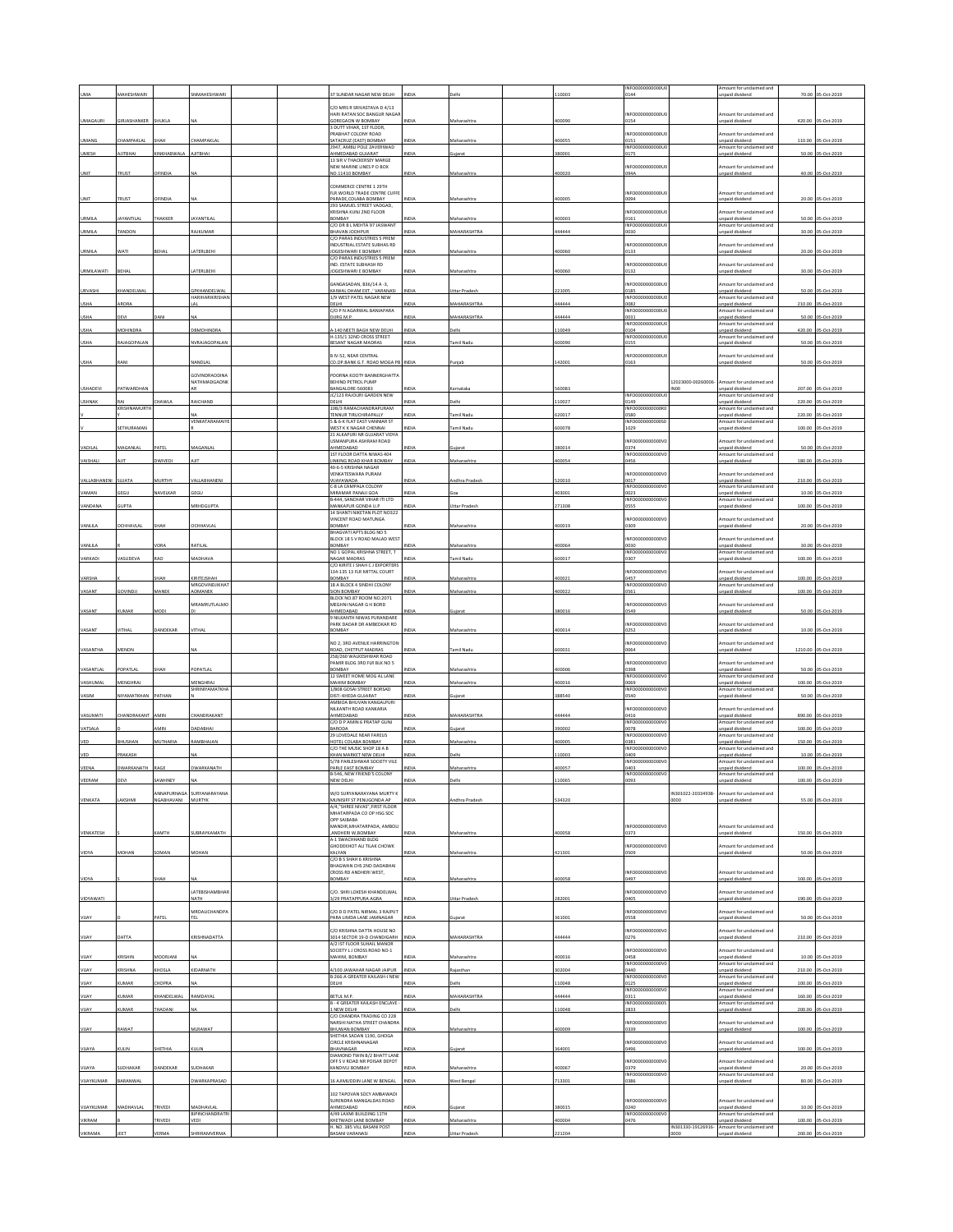|                 |                     |                   |                                 |  |                                                                    |              |                      |        | INFO0000000000U                  |                    | mount for unclaimed and                     |        |                     |
|-----------------|---------------------|-------------------|---------------------------------|--|--------------------------------------------------------------------|--------------|----------------------|--------|----------------------------------|--------------------|---------------------------------------------|--------|---------------------|
|                 | <b>AAHESHWAR</b>    |                   |                                 |  | <b>7 SUNDAR NAGAR NEW DELH</b>                                     |              |                      | 10003  | 0144                             |                    | paid dividend                               | 70.00  | $5 - 0 + 201$       |
|                 |                     |                   |                                 |  | C/O MRS R SRIVASTAVA D 4/13                                        |              |                      |        |                                  |                    |                                             |        |                     |
| <b>UMAGAURI</b> | <b>GIRJASHANKER</b> | SHUKLA            |                                 |  | ARI RATAN SOC BANGUR NAGA<br>GOREGAON W BOMBAY                     | INDIA        | Maharashtra          | 100090 | NFO0000000000U<br>154            |                    | mount for unclaimed and<br>npaid dividend   |        | 420.00 05-Oct-2019  |
|                 |                     |                   |                                 |  | 3 DUTT VIHAR, 1ST FLOOR<br>PRABHAT COLONY ROAD                     |              |                      |        | NFO0000000000U                   |                    | mount for undaimed and                      |        |                     |
| <b>UMANG</b>    | CHAMPAKLAL          | SHAH              | CHAMPAKLA                       |  | SATACRUZ (EAST) BOMBAY<br>2947, AMBLI POLE ZAVERIWAD               | INDIA        | Maharashtra          | 400055 | 0151<br>NFO0000<br>00000U        |                    | Inpaid dividend<br>mount for unclaimed and  |        | 110.00 05-Oct-2019  |
| UMESH           | JITBHAI             | <b>INKHABWALA</b> | AJITBHAI                        |  | MMEDABAD GUJARAT                                                   | <b>INDIA</b> | ujarat               | 380001 | 175                              |                    | npaid dividend                              |        | 50.00 05-Oct-2019   |
|                 |                     |                   |                                 |  | 13 SIR V THACKERSEY MARGE<br>NEW MARINE LINES P O ROX              |              |                      |        | NFO0000000000U                   |                    | mount for unclaimed and                     |        |                     |
| UNIT            | TRUST               | OFINDIA           |                                 |  | NO.11410 BOMBAY                                                    | INDIA        | Maharashtra          | 400020 | 094A                             |                    | npaid dividend                              |        | 40.00 05-Oct-2019   |
|                 |                     |                   |                                 |  | COMMERCE CENTRE 1 29TH                                             |              |                      |        | NFO0000000000U                   |                    |                                             |        |                     |
| UNIT            | TRUST               | <b>FINDIA</b>     |                                 |  | FLR. WORLD TRADE CENTRE CUFFE<br>PARADE.COLABA BOMBAY              | INDIA        | Maharashtra          | 400005 | 0094                             |                    | mount for unclaimed and<br>npaid dividend   | 20.00  | 05-Oct-2019         |
|                 |                     |                   |                                 |  | 293 SAMUEL STREET VADGAD<br>KRISHNA KUNJ 2ND FLOOR                 |              |                      |        | NFO0000000000U                   |                    | mount for unclaimed and                     |        |                     |
| URMILA          | AYANTILAL           | HAKKER            | AYANTILAL                       |  | BOMBAY<br>C/O DR B L MEHTA 97 JASWANT                              | NDIA         | Maharashtra          | 100003 | 0161<br>INFO0000000000U          |                    | inpaid dividend<br>Amount for unclaimed and |        | 50.00 05-Oct-2019   |
| URMILA          | TANDON              |                   | RAJKUMAR                        |  | BHAVAN JODHPUR                                                     | NDIA         | MAHARASHTRA          | 444444 | 0030                             |                    | npaid dividend                              | 30.00  | 05-Oct-2019         |
|                 |                     |                   |                                 |  | C/O PARAS INDUSTRIES 5 PREM<br>INDUSTRIAL ESTATE SUBHAS RD         |              |                      |        | NFO0000000000U                   |                    | mount for unclaimed and                     |        |                     |
| URMILA          | <b>NATI</b>         | EHAL              | ATERLBEHI                       |  | JOGESHWARI E BOMBAY<br>C/O PARAS INDUSTRIES 5 PREM                 | NDIA         | Maharashtra          | 100060 | 0133                             |                    | inpaid dividend                             |        | 20.00 05-Oct-2019   |
| URMILAWATI      | BEHAL               |                   | LATERLBEHI                      |  | IND. ESTATE SUBHASH RD<br>JOGESHWARI E BOMBAY                      | INDIA        | Maharashtra          | 400060 | NFO0000000000U<br>0132           |                    | mount for undaimed and<br>inpaid dividend   |        | 30.00 05-Oct-2019   |
|                 |                     |                   |                                 |  |                                                                    |              |                      |        | NF00000000000U                   |                    |                                             |        |                     |
| <b>JRVASHI</b>  | HANDELWA            |                   | SPKHANDELWA                     |  | ANGASADAN, B36/14 A-3<br>KAIWAL DHAM EXT.,' VARANASI               |              | Ittar Prades         | 221005 | 185                              |                    | mount for unclaimed and<br>npaid dividend   | 50.00  | 5-Oct-2019          |
| <b>USHA</b>     | ARORA               |                   | HARIHARIKRISHAM                 |  | 1/9 WEST PATEL NAGAR NEW<br>DELHI                                  | INDIA        | MAHARASHTRA          | 444444 | INFOOD0000000018<br>0082         |                    | Amount for unclaimed and<br>npaid dividend  |        | 210.00 05-Oct-2019  |
| USHA            | EVI                 |                   |                                 |  | C/O P N AGARWAL BANIAPARA<br>DURG M.P                              | NDLA         | <b>MAHARASHTRA</b>   | 44444  | NFO0000000000U<br>0031           |                    | mount for unclaimed and<br>npaid dividend   | 50.00  | 05-Oct-2019         |
| <b>USHA</b>     | MOHINDRA            |                   | DBMOHINDRA                      |  | -140 NEETI BAGH NEW DELHI                                          | INDIA        | elhi                 | 110049 | <b>INFO0000</b><br>00000U<br>104 |                    | mount for unclaimed and<br>npaid dividend   | 420.00 | 05-Oct-2019         |
|                 |                     |                   |                                 |  | H-135/1 32ND CROSS STREET                                          |              |                      |        | INFO0000000000U                  |                    | mount for unclaimed and                     |        |                     |
| <b>USHA</b>     | RAJAGOPALAM         |                   | VVRAJAGOPALAI                   |  | BESANT NAGAR MADRAS                                                | <b>NDM</b>   | mil Nadı             | 600090 | 0155                             |                    | inpaid dividend                             | 50.00  | 05-Oct-2019         |
| <b>USHA</b>     | RANI                |                   | NANDLAL                         |  | <b>B IV-52. NEAR CENTRAL</b><br>CO.OP.BANK G.T. ROAD MOGA PB INDIA |              | unjab                | 142001 | NFO0000000000U<br>0163           |                    | mount for unclaimed and<br>npaid dividend   |        | 50.00 05-Oct-2019   |
|                 |                     |                   |                                 |  |                                                                    |              |                      |        |                                  |                    |                                             |        |                     |
|                 |                     |                   | GOVINDRAODINA<br>NATHMADGAON    |  | POORNA KOOTY BANNERGHATTA<br>BEHIND PETROL PUMP                    |              |                      |        |                                  | 12023000-00260006- | mount for unclaimed and                     |        |                     |
| <b>USHADEVI</b> | PATWARDHAM          |                   |                                 |  | BANGALORE-560083<br>JC/123 RAJOURI GARDEN NEW                      |              | matak                | 60083  | INFO00000000001                  |                    | inpaid dividend<br>Amount for unclaimed and | 207.00 | S-Oct-2019          |
| <b>USHNAK</b>   | RAI<br>KRISHNAMURTH | HAWLA             | RAICHAND                        |  | DELHI<br>10B/3 RAMACHANDRAPURAM                                    | INDIA        | Delhi                | 110027 | 0149<br>INFO0000000000K          |                    | inpaid dividend<br>mount for unclaimed and  |        | 220.00 05-Oct-2019  |
|                 |                     |                   |                                 |  | TENNUR TIRUCHIRAPALLY                                              | NDIA         | amil Nadu            | 520017 | 0580                             |                    | inpaid dividend                             | 220.00 | 05-Oct-2019         |
|                 | SETHURAMAN          |                   | VENKATARAMAIY                   |  | 5 & 6-K FLAT EAST VANNIAR ST<br>WEST K K NAGAR CHENNAI             | NDIA         | mil Nadu             | 600078 | INFO0000000000S<br>1029          |                    | Amount for unclaimed and<br>npaid dividend  |        | 100.00 05-Oct-2019  |
|                 |                     |                   |                                 |  | 21 ALKAPURI NR GUJARAT VIDYA<br>USMANPURA ASHRAM ROAD              |              |                      |        | NFO0000000000V                   |                    | mount for unclaimed and                     |        |                     |
| VADILAL         | MAGANLAL            | ATEL              | VAGANLAL                        |  | AHMEDABAD                                                          | NDIA         | ujarat               | 380014 | 0374<br>INFO0000000000V          |                    | inpaid dividend<br>mount for unclaimed and  |        | 50.00 05-Oct-2019   |
| VAISHALL        | <b>AJIT</b>         | <b>WIVEDI</b>     | A IIT                           |  | 1ST FLOOR DATTA NIWAS 404<br>LINKING ROAD KHAR BOMBAY              | INDIA        | Maharashtra          | 400054 | 0456                             |                    | npaid dividend                              | 180.00 | 05-Oct-2019         |
|                 |                     |                   |                                 |  | 40-6-5 KRISHNA NAGAR<br><b>VENKATESWARA PURAM</b>                  |              |                      |        | NFO0000000000V                   |                    | mount for unclaimed and                     |        |                     |
| VALLABHANEN     | <b>JUJATA</b>       | <b>AURTHY</b>     | ALLABHANENI                     |  | AGAWAYAN<br>C-8 LA CAMPALA COLONY                                  | NDIA         | ndhra Pradesh        | 520010 | 0017<br>INFO0000000000V          |                    | Inpaid dividend<br>Amount for unclaimed and |        | 210.00 05-Oct-2019  |
| VAMAN           | GEGU                | NAVELKAR          | GEGU                            |  | MIRAMAR PANAJI GOA<br>B-444, SANCHAR VIHAR ITI LTD                 | INDIA        |                      | 403001 | 1023<br>INFO0000000000V0         |                    | npaid dividend                              | 10.00  | 05-Oct-2019         |
| VANDANA         | <b>SUPTA</b>        |                   | <b>MRHDGUPTA</b>                |  | MANKAPUR GONDA U.P                                                 | NDL          | Ittar Prades         | 271308 | 0555                             |                    | mount for unclaimed and<br>inpaid dividend  | 100.00 | 05-Oct-201          |
|                 |                     |                   |                                 |  | 14 SHANTI NIKETAN PLOT NO322<br>VINCENT ROAD MATUNGA               |              |                      |        | NFO0000000000V                   |                    | mount for undaimed and                      |        |                     |
| VANLILA         | OCHHAVLAI           | SHAH              | OCHHAVLAI                       |  | BOMBAY<br>BHAGVATI APTS BLDG NO 5                                  | NDIA         | Maharashtra          | 400019 | 0309                             |                    | inpaid dividend                             |        | 20.00 05-Oct-2019   |
|                 |                     |                   |                                 |  | BLOCK 18 S V ROAD MALAD WEST                                       |              |                      |        | NFO0000000000V                   |                    | mount for unclaimed and                     |        |                     |
| VANLILA         |                     | /ORA              | ATILAL                          |  | BOMBAY<br>NO 1 GOPAL KRISHNA STREET, T                             | INDIA        | Maharashtra          | 400064 | 0030<br>INFO0000000000V          |                    | inpaid dividend<br>Amount for unclaimed and |        | 30.00 05-Oct-2019   |
| VARKADI         | <b>ASUDEVA</b>      | RAO               | MADHAVA                         |  | NAGAR MADRAS<br>C/O KIRITE J SHAH C J EXPORTERS                    | <b>VDIA</b>  | mil Nadu             | 600017 | 0307                             |                    | inpaid dividend                             |        | 100.00 05-Oct-2019  |
| VARSHA          |                     | НАН               | <b>IRITEISHAH</b>               |  | 134-135 13 FLR MITTAL COURT<br>BOMBAY                              | NDIA         | Maharashtra          | 100021 | NFO0000000000V<br>1457           |                    | mount for unclaimed and<br>inpaid dividend  | 100.00 | 05-Oct-2019         |
|                 |                     |                   | MRGOVINDJIKHAT                  |  | 18 A BLOCK 4 SINDHI COLONY                                         |              |                      |        | INFO0000000000V                  |                    | mount for unclaimed and                     |        |                     |
| VASANT          | SOVINDJI            | MANEK             | AOMANEK                         |  | SION BOMBAY<br>BLOCK NO.87 ROOM NO.2071                            | NDIA         | Maharashtra          | 400022 | 0561                             |                    | npaid dividend                              | 100.00 | 05-Oct-2019         |
| VASANT          | UMAR                | <b>AODI</b>       | <b>MRAMRUTLALMO</b>             |  | MEGHNI NAGAR G H BORD<br>AHMEDABAD                                 | NDIA         | iujarat              | 380016 | NFO0000000000V<br>0549           |                    | mount for unclaimed and<br>inpaid dividend  |        | 50.00 05-Oct-2019   |
|                 |                     |                   |                                 |  | 9 NILKANTH NIWAS PURANDARE<br>PARK DADAR DR AMBEDKAR RD            |              |                      |        | NFO0000000000V                   |                    | mount for unclaimed and                     |        |                     |
| VASANT          | <b>ITHAL</b>        | ANDEKAR           | VITHAL                          |  | BOMBAY                                                             | <b>VIDIZ</b> | Maharashtra          | 400014 | 1252                             |                    | npaid dividend                              |        | 10.00 05-Oct-2019   |
|                 |                     |                   |                                 |  | NO 2, 3RD AVENUE HARRINGTON                                        |              |                      |        | NFO0000000000W                   |                    | mount for unclaimed and                     |        |                     |
| VASANTHA        | MENON               |                   |                                 |  | ROAD, CHETPUT MADRAS<br>258/260 WALKESHWAR ROAD                    | NDIA         | amil Nadı            | 600031 | 064                              |                    | npaid dividend                              |        | 1210.00 05-Oct-2019 |
| VASANTLAL       | POPATLAL            | НАН               | POPATLA                         |  | PAMIR BLDG 3RD FLR BLK NO 5<br>BOMBAY                              | VDL          |                      | 400006 | NFO0000000000V<br>0398           |                    | mount for unclaimed and<br>npaid dividend   | 50.00  | 05-Oct-2019         |
|                 |                     |                   |                                 |  | 12 SWEET HOME MOG AL LANE                                          |              | Maharashtra          |        | NFO0000000000V                   |                    | mount for unclaimed and                     |        |                     |
| VASHUMAL        | MENGHRAJ            |                   | MENGHRAJ<br>SHRINIYAMATKHA      |  | MAHIM BOMBAY<br>1/808 GOSAI STREET BORSAD                          | <b>VIDIZ</b> | Maharashtr.          | 100016 | 069<br>INFO0000000000V           |                    | npaid dividend<br>mount for unclaimed and   | 100.00 | 05-Oct-2019         |
| VASIM           | <b>NIYAMATKHAN</b>  | PATHAN            |                                 |  | DIST:-KHEDA GUJARAT<br>AMBIOA BHUVAN KANGALPURI                    | <b>VIDIZ</b> | <i><b>Jiarat</b></i> | 388540 | 3540                             |                    | npaid dividend                              | 50.00  | 05-Oct-2019         |
|                 | <b>HANDRAKANT</b>   | <b>AMIN</b>       | HANDRAKANT                      |  | NILKANTH ROAD KANKARIA<br>AHMEDABAD                                | <b>NDL</b>   | <b>MAHARASHTRA</b>   | 444444 | NFO0000000000W<br>0416           |                    | mount for unclaimed and                     | 890.00 | 05-Oct-2019         |
| VASUMATI        |                     |                   |                                 |  | C/O D P AMIN 6 PRATAP GUNJ                                         |              |                      |        | INFO0000000000V                  |                    | npaid dividend<br>Amount for unclaimed and  |        |                     |
| VATSALA         |                     | MIN               | <b>JADABHAI</b>                 |  | BARODA<br>29 LOVEDALE NEAR FAREUS                                  | <b>NDM</b>   | uiarat               | 390002 | 1078<br>INFO0000000000V          |                    | inpaid dividend<br>Amount for unclaimed and | 100.00 | 05-Oct-2019         |
| VED             | HUSHAN              | MUTHARIA          | AMBHAJAN                        |  | OTEL COLABA BOMBAY<br>C/O THE MUSIC SHOP 18 A B                    | NDIA         | faharashtra          | 100005 | 381<br>NFO000<br>noon            |                    | npaid dividend<br>mount for unclaimed and   |        | 150.00 05-Oct-2019  |
| ÆD              | RAKASH              |                   |                                 |  | KHAN MARKET NEW DELHI                                              | NDIA         | elhi                 | 10003  | 1409                             |                    | npaid dividend                              | 10.00  | 05-Oct-2019         |
| <b>VEENA</b>    | <b>WARKANATH</b>    |                   | <b>WARKANATH</b>                |  | 5/78 PARLESHWAR SOCIETY VILE<br>PARLE EAST BOMBAY                  |              | Maharashtra          | 100057 | INFO0000000000V0<br>0403         |                    | Amount for unclaimed and<br>inpaid dividend | 100.00 | 05-Oct-2019         |
|                 |                     |                   |                                 |  | B-546, NEW FRIEND'S COLONY                                         |              |                      |        | INFO0000000000W                  |                    | mount for unclaimed and<br>aid divi         | 100.0  |                     |
|                 |                     |                   | <b>NNAPURNAGA SURYANARAYANA</b> |  | W/O SURYANARAYANA MURTY K                                          |              |                      |        |                                  | IN301022-20334938- | mount for unclaimed and                     |        |                     |
| VENKATA         |                     | NGABHAVANI MURTYK |                                 |  | MUNISIFF ST PENUGONDA AP<br>A/4,"SHREE NIVAS", FIRST FLOOR         |              | ndhra Prades         | 34320  |                                  |                    | inpaid dividend                             |        | 55.00 05-Oct-2019   |
|                 |                     |                   |                                 |  | MHATARPADA CO OP HSG SOC                                           |              |                      |        |                                  |                    |                                             |        |                     |
|                 |                     |                   |                                 |  | OPP SAIRARA<br>MANDIR.MHATARPADA, AMBOLI                           |              |                      |        | NEODDDDDDDDDV                    |                    | mount for unclaimed and                     |        |                     |
| VENKATESH       |                     | HTMA:             | SUBRAYKAMATH                    |  | ANDHERI W,BOMBAY<br>A-1 SWACHHAND BLDG                             | <b>INDIA</b> | Maharashtra          | 100058 | 0373                             |                    | npaid dividend                              | 150.00 | 05-Oct-2019         |
|                 |                     | <b>OMAN</b>       |                                 |  | <b>GHODEKHOT ALI TILAK CHOWK</b><br>KALYAN                         | NDIA         |                      |        | NFO0000000000V<br>0509           |                    | mount for unclaimed and                     |        |                     |
| VIDYA           | MOHAN               |                   | MOHAN                           |  | C/O B S SHAH 6 KRISHNA<br><b>BHAGWAN CHS 2ND DADABHAI</b>          |              | Maharashtra          | 421301 |                                  |                    | npaid dividend                              |        | 50.00 05-Oct-2019   |
|                 |                     |                   |                                 |  | CROSS RD ANDHERI WEST,                                             |              |                      |        | INFO0000000000V                  |                    | mount for unclaimed and                     |        |                     |
| VIDYA           |                     | жан               |                                 |  | BOMBAY                                                             | INDIA        | Maharashtra          | 400058 | 0497                             |                    | inpaid dividend                             |        | 100.00 05-Oct-2019  |
| VIDYAWATI       |                     |                   | LATEBISHAMBHAF<br><b>VATH</b>   |  | C/O. SHRI LOKESH KHANDELWAL<br>3/29 PRATAPPURA AGRA                |              | <b>Jttar Prade</b>   | 28200  | NFO0000000000V<br><b>1405</b>    |                    | mount for unclaimed and<br>inpaid dividend  |        | 190.00 05-Oct-2019  |
|                 |                     |                   | MRDALICHANDPA                   |  | C/O D D PATEL NIRMAL 3 RAIPUT                                      |              |                      |        | NFO0000000000V                   |                    |                                             |        |                     |
| VIJAY           |                     | ATEL              | TFI                             |  | PARA LIMDA LANE JAMNAGAR                                           | <b>INDIA</b> |                      | 61001  | 0558                             |                    | mount for unclaimed and<br>npaid dividend   |        | 50.00 05-Oct-2019   |
|                 |                     |                   |                                 |  | C/O KRISHNA DATTA HOUSE NO                                         |              |                      |        | INFO0000000000V                  |                    | mount for unclaimed and                     |        |                     |
| YALIV           | DATTA               |                   | KRISHNADATTA                    |  | 3014 SECTOR 19-D CHANDIGARH<br>A/2 IST FLOOR SUHAIL MANOR          | INDIA        | MAHARASHTRA          | 44444  | 0276                             |                    | inpaid dividend                             |        | 210.00 05-Oct-2019  |
|                 |                     |                   |                                 |  | SOCIETY LI CROSS ROAD NO-1                                         |              |                      |        | NFO0000000000V                   |                    | mount for unclaimed and                     |        |                     |
| VIJAY           | KRISHIN             | <b>AOORJANI</b>   |                                 |  | MAHIM, BOMBAY                                                      | NDIA         | Maharashtra          | 400016 | 1458<br>NFO0000000000V           |                    | unpaid dividend<br>Amount for unclaimed and |        | 10.00 05-Oct-2019   |
| VIJAY           | <b>CRISHNA</b>      | HOSLA             | IDARNATH                        |  | 4/100 JAWAHAR NAGAR JAIPUR<br>B-266-A GREATER KAILASH-I NEW        | INDIA        | ajasthan             | 02004  | 1440<br>NFO0000000000W           |                    | npaid dividend<br>mount for unclaimed and   |        | 210.00 05-Oct-2019  |
| YALIV           | UMAR                | HOPRA             |                                 |  | DELHI                                                              | NDIA         | elhi                 | 10048  | 0125<br>INFO0000000000V0         |                    | npaid dividend<br>mount for unclaimed and   | 100.00 | 05-Oct-2019         |
| VIJAY           | <b>UMAR</b>         | <b>HANDELWAL</b>  | RAMDAYAL                        |  | BETUL M.P.                                                         | INDIA        | MAHARASHTRA          | 444444 | 0311                             |                    | npaid dividend                              |        | 160.00 05-Oct-2019  |
| VIJAY           | UMAR                | HADAN             |                                 |  | <b>B-4 GREATER KAILASH ENCLAVE</b><br>I NEW DELHI                  | VDL          |                      | 110048 | INFO0000000000<br>2833           |                    | mount for undaimed and<br>npaid dividend    | 200.00 | 05-Oct-2019         |
|                 |                     |                   |                                 |  | C/O CHANDRA TRADING CO 228<br>NARSHI NATHA STREET CHANDRA          |              |                      |        | INFO0000000000V                  |                    | mount for unclaimed and                     |        |                     |
| VIJAY           | RAWAT               |                   | MLRAWAT                         |  | BHUWAN BOMBAY<br>SHETHIA SADAN 1190, GHOGA                         | INDIA        | Maharashtra          | 400009 | 0339                             |                    | inpaid dividend                             |        | 100.00 05-Oct-2019  |
|                 |                     |                   |                                 |  | CIRCLE KRISHNANAGAR                                                |              |                      |        | NFO0000000000V<br>0496           |                    | mount for unclaimed and                     |        |                     |
| VIJAYA          | <b>ULIN</b>         | HETHIA            | <b>CULIN</b>                    |  | BHAVNAGAR<br>DIAMOND TWIN B/2 BHATT LANE                           |              |                      | 364001 |                                  |                    | npaid dividend                              |        | 100.00 05-Oct-2019  |
| VIJAYA          | <b>JUDHAKAR</b>     | <b>JANDEKAR</b>   | SUDHAKAR                        |  | OFF S V ROAD NR POISAR DEPOT<br>KANDIVLI BOMBAY                    | NDIA         | Maharashtra          | 400067 | NFO0000000000W<br>0379           |                    | mount for unclaimed and<br>npaid dividend   |        | 20.00 05-Oct-2019   |
| VIJAYKUMAR      | <b>ARANWA</b>       |                   | <b>WARKAPRASAD</b>              |  | 6 AJIMUDDIN LANE W BENGAL                                          | NDIA         | est Beng             | 13301  | NFO0000000000V<br>0386           |                    | mount for unclaimed and<br>npaid dividend   | 80.00  | 05-Oct-2019         |
|                 |                     |                   |                                 |  | 102 TAPOVAN SOCY AMBAWADI                                          |              |                      |        |                                  |                    |                                             |        |                     |
|                 |                     |                   |                                 |  | SURENDRA MANGALDAS ROAD                                            |              |                      |        | NFO0000000000V                   |                    | mount for unclaimed and                     |        |                     |
| VIJAYKUMAR      | AADHAVLA            | RIVED             | MADHAVLAL<br>BIPINCHANDRATRI    |  | AHMEDABAD<br>4/49 LAXMI BUILDING 11TH                              |              | ujarat               | 880015 | 0240<br>INFO0000000000V0         |                    | npaid dividend<br>mount for unclaimed and   | 10.00  | 05-Oct-2019         |
| VIKRAM          |                     | <b>TRIVED</b>     |                                 |  | KHETWADI LANE BOMBAY<br>H. NO. 385 VILL BASANI POST                | NDIA         | Maharashtra          | 400004 | 0476                             | IN301330-19126916  | npaid dividend<br>mount for unclaimed and   |        | 100.00 05-Oct-2019  |
| VIKRAMA         | JEET                | /ERMA             | HRIRAMVERMA                     |  | ASANI VARANASI                                                     | NDIA         | <b>Jttar Pradesh</b> | 221204 |                                  | 0000               | npaid dividend                              |        | 200.00 05-Oct-2019  |